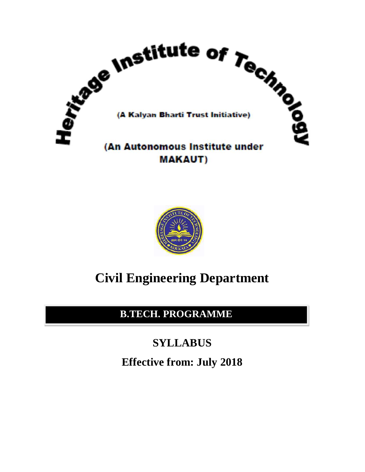



# **Civil Engineering Department**

**B.TECH. PROGRAMME**

# **SYLLABUS**

**Effective from: July 2018**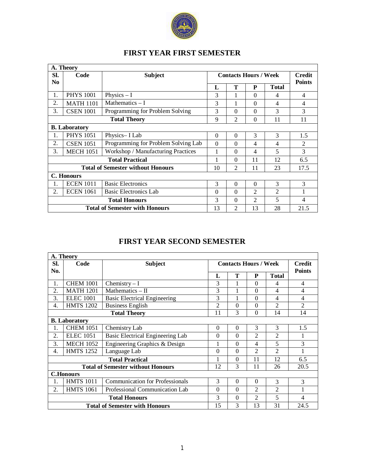

| A. Theory                                                                 |                  |                                          |          |                |                              |                |                |
|---------------------------------------------------------------------------|------------------|------------------------------------------|----------|----------------|------------------------------|----------------|----------------|
| SI.                                                                       | Code             | <b>Subject</b>                           |          |                | <b>Contacts Hours / Week</b> |                | <b>Credit</b>  |
| No                                                                        |                  |                                          |          |                |                              |                | <b>Points</b>  |
|                                                                           |                  |                                          | L        | Т              | P                            | <b>Total</b>   |                |
| 1.                                                                        | <b>PHYS 1001</b> | Physics $-I$                             | 3        | 1              | $\Omega$                     | 4              | $\overline{4}$ |
| 2.                                                                        | <b>MATH 1101</b> | Mathematics $- I$                        | 3        | 1              | $\Omega$                     | 4              | 4              |
| 3.                                                                        | <b>CSEN 1001</b> | Programming for Problem Solving          | 3        | $\theta$       | $\Omega$                     | 3              | 3              |
|                                                                           |                  | <b>Total Theory</b>                      | 9        | $\overline{2}$ | $\boldsymbol{0}$             | 11             | 11             |
| <b>B.</b> Laboratory                                                      |                  |                                          |          |                |                              |                |                |
| 1.                                                                        | <b>PHYS 1051</b> | Physics-I Lab                            | $\Omega$ | $\Omega$       | 3                            | 3              | 1.5            |
| 2.                                                                        | <b>CSEN 1051</b> | Programming for Problem Solving Lab      | $\Omega$ | $\Omega$       | $\overline{4}$               | $\overline{4}$ | $\mathfrak{D}$ |
| 3.                                                                        | <b>MECH 1051</b> | Workshop / Manufacturing Practices       |          | $\Omega$       | 4                            | 5              | 3              |
|                                                                           |                  | <b>Total Practical</b>                   |          | $\Omega$       | 11                           | 12             | 6.5            |
|                                                                           |                  | <b>Total of Semester without Honours</b> | 10       | $\overline{2}$ | 11                           | 23             | 17.5           |
|                                                                           | C. Honours       |                                          |          |                |                              |                |                |
| 1.                                                                        | <b>ECEN 1011</b> | <b>Basic Electronics</b>                 | 3        | $\Omega$       | $\Omega$                     | 3              | 3              |
| 2.                                                                        | <b>ECEN 1061</b> | <b>Basic Electronics Lab</b>             | $\Omega$ | $\theta$       | $\overline{c}$               | $\overline{c}$ |                |
|                                                                           |                  | <b>Total Honours</b>                     | 3        | $\Omega$       | $\mathfrak{2}$               | 5              | 4              |
| <b>Total of Semester with Honours</b><br>28<br>13<br>$\overline{2}$<br>13 |                  |                                          |          |                |                              |                | 21.5           |

## **FIRST YEAR FIRST SEMESTER**

# **FIRST YEAR SECOND SEMESTER**

|                  | A. Theory            |                                          |                              |                  |                |                |                |  |
|------------------|----------------------|------------------------------------------|------------------------------|------------------|----------------|----------------|----------------|--|
| Sl.              | Code                 | <b>Subject</b>                           | <b>Contacts Hours / Week</b> |                  |                |                | <b>Credit</b>  |  |
| No.              |                      |                                          |                              |                  |                |                | <b>Points</b>  |  |
|                  |                      |                                          | L                            | T                | ${\bf P}$      | <b>Total</b>   |                |  |
| 1.               | <b>CHEM 1001</b>     | Chemistry $-I$                           | 3                            |                  | $\theta$       | 4              | $\overline{4}$ |  |
| 2.               | <b>MATH 1201</b>     | Mathematics $-$ II                       | 3                            |                  | $\theta$       | 4              | $\overline{4}$ |  |
| 3.               | <b>ELEC</b> 1001     | <b>Basic Electrical Engineering</b>      | 3                            |                  | $\theta$       | 4              | 4              |  |
| $\overline{4}$ . | <b>HMTS 1202</b>     | <b>Business English</b>                  | $\overline{2}$               | $\theta$         | $\theta$       | $\overline{c}$ | $\overline{2}$ |  |
|                  |                      | <b>Total Theory</b>                      | 11                           | 3                | $\theta$       | 14             | 14             |  |
|                  | <b>B.</b> Laboratory |                                          |                              |                  |                |                |                |  |
| 1.               | <b>CHEM 1051</b>     | Chemistry Lab                            | $\Omega$                     | $\Omega$         | 3              | 3              | 1.5            |  |
| 2.               | <b>ELEC</b> 1051     | Basic Electrical Engineering Lab         | $\Omega$                     | $\Omega$         | $\overline{2}$ | $\overline{2}$ | 1              |  |
| 3.               | <b>MECH 1052</b>     | Engineering Graphics & Design            |                              | $\theta$         | 4              | 5              | 3              |  |
| $\overline{4}$ . | <b>HMTS 1252</b>     | Language Lab                             | $\theta$                     | $\theta$         | $\overline{2}$ | $\overline{2}$ | 1              |  |
|                  |                      | <b>Total Practical</b>                   | 1                            | $\boldsymbol{0}$ | 11             | 12             | 6.5            |  |
|                  |                      | <b>Total of Semester without Honours</b> | 12                           | 3                | 11             | 26             | 20.5           |  |
|                  | <b>C.Honours</b>     |                                          |                              |                  |                |                |                |  |
| 1.               | <b>HMTS 1011</b>     | <b>Communication for Professionals</b>   | 3                            | $\Omega$         | $\Omega$       | 3              | 3              |  |
| 2.               | <b>HMTS 1061</b>     | Professional Communication Lab           | $\Omega$                     | $\Omega$         | $\overline{2}$ | $\overline{2}$ | 1              |  |
|                  |                      | <b>Total Honours</b>                     | 3                            | $\theta$         | $\overline{2}$ | 5              | $\overline{4}$ |  |
|                  |                      | <b>Total of Semester with Honours</b>    | 15                           | 3                | 13             | 31             | 24.5           |  |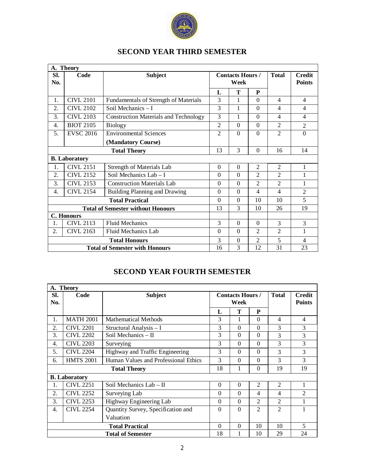

|                    | A. Theory                                                          |                                              |                |                         |                |                |                          |
|--------------------|--------------------------------------------------------------------|----------------------------------------------|----------------|-------------------------|----------------|----------------|--------------------------|
| Sl.                | Code                                                               | <b>Subject</b>                               |                | <b>Contacts Hours /</b> |                | <b>Total</b>   | <b>Credit</b>            |
| No.                |                                                                    |                                              |                | Week                    |                |                | <b>Points</b>            |
|                    |                                                                    |                                              | L              | T                       | ${\bf P}$      |                |                          |
| 1.                 | <b>CIVL 2101</b>                                                   | Fundamentals of Strength of Materials        | 3              | 1                       | $\Omega$       | $\overline{4}$ | $\overline{4}$           |
| 2.                 | <b>CIVL 2102</b>                                                   | Soil Mechanics - I                           | 3              | 1                       | $\overline{0}$ | $\overline{4}$ | $\overline{\mathcal{L}}$ |
| 3.                 | <b>CIVL 2103</b>                                                   | <b>Construction Materials and Technology</b> | 3              | 1                       | $\theta$       | $\overline{4}$ | $\overline{4}$           |
| 4.                 | <b>BIOT 2105</b>                                                   | <b>Biology</b>                               | $\overline{2}$ | $\Omega$                | $\Omega$       | $\overline{2}$ | $\overline{2}$           |
| 5.                 | <b>EVSC 2016</b>                                                   | <b>Environmental Sciences</b>                | $\overline{2}$ | $\Omega$                | $\overline{0}$ | $\overline{2}$ | $\theta$                 |
| (Mandatory Course) |                                                                    |                                              |                |                         |                |                |                          |
|                    | <b>Total Theory</b>                                                |                                              |                | 3                       | $\Omega$       | 16             | 14                       |
|                    | <b>B.</b> Laboratory                                               |                                              |                |                         |                |                |                          |
| 1.                 | <b>CIVL 2151</b>                                                   | <b>Strength of Materials Lab</b>             | $\theta$       | $\overline{0}$          | $\overline{2}$ | $\overline{2}$ | $\mathbf{1}$             |
| 2.                 | <b>CIVL 2152</b>                                                   | Soil Mechanics Lab - I                       | $\Omega$       | $\overline{0}$          | $\overline{2}$ | $\overline{2}$ |                          |
| 3.                 | <b>CIVL 2153</b>                                                   | <b>Construction Materials Lab</b>            | $\Omega$       | $\Omega$                | $\overline{2}$ | $\overline{2}$ | 1                        |
| 4.                 | <b>CIVL 2154</b>                                                   | <b>Building Planning and Drawing</b>         | $\Omega$       | $\Omega$                | $\overline{4}$ | 4              | $\overline{2}$           |
|                    |                                                                    | <b>Total Practical</b>                       | $\overline{0}$ | $\overline{0}$          | 10             | 10             | 5                        |
|                    |                                                                    | <b>Total of Semester without Honours</b>     | 13             | 3                       | 10             | 26             | 19                       |
|                    | <b>C.</b> Honours                                                  |                                              |                |                         |                |                |                          |
| 1.                 | <b>CIVL 2113</b>                                                   | <b>Fluid Mechanics</b>                       | 3              | $\Omega$                | $\theta$       | 3              | 3                        |
| 2.                 | <b>CIVL 2163</b>                                                   | Fluid Mechanics Lab                          | $\Omega$       | $\Omega$                | $\overline{2}$ | $\overline{2}$ |                          |
|                    |                                                                    | <b>Total Honours</b>                         | 3              | $\Omega$                | $\overline{2}$ | 5              | $\overline{4}$           |
|                    | 3<br>12<br>31<br>23<br><b>Total of Semester with Honours</b><br>16 |                                              |                |                         |                |                |                          |

# **SECOND YEAR FOURTH SEMESTER**

|                     | A. Theory            |                                                       |          |                         |                |                |                |
|---------------------|----------------------|-------------------------------------------------------|----------|-------------------------|----------------|----------------|----------------|
| SI.                 | Code                 | <b>Subject</b>                                        |          | <b>Contacts Hours /</b> |                | <b>Total</b>   | <b>Credit</b>  |
| No.                 |                      |                                                       |          | Week                    |                |                | <b>Points</b>  |
|                     |                      |                                                       | L        | T                       | P              |                |                |
| 1.                  | <b>MATH 2001</b>     | <b>Mathematical Methods</b>                           | 3        |                         | $\Omega$       | 4              | $\overline{4}$ |
| 2.                  | <b>CIVL 2201</b>     | Structural Analysis - I                               | 3        | $\theta$                | $\theta$       | 3              | 3              |
| 3.                  | <b>CIVL 2202</b>     | Soil Mechanics $-$ II                                 | 3        | $\Omega$                | $\theta$       | 3              | 3              |
| $\overline{4}$ .    | <b>CIVL 2203</b>     | Surveying                                             | 3        | $\Omega$                | $\Omega$       | 3              | 3              |
| 5.                  | <b>CIVL 2204</b>     | Highway and Traffic Engineering                       | 3        | $\Omega$                | $\Omega$       | 3              | 3              |
| 6.                  | <b>HMTS 2001</b>     | 3<br>Human Values and Professional Ethics<br>$\Omega$ |          |                         |                | 3              | 3              |
| <b>Total Theory</b> |                      |                                                       | 18       | 1                       | $\Omega$       | 19             | 19             |
|                     | <b>B.</b> Laboratory |                                                       |          |                         |                |                |                |
| 1.                  | <b>CIVL 2251</b>     | Soil Mechanics Lab - II                               | $\theta$ | $\Omega$                | $\overline{2}$ | $\overline{c}$ |                |
| 2.                  | <b>CIVL 2252</b>     | Surveying Lab                                         | $\Omega$ | $\Omega$                | 4              | 4              | $\mathfrak{D}$ |
| 3.                  | <b>CIVL 2253</b>     | Highway Engineering Lab                               | $\theta$ | $\Omega$                | 2              | $\overline{c}$ |                |
| 4.                  | <b>CIVL 2254</b>     | Quantity Survey, Specification and                    | $\Omega$ | $\Omega$                | $\overline{2}$ | $\overline{2}$ |                |
|                     |                      | Valuation                                             |          |                         |                |                |                |
|                     |                      | <b>Total Practical</b>                                | $\Omega$ | $\Omega$                | 10             | 10             | 5              |
|                     |                      | <b>Total of Semester</b>                              | 18       |                         | 10             | 29             | 24             |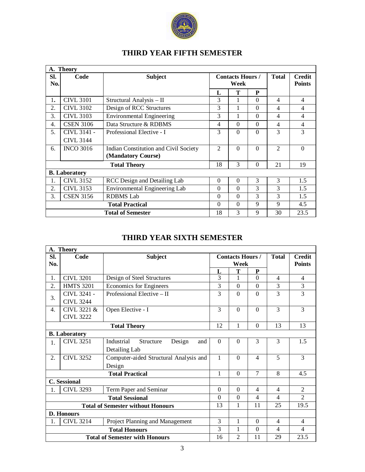

|  | <b>THIRD YEAR FIFTH SEMESTER</b> |  |
|--|----------------------------------|--|
|  |                                  |  |

|     | A. Theory            |                                              |                |                         |          |                |               |
|-----|----------------------|----------------------------------------------|----------------|-------------------------|----------|----------------|---------------|
| SI. | Code                 | <b>Subject</b>                               |                | <b>Contacts Hours /</b> |          | <b>Total</b>   | <b>Credit</b> |
| No. |                      |                                              |                | Week                    |          |                | <b>Points</b> |
|     |                      |                                              | L              | T                       | P        |                |               |
| 1.  | <b>CIVL 3101</b>     | Structural Analysis - II                     | 3              |                         | $\Omega$ | $\overline{4}$ | 4             |
| 2.  | CIVL 3102            | Design of RCC Structures                     | 3              | 1                       | $\Omega$ | 4              | 4             |
| 3.  | <b>CIVL 3103</b>     | <b>Environmental Engineering</b>             | 3              |                         | $\Omega$ | 4              | 4             |
| 4.  | <b>CSEN 3106</b>     | Data Structure & RDBMS                       | 4              | $\Omega$                | $\Omega$ | 4              | 4             |
| 5.  | CIVL 3141 -          | Professional Elective - I                    | 3              | $\Omega$                | $\Omega$ | 3              | 3             |
|     | <b>CIVL 3144</b>     |                                              |                |                         |          |                |               |
| 6.  | <b>INCO 3016</b>     | <b>Indian Constitution and Civil Society</b> | $\mathfrak{D}$ | $\theta$                | $\Omega$ | $\overline{2}$ | $\Omega$      |
|     |                      | (Mandatory Course)                           |                |                         |          |                |               |
|     |                      | <b>Total Theory</b>                          | 18             | 3                       | $\Omega$ | 21             | 19            |
|     | <b>B.</b> Laboratory |                                              |                |                         |          |                |               |
| 1.  | <b>CIVL 3152</b>     | RCC Design and Detailing Lab                 | $\Omega$       | $\Omega$                | 3        | 3              | 1.5           |
| 2.  | <b>CIVL 3153</b>     | Environmental Engineering Lab                | $\Omega$       | $\theta$                | 3        | 3              | 1.5           |
| 3.  | <b>CSEN 3156</b>     | <b>RDBMS</b> Lab                             | $\Omega$       | $\Omega$                | 3        | 3              | 1.5           |
|     |                      | <b>Total Practical</b>                       | $\Omega$       | $\theta$                | 9        | 9              | 4.5           |
|     |                      | <b>Total of Semester</b>                     | 18             | 3                       | 9        | 30             | 23.5          |

# **THIRD YEAR SIXTH SEMESTER**

**r** 

|                                          | A. Theory           |                                          |              |                         |                  |              |                |
|------------------------------------------|---------------------|------------------------------------------|--------------|-------------------------|------------------|--------------|----------------|
| Sl.                                      | Code                | <b>Subject</b>                           |              | <b>Contacts Hours /</b> |                  | <b>Total</b> | <b>Credit</b>  |
| No.                                      |                     |                                          |              | Week                    |                  |              | <b>Points</b>  |
|                                          |                     |                                          | L            | Т                       | P                |              |                |
| 1.                                       | <b>CIVL 3201</b>    | Design of Steel Structures               | 3            | 1                       | $\Omega$         | 4            | 4              |
| 2.                                       | <b>HMTS 3201</b>    | <b>Economics for Engineers</b>           | 3            | $\Omega$                | $\Omega$         | 3            | 3              |
| 3.                                       | CIVL 3241 -         | Professional Elective - II               | 3            | $\overline{0}$          | $\overline{0}$   | 3            | 3              |
|                                          | <b>CIVL 3244</b>    |                                          |              |                         |                  |              |                |
| $\overline{4}$ .                         | CIVL 3221 &         | Open Elective - I                        | 3            | $\overline{0}$          | $\overline{0}$   | 3            | 3              |
|                                          | <b>CIVL 3222</b>    |                                          |              |                         |                  |              |                |
| <b>Total Theory</b>                      |                     |                                          |              | 1                       | $\Omega$         | 13           | 13             |
| <b>B.</b> Laboratory                     |                     |                                          |              |                         |                  |              |                |
| 1.                                       | <b>CIVL 3251</b>    | Industrial<br>Structure<br>Design<br>and | $\Omega$     | $\theta$                | 3                | 3            | 1.5            |
|                                          |                     | Detailing Lab                            |              |                         |                  |              |                |
| 2.                                       | <b>CIVL 3252</b>    | Computer-aided Structural Analysis and   | 1            | $\Omega$                | 4                | 5            | 3              |
|                                          |                     | Design                                   |              |                         |                  |              |                |
|                                          |                     | <b>Total Practical</b>                   | $\mathbf{1}$ | $\overline{0}$          | $\tau$           | 8            | 4.5            |
|                                          | <b>C.</b> Sessional |                                          |              |                         |                  |              |                |
| 1.                                       | <b>CIVL 3293</b>    | Term Paper and Seminar                   | $\Omega$     | $\Omega$                | 4                | 4            | $\overline{2}$ |
|                                          |                     | <b>Total Sessional</b>                   | $\Omega$     | $\Omega$                | 4                | 4            | $\overline{2}$ |
| <b>Total of Semester without Honours</b> |                     |                                          |              | 1                       | 11               | 25           | 19.5           |
|                                          | D. Honours          |                                          |              |                         |                  |              |                |
| 1.                                       | <b>CIVL 3214</b>    | Project Planning and Management          | 3            | 1                       | $\Omega$         | 4            | 4              |
|                                          |                     | <b>Total Honours</b>                     | 3            | 1                       | $\boldsymbol{0}$ | 4            | 4              |
|                                          |                     | <b>Total of Semester with Honours</b>    | 16           | $\overline{2}$          | 11               | 29           | 23.5           |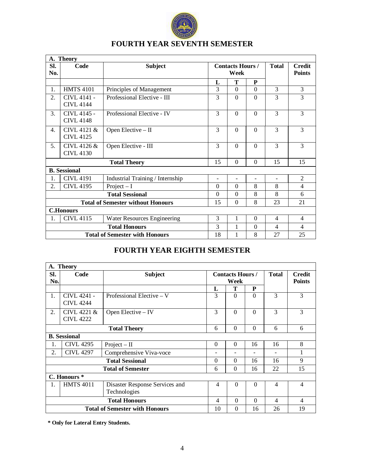

|                  | A. Theory                                                                       |                                       |                                 |                          |                          |                          |                                |
|------------------|---------------------------------------------------------------------------------|---------------------------------------|---------------------------------|--------------------------|--------------------------|--------------------------|--------------------------------|
| Sl.<br>No.       | Code                                                                            | <b>Subject</b>                        | <b>Contacts Hours /</b><br>Week |                          |                          | <b>Total</b>             | <b>Credit</b><br><b>Points</b> |
|                  |                                                                                 |                                       | L                               | T                        | ${\bf P}$                |                          |                                |
| 1.               | <b>HMTS 4101</b>                                                                | Principles of Management              | 3                               | $\theta$                 | $\Omega$                 | 3                        | 3                              |
| 2.               | CIVL 4141 -<br><b>CIVL 4144</b>                                                 | Professional Elective - III           | 3                               | $\Omega$                 | $\Omega$                 | 3                        | 3                              |
| 3.               | CIVL 4145 -<br><b>CIVL 4148</b>                                                 | Professional Elective - IV            | 3                               | $\Omega$                 | $\Omega$                 | 3                        | 3                              |
| $\overline{4}$ . | CIVL 4121 &<br><b>CIVL 4125</b>                                                 | Open Elective $-$ II                  | 3                               | $\Omega$                 | $\Omega$                 | 3                        | 3                              |
| 5.               | CIVL 4126 &<br><b>CIVL 4130</b>                                                 | Open Elective - III                   | 3                               | $\overline{0}$           | $\overline{0}$           | 3                        | 3                              |
|                  |                                                                                 | <b>Total Theory</b>                   | 15                              | $\Omega$                 | $\Omega$                 | 15                       | 15                             |
|                  | <b>B.</b> Sessional                                                             |                                       |                                 |                          |                          |                          |                                |
| 1.               | <b>CIVL 4191</b>                                                                | Industrial Training / Internship      | $\overline{\phantom{a}}$        | $\overline{\phantom{a}}$ | $\overline{\phantom{a}}$ | $\overline{\phantom{a}}$ | $\overline{2}$                 |
| 2.               | <b>CIVL 4195</b>                                                                | Project $-I$                          | $\Omega$                        | $\Omega$                 | 8                        | 8                        | $\overline{4}$                 |
|                  |                                                                                 | <b>Total Sessional</b>                | $\Omega$                        | $\Omega$                 | 8                        | 8                        | 6                              |
|                  | 8<br>$\mathbf{0}$<br>15<br>23<br>21<br><b>Total of Semester without Honours</b> |                                       |                                 |                          |                          |                          |                                |
|                  | <b>C.Honours</b>                                                                |                                       |                                 |                          |                          |                          |                                |
| 1.               | <b>CIVL 4115</b>                                                                | Water Resources Engineering           | 3                               | 1                        | $\theta$                 | 4                        | 4                              |
|                  |                                                                                 | <b>Total Honours</b>                  | 3                               | 1                        | $\Omega$                 | $\overline{4}$           | $\overline{4}$                 |
|                  |                                                                                 | <b>Total of Semester with Honours</b> | 18                              | 1                        | 8                        | 27                       | 25                             |

# **FOURTH YEAR SEVENTH SEMESTER**

# **FOURTH YEAR EIGHTH SEMESTER**

|            | A. Theory                                                  |                                                |                          |                                 |           |                |                                |
|------------|------------------------------------------------------------|------------------------------------------------|--------------------------|---------------------------------|-----------|----------------|--------------------------------|
| SI.<br>No. | Code                                                       | <b>Subject</b>                                 |                          | <b>Contacts Hours /</b><br>Week |           | <b>Total</b>   | <b>Credit</b><br><b>Points</b> |
|            |                                                            |                                                | L                        | T                               | ${\bf P}$ |                |                                |
| 1.         | CIVL 4241 -<br><b>CIVL 4244</b>                            | Professional Elective $-V$                     | 3                        | $\Omega$                        | $\Omega$  | 3              | 3                              |
| 2.         | CIVL 4221 &<br><b>CIVL 4222</b>                            | Open Elective $-$ IV                           | 3                        | $\Omega$                        | $\Omega$  | 3              | 3                              |
|            | $\Omega$<br>$\theta$<br>6<br>6<br>6<br><b>Total Theory</b> |                                                |                          |                                 |           |                |                                |
|            | <b>B.</b> Sessional                                        |                                                |                          |                                 |           |                |                                |
| 1.         | <b>CIVL 4295</b>                                           | $Project - II$                                 | $\Omega$                 | $\Omega$                        | 16        | 16             | 8                              |
| 2.         | <b>CIVL 4297</b>                                           | Comprehensive Viva-voce                        | $\overline{\phantom{a}}$ | $\overline{\phantom{a}}$        |           |                | 1                              |
|            |                                                            | <b>Total Sessional</b>                         | $\Omega$                 | $\Omega$                        | 16        | 16             | 9                              |
|            |                                                            | <b>Total of Semester</b>                       | 6                        | $\Omega$                        | 16        | 22             | 15                             |
|            | C. Honours <sup>*</sup>                                    |                                                |                          |                                 |           |                |                                |
| 1.         | <b>HMTS 4011</b>                                           | Disaster Response Services and<br>Technologies | $\overline{4}$           | $\Omega$                        | $\theta$  | $\overline{4}$ | $\overline{4}$                 |
|            |                                                            | <b>Total Honours</b>                           | $\overline{4}$           | $\Omega$                        | $\Omega$  | 4              | $\overline{4}$                 |
|            |                                                            | <b>Total of Semester with Honours</b>          | 10                       | $\Omega$                        | 16        | 26             | 19                             |

**\* Only for Lateral Entry Students.**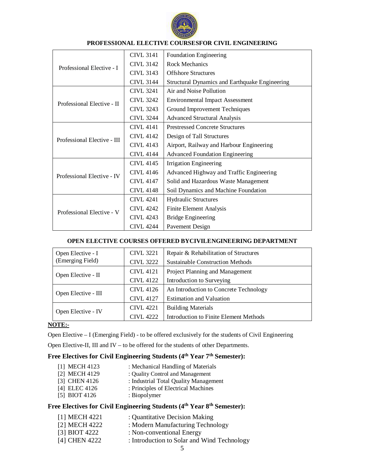

|                             | <b>CIVL 3141</b> | <b>Foundation Engineering</b>                  |
|-----------------------------|------------------|------------------------------------------------|
| Professional Elective - I   | <b>CIVL 3142</b> | Rock Mechanics                                 |
|                             | <b>CIVL 3143</b> | <b>Offshore Structures</b>                     |
|                             | <b>CIVL 3144</b> | Structural Dynamics and Earthquake Engineering |
|                             | <b>CIVL 3241</b> | Air and Noise Pollution                        |
| Professional Elective - II  | <b>CIVL 3242</b> | <b>Environmental Impact Assessment</b>         |
|                             | <b>CIVL 3243</b> | Ground Improvement Techniques                  |
|                             | <b>CIVL 3244</b> | <b>Advanced Structural Analysis</b>            |
|                             | CIVI. 4141       | <b>Prestressed Concrete Structures</b>         |
| Professional Elective - III | <b>CIVL 4142</b> | Design of Tall Structures                      |
|                             | <b>CIVL 4143</b> | Airport, Railway and Harbour Engineering       |
|                             | <b>CIVL 4144</b> | <b>Advanced Foundation Engineering</b>         |
|                             | <b>CIVL 4145</b> | Irrigation Engineering                         |
| Professional Elective - IV  | CIVI.4146        | Advanced Highway and Traffic Engineering       |
|                             | <b>CIVL 4147</b> | Solid and Hazardous Waste Management           |
|                             | <b>CIVL 4148</b> | Soil Dynamics and Machine Foundation           |
|                             | <b>CIVL 4241</b> | <b>Hydraulic Structures</b>                    |
| Professional Elective - V   | <b>CIVL 4242</b> | Finite Element Analysis                        |
|                             | <b>CIVL 4243</b> | <b>Bridge Engineering</b>                      |
|                             | <b>CIVL 4244</b> | Pavement Design                                |

### **PROFESSIONAL ELECTIVE COURSESFOR CIVIL ENGINEERING**

### **OPEN ELECTIVE COURSES OFFERED BYCIVILENGINEERING DEPARTMENT**

| Open Elective - I   | <b>CIVL 3221</b> | Repair & Rehabilitation of Structures         |
|---------------------|------------------|-----------------------------------------------|
| (Emerging Field)    | <b>CIVL 3222</b> | <b>Sustainable Construction Methods</b>       |
| Open Elective - II  | <b>CIVL 4121</b> | Project Planning and Management               |
|                     | <b>CIVL 4122</b> | Introduction to Surveying                     |
| Open Elective - III | <b>CIVL 4126</b> | An Introduction to Concrete Technology        |
|                     | <b>CIVL 4127</b> | <b>Estimation and Valuation</b>               |
|                     | <b>CIVL 4221</b> | <b>Building Materials</b>                     |
| Open Elective - IV  | <b>CIVL 4222</b> | <b>Introduction to Finite Element Methods</b> |

### **NOTE:-**

Open Elective – I (Emerging Field) - to be offered exclusively for the students of Civil Engineering

Open Elective-II, III and IV – to be offered for the students of other Departments.

# **Free Electives for Civil Engineering Students (4th Year 7th Semester):**

- [1] MECH 4123 : Mechanical Handling of Materials
- [2] MECH 4129 : Quality Control and Management
- [3] CHEN 4126 : Industrial Total Quality Management
- [4] ELEC 4126 : Principles of Electrical Machines
- [5] BIOT 4126 : Biopolymer

## **Free Electives for Civil Engineering Students (4th Year 8th Semester):**

- [1] MECH 4221 : Quantitative Decision Making [2] MECH 4222 : Modern Manufacturing Technology
- [3] BIOT 4222 : Non-conventional Energy
- [4] CHEN 4222 : Introduction to Solar and Wind Technology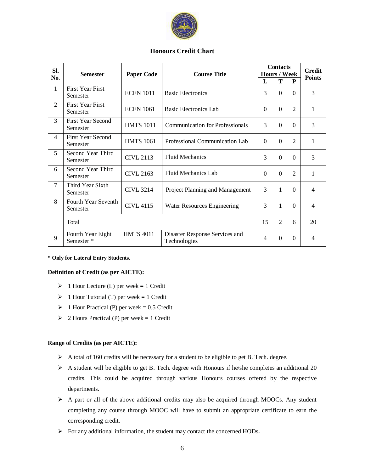

### **Honours Credit Chart**

| SI.            | <b>Semester</b>                            | <b>Paper Code</b> | <b>Course Title</b>                            |          | <b>Contacts</b><br><b>Hours / Week</b> | <b>Credit</b><br><b>Points</b> |                          |
|----------------|--------------------------------------------|-------------------|------------------------------------------------|----------|----------------------------------------|--------------------------------|--------------------------|
| No.            |                                            |                   |                                                | L        | T                                      | P                              |                          |
| $\mathbf{1}$   | <b>First Year First</b><br>Semester        | <b>ECEN 1011</b>  | <b>Basic Electronics</b>                       | 3        | $\Omega$                               | $\Omega$                       | 3                        |
| $\overline{2}$ | <b>First Year First</b><br>Semester        | <b>ECEN 1061</b>  | Basic Electronics Lab                          | $\Omega$ | $\overline{0}$                         | $\overline{c}$                 | 1                        |
| 3              | <b>First Year Second</b><br>Semester       | <b>HMTS 1011</b>  | <b>Communication for Professionals</b>         | 3        | $\Omega$                               | $\Omega$                       | 3                        |
| 4              | <b>First Year Second</b><br>Semester       | <b>HMTS 1061</b>  | Professional Communication Lab                 | $\Omega$ | $\overline{0}$                         | $\overline{2}$                 | $\mathbf{1}$             |
| 5              | Second Year Third<br>Semester              | <b>CIVL 2113</b>  | <b>Fluid Mechanics</b>                         | 3        | $\Omega$                               | $\Omega$                       | 3                        |
| 6              | Second Year Third<br>Semester              | <b>CIVL 2163</b>  | Fluid Mechanics Lab                            | $\Omega$ | $\Omega$                               | $\overline{2}$                 | 1                        |
| $\overline{7}$ | Third Year Sixth<br>Semester               | <b>CIVL 3214</b>  | Project Planning and Management                | 3        | 1                                      | $\Omega$                       | 4                        |
| 8              | Fourth Year Seventh<br>Semester            | <b>CIVL 4115</b>  | Water Resources Engineering                    | 3        | 1                                      | $\Omega$                       | $\overline{\mathcal{L}}$ |
|                | Total                                      |                   |                                                | 15       | $\overline{2}$                         | 6                              | 20                       |
| 9              | Fourth Year Eight<br>Semester <sup>*</sup> | <b>HMTS 4011</b>  | Disaster Response Services and<br>Technologies | 4        | $\theta$                               | $\Omega$                       | 4                        |

#### **\* Only for Lateral Entry Students.**

#### **Definition of Credit (as per AICTE):**

- $\geq 1$  Hour Lecture (L) per week = 1 Credit
- $\geq 1$  Hour Tutorial (T) per week = 1 Credit
- $\geq 1$  Hour Practical (P) per week = 0.5 Credit
- $\geq$  2 Hours Practical (P) per week = 1 Credit

#### **Range of Credits (as per AICTE):**

- A total of 160 credits will be necessary for a student to be eligible to get B. Tech. degree.
- $\triangleright$  A student will be eligible to get B. Tech. degree with Honours if he/she completes an additional 20 credits. This could be acquired through various Honours courses offered by the respective departments.
- A part or all of the above additional credits may also be acquired through MOOCs. Any student completing any course through MOOC will have to submit an appropriate certificate to earn the corresponding credit.
- For any additional information, the student may contact the concerned HODs**.**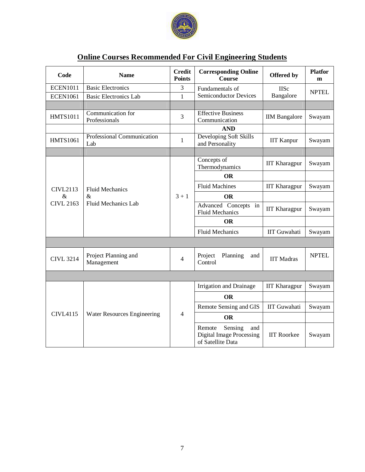

| <b>Online Courses Recommended For Civil Engineering Students</b> |
|------------------------------------------------------------------|
|------------------------------------------------------------------|

| Code             | <b>Name</b>                                                                                    | <b>Credit</b><br><b>Points</b> | <b>Corresponding Online</b><br><b>Course</b>                                     | Offered by           | <b>Platfor</b><br>m |
|------------------|------------------------------------------------------------------------------------------------|--------------------------------|----------------------------------------------------------------------------------|----------------------|---------------------|
| <b>ECEN1011</b>  | <b>Basic Electronics</b>                                                                       | 3                              | Fundamentals of                                                                  | <b>IISc</b>          | <b>NPTEL</b>        |
| <b>ECEN1061</b>  | <b>Basic Electronics Lab</b>                                                                   | $\mathbf{1}$                   | <b>Semiconductor Devices</b>                                                     | Bangalore            |                     |
|                  |                                                                                                |                                |                                                                                  |                      |                     |
| <b>HMTS1011</b>  | Communication for<br>Professionals                                                             | 3                              | <b>Effective Business</b><br>Communication                                       | <b>IIM</b> Bangalore | Swayam              |
|                  |                                                                                                |                                | <b>AND</b>                                                                       |                      |                     |
| <b>HMTS1061</b>  | Developing Soft Skills<br>Professional Communication<br>$\mathbf{1}$<br>Lab<br>and Personality |                                | <b>IIT Kanpur</b>                                                                | Swayam               |                     |
|                  |                                                                                                |                                |                                                                                  |                      |                     |
|                  |                                                                                                |                                | Concepts of<br>Thermodynamics                                                    | <b>IIT Kharagpur</b> | Swayam              |
|                  |                                                                                                |                                | <b>OR</b>                                                                        |                      |                     |
| <b>CIVL2113</b>  | <b>Fluid Mechanics</b><br>$\&$<br>Fluid Mechanics Lab                                          | $3 + 1$                        | <b>Fluid Machines</b>                                                            | <b>IIT Kharagpur</b> | Swayam              |
| $\&$             |                                                                                                |                                | <b>OR</b>                                                                        |                      |                     |
| <b>CIVL 2163</b> |                                                                                                |                                | Advanced Concepts in<br><b>Fluid Mechanics</b>                                   | <b>IIT Kharagpur</b> | Swayam              |
|                  |                                                                                                |                                | <b>OR</b>                                                                        |                      |                     |
|                  |                                                                                                |                                | <b>Fluid Mechanics</b>                                                           | <b>IIT Guwahati</b>  | Swayam              |
|                  |                                                                                                |                                |                                                                                  |                      |                     |
| <b>CIVL 3214</b> | Project Planning and<br>Management                                                             | $\overline{4}$                 | Planning<br>Project<br>and<br>Control                                            | <b>IIT Madras</b>    | <b>NPTEL</b>        |
|                  |                                                                                                |                                |                                                                                  |                      |                     |
|                  |                                                                                                |                                | <b>Irrigation and Drainage</b>                                                   | <b>IIT Kharagpur</b> | Swayam              |
|                  |                                                                                                |                                | <b>OR</b>                                                                        |                      |                     |
|                  |                                                                                                |                                | Remote Sensing and GIS                                                           | <b>IIT Guwahati</b>  | Swayam              |
| <b>CIVL4115</b>  | Water Resources Engineering                                                                    | $\overline{4}$                 | <b>OR</b>                                                                        |                      |                     |
|                  |                                                                                                |                                | Sensing<br>Remote<br>and<br><b>Digital Image Processing</b><br>of Satellite Data | <b>IIT Roorkee</b>   | Swayam              |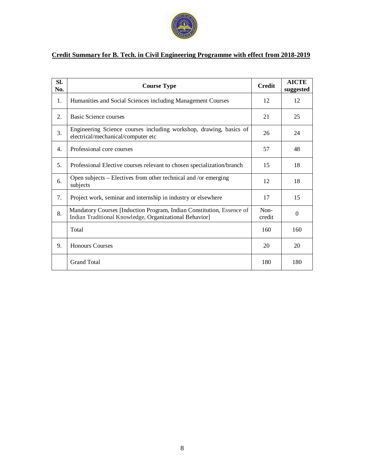

### **Credit Summary for B. Tech. in Civil Engineering Programme with effect from 2018-2019**

| SI.<br>No. | <b>Course Type</b>                                                                                                              | <b>Credit</b>  | <b>AICTE</b><br>suggested |
|------------|---------------------------------------------------------------------------------------------------------------------------------|----------------|---------------------------|
| 1.         | Humanities and Social Sciences including Management Courses                                                                     | 12             | 12                        |
| 2.         | Basic Science courses                                                                                                           | 21             | 25                        |
| 3.         | Engineering Science courses including workshop, drawing, basics of<br>electrical/mechanical/computer etc                        | 26             | 24                        |
| 4.         | Professional core courses                                                                                                       | 57             | 48                        |
| 5.         | Professional Elective courses relevant to chosen specialization/branch                                                          | 15             | 18                        |
| 6.         | Open subjects – Electives from other technical and /or emerging<br>subjects                                                     | 12             | 18                        |
| 7.         | Project work, seminar and internship in industry or elsewhere                                                                   | 17             | 15                        |
| 8.         | Mandatory Courses [Induction Program, Indian Constitution, Essence of<br>Indian Traditional Knowledge, Organizational Behavior] | Non-<br>credit | $\theta$                  |
|            | Total                                                                                                                           | 160            | 160                       |
| 9.         | <b>Honours Courses</b>                                                                                                          | 20             | 20                        |
|            | <b>Grand Total</b>                                                                                                              | 180            | 180                       |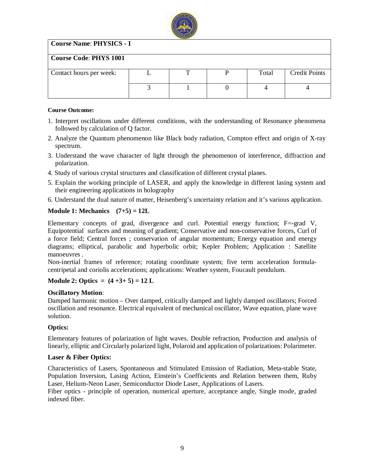

### **Course Name**: **PHYSICS - I**

### **Course Code**: **PHYS 1001**

| Contact hours per week: |  | Total | <b>Credit Points</b> |
|-------------------------|--|-------|----------------------|
|                         |  |       |                      |
|                         |  |       |                      |
|                         |  |       |                      |

### **Course Outcome:**

- 1. Interpret oscillations under different conditions, with the understanding of Resonance phenomena followed by calculation of Q factor.
- 2. Analyze the Quantum phenomenon like Black body radiation, Compton effect and origin of X-ray spectrum.
- 3. Understand the wave character of light through the phenomenon of interference, diffraction and polarization.
- 4. Study of various crystal structures and classification of different crystal planes.
- 5. Explain the working principle of LASER, and apply the knowledge in different lasing system and their engineering applications in holography
- 6. Understand the dual nature of matter, Heisenberg's uncertainty relation and it's various application.

### **Module 1: Mechanics (7+5) = 12L**

Elementary concepts of grad, divergence and curl. Potential energy function; F=-grad V, Equipotential surfaces and meaning of gradient; Conservative and non-conservative forces, Curl of a force field; Central forces ; conservation of angular momentum; Energy equation and energy diagrams; elliptical, parabolic and hyperbolic orbit; Kepler Problem; Application : Satellite manoeuvres .

Non-inertial frames of reference; rotating coordinate system; five term acceleration formulacentripetal and coriolis accelerations; applications: Weather system, Foucault pendulum.

### **Module 2: Optics = (4 +3+ 5) = 12 L**

### **Oscillatory Motion**:

Damped harmonic motion – Over damped, critically damped and lightly damped oscillators; Forced oscillation and resonance. Electrical equivalent of mechanical oscillator, Wave equation, plane wave solution.

### **Optics:**

Elementary features of polarization of light waves. Double refraction, Production and analysis of linearly, elliptic and Circularly polarized light, Polaroid and application of polarizations: Polarimeter.

### **Laser & Fiber Optics:**

Characteristics of Lasers, Spontaneous and Stimulated Emission of Radiation, Meta-stable State, Population Inversion, Lasing Action, Einstein's Coefficients and Relation between them, Ruby Laser, Helium-Neon Laser, Semiconductor Diode Laser, Applications of Lasers.

Fiber optics - principle of operation, numerical aperture, acceptance angle, Single mode, graded indexed fiber.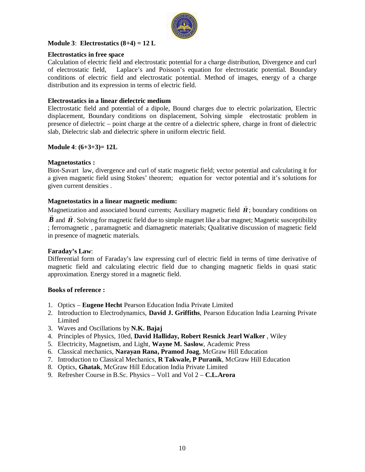

### **Module 3**: **Electrostatics (8+4) = 12 L**

### **Electrostatics in free space**

Calculation of electric field and electrostatic potential for a charge distribution, Divergence and curl of electrostatic field, Laplace's and Poisson's equation for electrostatic potential. Boundary conditions of electric field and electrostatic potential. Method of images, energy of a charge distribution and its expression in terms of electric field.

### **Electrostatics in a linear dielectric medium**

Electrostatic field and potential of a dipole, Bound charges due to electric polarization, Electric displacement, Boundary conditions on displacement, Solving simple electrostatic problem in presence of dielectric – point charge at the centre of a dielectric sphere, charge in front of dielectric slab, Dielectric slab and dielectric sphere in uniform electric field.

### **Module 4**: **(6+3+3)= 12L**

### **Magnetostatics :**

Biot-Savart law, divergence and curl of static magnetic field; vector potential and calculating it for a given magnetic field using Stokes' theorem; equation for vector potential and it's solutions for given current densities .

### **Magnetostatics in a linear magnetic medium:**

Magnetization and associated bound currents; Auxiliary magnetic field *H*  $\overline{a}$ Magnetization and associated bound currents; Auxiliary magnetic field  $\vec{H}$ ; boundary conditions on

 $\vec{B}$  and  $\vec{H}$ . Solving for magnetic field due to simple magnet like a bar magnet; Magnetic susceptibility ; ferromagnetic , paramagnetic and diamagnetic materials; Qualitative discussion of magnetic field in presence of magnetic materials.

### **Faraday's Law**:

Differential form of Faraday's law expressing curl of electric field in terms of time derivative of magnetic field and calculating electric field due to changing magnetic fields in quasi static approximation. Energy stored in a magnetic field.

### **Books of reference :**

- 1. Optics **Eugene Hecht** Pearson Education India Private Limited
- 2. Introduction to Electrodynamics, **David J. Griffiths**, Pearson Education India Learning Private Limited
- 3. Waves and Oscillations by **N.K. Bajaj**
- 4. Principles of Physics, 10ed, **David Halliday, Robert Resnick Jearl Walker** , Wiley
- 5. Electricity, Magnetism, and Light, **Wayne M. Saslow**, Academic Press
- 6. Classical mechanics, **Narayan Rana, Pramod Joag**, McGraw Hill Education
- 7. Introduction to Classical Mechanics, **R Takwale, P Puranik**, McGraw Hill Education
- 8. Optics, **Ghatak**, McGraw Hill Education India Private Limited
- 9. Refresher Course in B.Sc. Physics Vol1 and Vol 2 **C.L.Arora**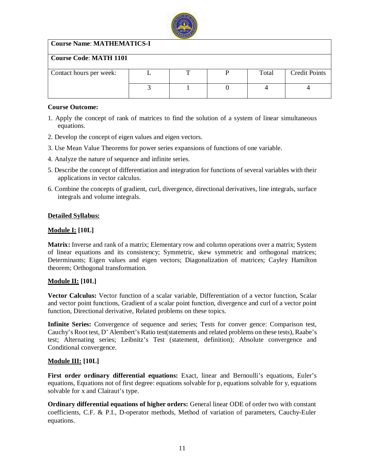

### **Course Name**: **MATHEMATICS-I**

### **Course Code**: **MATH 1101**

| Contact hours per week: | ᠇᠇ | Total | <b>Credit Points</b> |
|-------------------------|----|-------|----------------------|
|                         |    |       |                      |
|                         |    |       |                      |
|                         |    |       |                      |

### **Course Outcome:**

- 1. Apply the concept of rank of matrices to find the solution of a system of linear simultaneous equations.
- 2. Develop the concept of eigen values and eigen vectors.
- 3. Use Mean Value Theorems for power series expansions of functions of one variable.
- 4. Analyze the nature of sequence and infinite series.
- 5. Describe the concept of differentiation and integration for functions of several variables with their applications in vector calculus.
- 6. Combine the concepts of gradient, curl, divergence, directional derivatives, line integrals, surface integrals and volume integrals.

### **Detailed Syllabus:**

### **Module I: [10L]**

**Matrix:** Inverse and rank of a matrix; Elementary row and column operations over a matrix; System of linear equations and its consistency; Symmetric, skew symmetric and orthogonal matrices; Determinants; Eigen values and eigen vectors; Diagonalization of matrices; Cayley Hamilton theorem; Orthogonal transformation.

### **Module II: [10L]**

**Vector Calculus:** Vector function of a scalar variable, Differentiation of a vector function, Scalar and vector point functions, Gradient of a scalar point function, divergence and curl of a vector point function, Directional derivative, Related problems on these topics.

**Infinite Series:** Convergence of sequence and series; Tests for conver gence: Comparison test, Cauchy's Root test, D' Alembert's Ratio test(statements and related problems on these tests), Raabe's test; Alternating series; Leibnitz's Test (statement, definition); Absolute convergence and Conditional convergence.

### **Module III: [10L]**

**First order ordinary differential equations:** Exact, linear and Bernoulli's equations, Euler's equations, Equations not of first degree: equations solvable for p, equations solvable for y, equations solvable for x and Clairaut's type.

**Ordinary differential equations of higher orders:** General linear ODE of order two with constant coefficients, C.F. & P.I., D-operator methods, Method of variation of parameters, Cauchy-Euler equations.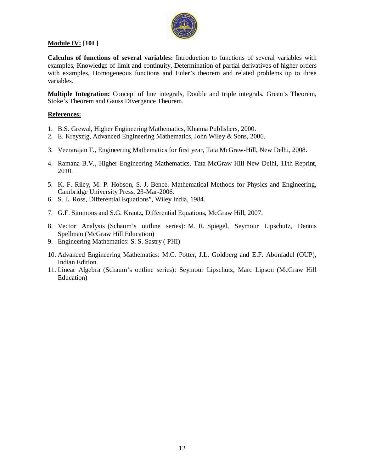

### **Module IV: [10L]**

**Calculus of functions of several variables:** Introduction to functions of several variables with examples, Knowledge of limit and continuity, Determination of partial derivatives of higher orders with examples, Homogeneous functions and Euler's theorem and related problems up to three variables.

**Multiple Integration:** Concept of line integrals, Double and triple integrals. Green's Theorem, Stoke's Theorem and Gauss Divergence Theorem.

### **References:**

- 1. B.S. Grewal, Higher Engineering Mathematics, Khanna Publishers, 2000.
- 2. E. Kreyszig, Advanced Engineering Mathematics, John Wiley & Sons, 2006.
- 3. Veerarajan T., Engineering Mathematics for first year, Tata McGraw-Hill, New Delhi, 2008.
- 4. Ramana B.V., Higher Engineering Mathematics, Tata McGraw Hill New Delhi, 11th Reprint, 2010.
- 5. K. F. Riley, M. P. Hobson, S. J. Bence. Mathematical Methods for Physics and Engineering, Cambridge University Press, 23-Mar-2006.
- 6. S. L. Ross, Differential Equations", Wiley India, 1984.
- 7. G.F. Simmons and S.G. Krantz, Differential Equations, McGraw Hill, 2007.
- 8. Vector Analysis (Schaum's outline series): M. R. Spiegel, Seymour Lipschutz, Dennis Spellman (McGraw Hill Education)
- 9. Engineering Mathematics: S. S. Sastry ( PHI)
- 10. Advanced Engineering Mathematics: M.C. Potter, J.L. Goldberg and E.F. Abonfadel (OUP), Indian Edition.
- 11. Linear Algebra (Schaum's outline series): Seymour Lipschutz, Marc Lipson (McGraw Hill Education)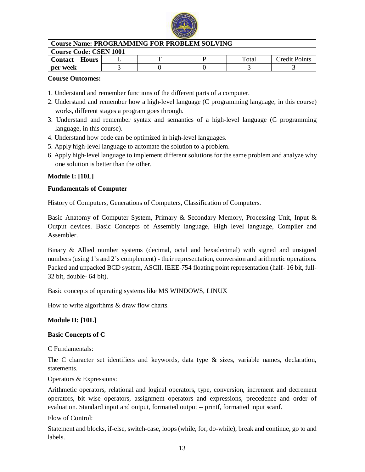

| <b>Course Name: PROGRAMMING FOR PROBLEM SOLVING</b> |  |  |  |       |               |  |
|-----------------------------------------------------|--|--|--|-------|---------------|--|
| <b>Course Code: CSEN 1001</b>                       |  |  |  |       |               |  |
| <b>Contact Hours</b>                                |  |  |  | Total | Credit Points |  |
| per week                                            |  |  |  |       |               |  |

### **Course Outcomes:**

- 1. Understand and remember functions of the different parts of a computer.
- 2. Understand and remember how a high-level language (C programming language, in this course) works, different stages a program goes through.
- 3. Understand and remember syntax and semantics of a high-level language (C programming language, in this course).
- 4. Understand how code can be optimized in high-level languages.
- 5. Apply high-level language to automate the solution to a problem.
- 6. Apply high-level language to implement different solutions for the same problem and analyze why one solution is better than the other.

### **Module I: [10L]**

### **Fundamentals of Computer**

History of Computers, Generations of Computers, Classification of Computers.

Basic Anatomy of Computer System, Primary & Secondary Memory, Processing Unit, Input & Output devices. Basic Concepts of Assembly language, High level language, Compiler and Assembler.

Binary & Allied number systems (decimal, octal and hexadecimal) with signed and unsigned numbers (using 1's and 2's complement) - their representation, conversion and arithmetic operations. Packed and unpacked BCD system, ASCII. IEEE-754 floating point representation (half- 16 bit, full-32 bit, double- 64 bit).

Basic concepts of operating systems like MS WINDOWS, LINUX

How to write algorithms & draw flow charts.

### **Module II: [10L]**

### **Basic Concepts of C**

C Fundamentals:

The C character set identifiers and keywords, data type  $\&$  sizes, variable names, declaration, statements.

Operators & Expressions:

Arithmetic operators, relational and logical operators, type, conversion, increment and decrement operators, bit wise operators, assignment operators and expressions, precedence and order of evaluation. Standard input and output, formatted output -- printf, formatted input scanf.

Flow of Control:

Statement and blocks, if-else, switch-case, loops (while, for, do-while), break and continue, go to and labels.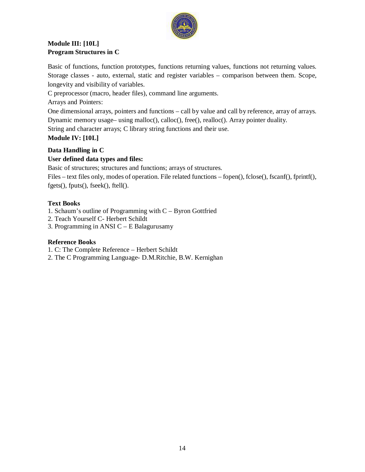

### **Module III: [10L] Program Structures in C**

Basic of functions, function prototypes, functions returning values, functions not returning values. Storage classes - auto, external, static and register variables – comparison between them. Scope, longevity and visibility of variables.

C preprocessor (macro, header files), command line arguments.

Arrays and Pointers:

One dimensional arrays, pointers and functions – call by value and call by reference, array of arrays. Dynamic memory usage– using malloc(), calloc(), free(), realloc(). Array pointer duality.

String and character arrays; C library string functions and their use.

### **Module IV: [10L]**

### **Data Handling in C**

### **User defined data types and files:**

Basic of structures; structures and functions; arrays of structures.

Files – text files only, modes of operation. File related functions – fopen(), fclose(), fscanf(), fprintf(), fgets(), fputs(), fseek(), ftell().

### **Text Books**

1. Schaum's outline of Programming with C – Byron Gottfried

- 2. Teach Yourself C- Herbert Schildt
- 3. Programming in ANSI C E Balagurusamy

### **Reference Books**

1. C: The Complete Reference – Herbert Schildt

2. The C Programming Language- D.M.Ritchie, B.W. Kernighan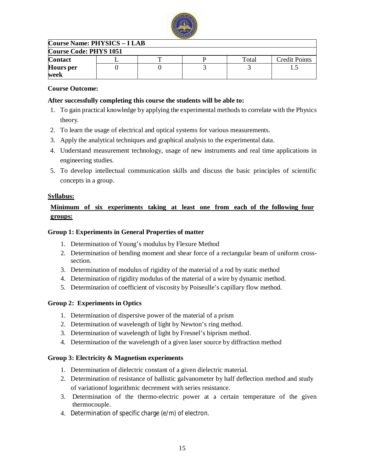

### **Course Name: PHYSICS – I LAB**

| <b>Course Code: PHYS 1051</b> |  |  |  |       |                      |  |  |
|-------------------------------|--|--|--|-------|----------------------|--|--|
| <b>Contact</b>                |  |  |  | Total | <b>Credit Points</b> |  |  |
| <b>Hours</b> per<br>week      |  |  |  |       |                      |  |  |

### **Course Outcome:**

### **After successfully completing this course the students will be able to:**

- 1. To gain practical knowledge by applying the experimental methods to correlate with the Physics theory.
- 2. To learn the usage of electrical and optical systems for various measurements.
- 3. Apply the analytical techniques and graphical analysis to the experimental data.
- 4. Understand measurement technology, usage of new instruments and real time applications in engineering studies.
- 5. To develop intellectual communication skills and discuss the basic principles of scientific concepts in a group.

### **Syllabus:**

### **Minimum of six experiments taking at least one from each of the following four groups:**

### **Group 1: Experiments in General Properties of matter**

- 1. Determination of Young's modulus by Flexure Method
- 2. Determination of bending moment and shear force of a rectangular beam of uniform crosssection.
- 3. Determination of modulus of rigidity of the material of a rod by static method
- 4. Determination of rigidity modulus of the material of a wire by dynamic method.
- 5. Determination of coefficient of viscosity by Poiseulle's capillary flow method.

### **Group 2: Experiments in Optics**

- 1. Determination of dispersive power of the material of a prism
- 2. Determination of wavelength of light by Newton's ring method.
- 3. Determination of wavelength of light by Fresnel's biprism method.
- 4. Determination of the wavelength of a given laser source by diffraction method

### **Group 3: Electricity & Magnetism experiments**

- 1. Determination of dielectric constant of a given dielectric material.
- 2. Determination of resistance of ballistic galvanometer by half deflection method and study of variationof logarithmic decrement with series resistance.
- 3. Determination of the thermo-electric power at a certain temperature of the given thermocouple.
- 4. Determination of specific charge (e/m) of electron.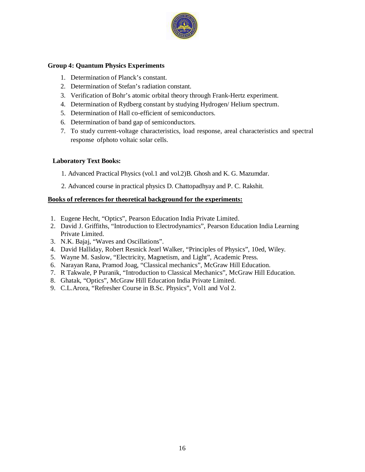

### **Group 4: Quantum Physics Experiments**

- 1. Determination of Planck's constant.
- 2. Determination of Stefan's radiation constant.
- 3. Verification of Bohr's atomic orbital theory through Frank-Hertz experiment.
- 4. Determination of Rydberg constant by studying Hydrogen/ Helium spectrum.
- 5. Determination of Hall co-efficient of semiconductors.
- 6. Determination of band gap of semiconductors.
- 7. To study current-voltage characteristics, load response, areal characteristics and spectral response ofphoto voltaic solar cells.

### **Laboratory Text Books:**

- 1. Advanced Practical Physics (vol.1 and vol.2)B. Ghosh and K. G. Mazumdar.
- 2. Advanced course in practical physics D. Chattopadhyay and P. C. Rakshit.

### **Books of references for theoretical background for the experiments:**

- 1. Eugene Hecht, "Optics", Pearson Education India Private Limited.
- 2. David J. Griffiths, "Introduction to Electrodynamics", Pearson Education India Learning Private Limited.
- 3. N.K. Bajaj, "Waves and Oscillations".
- 4. David Halliday, Robert Resnick Jearl Walker, "Principles of Physics", 10ed, Wiley.
- 5. Wayne M. Saslow, "Electricity, Magnetism, and Light", Academic Press.
- 6. Narayan Rana, Pramod Joag, "Classical mechanics", McGraw Hill Education.
- 7. R Takwale, P Puranik, "Introduction to Classical Mechanics", McGraw Hill Education.
- 8. Ghatak, "Optics", McGraw Hill Education India Private Limited.
- 9. C.L.Arora, "Refresher Course in B.Sc. Physics", Vol1 and Vol 2.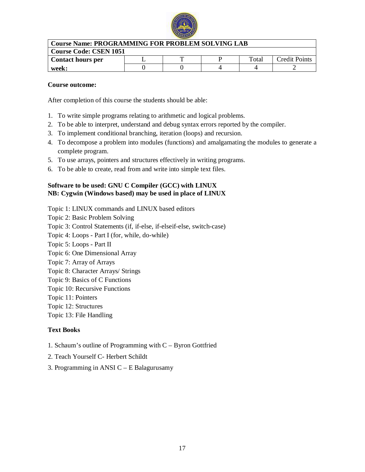

| <b>Course Name: PROGRAMMING FOR PROBLEM SOLVING LAB</b> |  |   |  |       |                      |  |
|---------------------------------------------------------|--|---|--|-------|----------------------|--|
| <b>Course Code: CSEN 1051</b>                           |  |   |  |       |                      |  |
| <b>Contact hours per</b>                                |  | m |  | Total | <b>Credit Points</b> |  |
| week:                                                   |  |   |  |       |                      |  |

### **Course outcome:**

After completion of this course the students should be able:

- 1. To write simple programs relating to arithmetic and logical problems.
- 2. To be able to interpret, understand and debug syntax errors reported by the compiler.
- 3. To implement conditional branching, iteration (loops) and recursion.
- 4. To decompose a problem into modules (functions) and amalgamating the modules to generate a complete program.
- 5. To use arrays, pointers and structures effectively in writing programs.
- 6. To be able to create, read from and write into simple text files.

### **Software to be used: GNU C Compiler (GCC) with LINUX NB: Cygwin (Windows based) may be used in place of LINUX**

Topic 1: LINUX commands and LINUX based editors

Topic 2: Basic Problem Solving Topic 3: Control Statements (if, if-else, if-elseif-else, switch-case)

Topic 4: Loops - Part I (for, while, do-while)

- Topic 5: Loops Part II
- Topic 6: One Dimensional Array
- Topic 7: Array of Arrays
- Topic 8: Character Arrays/ Strings
- Topic 9: Basics of C Functions
- Topic 10: Recursive Functions
- Topic 11: Pointers
- Topic 12: Structures

Topic 13: File Handling

### **Text Books**

- 1. Schaum's outline of Programming with C Byron Gottfried
- 2. Teach Yourself C- Herbert Schildt
- 3. Programming in ANSI C E Balagurusamy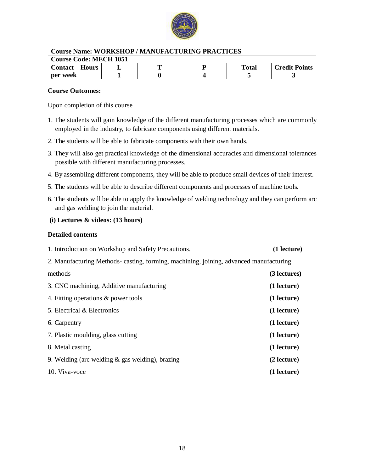

| <b>Course Name: WORKSHOP / MANUFACTURING PRACTICES</b> |  |  |  |              |                      |  |
|--------------------------------------------------------|--|--|--|--------------|----------------------|--|
| <b>Course Code: MECH 1051</b>                          |  |  |  |              |                      |  |
| <b>Contact Hours</b>                                   |  |  |  | <b>Total</b> | <b>Credit Points</b> |  |
| per week                                               |  |  |  |              |                      |  |

### **Course Outcomes:**

Upon completion of this course

- 1. The students will gain knowledge of the different manufacturing processes which are commonly employed in the industry, to fabricate components using different materials.
- 2. The students will be able to fabricate components with their own hands.
- 3. They will also get practical knowledge of the dimensional accuracies and dimensional tolerances possible with different manufacturing processes.
- 4. By assembling different components, they will be able to produce small devices of their interest.
- 5. The students will be able to describe different components and processes of machine tools.
- 6. The students will be able to apply the knowledge of welding technology and they can perform arc and gas welding to join the material.

### **(i) Lectures & videos: (13 hours)**

### **Detailed contents**

| 1. Introduction on Workshop and Safety Precautions.                                    | $(1$ lecture) |  |  |  |  |
|----------------------------------------------------------------------------------------|---------------|--|--|--|--|
| 2. Manufacturing Methods- casting, forming, machining, joining, advanced manufacturing |               |  |  |  |  |
| methods                                                                                | (3 lectures)  |  |  |  |  |
| 3. CNC machining, Additive manufacturing                                               | (1 lecture)   |  |  |  |  |
| 4. Fitting operations & power tools                                                    | (1 lecture)   |  |  |  |  |
| 5. Electrical & Electronics                                                            | (1 lecture)   |  |  |  |  |
| 6. Carpentry                                                                           | (1 lecture)   |  |  |  |  |
| 7. Plastic moulding, glass cutting                                                     | (1 lecture)   |  |  |  |  |
| 8. Metal casting                                                                       | (1 lecture)   |  |  |  |  |
| 9. Welding (arc welding $\&$ gas welding), brazing                                     | (2 lecture)   |  |  |  |  |
| 10. Viva-voce                                                                          | (1 lecture)   |  |  |  |  |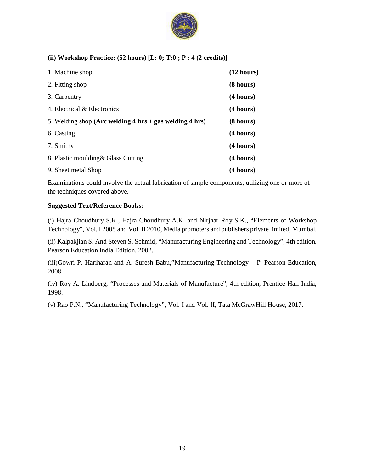

### **(ii) Workshop Practice: (52 hours) [L: 0; T:0 ; P : 4 (2 credits)]**

| 1. Machine shop                                                                     | (12 hours) |
|-------------------------------------------------------------------------------------|------------|
| 2. Fitting shop                                                                     | (8 hours)  |
| 3. Carpentry                                                                        | (4 hours)  |
| 4. Electrical & Electronics                                                         | (4 hours)  |
| 5. Welding shop (Arc welding $4 \text{ hrs} + \text{gas}$ welding $4 \text{ hrs}$ ) | (8 hours)  |
| 6. Casting                                                                          | (4 hours)  |
| 7. Smithy                                                                           | (4 hours)  |
| 8. Plastic moulding & Glass Cutting                                                 | (4 hours)  |
| 9. Sheet metal Shop                                                                 | (4 hours)  |

Examinations could involve the actual fabrication of simple components, utilizing one or more of the techniques covered above.

### **Suggested Text/Reference Books:**

(i) Hajra Choudhury S.K., Hajra Choudhury A.K. and Nirjhar Roy S.K., "Elements of Workshop Technology", Vol. I 2008 and Vol. II 2010, Media promoters and publishers private limited, Mumbai.

(ii) Kalpakjian S. And Steven S. Schmid, "Manufacturing Engineering and Technology", 4th edition, Pearson Education India Edition, 2002.

(iii)Gowri P. Hariharan and A. Suresh Babu,"Manufacturing Technology – I" Pearson Education, 2008.

(iv) Roy A. Lindberg, "Processes and Materials of Manufacture", 4th edition, Prentice Hall India, 1998.

(v) Rao P.N., "Manufacturing Technology", Vol. I and Vol. II, Tata McGrawHill House, 2017.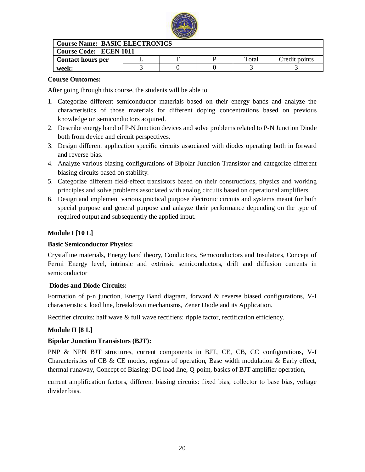

| <b>Course Name: BASIC ELECTRONICS</b> |  |           |  |       |               |  |
|---------------------------------------|--|-----------|--|-------|---------------|--|
| <b>Course Code: ECEN 1011</b>         |  |           |  |       |               |  |
| <b>Contact hours per</b>              |  | <b>TT</b> |  | Total | Credit points |  |
| week:                                 |  |           |  |       |               |  |

### **Course Outcomes:**

After going through this course, the students will be able to

- 1. Categorize different semiconductor materials based on their energy bands and analyze the characteristics of those materials for different doping concentrations based on previous knowledge on semiconductors acquired.
- 2. Describe energy band of P-N Junction devices and solve problems related to P-N Junction Diode both from device and circuit perspectives.
- 3. Design different application specific circuits associated with diodes operating both in forward and reverse bias.
- 4. Analyze various biasing configurations of Bipolar Junction Transistor and categorize different biasing circuits based on stability.
- 5. Categorize different field-effect transistors based on their constructions, physics and working principles and solve problems associated with analog circuits based on operational amplifiers.
- 6. Design and implement various practical purpose electronic circuits and systems meant for both special purpose and general purpose and anlayze their performance depending on the type of required output and subsequently the applied input.

### **Module I [10 L]**

### **Basic Semiconductor Physics:**

Crystalline materials, Energy band theory, Conductors, Semiconductors and Insulators, Concept of Fermi Energy level, intrinsic and extrinsic semiconductors, drift and diffusion currents in semiconductor

### **Diodes and Diode Circuits:**

Formation of p-n junction, Energy Band diagram, forward & reverse biased configurations, V-I characteristics, load line, breakdown mechanisms, Zener Diode and its Application.

Rectifier circuits: half wave & full wave rectifiers: ripple factor, rectification efficiency.

### **Module II [8 L]**

### **Bipolar Junction Transistors (BJT):**

PNP & NPN BJT structures, current components in BJT, CE, CB, CC configurations, V-I Characteristics of CB & CE modes, regions of operation, Base width modulation & Early effect, thermal runaway, Concept of Biasing: DC load line, Q-point, basics of BJT amplifier operation,

current amplification factors, different biasing circuits: fixed bias, collector to base bias, voltage divider bias.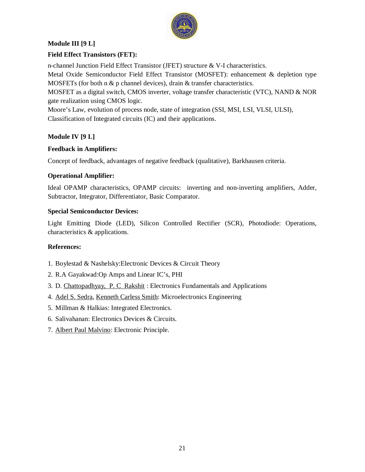

### **Module III [9 L]**

### **Field Effect Transistors (FET):**

n-channel Junction Field Effect Transistor (JFET) structure & V-I characteristics.

Metal Oxide Semiconductor Field Effect Transistor (MOSFET): enhancement & depletion type MOSFETs (for both n & p channel devices), drain & transfer characteristics.

MOSFET as a digital switch, CMOS inverter, voltage transfer characteristic (VTC), NAND & NOR gate realization using CMOS logic.

Moore's Law, evolution of process node, state of integration (SSI, MSI, LSI, VLSI, ULSI), Classification of Integrated circuits (IC) and their applications.

### **Module IV [9 L]**

### **Feedback in Amplifiers:**

Concept of feedback, advantages of negative feedback (qualitative), Barkhausen criteria.

### **Operational Amplifier:**

Ideal OPAMP characteristics, OPAMP circuits: inverting and non-inverting amplifiers, Adder, Subtractor, Integrator, Differentiator, Basic Comparator.

### **Special Semiconductor Devices:**

Light Emitting Diode (LED), Silicon Controlled Rectifier (SCR), Photodiode: Operations, characteristics & applications.

### **References:**

- 1. Boylestad & Nashelsky:Electronic Devices & Circuit Theory
- 2. R.A Gayakwad:Op Amps and Linear IC's, PHI
- 3. D. Chattopadhyay, P. C Rakshit : Electronics Fundamentals and Applications
- 4. Adel S. Sedra, Kenneth Carless Smith: Microelectronics Engineering
- 5. Millman & Halkias: Integrated Electronics.
- 6. Salivahanan: Electronics Devices & Circuits.
- 7. Albert Paul Malvino: Electronic Principle.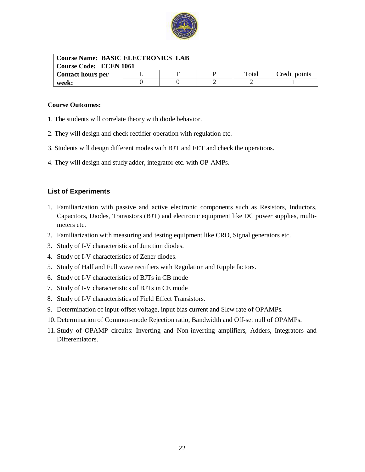

| <b>Course Name: BASIC ELECTRONICS LAB</b> |  |  |  |       |               |  |
|-------------------------------------------|--|--|--|-------|---------------|--|
| <b>Course Code: ECEN 1061</b>             |  |  |  |       |               |  |
| <b>Contact hours per</b>                  |  |  |  | Total | Credit points |  |
| week:                                     |  |  |  |       |               |  |

### **Course Outcomes:**

- 1. The students will correlate theory with diode behavior.
- 2. They will design and check rectifier operation with regulation etc.
- 3. Students will design different modes with BJT and FET and check the operations.
- 4. They will design and study adder, integrator etc. with OP-AMPs.

### **List of Experiments**

- 1. Familiarization with passive and active electronic components such as Resistors, Inductors, Capacitors, Diodes, Transistors (BJT) and electronic equipment like DC power supplies, multimeters etc.
- 2. Familiarization with measuring and testing equipment like CRO, Signal generators etc.
- 3. Study of I-V characteristics of Junction diodes.
- 4. Study of I-V characteristics of Zener diodes.
- 5. Study of Half and Full wave rectifiers with Regulation and Ripple factors.
- 6. Study of I-V characteristics of BJTs in CB mode
- 7. Study of I-V characteristics of BJTs in CE mode
- 8. Study of I-V characteristics of Field Effect Transistors.
- 9. Determination of input-offset voltage, input bias current and Slew rate of OPAMPs.
- 10. Determination of Common-mode Rejection ratio, Bandwidth and Off-set null of OPAMPs.
- 11. Study of OPAMP circuits: Inverting and Non-inverting amplifiers, Adders, Integrators and Differentiators.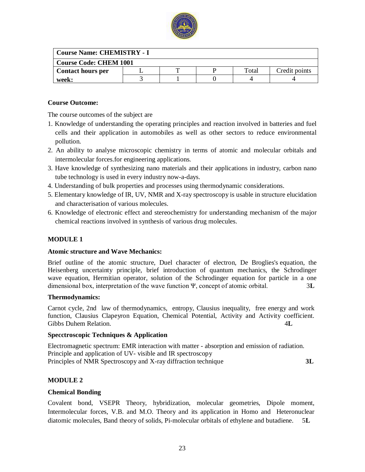

| <b>Course Name: CHEMISTRY - I</b> |  |  |  |       |               |  |
|-----------------------------------|--|--|--|-------|---------------|--|
| <b>Course Code: CHEM 1001</b>     |  |  |  |       |               |  |
| <b>Contact hours per</b>          |  |  |  | Total | Credit points |  |
| week:                             |  |  |  |       |               |  |

### **Course Outcome:**

The course outcomes of the subject are

- 1. Knowledge of understanding the operating principles and reaction involved in batteries and fuel cells and their application in automobiles as well as other sectors to reduce environmental pollution.
- 2. An ability to analyse microscopic chemistry in terms of atomic and molecular orbitals and intermolecular forces.for engineering applications.
- 3. Have knowledge of synthesizing nano materials and their applications in industry, carbon nano tube technology is used in every industry now-a-days.
- 4. Understanding of bulk properties and processes using thermodynamic considerations.
- 5. Elementary knowledge of IR, UV, NMR and X-ray spectroscopy is usable in structure elucidation and characterisation of various molecules.
- 6. Knowledge of electronic effect and stereochemistry for understanding mechanism of the major chemical reactions involved in synthesis of various drug molecules.

### **MODULE 1**

### **Atomic structure and Wave Mechanics:**

Brief outline of the atomic structure, Duel character of electron, De Broglies's equation, the Heisenberg uncertainty principle, brief introduction of quantum mechanics, the Schrodinger wave equation, Hermitian operator, solution of the Schrodinger equation for particle in a one dimensional box, interpretation of the wave function Ψ, concept of atomic orbital. 3**L**

### **Thermodynamics:**

Carnot cycle, 2nd law of thermodynamics, entropy, Clausius inequality, free energy and work function, Clausius Clapeyron Equation, Chemical Potential, Activity and Activity coefficient. Gibbs Duhem Relation. 4L

### **Specctroscopic Techniques & Application**

Electromagnetic spectrum: EMR interaction with matter - absorption and emission of radiation. Principle and application of UV- visible and IR spectroscopy Principles of NMR Spectroscopy and X-ray diffraction technique **3L**

### **MODULE 2**

### **Chemical Bonding**

Covalent bond, VSEPR Theory, hybridization, molecular geometries, Dipole moment, Intermolecular forces, V.B. and M.O. Theory and its application in Homo and Heteronuclear diatomic molecules, Band theory of solids, Pi-molecular orbitals of ethylene and butadiene. 5**L**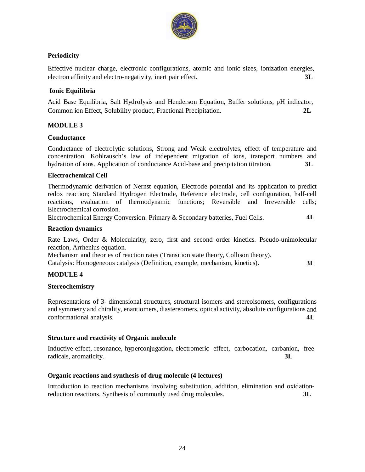

### **Periodicity**

Effective nuclear charge, electronic configurations, atomic and ionic sizes, ionization energies, electron affinity and electro-negativity, inert pair effect. **3L**

### **Ionic Equilibria**

Acid Base Equilibria, Salt Hydrolysis and Henderson Equation, Buffer solutions, pH indicator, Common ion Effect, Solubility product, Fractional Precipitation. **2L**

### **MODULE 3**

### **Conductance**

Conductance of electrolytic solutions, Strong and Weak electrolytes, effect of temperature and concentration. Kohlrausch's law of independent migration of ions, transport numbers and hydration of ions. Application of conductance Acid-base and precipitation titration. **3L**

### **Electrochemical Cell**

Thermodynamic derivation of Nernst equation, Electrode potential and its application to predict redox reaction; Standard Hydrogen Electrode, Reference electrode, cell configuration, half-cell reactions, evaluation of thermodynamic functions; Reversible and Irreversible cells; Electrochemical corrosion.

Electrochemical Energy Conversion: Primary & Secondary batteries, Fuel Cells. **4L** 

### **Reaction dynamics**

Rate Laws, Order & Molecularity; zero, first and second order kinetics. Pseudo-unimolecular reaction, Arrhenius equation.

Mechanism and theories of reaction rates (Transition state theory, Collison theory).

Catalysis: Homogeneous catalysis (Definition, example, mechanism, kinetics). **3L**

### **MODULE 4**

### **Stereochemistry**

Representations of 3- dimensional structures, structural isomers and stereoisomers, configurations and symmetry and chirality, enantiomers, diastereomers, optical activity, absolute configurations and conformational analysis. **4L**

### **Structure and reactivity of Organic molecule**

Inductive effect, resonance, hyperconjugation, electromeric effect, carbocation, carbanion, free radicals, aromaticity. **3L**

### **Organic reactions and synthesis of drug molecule (4 lectures)**

Introduction to reaction mechanisms involving substitution, addition, elimination and oxidationreduction reactions. Synthesis of commonly used drug molecules. **3L**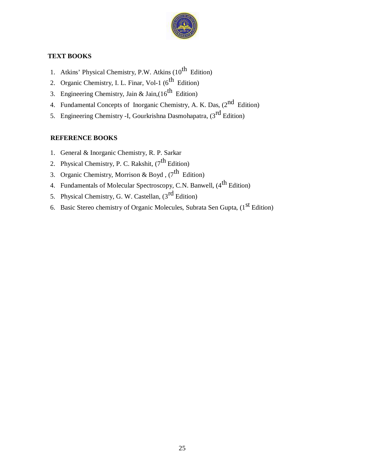

### **TEXT BOOKS**

- 1. Atkins' Physical Chemistry, P.W. Atkins  $(10^{th}$  Edition)
- 2. Organic Chemistry, I. L. Finar, Vol-1  $(6^{th}$  Edition)
- 3. Engineering Chemistry, Jain & Jain,( $16^{th}$  Edition)
- 4. Fundamental Concepts of Inorganic Chemistry, A. K. Das,  $(2^{nd}$  Edition)
- 5. Engineering Chemistry -I, Gourkrishna Dasmohapatra, (3<sup>rd</sup> Edition)

### **REFERENCE BOOKS**

- 1. General & Inorganic Chemistry, R. P. Sarkar
- 2. Physical Chemistry, P. C. Rakshit,  $(7^{th}$  Edition)
- 3. Organic Chemistry, Morrison & Boyd,  $(7^{th}$  Edition)
- 4. Fundamentals of Molecular Spectroscopy, C.N. Banwell, (4<sup>th</sup> Edition)
- 5. Physical Chemistry, G. W. Castellan,  $(3<sup>rd</sup> Edition)$
- 6. Basic Stereo chemistry of Organic Molecules, Subrata Sen Gupta,  $(1<sup>st</sup> Edition)$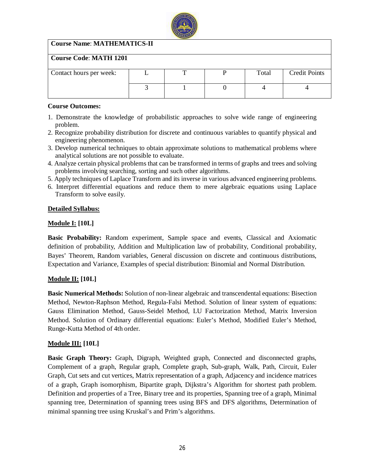

### **Course Name**: **MATHEMATICS-II**

### **Course Code**: **MATH 1201**

| Contact hours per week: |  | Total | <b>Credit Points</b> |
|-------------------------|--|-------|----------------------|
|                         |  |       |                      |
|                         |  |       |                      |
|                         |  |       |                      |

### **Course Outcomes:**

- 1. Demonstrate the knowledge of probabilistic approaches to solve wide range of engineering problem.
- 2. Recognize probability distribution for discrete and continuous variables to quantify physical and engineering phenomenon.
- 3. Develop numerical techniques to obtain approximate solutions to mathematical problems where analytical solutions are not possible to evaluate.
- 4. Analyze certain physical problems that can be transformed in terms of graphs and trees and solving problems involving searching, sorting and such other algorithms.
- 5. Apply techniques of Laplace Transform and its inverse in various advanced engineering problems.
- 6. Interpret differential equations and reduce them to mere algebraic equations using Laplace Transform to solve easily.

### **Detailed Syllabus:**

### **Module I: [10L]**

**Basic Probability:** Random experiment, Sample space and events, Classical and Axiomatic definition of probability, Addition and Multiplication law of probability, Conditional probability, Bayes' Theorem, Random variables, General discussion on discrete and continuous distributions, Expectation and Variance, Examples of special distribution: Binomial and Normal Distribution.

### **Module II: [10L]**

**Basic Numerical Methods:** Solution of non-linear algebraic and transcendental equations: Bisection Method, Newton-Raphson Method, Regula-Falsi Method. Solution of linear system of equations: Gauss Elimination Method, Gauss-Seidel Method, LU Factorization Method, Matrix Inversion Method. Solution of Ordinary differential equations: Euler's Method, Modified Euler's Method, Runge-Kutta Method of 4th order.

### **Module III: [10L]**

**Basic Graph Theory:** Graph, Digraph, Weighted graph, Connected and disconnected graphs, Complement of a graph, Regular graph, Complete graph, Sub-graph, Walk, Path, Circuit, Euler Graph, Cut sets and cut vertices, Matrix representation of a graph, Adjacency and incidence matrices of a graph, Graph isomorphism, Bipartite graph, Dijkstra's Algorithm for shortest path problem. Definition and properties of a Tree, Binary tree and its properties, Spanning tree of a graph, Minimal spanning tree, Determination of spanning trees using BFS and DFS algorithms, Determination of minimal spanning tree using Kruskal's and Prim's algorithms.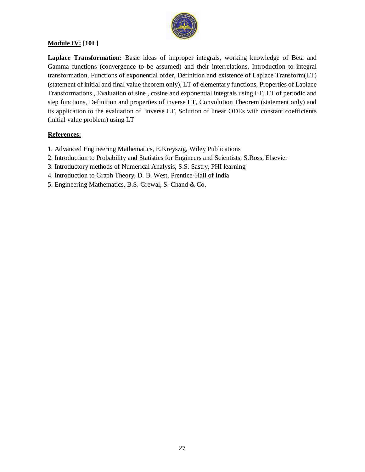

### **Module IV: [10L]**

**Laplace Transformation:** Basic ideas of improper integrals, working knowledge of Beta and Gamma functions (convergence to be assumed) and their interrelations. Introduction to integral transformation, Functions of exponential order, Definition and existence of Laplace Transform(LT) (statement of initial and final value theorem only), LT of elementary functions, Properties of Laplace Transformations , Evaluation of sine , cosine and exponential integrals using LT, LT of periodic and step functions, Definition and properties of inverse LT, Convolution Theorem (statement only) and its application to the evaluation of inverse LT, Solution of linear ODEs with constant coefficients (initial value problem) using LT

### **References:**

- 1. Advanced Engineering Mathematics, E.Kreyszig, Wiley Publications
- 2. Introduction to Probability and Statistics for Engineers and Scientists, S.Ross, Elsevier
- 3. Introductory methods of Numerical Analysis, S.S. Sastry, PHI learning
- 4. Introduction to Graph Theory, D. B. West, Prentice-Hall of India
- 5. Engineering Mathematics, B.S. Grewal, S. Chand & Co.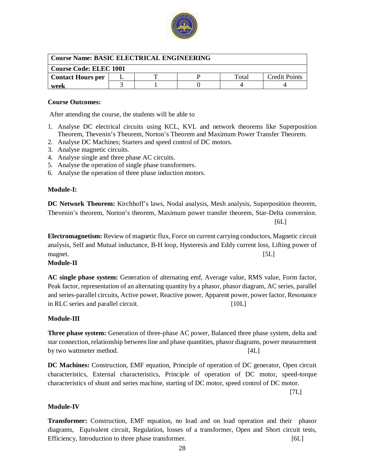

| Course Name: BASIC ELECTRICAL ENGINEERING |  |  |  |       |                      |
|-------------------------------------------|--|--|--|-------|----------------------|
| Course Code: ELEC 1001                    |  |  |  |       |                      |
| <b>Contact Hours per</b>                  |  |  |  | Total | <b>Credit Points</b> |
| week                                      |  |  |  |       |                      |

### **Course Outcomes:**

After attending the course, the students will be able to

- 1. Analyse DC electrical circuits using KCL, KVL and network theorems like Superposition Theorem, Thevenin's Theorem, Norton's Theorem and Maximum Power Transfer Theorem.
- 2. Analyse DC Machines; Starters and speed control of DC motors.
- 3. Analyse magnetic circuits.
- 4. Analyse single and three phase AC circuits.
- 5. Analyse the operation of single phase transformers.
- 6. Analyse the operation of three phase induction motors.

### **Module-I:**

**DC Network Theorem:** Kirchhoff's laws, Nodal analysis, Mesh analysis, Superposition theorem, Thevenin's theorem, Norton's theorem, Maximum power transfer theorem, Star-Delta conversion.  $[6L]$ 

**Electromagnetism:** Review of magnetic flux, Force on current carrying conductors, Magnetic circuit analysis, Self and Mutual inductance, B-H loop, Hysteresis and Eddy current loss, Lifting power of magnet. [5L]

### **Module-II**

**AC single phase system:** Generation of alternating emf, Average value, RMS value, Form factor, Peak factor, representation of an alternating quantity by a phasor, phasor diagram, AC series, parallel and series-parallel circuits, Active power, Reactive power, Apparent power, power factor, Resonance in RLC series and parallel circuit. [10L]

### **Module-III**

**Three phase system:** Generation of three-phase AC power, Balanced three phase system, delta and star connection, relationship between line and phase quantities, phasor diagrams, power measurement by two wattmeter method. [4L]

**DC Machines:** Construction, EMF equation, Principle of operation of DC generator, Open circuit characteristics, External characteristics, Principle of operation of DC motor, speed-torque characteristics of shunt and series machine, starting of DC motor, speed control of DC motor.

[7L]

### **Module-IV**

**Transformer:** Construction, EMF equation, no load and on load operation and their phasor diagrams, Equivalent circuit, Regulation, losses of a transformer, Open and Short circuit tests, Efficiency, Introduction to three phase transformer. [6L]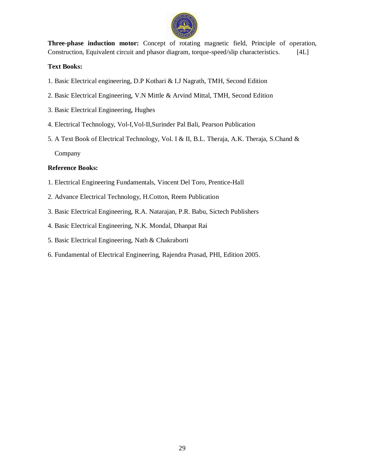

**Three-phase induction motor:** Concept of rotating magnetic field, Principle of operation, Construction, Equivalent circuit and phasor diagram, torque-speed/slip characteristics. [4L]

### **Text Books:**

- 1. Basic Electrical engineering, D.P Kothari & I.J Nagrath, TMH, Second Edition
- 2. Basic Electrical Engineering, V.N Mittle & Arvind Mittal, TMH, Second Edition
- 3. Basic Electrical Engineering, Hughes
- 4. Electrical Technology, Vol-I,Vol-II,Surinder Pal Bali, Pearson Publication
- 5. A Text Book of Electrical Technology, Vol. I & II, B.L. Theraja, A.K. Theraja, S.Chand & Company

### **Reference Books:**

- 1. Electrical Engineering Fundamentals, Vincent Del Toro, Prentice-Hall
- 2. Advance Electrical Technology, H.Cotton, Reem Publication
- 3. Basic Electrical Engineering, R.A. Natarajan, P.R. Babu, Sictech Publishers
- 4. Basic Electrical Engineering, N.K. Mondal, Dhanpat Rai
- 5. Basic Electrical Engineering, Nath & Chakraborti
- 6. Fundamental of Electrical Engineering, Rajendra Prasad, PHI, Edition 2005.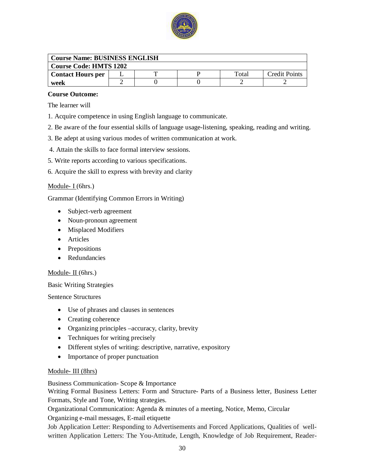

| <b>Course Name: BUSINESS ENGLISH</b> |  |  |  |       |                      |  |
|--------------------------------------|--|--|--|-------|----------------------|--|
| <b>Course Code: HMTS 1202</b>        |  |  |  |       |                      |  |
| <b>Contact Hours per</b>             |  |  |  | Total | <b>Credit Points</b> |  |
| week                                 |  |  |  |       |                      |  |

### **Course Outcome:**

The learner will

- 1. Acquire competence in using English language to communicate.
- 2. Be aware of the four essential skills of language usage-listening, speaking, reading and writing.
- 3. Be adept at using various modes of written communication at work.
- 4. Attain the skills to face formal interview sessions.
- 5. Write reports according to various specifications.
- 6. Acquire the skill to express with brevity and clarity

### Module- I (6hrs.)

Grammar (Identifying Common Errors in Writing)

- Subject-verb agreement
- Noun-pronoun agreement
- Misplaced Modifiers
- Articles
- Prepositions
- Redundancies

### Module- II (6hrs.)

Basic Writing Strategies

Sentence Structures

- Use of phrases and clauses in sentences
- Creating coherence
- Organizing principles –accuracy, clarity, brevity
- Techniques for writing precisely
- Different styles of writing: descriptive, narrative, expository
- Importance of proper punctuation

### Module- III (8hrs)

Business Communication- Scope & Importance

Writing Formal Business Letters: Form and Structure- Parts of a Business letter, Business Letter Formats, Style and Tone, Writing strategies.

Organizational Communication: Agenda & minutes of a meeting, Notice, Memo, Circular

Organizing e-mail messages, E-mail etiquette

Job Application Letter: Responding to Advertisements and Forced Applications, Qualities of wellwritten Application Letters: The You-Attitude, Length, Knowledge of Job Requirement, Reader-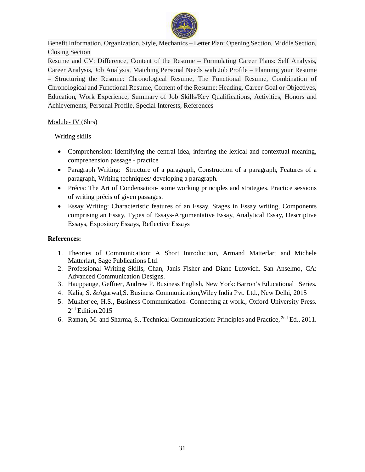

Benefit Information, Organization, Style, Mechanics – Letter Plan: Opening Section, Middle Section, Closing Section

Resume and CV: Difference, Content of the Resume – Formulating Career Plans: Self Analysis, Career Analysis, Job Analysis, Matching Personal Needs with Job Profile – Planning your Resume – Structuring the Resume: Chronological Resume, The Functional Resume, Combination of Chronological and Functional Resume, Content of the Resume: Heading, Career Goal or Objectives, Education, Work Experience, Summary of Job Skills/Key Qualifications, Activities, Honors and Achievements, Personal Profile, Special Interests, References

### Module- IV (6hrs)

Writing skills

- Comprehension: Identifying the central idea, inferring the lexical and contextual meaning, comprehension passage - practice
- Paragraph Writing: Structure of a paragraph, Construction of a paragraph, Features of a paragraph, Writing techniques/ developing a paragraph.
- Précis: The Art of Condensation- some working principles and strategies. Practice sessions of writing précis of given passages.
- Essay Writing: Characteristic features of an Essay, Stages in Essay writing, Components comprising an Essay, Types of Essays-Argumentative Essay, Analytical Essay, Descriptive Essays, Expository Essays, Reflective Essays

### **References:**

- 1. Theories of Communication: A Short Introduction, Armand Matterlart and Michele Matterlart, Sage Publications Ltd.
- 2. Professional Writing Skills, Chan, Janis Fisher and Diane Lutovich. San Anselmo, CA: Advanced Communication Designs.
- 3. Hauppauge, Geffner, Andrew P. Business English, New York: Barron's Educational Series.
- 4. Kalia, S. &Agarwal,S. Business Communication,Wiley India Pvt. Ltd., New Delhi, 2015
- 5. Mukherjee, H.S., Business Communication- Connecting at work., Oxford University Press. 2 nd Edition.2015
- 6. Raman, M. and Sharma, S., Technical Communication: Principles and Practice, 2nd Ed., 2011.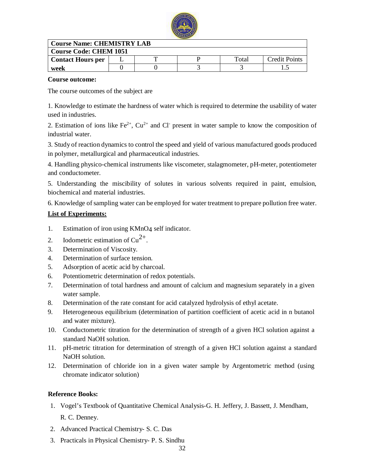

| <b>Course Name: CHEMISTRY LAB</b> |  |  |  |       |                      |  |
|-----------------------------------|--|--|--|-------|----------------------|--|
| <b>Course Code: CHEM 1051</b>     |  |  |  |       |                      |  |
| <b>Contact Hours per</b>          |  |  |  | Total | <b>Credit Points</b> |  |
| week                              |  |  |  |       |                      |  |
|                                   |  |  |  |       |                      |  |

### **Course outcome:**

The course outcomes of the subject are

1. Knowledge to estimate the hardness of water which is required to determine the usability of water used in industries.

2. Estimation of ions like  $Fe^{2+}$ ,  $Cu^{2+}$  and Cl<sup>-</sup> present in water sample to know the composition of industrial water.

3. Study of reaction dynamics to control the speed and yield of various manufactured goods produced in polymer, metallurgical and pharmaceutical industries.

4. Handling physico-chemical instruments like viscometer, stalagmometer, pH-meter, potentiometer and conductometer.

5. Understanding the miscibility of solutes in various solvents required in paint, emulsion, biochemical and material industries.

6. Knowledge of sampling water can be employed for water treatment to prepare pollution free water.

### **List of Experiments:**

- 1. Estimation of iron using KMnO4 self indicator.
- 2. Iodometric estimation of  $Cu^{2+}$ .
- 3. Determination of Viscosity.
- 4. Determination of surface tension.
- 5. Adsorption of acetic acid by charcoal.
- 6. Potentiometric determination of redox potentials.
- 7. Determination of total hardness and amount of calcium and magnesium separately in a given water sample.
- 8. Determination of the rate constant for acid catalyzed hydrolysis of ethyl acetate.
- 9. Heterogeneous equilibrium (determination of partition coefficient of acetic acid in n butanol and water mixture).
- 10. Conductometric titration for the determination of strength of a given HCl solution against a standard NaOH solution.
- 11. pH-metric titration for determination of strength of a given HCl solution against a standard NaOH solution.
- 12. Determination of chloride ion in a given water sample by Argentometric method (using chromate indicator solution)

### **Reference Books:**

- 1. Vogel's Textbook of Quantitative Chemical Analysis-G. H. Jeffery, J. Bassett, J. Mendham, R. C. Denney.
- 2. Advanced Practical Chemistry- S. C. Das
- 3. Practicals in Physical Chemistry- P. S. Sindhu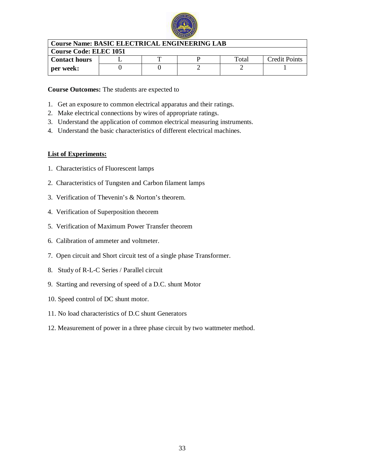

| Course Name: BASIC ELECTRICAL ENGINEERING LAB |  |  |  |       |                      |  |
|-----------------------------------------------|--|--|--|-------|----------------------|--|
| Course Code: ELEC 1051                        |  |  |  |       |                      |  |
| l Contact hours                               |  |  |  | Total | <b>Credit Points</b> |  |
| per week:                                     |  |  |  |       |                      |  |

### **Course Outcomes:** The students are expected to

- 1. Get an exposure to common electrical apparatus and their ratings.
- 2. Make electrical connections by wires of appropriate ratings.
- 3. Understand the application of common electrical measuring instruments.
- 4. Understand the basic characteristics of different electrical machines.

### **List of Experiments:**

- 1. Characteristics of Fluorescent lamps
- 2. Characteristics of Tungsten and Carbon filament lamps
- 3. Verification of Thevenin's & Norton's theorem.
- 4. Verification of Superposition theorem
- 5. Verification of Maximum Power Transfer theorem
- 6. Calibration of ammeter and voltmeter.
- 7. Open circuit and Short circuit test of a single phase Transformer.
- 8. Study of R-L-C Series / Parallel circuit
- 9. Starting and reversing of speed of a D.C. shunt Motor
- 10. Speed control of DC shunt motor.
- 11. No load characteristics of D.C shunt Generators
- 12. Measurement of power in a three phase circuit by two wattmeter method.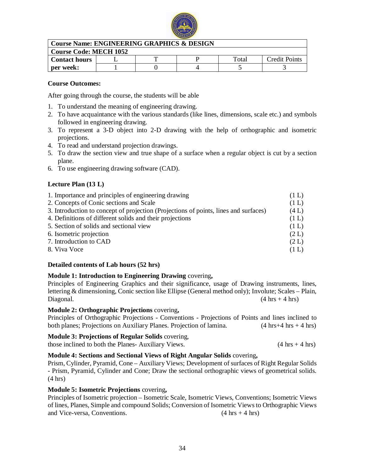

| <b>Course Name: ENGINEERING GRAPHICS &amp; DESIGN</b> |  |  |  |       |               |  |
|-------------------------------------------------------|--|--|--|-------|---------------|--|
| <b>Course Code: MECH 1052</b>                         |  |  |  |       |               |  |
| <b>Contact hours</b>                                  |  |  |  | Total | Credit Points |  |
| per week:                                             |  |  |  |       |               |  |

### **Course Outcomes:**

After going through the course, the students will be able

- 1. To understand the meaning of engineering drawing.
- 2. To have acquaintance with the various standards (like lines, dimensions, scale etc.) and symbols followed in engineering drawing.
- 3. To represent a 3-D object into 2-D drawing with the help of orthographic and isometric projections.
- 4. To read and understand projection drawings.
- 5. To draw the section view and true shape of a surface when a regular object is cut by a section plane.
- 6. To use engineering drawing software (CAD).

### **Lecture Plan (13 L)**

| 1. Importance and principles of engineering drawing                                  | (1 L) |
|--------------------------------------------------------------------------------------|-------|
| 2. Concepts of Conic sections and Scale                                              | (1 L) |
| 3. Introduction to concept of projection (Projections of points, lines and surfaces) | (4L)  |
| 4. Definitions of different solids and their projections                             | (1 L) |
| 5. Section of solids and sectional view                                              | (1 L) |
| 6. Isometric projection                                                              | (2 L) |
| 7. Introduction to CAD                                                               | (2 L) |
| 8. Viva Voce                                                                         | (1 L) |
|                                                                                      |       |

### **Detailed contents of Lab hours (52 hrs)**

### **Module 1: Introduction to Engineering Drawing** covering**,**

Principles of Engineering Graphics and their significance, usage of Drawing instruments, lines, lettering & dimensioning, Conic section like Ellipse (General method only); Involute; Scales – Plain, Diagonal. (4 hrs + 4 hrs)

### **Module 2: Orthographic Projections** covering**,**

Principles of Orthographic Projections - Conventions - Projections of Points and lines inclined to both planes; Projections on Auxiliary Planes. Projection of lamina.  $(4 \text{ hrs} + 4 \text{ hrs} + 4 \text{ hrs})$ 

### **Module 3: Projections of Regular Solids** covering,

those inclined to both the Planes-Auxiliary Views.  $(4 \text{ hrs} + 4 \text{ hrs})$ 

### **Module 4: Sections and Sectional Views of Right Angular Solids** covering**,**

Prism, Cylinder, Pyramid, Cone – Auxiliary Views; Development of surfaces of Right Regular Solids - Prism, Pyramid, Cylinder and Cone; Draw the sectional orthographic views of geometrical solids. (4 hrs)

### **Module 5: Isometric Projections** covering**,**

Principles of Isometric projection – Isometric Scale, Isometric Views, Conventions; Isometric Views of lines, Planes, Simple and compound Solids; Conversion of Isometric Views to Orthographic Views and Vice-versa, Conventions. (4 hrs + 4 hrs)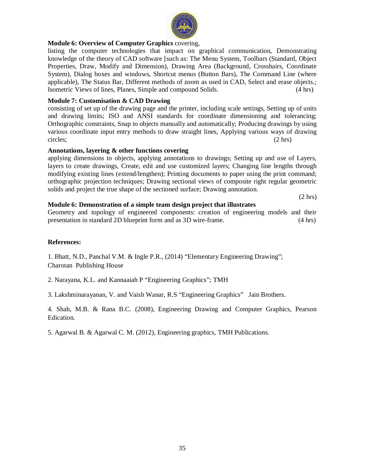# **Module 6: Overview of Computer Graphics** covering,

listing the computer technologies that impact on graphical communication, Demonstrating knowledge of the theory of CAD software [such as: The Menu System, Toolbars (Standard, Object Properties, Draw, Modify and Dimension), Drawing Area (Background, Crosshairs, Coordinate System), Dialog boxes and windows, Shortcut menus (Button Bars), The Command Line (where applicable), The Status Bar, Different methods of zoom as used in CAD, Select and erase objects.; Isometric Views of lines, Planes, Simple and compound Solids. (4 hrs)

### **Module 7: Customisation & CAD Drawing**

consisting of set up of the drawing page and the printer, including scale settings, Setting up of units and drawing limits; ISO and ANSI standards for coordinate dimensioning and tolerancing; Orthographic constraints, Snap to objects manually and automatically; Producing drawings by using various coordinate input entry methods to draw straight lines, Applying various ways of drawing circles; (2 hrs)

### **Annotations, layering & other functions covering**

applying dimensions to objects, applying annotations to drawings; Setting up and use of Layers, layers to create drawings, Create, edit and use customized layers; Changing line lengths through modifying existing lines (extend/lengthen); Printing documents to paper using the print command; orthographic projection techniques; Drawing sectional views of composite right regular geometric solids and project the true shape of the sectioned surface; Drawing annotation.

(2 hrs)

### **Module 6: Demonstration of a simple team design project that illustrates**

Geometry and topology of engineered components: creation of engineering models and their presentation in standard 2D blueprint form and as 3D wire-frame. (4 hrs)

### **References:**

1. Bhatt, N.D., Panchal V.M. & Ingle P.R., (2014) "Elementary Engineering Drawing"; Charotan Publishing House

2. Narayana, K.L. and Kannaaiah P "Engineering Graphics"; TMH

3. Lakshminarayanan, V. and Vaish Wanar, R.S "Engineering Graphics" Jain Brothers.

4. Shah, M.B. & Rana B.C. (2008), Engineering Drawing and Computer Graphics, Pearson Edication.

5. Agarwal B. & Agarwal C. M. (2012), Engineering graphics, TMH Publications.

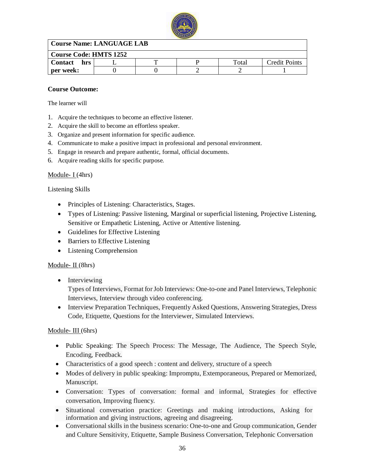

#### **Course Name: LANGUAGE LAB**

| <b>Course Code: HMTS 1252</b> |  |  |  |       |               |  |  |
|-------------------------------|--|--|--|-------|---------------|--|--|
| <b>Contact</b><br>hrs         |  |  |  | Total | Credit Points |  |  |
| per week:                     |  |  |  |       |               |  |  |

#### **Course Outcome:**

The learner will

- 1. Acquire the techniques to become an effective listener.
- 2. Acquire the skill to become an effortless speaker.
- 3. Organize and present information for specific audience.
- 4. Communicate to make a positive impact in professional and personal environment.
- 5. Engage in research and prepare authentic, formal, official documents.
- 6. Acquire reading skills for specific purpose.

#### Module- I (4hrs)

Listening Skills

- Principles of Listening: Characteristics, Stages.
- Types of Listening: Passive listening, Marginal or superficial listening, Projective Listening, Sensitive or Empathetic Listening, Active or Attentive listening.
- Guidelines for Effective Listening
- Barriers to Effective Listening
- Listening Comprehension

#### Module- II<sub>(8hrs)</sub>

• Interviewing

Types of Interviews, Format for Job Interviews: One-to-one and Panel Interviews, Telephonic Interviews, Interview through video conferencing.

 Interview Preparation Techniques, Frequently Asked Questions, Answering Strategies, Dress Code, Etiquette, Questions for the Interviewer, Simulated Interviews.

#### Module- III<sub>(6hrs)</sub>

- Public Speaking: The Speech Process: The Message, The Audience, The Speech Style, Encoding, Feedback.
- Characteristics of a good speech : content and delivery, structure of a speech
- Modes of delivery in public speaking: Impromptu, Extemporaneous, Prepared or Memorized, Manuscript.
- Conversation: Types of conversation: formal and informal, Strategies for effective conversation, Improving fluency.
- Situational conversation practice: Greetings and making introductions, Asking for information and giving instructions, agreeing and disagreeing.
- Conversational skills in the business scenario: One-to-one and Group communication, Gender and Culture Sensitivity, Etiquette, Sample Business Conversation, Telephonic Conversation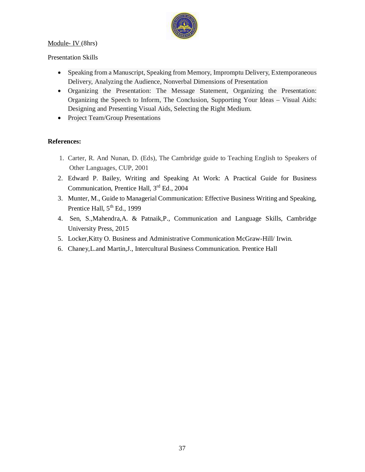## Module- IV (8hrs)



Presentation Skills

- Speaking from a Manuscript, Speaking from Memory, Impromptu Delivery, Extemporaneous Delivery, Analyzing the Audience, Nonverbal Dimensions of Presentation
- Organizing the Presentation: The Message Statement, Organizing the Presentation: Organizing the Speech to Inform, The Conclusion, Supporting Your Ideas – Visual Aids: Designing and Presenting Visual Aids, Selecting the Right Medium.
- Project Team/Group Presentations

#### **References:**

- 1. Carter, R. And Nunan, D. (Eds), The Cambridge guide to Teaching English to Speakers of Other Languages, CUP, 2001
- 2. Edward P. Bailey, Writing and Speaking At Work: A Practical Guide for Business Communication, Prentice Hall, 3<sup>rd</sup> Ed., 2004
- 3. Munter, M., Guide to Managerial Communication: Effective Business Writing and Speaking, Prentice Hall,  $5<sup>th</sup>$  Ed., 1999
- 4. Sen, S.,Mahendra,A. & Patnaik,P., Communication and Language Skills, Cambridge University Press, 2015
- 5. Locker,Kitty O. Business and Administrative Communication McGraw-Hill/ Irwin.
- 6. Chaney,L.and Martin,J., Intercultural Business Communication. Prentice Hall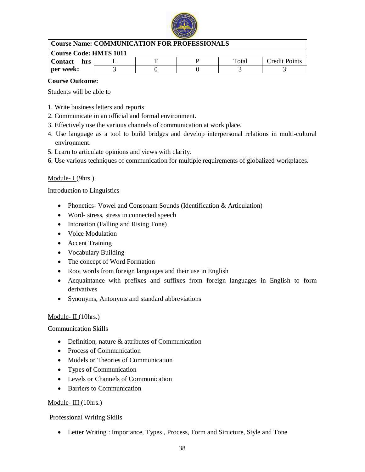

| <b>Course Name: COMMUNICATION FOR PROFESSIONALS</b> |  |  |  |       |                      |  |  |
|-----------------------------------------------------|--|--|--|-------|----------------------|--|--|
| <b>Course Code: HMTS 1011</b>                       |  |  |  |       |                      |  |  |
| Contact hrs                                         |  |  |  | Total | <b>Credit Points</b> |  |  |
| per week:                                           |  |  |  |       |                      |  |  |

#### **Course Outcome:**

Students will be able to

- 1. Write business letters and reports
- 2. Communicate in an official and formal environment.
- 3. Effectively use the various channels of communication at work place.
- 4. Use language as a tool to build bridges and develop interpersonal relations in multi-cultural environment.
- 5. Learn to articulate opinions and views with clarity.
- 6. Use various techniques of communication for multiple requirements of globalized workplaces.

#### Module-  $I(9hrs.)$

Introduction to Linguistics

- Phonetics- Vowel and Consonant Sounds (Identification & Articulation)
- Word- stress, stress in connected speech
- Intonation (Falling and Rising Tone)
- Voice Modulation
- Accent Training
- Vocabulary Building
- The concept of Word Formation
- Root words from foreign languages and their use in English
- Acquaintance with prefixes and suffixes from foreign languages in English to form derivatives
- Synonyms, Antonyms and standard abbreviations

#### Module-  $II(10)$ hrs.)

#### Communication Skills

- Definition, nature & attributes of Communication
- Process of Communication
- Models or Theories of Communication
- Types of Communication
- Levels or Channels of Communication
- Barriers to Communication

#### Module- III (10hrs.)

#### Professional Writing Skills

Letter Writing : Importance, Types , Process, Form and Structure, Style and Tone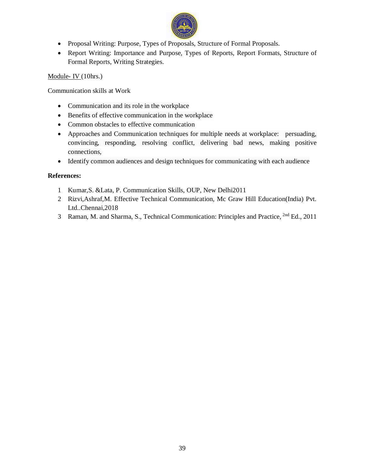

- Proposal Writing: Purpose, Types of Proposals, Structure of Formal Proposals.
- Report Writing: Importance and Purpose, Types of Reports, Report Formats, Structure of Formal Reports, Writing Strategies.

Module- IV (10hrs.)

Communication skills at Work

- Communication and its role in the workplace
- Benefits of effective communication in the workplace
- Common obstacles to effective communication
- Approaches and Communication techniques for multiple needs at workplace: persuading, convincing, responding, resolving conflict, delivering bad news, making positive connections,
- Identify common audiences and design techniques for communicating with each audience

#### **References:**

- 1 Kumar,S. &Lata, P. Communication Skills, OUP, New Delhi2011
- 2 Rizvi,Ashraf,M. Effective Technical Communication, Mc Graw Hill Education(India) Pvt. Ltd..Chennai,2018
- 3 Raman, M. and Sharma, S., Technical Communication: Principles and Practice, <sup>2nd</sup> Ed., 2011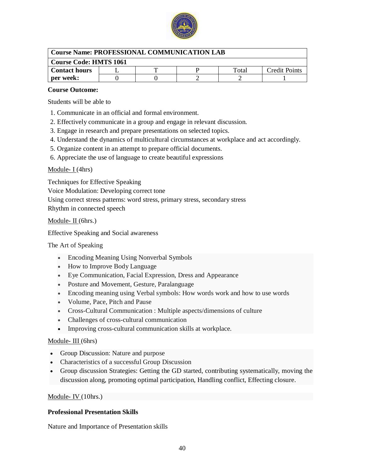

| <b>Course Name: PROFESSIONAL COMMUNICATION LAB</b> |                               |  |  |       |               |  |  |  |  |
|----------------------------------------------------|-------------------------------|--|--|-------|---------------|--|--|--|--|
|                                                    | <b>Course Code: HMTS 1061</b> |  |  |       |               |  |  |  |  |
| <b>Contact hours</b>                               |                               |  |  | Total | Credit Points |  |  |  |  |
| per week:                                          |                               |  |  |       |               |  |  |  |  |

#### **Course Outcome:**

Students will be able to

- 1. Communicate in an official and formal environment.
- 2. Effectively communicate in a group and engage in relevant discussion.
- 3. Engage in research and prepare presentations on selected topics.
- 4. Understand the dynamics of multicultural circumstances at workplace and act accordingly.
- 5. Organize content in an attempt to prepare official documents.
- 6. Appreciate the use of language to create beautiful expressions

#### Module-  $I$  (4hrs)

Techniques for Effective Speaking

Voice Modulation: Developing correct tone

Using correct stress patterns: word stress, primary stress, secondary stress Rhythm in connected speech

Module- II (6hrs.)

Effective Speaking and Social awareness

The Art of Speaking

- Encoding Meaning Using Nonverbal Symbols
- How to Improve Body Language
- Eye Communication, Facial Expression, Dress and Appearance
- Posture and Movement, Gesture, Paralanguage
- Encoding meaning using Verbal symbols: How words work and how to use words
- Volume, Pace, Pitch and Pause
- Cross-Cultural Communication : Multiple aspects/dimensions of culture
- Challenges of cross-cultural communication
- Improving cross-cultural communication skills at workplace.

#### Module- III (6hrs)

- Group Discussion: Nature and purpose
- Characteristics of a successful Group Discussion
- Group discussion Strategies: Getting the GD started, contributing systematically, moving the discussion along, promoting optimal participation, Handling conflict, Effecting closure.

#### Module- IV (10hrs.)

#### **Professional Presentation Skills**

Nature and Importance of Presentation skills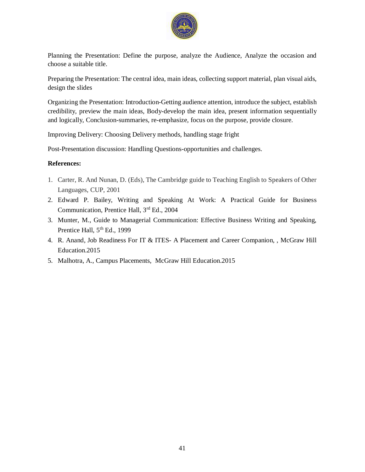

Planning the Presentation: Define the purpose, analyze the Audience, Analyze the occasion and choose a suitable title.

Preparing the Presentation: The central idea, main ideas, collecting support material, plan visual aids, design the slides

Organizing the Presentation: Introduction-Getting audience attention, introduce the subject, establish credibility, preview the main ideas, Body-develop the main idea, present information sequentially and logically, Conclusion-summaries, re-emphasize, focus on the purpose, provide closure.

Improving Delivery: Choosing Delivery methods, handling stage fright

Post-Presentation discussion: Handling Questions-opportunities and challenges.

#### **References:**

- 1. Carter, R. And Nunan, D. (Eds), The Cambridge guide to Teaching English to Speakers of Other Languages, CUP, 2001
- 2. Edward P. Bailey, Writing and Speaking At Work: A Practical Guide for Business Communication, Prentice Hall, 3<sup>rd</sup> Ed., 2004
- 3. Munter, M., Guide to Managerial Communication: Effective Business Writing and Speaking, Prentice Hall,  $5<sup>th</sup>$  Ed., 1999
- 4. R. Anand, Job Readiness For IT & ITES- A Placement and Career Companion, , McGraw Hill Education.2015
- 5. Malhotra, A., Campus Placements, McGraw Hill Education.2015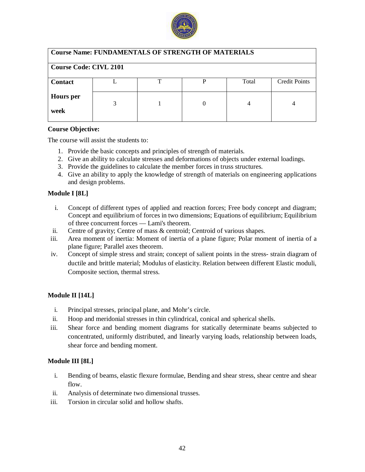

| <b>Course Name: FUNDAMENTALS OF STRENGTH OF MATERIALS</b> |   |    |   |       |                      |  |  |
|-----------------------------------------------------------|---|----|---|-------|----------------------|--|--|
| <b>Course Code: CIVL 2101</b>                             |   |    |   |       |                      |  |  |
| <b>Contact</b>                                            |   | ᠇᠇ | D | Total | <b>Credit Points</b> |  |  |
| <b>Hours</b> per<br>week                                  | 3 |    | 0 | 4     |                      |  |  |

The course will assist the students to:

- 1. Provide the basic concepts and principles of strength of materials.
- 2. Give an ability to calculate stresses and deformations of objects under external loadings.
- 3. Provide the guidelines to calculate the member forces in truss structures.
- 4. Give an ability to apply the knowledge of strength of materials on engineering applications and design problems.

#### **Module I [8L]**

- i. Concept of different types of applied and reaction forces; Free body concept and diagram; Concept and equilibrium of forces in two dimensions; Equations of equilibrium; Equilibrium of three concurrent forces — Lami's theorem.
- ii. Centre of gravity; Centre of mass & centroid; Centroid of various shapes.
- iii. Area moment of inertia: Moment of inertia of a plane figure; Polar moment of inertia of a plane figure; Parallel axes theorem.
- iv. Concept of simple stress and strain; concept of salient points in the stress- strain diagram of ductile and brittle material; Modulus of elasticity. Relation between different Elastic moduli, Composite section, thermal stress.

#### **Module II [14L]**

- i. Principal stresses, principal plane, and Mohr's circle.
- ii. Hoop and meridonial stresses in thin cylindrical, conical and spherical shells.
- iii. Shear force and bending moment diagrams for statically determinate beams subjected to concentrated, uniformly distributed, and linearly varying loads, relationship between loads, shear force and bending moment.

#### **Module III [8L]**

- i. Bending of beams, elastic flexure formulae, Bending and shear stress, shear centre and shear flow.
- ii. Analysis of determinate two dimensional trusses.
- iii. Torsion in circular solid and hollow shafts.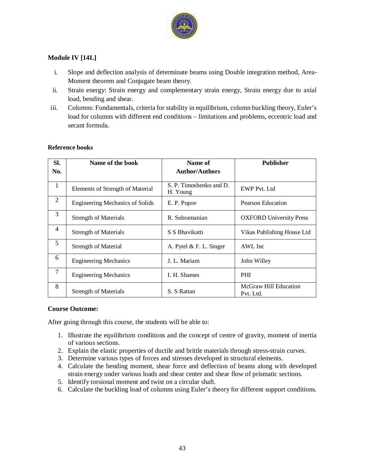

#### **Module IV [14L]**

- i. Slope and deflection analysis of determinate beams using Double integration method, Area-Moment theorem and Conjugate beam theory.
- ii. Strain energy: Strain energy and complementary strain energy, Strain energy due to axial load, bending and shear.
- iii. Columns: Fundamentals, criteria for stability in equilibrium, column buckling theory, Euler's load for columns with different end conditions – limitations and problems, eccentric load and secant formula.

| SI.            | Name of the book                       | Name of                             | <b>Publisher</b>                   |
|----------------|----------------------------------------|-------------------------------------|------------------------------------|
| No.            |                                        | <b>Author/Authors</b>               |                                    |
| 1              | Elements of Strength of Material       | S. P. Timoshenko and D.<br>H. Young | <b>EWP Pvt. Ltd</b>                |
| 2              | <b>Engineering Mechanics of Solids</b> | E. P. Popov                         | Pearson Education                  |
| 3              | <b>Strength of Materials</b>           | R. Subramanian                      | <b>OXFORD University Press</b>     |
| $\overline{4}$ | <b>Strength of Materials</b>           | S S Bhavikatti                      | Vikas Publishing House Ltd         |
| 5              | <b>Strength of Material</b>            | A. Pytel $&$ F. L. Singer           | AWL Inc                            |
| 6              | <b>Engineering Mechanics</b>           | J. L. Mariam                        | John Willey                        |
| 7              | <b>Engineering Mechanics</b>           | I. H. Shames                        | <b>PHI</b>                         |
| 8              | <b>Strength of Materials</b>           | S. S Rattan                         | McGraw Hill Education<br>Pvt. Ltd. |

#### **Reference books**

#### **Course Outcome:**

- 1. Illustrate the equilibrium conditions and the concept of centre of gravity, moment of inertia of various sections.
- 2. Explain the elastic properties of ductile and brittle materials through stress-strain curves.
- 3. Determine various types of forces and stresses developed in structural elements.
- 4. Calculate the bending moment, shear force and deflection of beams along with developed strain energy under various loads and shear center and shear flow of prismatic sections.
- 5. Identify torsional moment and twist on a circular shaft.
- 6. Calculate the buckling load of columns using Euler's theory for different support conditions.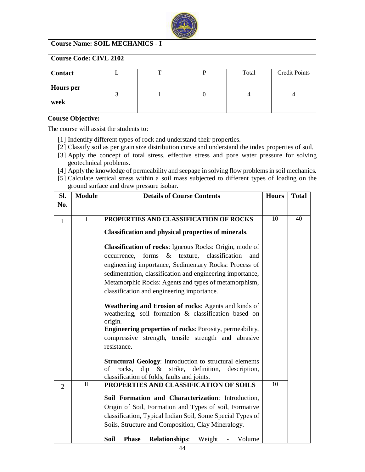

| <b>Course Name: SOIL MECHANICS - I</b> |   |   |          |       |                      |  |  |
|----------------------------------------|---|---|----------|-------|----------------------|--|--|
| <b>Course Code: CIVL 2102</b>          |   |   |          |       |                      |  |  |
| <b>Contact</b>                         |   | ᠇ |          | Total | <b>Credit Points</b> |  |  |
| <b>Hours</b> per<br>week               | 3 |   | $\theta$ | 4     | 4                    |  |  |

The course will assist the students to:

- [1] Indentify different types of rock and understand their properties.
- [2] Classify soil as per grain size distribution curve and understand the index properties of soil.
- [3] Apply the concept of total stress, effective stress and pore water pressure for solving geotechnical problems.
- [4] Apply the knowledge of permeability and seepage in solving flow problems in soil mechanics.
- [5] Calculate vertical stress within a soil mass subjected to different types of loading on the ground surface and draw pressure isobar.

| SI.            | <b>Module</b> | <b>Details of Course Contents</b>                                                                                      | <b>Hours</b> | <b>Total</b> |
|----------------|---------------|------------------------------------------------------------------------------------------------------------------------|--------------|--------------|
| No.            |               |                                                                                                                        |              |              |
| $\mathbf{1}$   | $\mathbf I$   | PROPERTIES AND CLASSIFICATION OF ROCKS                                                                                 | 10           | 40           |
|                |               | <b>Classification and physical properties of minerals.</b>                                                             |              |              |
|                |               | <b>Classification of rocks:</b> Igneous Rocks: Origin, mode of                                                         |              |              |
|                |               | forms<br>& texture, classification<br>occurrence,<br>and                                                               |              |              |
|                |               | engineering importance, Sedimentary Rocks: Process of                                                                  |              |              |
|                |               | sedimentation, classification and engineering importance,<br>Metamorphic Rocks: Agents and types of metamorphism,      |              |              |
|                |               | classification and engineering importance.                                                                             |              |              |
|                |               |                                                                                                                        |              |              |
|                |               | Weathering and Erosion of rocks: Agents and kinds of<br>weathering, soil formation & classification based on           |              |              |
|                |               | origin.                                                                                                                |              |              |
|                |               | <b>Engineering properties of rocks: Porosity, permeability,</b><br>compressive strength, tensile strength and abrasive |              |              |
|                |               | resistance.                                                                                                            |              |              |
|                |               | <b>Structural Geology:</b> Introduction to structural elements                                                         |              |              |
|                |               | of rocks, dip & strike, definition,<br>description,                                                                    |              |              |
|                | $\mathbf{II}$ | classification of folds, faults and joints.<br>PROPERTIES AND CLASSIFICATION OF SOILS                                  | 10           |              |
| $\overline{2}$ |               |                                                                                                                        |              |              |
|                |               | Soil Formation and Characterization: Introduction,                                                                     |              |              |
|                |               | Origin of Soil, Formation and Types of soil, Formative                                                                 |              |              |
|                |               | classification, Typical Indian Soil, Some Special Types of                                                             |              |              |
|                |               | Soils, Structure and Composition, Clay Mineralogy.                                                                     |              |              |
|                |               | Soil<br><b>Relationships:</b><br>Weight<br><b>Phase</b><br>Volume                                                      |              |              |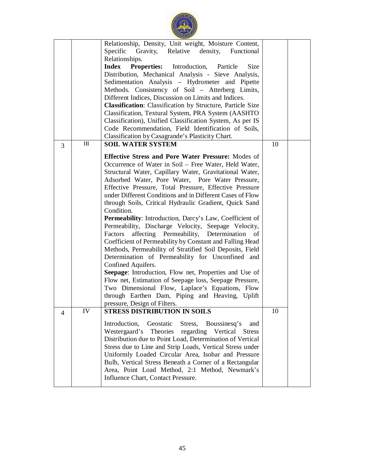|                |     | Relationship, Density, Unit weight, Moisture Content,<br>Specific<br>Gravity, Relative<br>density,<br>Functional<br>Relationships.<br><b>Index</b><br><b>Properties:</b><br>Introduction,<br>Particle<br>Size<br>Distribution, Mechanical Analysis - Sieve Analysis,<br>Sedimentation Analysis - Hydrometer and Pipette<br>Methods. Consistency of Soil - Atterberg Limits,<br>Different Indices, Discussion on Limits and Indices.<br><b>Classification:</b> Classification by Structure, Particle Size<br>Classification, Textural System, PRA System (AASHTO<br>Classification), Unified Classification System, As per IS<br>Code Recommendation, Field Identification of Soils,<br>Classification by Casagrande's Plasticity Chart.                                                                                                                                                                                                                                                                                                                                      |    |  |
|----------------|-----|------------------------------------------------------------------------------------------------------------------------------------------------------------------------------------------------------------------------------------------------------------------------------------------------------------------------------------------------------------------------------------------------------------------------------------------------------------------------------------------------------------------------------------------------------------------------------------------------------------------------------------------------------------------------------------------------------------------------------------------------------------------------------------------------------------------------------------------------------------------------------------------------------------------------------------------------------------------------------------------------------------------------------------------------------------------------------|----|--|
| 3              | III | <b>SOIL WATER SYSTEM</b>                                                                                                                                                                                                                                                                                                                                                                                                                                                                                                                                                                                                                                                                                                                                                                                                                                                                                                                                                                                                                                                     | 10 |  |
|                |     | <b>Effective Stress and Pore Water Pressure:</b> Modes of<br>Occurrence of Water in Soil – Free Water, Held Water,<br>Structural Water, Capillary Water, Gravitational Water,<br>Adsorbed Water, Pore Water, Pore Water Pressure,<br>Effective Pressure, Total Pressure, Effective Pressure<br>under Different Conditions and in Different Cases of Flow<br>through Soils, Critical Hydraulic Gradient, Quick Sand<br>Condition.<br>Permeability: Introduction, Darcy's Law, Coefficient of<br>Permeability, Discharge Velocity, Seepage Velocity,<br>affecting Permeability,<br>Factors<br>Determination<br>of<br>Coefficient of Permeability by Constant and Falling Head<br>Methods, Permeability of Stratified Soil Deposits, Field<br>Determination of Permeability for Unconfined and<br>Confined Aquifers.<br>Seepage: Introduction, Flow net, Properties and Use of<br>Flow net, Estimation of Seepage loss, Seepage Pressure,<br>Two Dimensional Flow, Laplace's Equations, Flow<br>through Earthen Dam, Piping and Heaving, Uplift<br>pressure, Design of Filters. |    |  |
| $\overline{4}$ | IV  | <b>STRESS DISTRIBUTION IN SOILS</b>                                                                                                                                                                                                                                                                                                                                                                                                                                                                                                                                                                                                                                                                                                                                                                                                                                                                                                                                                                                                                                          | 10 |  |
|                |     | Introduction,<br>Geostatic<br>Stress,<br>Boussinesq's<br>and<br>Westergaard's<br>Theories<br>regarding Vertical<br><b>Stress</b><br>Distribution due to Point Load, Determination of Vertical<br>Stress due to Line and Strip Loads, Vertical Stress under<br>Uniformly Loaded Circular Area, Isobar and Pressure<br>Bulb, Vertical Stress Beneath a Corner of a Rectangular<br>Area, Point Load Method, 2:1 Method, Newmark's<br>Influence Chart, Contact Pressure.                                                                                                                                                                                                                                                                                                                                                                                                                                                                                                                                                                                                         |    |  |

 $\frac{1}{\sqrt{10}}$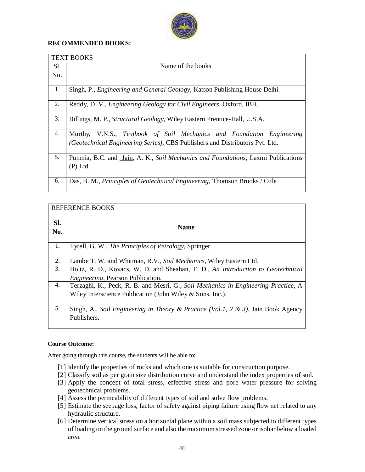

#### **RECOMMENDED BOOKS:**

|     | <b>TEXT BOOKS</b>                                                                  |
|-----|------------------------------------------------------------------------------------|
| Sl. | Name of the books                                                                  |
| No. |                                                                                    |
|     |                                                                                    |
| 1.  | Singh, P., <i>Engineering and General Geology</i> , Katson Publishing House Delhi. |
| 2.  | Reddy, D. V., <i>Engineering Geology for Civil Engineers</i> , Oxford, IBH.        |
| 3.  | Billings, M. P., <i>Structural Geology</i> , Wiley Eastern Prentice-Hall, U.S.A.   |
| 4.  | Murthy, V.N.S., Textbook of Soil Mechanics and Foundation Engineering              |
|     | (Geotechnical Engineering Series), CBS Publishers and Distributors Pvt. Ltd.       |
| 5.  | Punmia, B.C. and Jain, A. K., Soil Mechanics and Foundations, Laxmi Publications   |
|     | $(P)$ Ltd.                                                                         |
| 6.  | Das, B. M., <i>Principles of Geotechnical Engineering</i> , Thomson Brooks / Cole  |

|     | <b>REFERENCE BOOKS</b>                                                              |
|-----|-------------------------------------------------------------------------------------|
| Sl. | <b>Name</b>                                                                         |
| No. |                                                                                     |
| 1.  | Tyrell, G. W., <i>The Principles of Petrology</i> , Springer.                       |
| 2.  | Lambe T. W. and Whitman, R.V., Soil Mechanics, Wiley Eastern Ltd.                   |
| 3.  | Holtz, R. D., Kovacs, W. D. and Sheahan, T. D., An Introduction to Geotechnical     |
|     | <i>Engineering</i> , Pearson Publication.                                           |
| 4.  | Terzaghi, K., Peck, R. B. and Mesri, G., Soil Mechanics in Engineering Practice, A. |
|     | Wiley Interscience Publication (John Wiley $&$ Sons, Inc.).                         |
| 5.  | Singh, A., Soil Engineering in Theory & Practice (Vol.1, 2 & 3), Jain Book Agency   |
|     | Publishers.                                                                         |

#### **Course Outcome:**

- [1] Identify the properties of rocks and which one is suitable for construction purpose.
- [2] Classify soil as per grain size distribution curve and understand the index properties of soil.
- [3] Apply the concept of total stress, effective stress and pore water pressure for solving geotechnical problems.
- [4] Assess the permeability of different types of soil and solve flow problems.
- [5] Estimate the seepage loss, factor of safety against piping failure using flow net related to any hydraulic structure.
- [6] Determine vertical stress on a horizontal plane within a soil mass subjected to different types of loading on the ground surface and also the maximum stressed zone or isobar below a loaded area.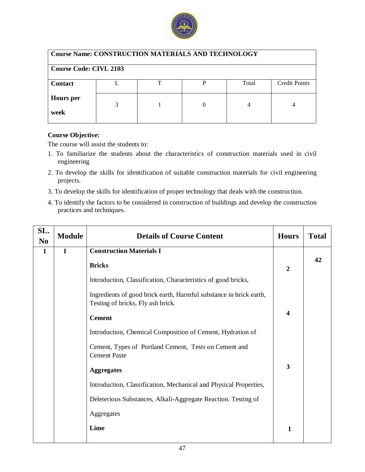

| <b>Course Name: CONSTRUCTION MATERIALS AND TECHNOLOGY</b> |                               |  |  |       |                      |  |  |  |
|-----------------------------------------------------------|-------------------------------|--|--|-------|----------------------|--|--|--|
|                                                           | <b>Course Code: CIVL 2103</b> |  |  |       |                      |  |  |  |
| <b>Contact</b>                                            |                               |  |  | Total | <b>Credit Points</b> |  |  |  |
| <b>Hours</b> per<br>week                                  | 3                             |  |  |       |                      |  |  |  |

The course will assist the students to:

- 1. To familiarize the students about the characteristics of construction materials used in civil engineering
- 2. To develop the skills for identification of suitable construction materials for civil engineering projects.
- 3. To develop the skills for identification of proper technology that deals with the construction.
- 4. To identify the factors to be considered in construction of buildings and develop the construction practices and techniques.

| SL.<br>N <sub>0</sub> | <b>Module</b> | <b>Details of Course Content</b>                                                                        | <b>Hours</b> | <b>Total</b> |
|-----------------------|---------------|---------------------------------------------------------------------------------------------------------|--------------|--------------|
| 1                     | $\mathbf I$   | <b>Construction Materials I</b>                                                                         |              |              |
|                       |               | <b>Bricks</b>                                                                                           | 2            | 42           |
|                       |               | Introduction, Classification, Characteristics of good bricks,                                           |              |              |
|                       |               | Ingredients of good brick earth, Harmful substance in brick earth,<br>Testing of bricks, Fly ash brick. |              |              |
|                       |               | <b>Cement</b>                                                                                           | 4            |              |
|                       |               | Introduction, Chemical Composition of Cement, Hydration of                                              |              |              |
|                       |               | Cement, Types of Portland Cement, Tests on Cement and<br><b>Cement Paste</b>                            |              |              |
|                       |               | <b>Aggregates</b>                                                                                       | 3            |              |
|                       |               | Introduction, Classification, Mechanical and Physical Properties,                                       |              |              |
|                       |               | Deleterious Substances, Alkali-Aggregate Reaction. Testing of                                           |              |              |
|                       |               | Aggregates                                                                                              |              |              |
|                       |               | Lime                                                                                                    | 1            |              |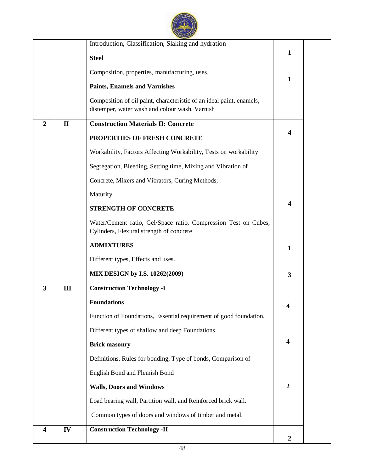

|                         |              | Introduction, Classification, Slaking and hydration<br><b>Steel</b><br>Composition, properties, manufacturing, uses.<br><b>Paints, Enamels and Varnishes</b><br>Composition of oil paint, characteristic of an ideal paint, enamels,<br>distemper, water wash and colour wash, Varnish | $\mathbf{1}$<br>$\mathbf{1}$ |
|-------------------------|--------------|----------------------------------------------------------------------------------------------------------------------------------------------------------------------------------------------------------------------------------------------------------------------------------------|------------------------------|
| $\overline{2}$          | $\mathbf{I}$ | <b>Construction Materials II: Concrete</b>                                                                                                                                                                                                                                             |                              |
|                         |              | PROPERTIES OF FRESH CONCRETE                                                                                                                                                                                                                                                           | $\overline{\mathbf{4}}$      |
|                         |              | Workability, Factors Affecting Workability, Tests on workability                                                                                                                                                                                                                       |                              |
|                         |              | Segregation, Bleeding, Setting time, Mixing and Vibration of                                                                                                                                                                                                                           |                              |
|                         |              | Concrete, Mixers and Vibrators, Curing Methods,                                                                                                                                                                                                                                        |                              |
|                         |              | Maturity.                                                                                                                                                                                                                                                                              |                              |
|                         |              | <b>STRENGTH OF CONCRETE</b>                                                                                                                                                                                                                                                            | $\boldsymbol{4}$             |
|                         |              | Water/Cement ratio, Gel/Space ratio, Compression Test on Cubes,<br>Cylinders, Flexural strength of concrete                                                                                                                                                                            |                              |
|                         |              | <b>ADMIXTURES</b>                                                                                                                                                                                                                                                                      | $\mathbf{1}$                 |
|                         |              | Different types, Effects and uses.                                                                                                                                                                                                                                                     |                              |
|                         |              | MIX DESIGN by I.S. 10262(2009)                                                                                                                                                                                                                                                         | 3                            |
| $\mathbf{3}$            | III          | <b>Construction Technology -I</b>                                                                                                                                                                                                                                                      |                              |
|                         |              | <b>Foundations</b>                                                                                                                                                                                                                                                                     | 4                            |
|                         |              | Function of Foundations, Essential requirement of good foundation,                                                                                                                                                                                                                     |                              |
|                         |              | Different types of shallow and deep Foundations.                                                                                                                                                                                                                                       |                              |
|                         |              | <b>Brick masonry</b>                                                                                                                                                                                                                                                                   | $\overline{\mathbf{4}}$      |
|                         |              | Definitions, Rules for bonding, Type of bonds, Comparison of                                                                                                                                                                                                                           |                              |
|                         |              | English Bond and Flemish Bond                                                                                                                                                                                                                                                          |                              |
|                         |              | <b>Walls, Doors and Windows</b>                                                                                                                                                                                                                                                        | $\boldsymbol{2}$             |
|                         |              | Load bearing wall, Partition wall, and Reinforced brick wall.                                                                                                                                                                                                                          |                              |
|                         |              | Common types of doors and windows of timber and metal.                                                                                                                                                                                                                                 |                              |
| $\overline{\mathbf{4}}$ | IV           | <b>Construction Technology -II</b>                                                                                                                                                                                                                                                     | $\boldsymbol{2}$             |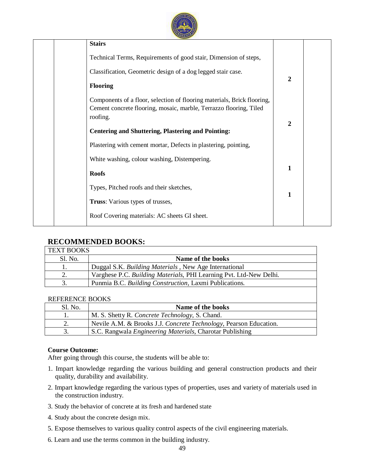

| <b>Stairs</b>                                                                                                                                 |                |
|-----------------------------------------------------------------------------------------------------------------------------------------------|----------------|
| Technical Terms, Requirements of good stair, Dimension of steps,                                                                              |                |
| Classification, Geometric design of a dog legged stair case.                                                                                  | $\overline{2}$ |
| <b>Flooring</b>                                                                                                                               |                |
| Components of a floor, selection of flooring materials, Brick flooring,<br>Cement concrete flooring, mosaic, marble, Terrazzo flooring, Tiled |                |
| roofing.                                                                                                                                      | $\overline{2}$ |
| <b>Centering and Shuttering, Plastering and Pointing:</b>                                                                                     |                |
| Plastering with cement mortar, Defects in plastering, pointing,                                                                               |                |
| White washing, colour washing, Distempering.                                                                                                  |                |
| <b>Roofs</b>                                                                                                                                  | 1              |
| Types, Pitched roofs and their sketches,                                                                                                      | 1              |
| Truss: Various types of trusses,                                                                                                              |                |
| Roof Covering materials: AC sheets GI sheet.                                                                                                  |                |

## **RECOMMENDED BOOKS:**

| <b>TEXT BOOKS</b> |                                                                    |  |  |  |  |
|-------------------|--------------------------------------------------------------------|--|--|--|--|
| Sl. No.           | Name of the books                                                  |  |  |  |  |
|                   | Duggal S.K. Building Materials, New Age International              |  |  |  |  |
|                   | Varghese P.C. Building Materials, PHI Learning Pvt. Ltd-New Delhi. |  |  |  |  |
|                   | Punmia B.C. Building Construction, Laxmi Publications.             |  |  |  |  |
|                   |                                                                    |  |  |  |  |

#### REFERENCE BOOKS

| $S1$ . No. | Name of the books                                                 |
|------------|-------------------------------------------------------------------|
|            | M. S. Shetty R. Concrete Technology, S. Chand.                    |
|            | Nevile A.M. & Brooks J.J. Concrete Technology, Pearson Education. |
|            | S.C. Rangwala <i>Engineering Materials</i> , Charotar Publishing  |

#### **Course Outcome:**

- 1. Impart knowledge regarding the various building and general construction products and their quality, durability and availability.
- 2. Impart knowledge regarding the various types of properties, uses and variety of materials used in the construction industry.
- 3. Study the behavior of concrete at its fresh and hardened state
- 4. Study about the concrete design mix.
- 5. Expose themselves to various quality control aspects of the civil engineering materials.
- 6. Learn and use the terms common in the building industry.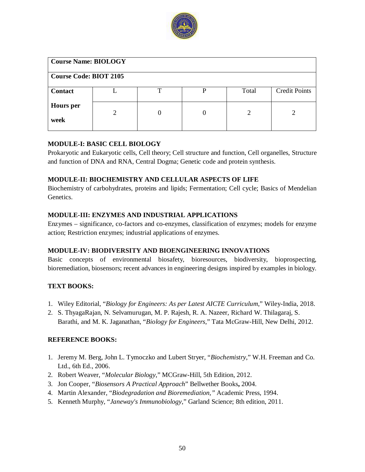

| <b>Course Name: BIOLOGY</b>   |                |  |          |       |                      |  |  |  |
|-------------------------------|----------------|--|----------|-------|----------------------|--|--|--|
| <b>Course Code: BIOT 2105</b> |                |  |          |       |                      |  |  |  |
| <b>Contact</b>                |                |  |          | Total | <b>Credit Points</b> |  |  |  |
| <b>Hours</b> per<br>week      | $\overline{2}$ |  | $\theta$ | 2     |                      |  |  |  |

#### **MODULE-I: BASIC CELL BIOLOGY**

Prokaryotic and Eukaryotic cells, Cell theory; Cell structure and function, Cell organelles, Structure and function of DNA and RNA, Central Dogma; Genetic code and protein synthesis.

#### **MODULE-II: BIOCHEMISTRY AND CELLULAR ASPECTS OF LIFE**

Biochemistry of carbohydrates, proteins and lipids; Fermentation; Cell cycle; Basics of Mendelian Genetics.

## **MODULE-III: ENZYMES AND INDUSTRIAL APPLICATIONS**

Enzymes – significance, co-factors and co-enzymes, classification of enzymes; models for enzyme action; Restriction enzymes; industrial applications of enzymes.

## **MODULE-IV: BIODIVERSITY AND BIOENGINEERING INNOVATIONS**

Basic concepts of environmental biosafety, bioresources, biodiversity, bioprospecting, bioremediation, biosensors; recent advances in engineering designs inspired by examples in biology.

## **TEXT BOOKS:**

- 1. Wiley Editorial, "*Biology for Engineers: As per Latest AICTE Curriculum*," Wiley-India, 2018.
- 2. S. ThyagaRajan, N. Selvamurugan, M. P. Rajesh, R. A. Nazeer, Richard W. Thilagaraj, S. Barathi, and M. K. Jaganathan, "*Biology for Engineers*," Tata McGraw-Hill, New Delhi, 2012.

#### **REFERENCE BOOKS:**

- 1. Jeremy M. Berg, John L. Tymoczko and Lubert Stryer, "*Biochemistry*," W.H. Freeman and Co. Ltd., 6th Ed., 2006.
- 2. Robert Weaver, "*Molecular Biology*," MCGraw-Hill, 5th Edition, 2012.
- 3. Jon Cooper, "*Biosensors A Practical Approach*" Bellwether Books**,** 2004.
- 4. Martin Alexander, "*Biodegradation and Bioremediation,"* Academic Press, 1994.
- 5. Kenneth Murphy, "*Janeway's Immunobiology*," Garland Science; 8th edition, 2011.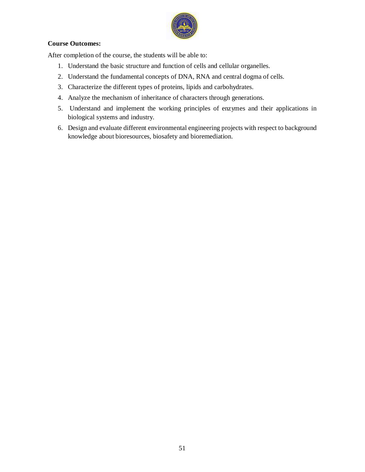

#### **Course Outcomes:**

After completion of the course, the students will be able to:

- 1. Understand the basic structure and function of cells and cellular organelles.
- 2. Understand the fundamental concepts of DNA, RNA and central dogma of cells.
- 3. Characterize the different types of proteins, lipids and carbohydrates.
- 4. Analyze the mechanism of inheritance of characters through generations.
- 5. Understand and implement the working principles of enzymes and their applications in biological systems and industry.
- 6. Design and evaluate different environmental engineering projects with respect to background knowledge about bioresources, biosafety and bioremediation.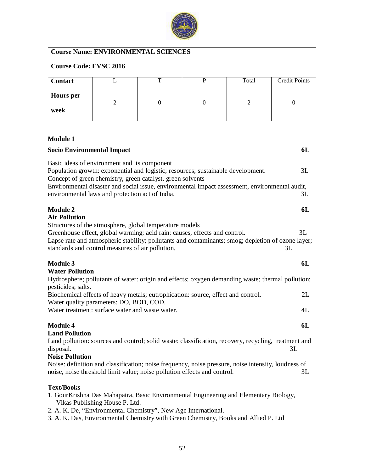

| <b>Course Name: ENVIRONMENTAL SCIENCES</b> |               |   |   |       |                      |  |  |  |
|--------------------------------------------|---------------|---|---|-------|----------------------|--|--|--|
| <b>Course Code: EVSC 2016</b>              |               |   |   |       |                      |  |  |  |
| <b>Contact</b>                             |               | ௱ | D | Total | <b>Credit Points</b> |  |  |  |
| <b>Hours</b> per<br>week                   | $\mathcal{D}$ |   |   | 2     |                      |  |  |  |

# **Module 1**

| <b>Socio Environmental Impact</b>                                                                                                                                                                                                                                                                                                                                                    | 6L |
|--------------------------------------------------------------------------------------------------------------------------------------------------------------------------------------------------------------------------------------------------------------------------------------------------------------------------------------------------------------------------------------|----|
| Basic ideas of environment and its component<br>Population growth: exponential and logistic; resources; sustainable development.<br>Concept of green chemistry, green catalyst, green solvents                                                                                                                                                                                       | 3L |
| Environmental disaster and social issue, environmental impact assessment, environmental audit,<br>environmental laws and protection act of India.                                                                                                                                                                                                                                    | 3L |
| <b>Module 2</b><br><b>Air Pollution</b>                                                                                                                                                                                                                                                                                                                                              | 6L |
| Structures of the atmosphere, global temperature models<br>Greenhouse effect, global warming; acid rain: causes, effects and control.<br>Lapse rate and atmospheric stability; pollutants and contaminants; smog; depletion of ozone layer;<br>standards and control measures of air pollution.<br>3L                                                                                | 3L |
| <b>Module 3</b><br><b>Water Pollution</b>                                                                                                                                                                                                                                                                                                                                            | 6L |
| Hydrosphere; pollutants of water: origin and effects; oxygen demanding waste; thermal pollution;<br>pesticides; salts.                                                                                                                                                                                                                                                               |    |
| Biochemical effects of heavy metals; eutrophication: source, effect and control.<br>Water quality parameters: DO, BOD, COD.                                                                                                                                                                                                                                                          | 2L |
| Water treatment: surface water and waste water.                                                                                                                                                                                                                                                                                                                                      | 4L |
| <b>Module 4</b><br><b>Land Pollution</b>                                                                                                                                                                                                                                                                                                                                             | 6L |
| Land pollution: sources and control; solid waste: classification, recovery, recycling, treatment and<br>disposal.<br>3L<br><b>Noise Pollution</b>                                                                                                                                                                                                                                    |    |
| Noise: definition and classification; noise frequency, noise pressure, noise intensity, loudness of<br>noise, noise threshold limit value; noise pollution effects and control.                                                                                                                                                                                                      | 3L |
| <b>Text/Books</b>                                                                                                                                                                                                                                                                                                                                                                    |    |
| 1. GourKrishna Das Mahapatra, Basic Environmental Engineering and Elementary Biology,<br>Vikas Publishing House P. Ltd.                                                                                                                                                                                                                                                              |    |
| 2. A. K. De, "Environmental Chemistry", New Age International.<br>$2 \pm W$ D <sub>re</sub> e December 2014 (1) $\alpha$ and the contribution $\alpha$ and $\alpha$ December 2014 and $\alpha$ and $\alpha$ and $\alpha$ and $\alpha$ and $\alpha$ and $\alpha$ and $\alpha$ and $\alpha$ and $\alpha$ and $\alpha$ and $\alpha$ and $\alpha$ and $\alpha$ and $\alpha$ and $\alpha$ |    |
|                                                                                                                                                                                                                                                                                                                                                                                      |    |

3. A. K. Das, Environmental Chemistry with Green Chemistry, Books and Allied P. Ltd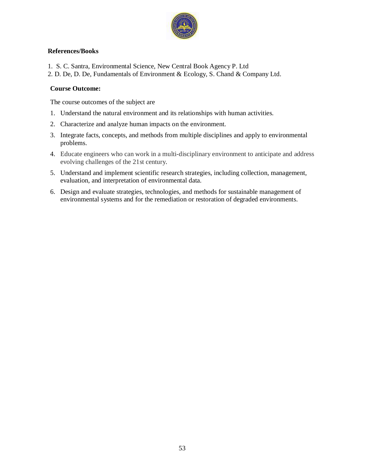

#### **References/Books**

- 1. S. C. Santra, Environmental Science, New Central Book Agency P. Ltd
- 2. D. De, D. De, Fundamentals of Environment & Ecology, S. Chand & Company Ltd.

## **Course Outcome:**

The course outcomes of the subject are

- 1. Understand the natural environment and its relationships with human activities.
- 2. Characterize and analyze human impacts on the environment.
- 3. Integrate facts, concepts, and methods from multiple disciplines and apply to environmental problems.
- 4. Educate engineers who can work in a multi-disciplinary environment to anticipate and address evolving challenges of the 21st century.
- 5. Understand and implement scientific research strategies, including collection, management, evaluation, and interpretation of environmental data.
- 6. Design and evaluate strategies, technologies, and methods for sustainable management of environmental systems and for the remediation or restoration of degraded environments.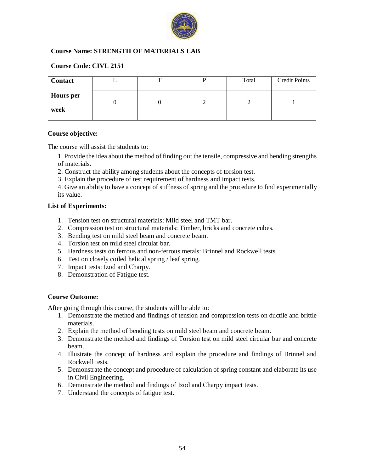

| <b>Course Name: STRENGTH OF MATERIALS LAB</b> |          |    |   |       |                      |  |  |  |
|-----------------------------------------------|----------|----|---|-------|----------------------|--|--|--|
| <b>Course Code: CIVL 2151</b>                 |          |    |   |       |                      |  |  |  |
| <b>Contact</b>                                |          | ᠇᠇ | P | Total | <b>Credit Points</b> |  |  |  |
| <b>Hours</b> per<br>week                      | $\theta$ |    | 2 | 2     |                      |  |  |  |

The course will assist the students to:

- 1. Provide the idea about the method of finding out the tensile, compressive and bending strengths of materials.
- 2. Construct the ability among students about the concepts of torsion test.
- 3. Explain the procedure of test requirement of hardness and impact tests.
- 4. Give an ability to have a concept of stiffness of spring and the procedure to find experimentally its value.

#### **List of Experiments:**

- 1. Tension test on structural materials: Mild steel and TMT bar.
- 2. Compression test on structural materials: Timber, bricks and concrete cubes.
- 3. Bending test on mild steel beam and concrete beam.
- 4. Torsion test on mild steel circular bar.
- 5. Hardness tests on ferrous and non-ferrous metals: Brinnel and Rockwell tests.
- 6. Test on closely coiled helical spring / leaf spring.
- 7. Impact tests: Izod and Charpy.
- 8. Demonstration of Fatigue test.

#### **Course Outcome:**

- 1. Demonstrate the method and findings of tension and compression tests on ductile and brittle materials.
- 2. Explain the method of bending tests on mild steel beam and concrete beam.
- 3. Demonstrate the method and findings of Torsion test on mild steel circular bar and concrete beam.
- 4. Illustrate the concept of hardness and explain the procedure and findings of Brinnel and Rockwell tests.
- 5. Demonstrate the concept and procedure of calculation of spring constant and elaborate its use in Civil Engineering.
- 6. Demonstrate the method and findings of Izod and Charpy impact tests.
- 7. Understand the concepts of fatigue test.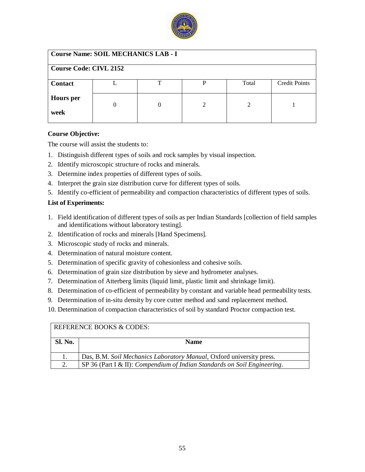

| <b>Course Name: SOIL MECHANICS LAB - I</b> |  |   |   |       |                      |  |  |  |
|--------------------------------------------|--|---|---|-------|----------------------|--|--|--|
| <b>Course Code: CIVL 2152</b>              |  |   |   |       |                      |  |  |  |
| <b>Contact</b>                             |  | т | D | Total | <b>Credit Points</b> |  |  |  |
| <b>Hours</b> per<br>week                   |  |   | 2 | 2     |                      |  |  |  |

The course will assist the students to:

- 1. Distinguish different types of soils and rock samples by visual inspection.
- 2. Identify microscopic structure of rocks and minerals.
- 3. Determine index properties of different types of soils.
- 4. Interpret the grain size distribution curve for different types of soils.
- 5. Identify co-efficient of permeability and compaction characteristics of different types of soils.

#### **List of Experiments:**

- 1. Field identification of different types of soils as per Indian Standards [collection of field samples and identifications without laboratory testing].
- 2. Identification of rocks and minerals [Hand Specimens].
- 3. Microscopic study of rocks and minerals.
- 4. Determination of natural moisture content.
- 5. Determination of specific gravity of cohesionless and cohesive soils.
- 6. Determination of grain size distribution by sieve and hydrometer analyses.
- 7. Determination of Atterberg limits (liquid limit, plastic limit and shrinkage limit).
- 8. Determination of co-efficient of permeability by constant and variable head permeability tests.
- 9. Determination of in-situ density by core cutter method and sand replacement method.
- 10. Determination of compaction characteristics of soil by standard Proctor compaction test.

| REFERENCE BOOKS & CODES: |                                                                          |  |  |  |  |  |
|--------------------------|--------------------------------------------------------------------------|--|--|--|--|--|
| <b>Sl. No.</b>           | <b>Name</b>                                                              |  |  |  |  |  |
|                          | Das, B.M. Soil Mechanics Laboratory Manual, Oxford university press.     |  |  |  |  |  |
|                          | SP 36 (Part I & II): Compendium of Indian Standards on Soil Engineering. |  |  |  |  |  |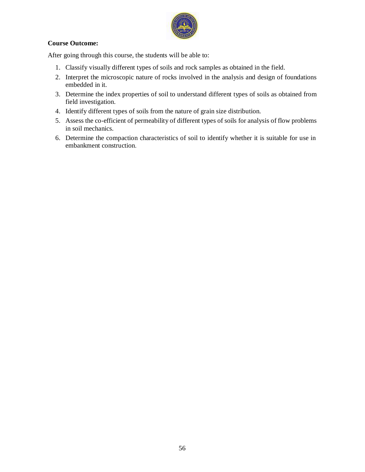

#### **Course Outcome:**

- 1. Classify visually different types of soils and rock samples as obtained in the field.
- 2. Interpret the microscopic nature of rocks involved in the analysis and design of foundations embedded in it.
- 3. Determine the index properties of soil to understand different types of soils as obtained from field investigation.
- 4. Identify different types of soils from the nature of grain size distribution.
- 5. Assess the co-efficient of permeability of different types of soils for analysis of flow problems in soil mechanics.
- 6. Determine the compaction characteristics of soil to identify whether it is suitable for use in embankment construction.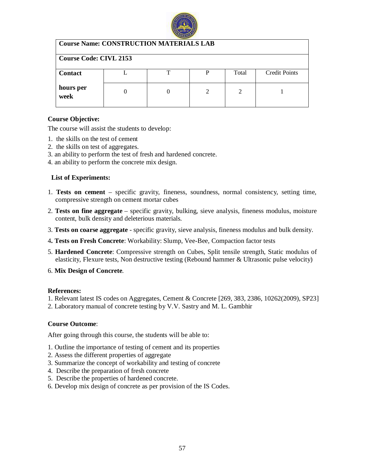

| <b>Course Name: CONSTRUCTION MATERIALS LAB</b><br><b>Course Code: CIVL 2153</b> |  |  |   |               |  |  |  |
|---------------------------------------------------------------------------------|--|--|---|---------------|--|--|--|
|                                                                                 |  |  |   |               |  |  |  |
| hours per<br>week                                                               |  |  | 2 | $\mathcal{D}$ |  |  |  |

The course will assist the students to develop:

- 1. the skills on the test of cement
- 2. the skills on test of aggregates.
- 3. an ability to perform the test of fresh and hardened concrete.
- 4. an ability to perform the concrete mix design.

#### **List of Experiments:**

- 1. **Tests on cement**  specific gravity, fineness, soundness, normal consistency, setting time, compressive strength on cement mortar cubes
- 2. **Tests on fine aggregate**  specific gravity, bulking, sieve analysis, fineness modulus, moisture content, bulk density and deleterious materials.
- 3. **Tests on coarse aggregate**  specific gravity, sieve analysis, fineness modulus and bulk density.
- 4**. Tests on Fresh Concrete**: Workability: Slump, Vee-Bee, Compaction factor tests
- 5. **Hardened Concrete**: Compressive strength on Cubes, Split tensile strength, Static modulus of elasticity, Flexure tests, Non destructive testing (Rebound hammer & Ultrasonic pulse velocity)
- 6. **Mix Design of Concrete**.

#### **References:**

- 1. Relevant latest IS codes on Aggregates, Cement & Concrete [269, 383, 2386, 10262(2009), SP23]
- 2. Laboratory manual of concrete testing by V.V. Sastry and M. L. Gambhir

#### **Course Outcome**:

- 1. Outline the importance of testing of cement and its properties
- 2. Assess the different properties of aggregate
- 3. Summarize the concept of workability and testing of concrete
- 4. Describe the preparation of fresh concrete
- 5. Describe the properties of hardened concrete.
- 6. Develop mix design of concrete as per provision of the IS Codes.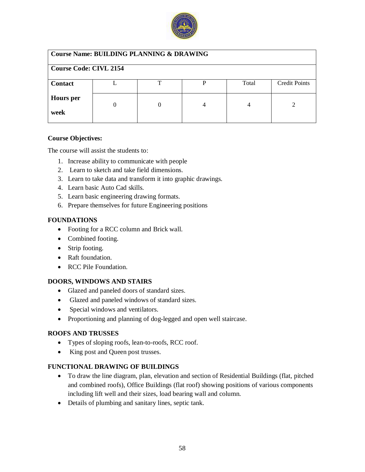

| <b>Course Name: BUILDING PLANNING &amp; DRAWING</b> |   |   |   |       |                      |  |  |  |
|-----------------------------------------------------|---|---|---|-------|----------------------|--|--|--|
| <b>Course Code: CIVL 2154</b>                       |   |   |   |       |                      |  |  |  |
| <b>Contact</b>                                      |   | ᠇ | D | Total | <b>Credit Points</b> |  |  |  |
| <b>Hours</b> per<br>week                            | 0 |   | 4 |       |                      |  |  |  |

The course will assist the students to:

- 1. Increase ability to communicate with people
- 2. Learn to sketch and take field dimensions.
- 3. Learn to take data and transform it into graphic drawings.
- 4. Learn basic Auto Cad skills.
- 5. Learn basic engineering drawing formats.
- 6. Prepare themselves for future Engineering positions

## **FOUNDATIONS**

- Footing for a RCC column and Brick wall.
- Combined footing.
- Strip footing.
- Raft foundation.
- RCC Pile Foundation.

#### **DOORS, WINDOWS AND STAIRS**

- Glazed and paneled doors of standard sizes.
- Glazed and paneled windows of standard sizes.
- Special windows and ventilators.
- Proportioning and planning of dog-legged and open well staircase.

#### **ROOFS AND TRUSSES**

- Types of sloping roofs, lean-to-roofs, RCC roof.
- King post and Queen post trusses.

#### **FUNCTIONAL DRAWING OF BUILDINGS**

- To draw the line diagram, plan, elevation and section of Residential Buildings (flat, pitched and combined roofs), Office Buildings (flat roof) showing positions of various components including lift well and their sizes, load bearing wall and column.
- Details of plumbing and sanitary lines, septic tank.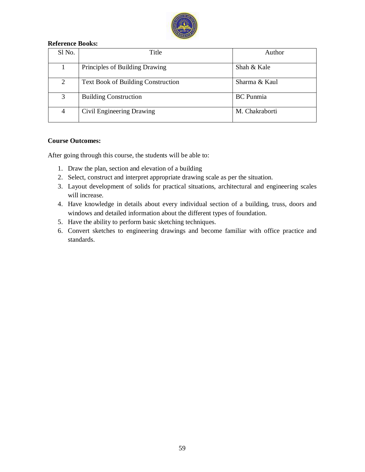

#### **Reference Books:**

| Sl No. | Title                                     | Author           |
|--------|-------------------------------------------|------------------|
|        | Principles of Building Drawing            | Shah & Kale      |
| 2      | <b>Text Book of Building Construction</b> | Sharma & Kaul    |
| 3      | <b>Building Construction</b>              | <b>BC</b> Punmia |
| 4      | Civil Engineering Drawing                 | M. Chakraborti   |

#### **Course Outcomes:**

- 1. Draw the plan, section and elevation of a building
- 2. Select, construct and interpret appropriate drawing scale as per the situation.
- 3. Layout development of solids for practical situations, architectural and engineering scales will increase.
- 4. Have knowledge in details about every individual section of a building, truss, doors and windows and detailed information about the different types of foundation.
- 5. Have the ability to perform basic sketching techniques.
- 6. Convert sketches to engineering drawings and become familiar with office practice and standards.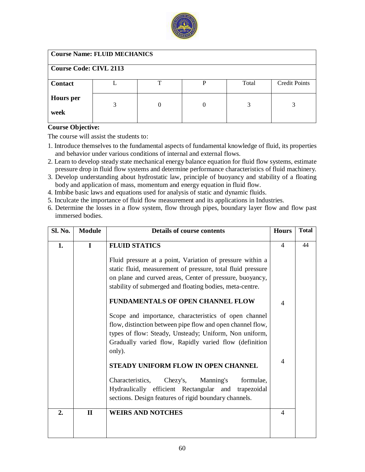

| <b>Course Name: FLUID MECHANICS</b> |   |    |   |       |                      |  |
|-------------------------------------|---|----|---|-------|----------------------|--|
| <b>Course Code: CIVL 2113</b>       |   |    |   |       |                      |  |
| <b>Contact</b>                      |   | ᠇᠇ | D | Total | <b>Credit Points</b> |  |
| <b>Hours</b> per<br>week            | 3 | 0  | 0 |       |                      |  |

The course will assist the students to:

- 1. Introduce themselves to the fundamental aspects of fundamental knowledge of fluid, its properties and behavior under various conditions of internal and external flows.
- 2. Learn to develop steady state mechanical energy balance equation for fluid flow systems, estimate pressure drop in fluid flow systems and determine performance characteristics of fluid machinery.
- 3. Develop understanding about hydrostatic law, principle of buoyancy and stability of a floating body and application of mass, momentum and energy equation in fluid flow.
- 4. Imbibe basic laws and equations used for analysis of static and dynamic fluids.
- 5. Inculcate the importance of fluid flow measurement and its applications in Industries.
- 6. Determine the losses in a flow system, flow through pipes, boundary layer flow and flow past immersed bodies.

| Sl. No.          | <b>Module</b> | Details of course contents                                                                                                                                                                                                                        | <b>Hours</b>             | <b>Total</b> |
|------------------|---------------|---------------------------------------------------------------------------------------------------------------------------------------------------------------------------------------------------------------------------------------------------|--------------------------|--------------|
| 1.               | $\mathbf{I}$  | <b>FLUID STATICS</b>                                                                                                                                                                                                                              | $\overline{4}$           | 44           |
|                  |               | Fluid pressure at a point, Variation of pressure within a<br>static fluid, measurement of pressure, total fluid pressure<br>on plane and curved areas, Center of pressure, buoyancy,<br>stability of submerged and floating bodies, meta-centre.  |                          |              |
|                  |               | FUNDAMENTALS OF OPEN CHANNEL FLOW                                                                                                                                                                                                                 | $\overline{\mathcal{A}}$ |              |
|                  |               | Scope and importance, characteristics of open channel<br>flow, distinction between pipe flow and open channel flow,<br>types of flow: Steady, Unsteady; Uniform, Non uniform,<br>Gradually varied flow, Rapidly varied flow (definition<br>only). |                          |              |
|                  |               | STEADY UNIFORM FLOW IN OPEN CHANNEL                                                                                                                                                                                                               | 4                        |              |
|                  |               | Characteristics,<br>Manning's<br>formulae,<br>Chezy's,<br>Hydraulically efficient Rectangular and trapezoidal<br>sections. Design features of rigid boundary channels.                                                                            |                          |              |
| $\overline{2}$ . | $\mathbf{I}$  | <b>WEIRS AND NOTCHES</b>                                                                                                                                                                                                                          | 4                        |              |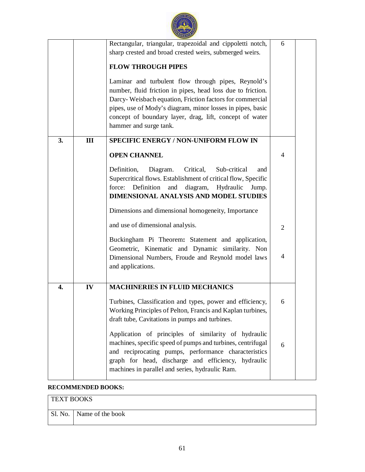|    |     | Rectangular, triangular, trapezoidal and cippoletti notch,<br>sharp crested and broad crested weirs, submerged weirs.<br><b>FLOW THROUGH PIPES</b>                                                                                                                                                                                | 6              |  |
|----|-----|-----------------------------------------------------------------------------------------------------------------------------------------------------------------------------------------------------------------------------------------------------------------------------------------------------------------------------------|----------------|--|
|    |     | Laminar and turbulent flow through pipes, Reynold's<br>number, fluid friction in pipes, head loss due to friction.<br>Darcy-Weisbach equation, Friction factors for commercial<br>pipes, use of Mody's diagram, minor losses in pipes, basic<br>concept of boundary layer, drag, lift, concept of water<br>hammer and surge tank. |                |  |
| 3. | III | <b>SPECIFIC ENERGY / NON-UNIFORM FLOW IN</b>                                                                                                                                                                                                                                                                                      |                |  |
|    |     | <b>OPEN CHANNEL</b>                                                                                                                                                                                                                                                                                                               | $\overline{4}$ |  |
|    |     | Definition,<br>Diagram.<br>Critical,<br>Sub-critical<br>and<br>Supercritical flows. Establishment of critical flow, Specific<br>Definition<br>diagram,<br>Hydraulic<br>force:<br>and<br>Jump.<br>DIMENSIONAL ANALYSIS AND MODEL STUDIES                                                                                           |                |  |
|    |     | Dimensions and dimensional homogeneity, Importance                                                                                                                                                                                                                                                                                |                |  |
|    |     | and use of dimensional analysis.                                                                                                                                                                                                                                                                                                  | $\overline{2}$ |  |
|    |     | Buckingham Pi Theorem: Statement and application,<br>Geometric, Kinematic and Dynamic similarity. Non<br>Dimensional Numbers, Froude and Reynold model laws<br>and applications.                                                                                                                                                  | $\overline{4}$ |  |
| 4. | IV  | <b>MACHINERIES IN FLUID MECHANICS</b>                                                                                                                                                                                                                                                                                             |                |  |
|    |     | Turbines, Classification and types, power and efficiency,<br>Working Principles of Pelton, Francis and Kaplan turbines,<br>draft tube, Cavitations in pumps and turbines.                                                                                                                                                         | 6              |  |
|    |     | Application of principles of similarity of hydraulic<br>machines, specific speed of pumps and turbines, centrifugal<br>and reciprocating pumps, performance characteristics<br>graph for head, discharge and efficiency, hydraulic<br>machines in parallel and series, hydraulic Ram.                                             | 6              |  |

## **RECOMMENDED BOOKS:**

| <b>TEXT BOOKS</b> |                  |  |  |  |
|-------------------|------------------|--|--|--|
| $S1$ . No.        | Name of the book |  |  |  |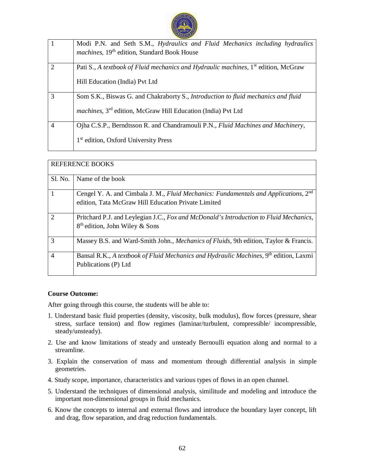

| 1                           | Modi P.N. and Seth S.M., Hydraulics and Fluid Mechanics including hydraulics                   |
|-----------------------------|------------------------------------------------------------------------------------------------|
|                             | machines, 19 <sup>th</sup> edition, Standard Book House                                        |
| $\mathcal{D}_{\mathcal{L}}$ | Pati S., A textbook of Fluid mechanics and Hydraulic machines, 1 <sup>st</sup> edition, McGraw |
|                             | Hill Education (India) Pvt Ltd                                                                 |
| 3                           | Som S.K., Biswas G. and Chakraborty S., <i>Introduction to fluid mechanics and fluid</i>       |
|                             | machines, 3 <sup>rd</sup> edition, McGraw Hill Education (India) Pvt Ltd                       |
| $\overline{4}$              | Ojha C.S.P., Berndtsson R. and Chandramouli P.N., Fluid Machines and Machinery,                |
|                             | 1 <sup>st</sup> edition, Oxford University Press                                               |

|                             | <b>REFERENCE BOOKS</b>                                                                                                               |
|-----------------------------|--------------------------------------------------------------------------------------------------------------------------------------|
| Sl. No.                     | Name of the book                                                                                                                     |
| 1                           | Cengel Y. A. and Cimbala J. M., Fluid Mechanics: Fundamentals and Applications, 2 <sup>nd</sup>                                      |
|                             | edition, Tata McGraw Hill Education Private Limited                                                                                  |
| $\mathcal{D}_{\mathcal{L}}$ | Pritchard P.J. and Leylegian J.C., Fox and McDonald's Introduction to Fluid Mechanics,<br>8 <sup>th</sup> edition, John Wiley & Sons |
| 3                           | Massey B.S. and Ward-Smith John., <i>Mechanics of Fluids</i> , 9th edition, Taylor & Francis.                                        |
| $\overline{4}$              | Bansal R.K., A textbook of Fluid Mechanics and Hydraulic Machines, 9 <sup>th</sup> edition, Laxmi<br>Publications (P) Ltd            |

#### **Course Outcome:**

- 1. Understand basic fluid properties (density, viscosity, bulk modulus), flow forces (pressure, shear stress, surface tension) and flow regimes (laminar/turbulent, compressible/ incompressible, steady/unsteady).
- 2. Use and know limitations of steady and unsteady Bernoulli equation along and normal to a streamline.
- 3. Explain the conservation of mass and momentum through differential analysis in simple geometries.
- 4. Study scope, importance, characteristics and various types of flows in an open channel.
- 5. Understand the techniques of dimensional analysis, similitude and modeling and introduce the important non-dimensional groups in fluid mechanics.
- 6. Know the concepts to internal and external flows and introduce the boundary layer concept, lift and drag, flow separation, and drag reduction fundamentals.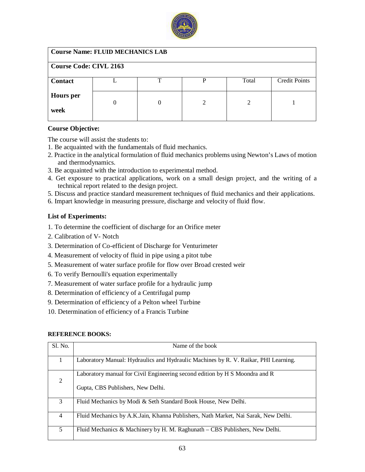

| <b>Course Name: FLUID MECHANICS LAB</b> |  |   |                             |       |                      |  |
|-----------------------------------------|--|---|-----------------------------|-------|----------------------|--|
| <b>Course Code: CIVL 2163</b>           |  |   |                             |       |                      |  |
| <b>Contact</b>                          |  | ᠇ | P                           | Total | <b>Credit Points</b> |  |
| <b>Hours</b> per                        |  |   | $\mathcal{D}_{\mathcal{L}}$ | 2     |                      |  |
| week                                    |  |   |                             |       |                      |  |

The course will assist the students to:

- 1. Be acquainted with the fundamentals of fluid mechanics.
- 2. Practice in the analytical formulation of fluid mechanics problems using Newton's Laws of motion and thermodynamics.
- 3. Be acquainted with the introduction to experimental method.
- 4. Get exposure to practical applications, work on a small design project, and the writing of a technical report related to the design project.
- 5. Discuss and practice standard measurement techniques of fluid mechanics and their applications.
- 6. Impart knowledge in measuring pressure, discharge and velocity of fluid flow.

#### **List of Experiments:**

- 1. To determine the coefficient of discharge for an Orifice meter
- 2. Calibration of V- Notch
- 3. Determination of Co-efficient of Discharge for Venturimeter
- 4. Measurement of velocity of fluid in pipe using a pitot tube
- 5. Measurement of water surface profile for flow over Broad crested weir
- 6. To verify Bernoulli's equation experimentally
- 7. Measurement of water surface profile for a hydraulic jump
- 8. Determination of efficiency of a Centrifugal pump
- 9. Determination of efficiency of a Pelton wheel Turbine
- 10. Determination of efficiency of a Francis Turbine

| Sl. No.        | Name of the book                                                                                                 |
|----------------|------------------------------------------------------------------------------------------------------------------|
|                | Laboratory Manual: Hydraulics and Hydraulic Machines by R. V. Raikar, PHI Learning.                              |
| 2              | Laboratory manual for Civil Engineering second edition by H S Moondra and R<br>Gupta, CBS Publishers, New Delhi. |
| 3              | Fluid Mechanics by Modi & Seth Standard Book House, New Delhi.                                                   |
| $\overline{4}$ | Fluid Mechanics by A.K.Jain, Khanna Publishers, Nath Market, Nai Sarak, New Delhi.                               |
| 5              | Fluid Mechanics & Machinery by H. M. Raghunath – CBS Publishers, New Delhi.                                      |

#### **REFERENCE BOOKS:**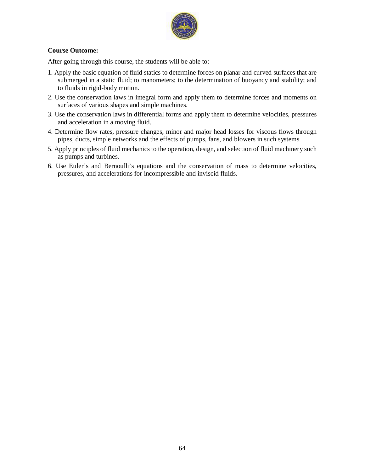

#### **Course Outcome:**

- 1. Apply the basic equation of fluid statics to determine forces on planar and curved surfaces that are submerged in a static fluid; to manometers; to the determination of buoyancy and stability; and to fluids in rigid-body motion.
- 2. Use the conservation laws in integral form and apply them to determine forces and moments on surfaces of various shapes and simple machines.
- 3. Use the conservation laws in differential forms and apply them to determine velocities, pressures and acceleration in a moving fluid.
- 4. Determine flow rates, pressure changes, minor and major head losses for viscous flows through pipes, ducts, simple networks and the effects of pumps, fans, and blowers in such systems.
- 5. Apply principles of fluid mechanics to the operation, design, and selection of fluid machinery such as pumps and turbines.
- 6. Use Euler's and Bernoulli's equations and the conservation of mass to determine velocities, pressures, and accelerations for incompressible and inviscid fluids.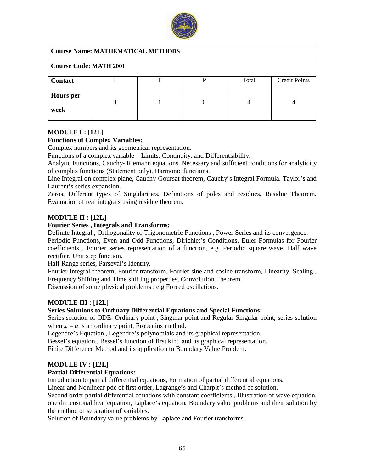

| <b>Course Name: MATHEMATICAL METHODS</b> |   |   |   |       |                      |
|------------------------------------------|---|---|---|-------|----------------------|
| <b>Course Code: MATH 2001</b>            |   |   |   |       |                      |
| <b>Contact</b>                           |   | ᠇ | P | Total | <b>Credit Points</b> |
| <b>Hours</b> per<br>week                 | 3 |   |   |       |                      |

#### **MODULE I : [12L]**

#### **Functions of Complex Variables:**

Complex numbers and its geometrical representation.

Functions of a complex variable – Limits, Continuity, and Differentiability.

Analytic Functions, Cauchy- Riemann equations, Necessary and sufficient conditions for analyticity of complex functions (Statement only), Harmonic functions.

Line Integral on complex plane, Cauchy-Goursat theorem, Cauchy's Integral Formula. Taylor's and Laurent's series expansion.

Zeros, Different types of Singularities. Definitions of poles and residues, Residue Theorem, Evaluation of real integrals using residue theorem.

#### **MODULE II : [12L]**

#### **Fourier Series , Integrals and Transforms:**

Definite Integral , Orthogonality of Trigonometric Functions , Power Series and its convergence.

Periodic Functions, Even and Odd Functions, Dirichlet's Conditions, Euler Formulas for Fourier coefficients , Fourier series representation of a function, e.g. Periodic square wave, Half wave rectifier, Unit step function.

Half Range series, Parseval's Identity.

Fourier Integral theorem, Fourier transform, Fourier sine and cosine transform, Linearity, Scaling , Frequency Shifting and Time shifting properties, Convolution Theorem.

Discussion of some physical problems : e.g Forced oscillations.

#### **MODULE III : [12L]**

#### **Series Solutions to Ordinary Differential Equations and Special Functions:**

Series solution of ODE: Ordinary point , Singular point and Regular Singular point, series solution when  $x = a$  is an ordinary point, Frobenius method.

Legendre's Equation , Legendre's polynomials and its graphical representation.

Bessel's equation , Bessel's function of first kind and its graphical representation.

Finite Difference Method and its application to Boundary Value Problem.

#### **MODULE IV : [12L]**

#### **Partial Differential Equations:**

Introduction to partial differential equations, Formation of partial differential equations,

Linear and Nonlinear pde of first order, Lagrange's and Charpit's method of solution.

Second order partial differential equations with constant coefficients , Illustration of wave equation, one dimensional heat equation, Laplace's equation, Boundary value problems and their solution by the method of separation of variables.

Solution of Boundary value problems by Laplace and Fourier transforms.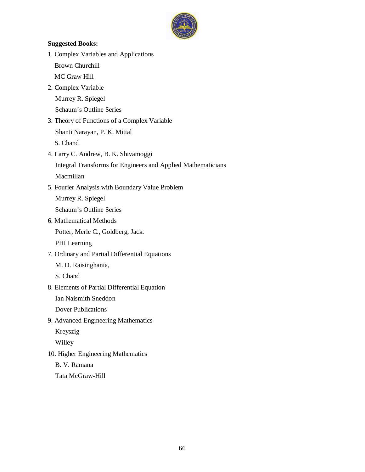

## 1. Complex Variables and Applications Brown Churchill MC Graw Hill 2. Complex Variable Murrey R. Spiegel Schaum's Outline Series 3. Theory of Functions of a Complex Variable Shanti Narayan, P. K. Mittal S. Chand

**Suggested Books:** 

- 4. Larry C. Andrew, B. K. Shivamoggi Integral Transforms for Engineers and Applied Mathematicians Macmillan
- 5. Fourier Analysis with Boundary Value Problem

Murrey R. Spiegel

Schaum's Outline Series

- 6. Mathematical Methods Potter, Merle C., Goldberg, Jack. PHI Learning
- 7. Ordinary and Partial Differential Equations

M. D. Raisinghania,

S. Chand

8. Elements of Partial Differential Equation

Ian Naismith Sneddon

Dover Publications

9. Advanced Engineering Mathematics

Kreyszig

Willey

10. Higher Engineering Mathematics

B. V. Ramana

Tata McGraw-Hill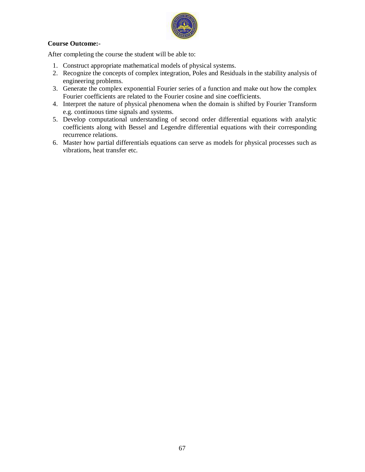

#### **Course Outcome:-**

After completing the course the student will be able to:

- 1. Construct appropriate mathematical models of physical systems.
- 2. Recognize the concepts of complex integration, Poles and Residuals in the stability analysis of engineering problems.
- 3. Generate the complex exponential Fourier series of a function and make out how the complex Fourier coefficients are related to the Fourier cosine and sine coefficients.
- 4. Interpret the nature of physical phenomena when the domain is shifted by Fourier Transform e.g. continuous time signals and systems.
- 5. Develop computational understanding of second order differential equations with analytic coefficients along with Bessel and Legendre differential equations with their corresponding recurrence relations.
- 6. Master how partial differentials equations can serve as models for physical processes such as vibrations, heat transfer etc.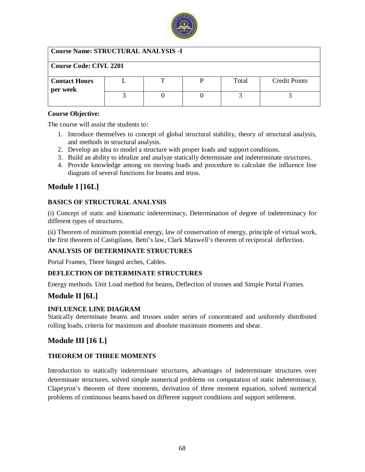

## **Course Name: STRUCTURAL ANALYSIS -I**

| <b>Course Code: CIVL 2201</b> |  |  |  |       |                      |  |
|-------------------------------|--|--|--|-------|----------------------|--|
| <b>Contact Hours</b>          |  |  |  | Total | <b>Credit Points</b> |  |
| per week                      |  |  |  |       |                      |  |
|                               |  |  |  |       |                      |  |
|                               |  |  |  |       |                      |  |

#### **Course Objective:**

The course will assist the students to:

- 1. Introduce themselves to concept of global structural stability, theory of structural analysis, and methods in structural analysis.
- 2. Develop an idea to model a structure with proper loads and support conditions.
- 3. Build an ability to idealize and analyze statically determinate and indeterminate structures.
- 4. Provide knowledge among on moving loads and procedure to calculate the influence line diagram of several functions for beams and truss.

## **Module I [16L]**

## **BASICS OF STRUCTURAL ANALYSIS**

(i) Concept of static and kinematic indeterminacy, Determination of degree of indeterminacy for different types of structures.

(ii) Theorem of minimum potential energy, law of conservation of energy, principle of virtual work, the first theorem of Castigilano, Betti's law, Clark Maxwell's theorem of reciprocal deflection.

#### **ANALYSIS OF DETERMINATE STRUCTURES**

Portal Frames, Three hinged arches, Cables.

#### **DEFLECTION OF DETERMINATE STRUCTURES**

Energy methods. Unit Load method for beams, Deflection of trusses and Simple Portal Frames.

## **Module II [6L]**

#### **INFLUENCE LINE DIAGRAM**

Statically determinate beams and trusses under series of concentrated and uniformly distributed rolling loads, criteria for maximum and absolute maximum moments and shear.

## **Module III [16 L]**

#### **THEOREM OF THREE MOMENTS**

Introduction to statically indeterminate structures, advantages of indeterminate structures over determinate structures, solved simple numerical problems on computation of static indeterminacy, Clapeyron's theorem of three moments, derivation of three moment equation, solved numerical problems of continuous beams based on different support conditions and support settlement.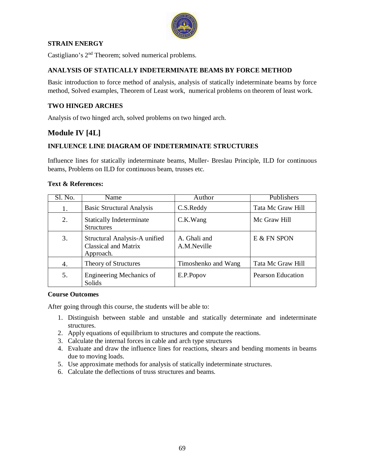

## **STRAIN ENERGY**

Castigliano's 2nd Theorem; solved numerical problems.

## **ANALYSIS OF STATICALLY INDETERMINATE BEAMS BY FORCE METHOD**

Basic introduction to force method of analysis, analysis of statically indeterminate beams by force method, Solved examples, Theorem of Least work, numerical problems on theorem of least work.

### **TWO HINGED ARCHES**

Analysis of two hinged arch, solved problems on two hinged arch.

## **Module IV [4L]**

## **INFLUENCE LINE DIAGRAM OF INDETERMINATE STRUCTURES**

Influence lines for statically indeterminate beams, Muller- Breslau Principle, ILD for continuous beams, Problems on ILD for continuous beam, trusses etc.

#### **Text & References:**

| Sl. No. | Name                                                               | Author                      | Publishers               |
|---------|--------------------------------------------------------------------|-----------------------------|--------------------------|
| 1.      | <b>Basic Structural Analysis</b>                                   | C.S.Reddy                   | Tata Mc Graw Hill        |
| 2.      | <b>Statically Indeterminate</b><br><b>Structures</b>               | C.K.Wang                    | Mc Graw Hill             |
| 3.      | Structural Analysis-A unified<br>Classical and Matrix<br>Approach. | A. Ghali and<br>A.M.Neville | E & FN SPON              |
| 4.      | Theory of Structures                                               | Timoshenko and Wang         | Tata Mc Graw Hill        |
| 5.      | Engineering Mechanics of<br>Solids                                 | E.P.Popov                   | <b>Pearson Education</b> |

#### **Course Outcomes**

- 1. Distinguish between stable and unstable and statically determinate and indeterminate structures.
- 2. Apply equations of equilibrium to structures and compute the reactions.
- 3. Calculate the internal forces in cable and arch type structures
- 4. Evaluate and draw the influence lines for reactions, shears and bending moments in beams due to moving loads.
- 5. Use approximate methods for analysis of statically indeterminate structures.
- 6. Calculate the deflections of truss structures and beams.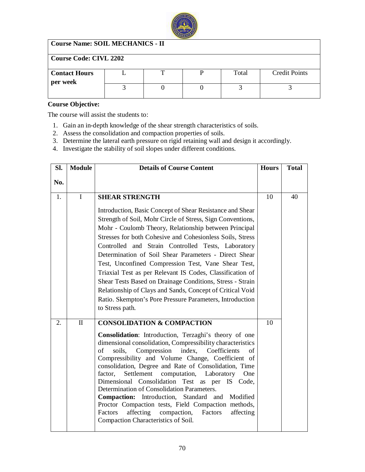

## **Course Name: SOIL MECHANICS - II**

## **Course Code: CIVL 2202**

| <b>Contact Hours</b> | m | Total | <b>Credit Points</b> |
|----------------------|---|-------|----------------------|
| per week             |   |       |                      |
|                      |   |       |                      |
|                      |   |       |                      |

#### **Course Objective:**

The course will assist the students to:

- 1. Gain an in-depth knowledge of the shear strength characteristics of soils.
- 2. Assess the consolidation and compaction properties of soils.
- 3. Determine the lateral earth pressure on rigid retaining wall and design it accordingly.
- 4. Investigate the stability of soil slopes under different conditions.

| SI. | <b>Module</b> | <b>Details of Course Content</b>                                                                                                                                                                                                                                                                                                                                                                                                                                                                                                                                                                                                                                                          | <b>Hours</b> | <b>Total</b> |
|-----|---------------|-------------------------------------------------------------------------------------------------------------------------------------------------------------------------------------------------------------------------------------------------------------------------------------------------------------------------------------------------------------------------------------------------------------------------------------------------------------------------------------------------------------------------------------------------------------------------------------------------------------------------------------------------------------------------------------------|--------------|--------------|
| No. |               |                                                                                                                                                                                                                                                                                                                                                                                                                                                                                                                                                                                                                                                                                           |              |              |
| 1.  | $\mathbf{I}$  | <b>SHEAR STRENGTH</b>                                                                                                                                                                                                                                                                                                                                                                                                                                                                                                                                                                                                                                                                     |              | 40           |
|     |               | Introduction, Basic Concept of Shear Resistance and Shear<br>Strength of Soil, Mohr Circle of Stress, Sign Conventions,<br>Mohr - Coulomb Theory, Relationship between Principal<br>Stresses for both Cohesive and Cohesionless Soils, Stress<br>Controlled and Strain Controlled Tests, Laboratory<br>Determination of Soil Shear Parameters - Direct Shear<br>Test, Unconfined Compression Test, Vane Shear Test,<br>Triaxial Test as per Relevant IS Codes, Classification of<br>Shear Tests Based on Drainage Conditions, Stress - Strain<br>Relationship of Clays and Sands, Concept of Critical Void<br>Ratio. Skempton's Pore Pressure Parameters, Introduction<br>to Stress path. |              |              |
| 2.  | $\Pi$         | <b>CONSOLIDATION &amp; COMPACTION</b>                                                                                                                                                                                                                                                                                                                                                                                                                                                                                                                                                                                                                                                     | 10           |              |
|     |               | Consolidation: Introduction, Terzaghi's theory of one<br>dimensional consolidation, Compressibility characteristics<br>of<br>soils,<br>Compression<br>index, Coefficients<br>of<br>Compressibility and Volume Change, Coefficient of<br>consolidation, Degree and Rate of Consolidation, Time<br>Settlement<br>factor,<br>computation, Laboratory<br>One<br>Dimensional Consolidation Test as per IS Code,<br>Determination of Consolidation Parameters.<br>Compaction: Introduction, Standard and Modified<br>Proctor Compaction tests, Field Compaction methods,<br>affecting<br>Factors<br>compaction,<br>affecting<br>Factors<br>Compaction Characteristics of Soil.                  |              |              |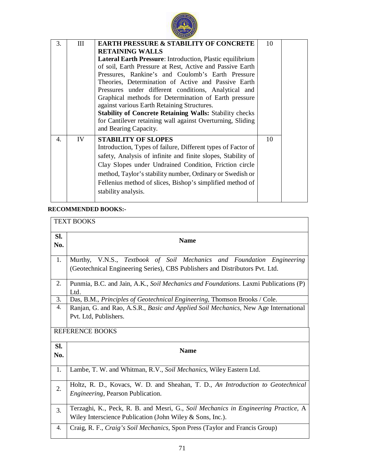

| 3. | III | <b>EARTH PRESSURE &amp; STABILITY OF CONCRETE</b>              | 10 |
|----|-----|----------------------------------------------------------------|----|
|    |     | <b>RETAINING WALLS</b>                                         |    |
|    |     | Lateral Earth Pressure: Introduction, Plastic equilibrium      |    |
|    |     | of soil, Earth Pressure at Rest, Active and Passive Earth      |    |
|    |     | Pressures, Rankine's and Coulomb's Earth Pressure              |    |
|    |     | Theories, Determination of Active and Passive Earth            |    |
|    |     | Pressures under different conditions, Analytical and           |    |
|    |     | Graphical methods for Determination of Earth pressure          |    |
|    |     | against various Earth Retaining Structures.                    |    |
|    |     | <b>Stability of Concrete Retaining Walls: Stability checks</b> |    |
|    |     | for Cantilever retaining wall against Overturning, Sliding     |    |
|    |     | and Bearing Capacity.                                          |    |
| 4. | IV  | <b>STABILITY OF SLOPES</b>                                     | 10 |
|    |     | Introduction, Types of failure, Different types of Factor of   |    |
|    |     | safety, Analysis of infinite and finite slopes, Stability of   |    |
|    |     | Clay Slopes under Undrained Condition, Friction circle         |    |
|    |     | method, Taylor's stability number, Ordinary or Swedish or      |    |
|    |     | Fellenius method of slices, Bishop's simplified method of      |    |
|    |     | stability analysis.                                            |    |
|    |     |                                                                |    |

## **RECOMMENDED BOOKS:-**

| <b>TEXT BOOKS</b>      |                                                                                                                                                       |  |  |  |
|------------------------|-------------------------------------------------------------------------------------------------------------------------------------------------------|--|--|--|
| SI.<br>No.             | <b>Name</b>                                                                                                                                           |  |  |  |
| 1.                     | Murthy, V.N.S., Textbook of Soil Mechanics and Foundation Engineering<br>(Geotechnical Engineering Series), CBS Publishers and Distributors Pvt. Ltd. |  |  |  |
| 2.                     | Punmia, B.C. and Jain, A.K., Soil Mechanics and Foundations. Laxmi Publications (P)<br>Ltd.                                                           |  |  |  |
| 3.                     | Das, B.M., Principles of Geotechnical Engineering, Thomson Brooks / Cole.                                                                             |  |  |  |
| 4.                     | Ranjan, G. and Rao, A.S.R., Basic and Applied Soil Mechanics, New Age International                                                                   |  |  |  |
|                        | Pvt. Ltd, Publishers.                                                                                                                                 |  |  |  |
| <b>REFERENCE BOOKS</b> |                                                                                                                                                       |  |  |  |
| SI.<br>No.             | <b>Name</b>                                                                                                                                           |  |  |  |
| 1.                     | Lambe, T. W. and Whitman, R.V., Soil Mechanics, Wiley Eastern Ltd.                                                                                    |  |  |  |
| 2.                     | Holtz, R. D., Kovacs, W. D. and Sheahan, T. D., An Introduction to Geotechnical<br><i>Engineering</i> , Pearson Publication.                          |  |  |  |
| 3.                     | Terzaghi, K., Peck, R. B. and Mesri, G., Soil Mechanics in Engineering Practice, A<br>Wiley Interscience Publication (John Wiley $&$ Sons, Inc.).     |  |  |  |
| 4.                     | Craig, R. F., Craig's Soil Mechanics, Spon Press (Taylor and Francis Group)                                                                           |  |  |  |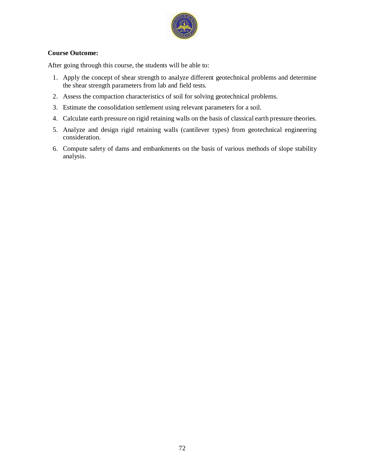

## **Course Outcome:**

- 1. Apply the concept of shear strength to analyze different geotechnical problems and determine the shear strength parameters from lab and field tests.
- 2. Assess the compaction characteristics of soil for solving geotechnical problems.
- 3. Estimate the consolidation settlement using relevant parameters for a soil.
- 4. Calculate earth pressure on rigid retaining walls on the basis of classical earth pressure theories.
- 5. Analyze and design rigid retaining walls (cantilever types) from geotechnical engineering consideration.
- 6. Compute safety of dams and embankments on the basis of various methods of slope stability analysis.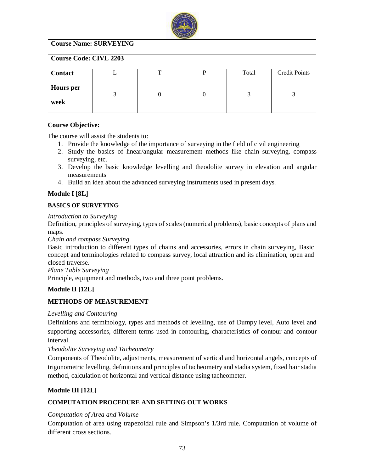

| <b>Course Name: SURVEYING</b> |   |    |   |       |                      |  |  |
|-------------------------------|---|----|---|-------|----------------------|--|--|
| <b>Course Code: CIVL 2203</b> |   |    |   |       |                      |  |  |
| <b>Contact</b>                |   | ᠇᠇ | р | Total | <b>Credit Points</b> |  |  |
| <b>Hours</b> per<br>week      | 3 | 0  | 0 | 3     | 3                    |  |  |

## **Course Objective:**

The course will assist the students to:

- 1. Provide the knowledge of the importance of surveying in the field of civil engineering
- 2. Study the basics of linear/angular measurement methods like chain surveying, compass surveying, etc.
- 3. Develop the basic knowledge levelling and theodolite survey in elevation and angular measurements
- 4. Build an idea about the advanced surveying instruments used in present days.

## **Module I [8L]**

## **BASICS OF SURVEYING**

*Introduction to Surveying*

Definition, principles of surveying, types of scales (numerical problems), basic concepts of plans and maps.

*Chain and compass Surveying*

Basic introduction to different types of chains and accessories, errors in chain surveying, Basic concept and terminologies related to compass survey, local attraction and its elimination, open and closed traverse.

*Plane Table Surveying*

Principle, equipment and methods, two and three point problems.

## **Module II [12L]**

## **METHODS OF MEASUREMENT**

## *Levelling and Contouring*

Definitions and terminology, types and methods of levelling, use of Dumpy level, Auto level and supporting accessories, different terms used in contouring, characteristics of contour and contour interval.

## *Theodolite Surveying and Tacheometry*

Components of Theodolite, adjustments, measurement of vertical and horizontal angels, concepts of trigonometric levelling, definitions and principles of tacheometry and stadia system, fixed hair stadia method, calculation of horizontal and vertical distance using tacheometer.

## **Module III [12L]**

## **COMPUTATION PROCEDURE AND SETTING OUT WORKS**

## *Computation of Area and Volume*

Computation of area using trapezoidal rule and Simpson's 1/3rd rule. Computation of volume of different cross sections.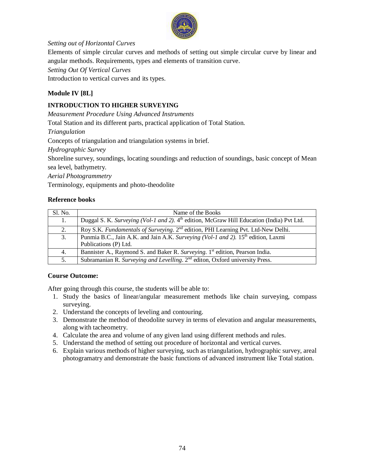

## *Setting out of Horizontal Curves*

Elements of simple circular curves and methods of setting out simple circular curve by linear and angular methods. Requirements, types and elements of transition curve.

*Setting Out Of Vertical Curves*

Introduction to vertical curves and its types.

## **Module IV [8L]**

## **INTRODUCTION TO HIGHER SURVEYING**

*Measurement Procedure Using Advanced Instruments*

Total Station and its different parts, practical application of Total Station.

*Triangulation*

Concepts of triangulation and triangulation systems in brief.

*Hydrographic Survey*

Shoreline survey, soundings, locating soundings and reduction of soundings, basic concept of Mean sea level, bathymetry.

*Aerial Photogrammetry*

Terminology, equipments and photo-theodolite

## **Reference books**

| Sl. No. | Name of the Books                                                                                                      |
|---------|------------------------------------------------------------------------------------------------------------------------|
| 1.      | Duggal S. K. Surveying (Vol-1 and 2). 4 <sup>th</sup> edition, McGraw Hill Education (India) Pvt Ltd.                  |
| 2.      | Roy S.K. Fundamentals of Surveying. 2 <sup>nd</sup> edition, PHI Learning Pvt. Ltd-New Delhi.                          |
| 3.      | Punmia B.C., Jain A.K. and Jain A.K. Surveying (Vol-1 and 2). 15 <sup>th</sup> edition, Laxmi<br>Publications (P) Ltd. |
| 4.      | Bannister A., Raymond S. and Baker R. Surveying. 1 <sup>st</sup> edition, Pearson India.                               |
| 5.      | Subramanian R. Surveying and Levelling. 2 <sup>nd</sup> editon, Oxford university Press.                               |

## **Course Outcome:**

- 1. Study the basics of linear/angular measurement methods like chain surveying, compass surveying.
- 2. Understand the concepts of leveling and contouring.
- 3. Demonstrate the method of theodolite survey in terms of elevation and angular measurements, along with tacheometry.
- 4. Calculate the area and volume of any given land using different methods and rules.
- 5. Understand the method of setting out procedure of horizontal and vertical curves.
- 6. Explain various methods of higher surveying, such as triangulation, hydrographic survey, areal photogramatry and demonstrate the basic functions of advanced instrument like Total station.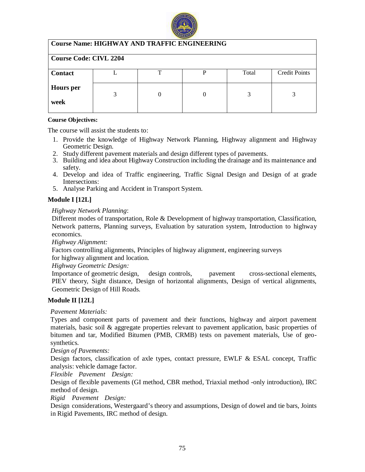

## **Course Name: HIGHWAY AND TRAFFIC ENGINEERING**

| <b>Course Code: CIVL 2204</b> |  |  |  |       |                      |  |  |
|-------------------------------|--|--|--|-------|----------------------|--|--|
| <b>Contact</b>                |  |  |  | Total | <b>Credit Points</b> |  |  |
| <b>Hours</b> per              |  |  |  |       |                      |  |  |
| week                          |  |  |  |       |                      |  |  |

#### **Course Objectives:**

The course will assist the students to:

- 1. Provide the knowledge of Highway Network Planning, Highway alignment and Highway Geometric Design.
- 2. Study different pavement materials and design different types of pavements.
- 3. Building and idea about Highway Construction including the drainage and its maintenance and safety.
- 4. Develop and idea of Traffic engineering, Traffic Signal Design and Design of at grade Intersections:
- 5. Analyse Parking and Accident in Transport System.

## **Module I [12L]**

#### *Highway Network Planning*:

Different modes of transportation, Role & Development of highway transportation, Classification, Network patterns, Planning surveys, Evaluation by saturation system, Introduction to highway economics.

*Highway Alignment:* 

Factors controlling alignments, Principles of highway alignment, engineering surveys

for highway alignment and location.

*Highway Geometric Design:*

Importance of geometric design, design controls, pavement cross-sectional elements, PIEV theory, Sight distance, Design of horizontal alignments, Design of vertical alignments, Geometric Design of Hill Roads.

## **Module II [12L]**

#### *Pavement Materials:*

Types and component parts of pavement and their functions, highway and airport pavement materials, basic soil & aggregate properties relevant to pavement application, basic properties of bitumen and tar, Modified Bitumen (PMB, CRMB) tests on pavement materials, Use of geosynthetics.

*Design of Pavements:*

Design factors, classification of axle types, contact pressure, EWLF & ESAL concept, Traffic analysis: vehicle damage factor.

*Flexible Pavement Design:*

Design of flexible pavements (GI method, CBR method, Triaxial method -only introduction), IRC method of design.

*Rigid Pavement Design:*

Design considerations, Westergaard's theory and assumptions, Design of dowel and tie bars, Joints in Rigid Pavements, IRC method of design.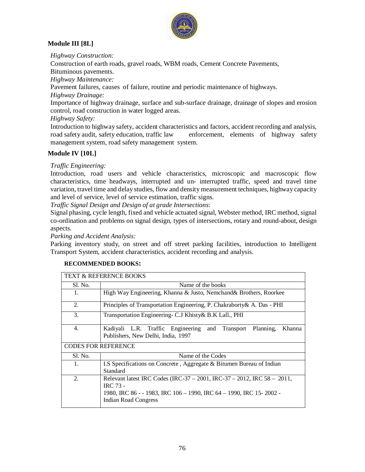

## **Module III [8L]**

*Highway Construction:*

Construction of earth roads, gravel roads, WBM roads, Cement Concrete Pavements,

Bituminous pavements.

*Highway Maintenance:*

Pavement failures, causes of failure, routine and periodic maintenance of highways.

*Highway Drainage:* 

Importance of highway drainage, surface and sub-surface drainage, drainage of slopes and erosion control, road construction in water logged areas.

*Highway Safety:*

Introduction to highway safety, accident characteristics and factors, accident recording and analysis, road safety audit, safety education, traffic law enforcement, elements of highway safety management system, road safety management system.

## **Module IV [10L]**

## *Traffic Engineering:*

Introduction, road users and vehicle characteristics, microscopic and macroscopic flow characteristics, time headways, interrupted and un- interrupted traffic, speed and travel time variation, travel time and delay studies, flow and density measurement techniques, highway capacity and level of service, level of service estimation, traffic signs.

*Traffic Signal Design and Design of at grade Intersections*:

Signal phasing, cycle length, fixed and vehicle actuated signal, Webster method, IRC method, signal co-ordination and problems on signal design, types of intersections, rotary and round-about, design aspects.

*Parking and Accident Analysis:*

Parking inventory study, on street and off street parking facilities, introduction to Intelligent Transport System, accident characteristics, accident recording and analysis.

|                            | <b>TEXT &amp; REFERENCE BOOKS</b>                                                                                                                                                                 |  |  |  |  |  |  |
|----------------------------|---------------------------------------------------------------------------------------------------------------------------------------------------------------------------------------------------|--|--|--|--|--|--|
| Sl. No.                    | Name of the books                                                                                                                                                                                 |  |  |  |  |  |  |
| 1.                         | High Way Engineering, Khanna & Justo, Nemchand& Brothers, Roorkee                                                                                                                                 |  |  |  |  |  |  |
| 2.                         | Principles of Transportation Engineering, P. Chakraborty & A. Das - PHI                                                                                                                           |  |  |  |  |  |  |
| 3.                         | Transportation Engineering- C.J Khisty & B.K Lall., PHI                                                                                                                                           |  |  |  |  |  |  |
| 4.                         | Kadiyali L.R. Traffic Engineering and Transport<br>Planning.<br>Khanna<br>Publishers, New Delhi, India, 1997                                                                                      |  |  |  |  |  |  |
| <b>CODES FOR REFERENCE</b> |                                                                                                                                                                                                   |  |  |  |  |  |  |
| Sl. No.                    | Name of the Codes                                                                                                                                                                                 |  |  |  |  |  |  |
| 1.                         | I.S Specifications on Concrete, Aggregate & Bitumen Bureau of Indian<br>Standard                                                                                                                  |  |  |  |  |  |  |
| 2.                         | Relevant latest IRC Codes (IRC-37 – 2001, IRC-37 – 2012, IRC 58 – 2011,<br><b>IRC 73 -</b><br>1980, IRC 86 - - 1983, IRC 106 – 1990, IRC 64 – 1990, IRC 15- 2002 -<br><b>Indian Road Congress</b> |  |  |  |  |  |  |

## **RECOMMENDED BOOKS:**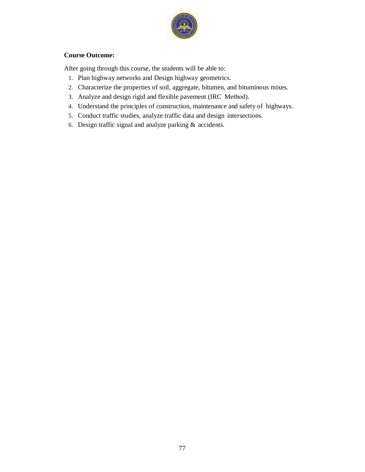

## **Course Outcome:**

- 1. Plan highway networks and Design highway geometrics.
- 2. Characterize the properties of soil, aggregate, bitumen, and bituminous mixes.
- 3. Analyze and design rigid and flexible pavement (IRC Method).
- 4. Understand the principles of construction, maintenance and safety of highways.
- 5. Conduct traffic studies, analyze traffic data and design intersections.
- 6. Design traffic signal and analyze parking & accidents.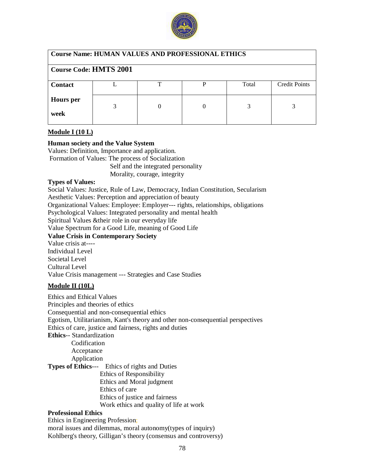

## **Course Name: HUMAN VALUES AND PROFESSIONAL ETHICS**

## **Course Code: HMTS 2001**

| <b>Contact</b> |  | Total | <b>Credit Points</b> |
|----------------|--|-------|----------------------|
|                |  |       |                      |
| Hours per      |  |       |                      |
|                |  |       |                      |
| week           |  |       |                      |
|                |  |       |                      |

#### **Module I (10 L)**

#### **Human society and the Value System**

Values: Definition, Importance and application. Formation of Values: The process of Socialization Self and the integrated personality Morality, courage, integrity

#### **Types of Values:**

Social Values: Justice, Rule of Law, Democracy, Indian Constitution, Secularism Aesthetic Values: Perception and appreciation of beauty Organizational Values: Employee: Employer--- rights, relationships, obligations Psychological Values: Integrated personality and mental health Spiritual Values &their role in our everyday life Value Spectrum for a Good Life, meaning of Good Life **Value Crisis in Contemporary Society** Value crisis at---- Individual Level Societal Level Cultural Level Value Crisis management --- Strategies and Case Studies

## **Module II (10L)**

Ethics and Ethical Values Principles and theories of ethics Consequential and non-consequential ethics Egotism, Utilitarianism, Kant's theory and other non-consequential perspectives Ethics of care, justice and fairness, rights and duties **Ethics**-- Standardization **Codification**  Acceptance Application **Types of Ethics**--- Ethics of rights and Duties Ethics of Responsibility Ethics and Moral judgment Ethics of care Ethics of justice and fairness Work ethics and quality of life at work

## **Professional Ethics**

Ethics in Engineering Profession; moral issues and dilemmas, moral autonomy(types of inquiry) Kohlberg's theory, Gilligan's theory (consensus and controversy)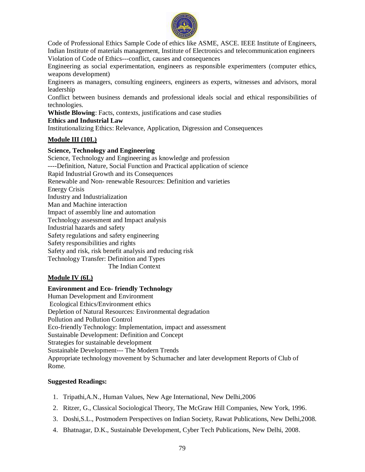

Code of Professional Ethics Sample Code of ethics like ASME, ASCE. IEEE Institute of Engineers, Indian Institute of materials management, Institute of Electronics and telecommunication engineers Violation of Code of Ethics---conflict, causes and consequences

Engineering as social experimentation, engineers as responsible experimenters (computer ethics, weapons development)

Engineers as managers, consulting engineers, engineers as experts, witnesses and advisors, moral leadership

Conflict between business demands and professional ideals social and ethical responsibilities of technologies.

**Whistle Blowing**: Facts, contexts, justifications and case studies

#### **Ethics and Industrial Law**

Institutionalizing Ethics: Relevance, Application, Digression and Consequences

## **Module III (10L)**

#### **Science, Technology and Engineering**

Science, Technology and Engineering as knowledge and profession ----Definition, Nature, Social Function and Practical application of science Rapid Industrial Growth and its Consequences Renewable and Non- renewable Resources: Definition and varieties Energy Crisis Industry and Industrialization Man and Machine interaction Impact of assembly line and automation Technology assessment and Impact analysis Industrial hazards and safety Safety regulations and safety engineering Safety responsibilities and rights Safety and risk, risk benefit analysis and reducing risk Technology Transfer: Definition and Types The Indian Context

## **Module IV (6L)**

#### **Environment and Eco- friendly Technology**

Human Development and Environment Ecological Ethics/Environment ethics Depletion of Natural Resources: Environmental degradation Pollution and Pollution Control Eco-friendly Technology: Implementation, impact and assessment Sustainable Development: Definition and Concept Strategies for sustainable development Sustainable Development--- The Modern Trends Appropriate technology movement by Schumacher and later development Reports of Club of Rome.

#### **Suggested Readings:**

- 1. Tripathi,A.N., Human Values, New Age International, New Delhi,2006
- 2. Ritzer, G., Classical Sociological Theory, The McGraw Hill Companies, New York, 1996.
- 3. Doshi,S.L., Postmodern Perspectives on Indian Society, Rawat Publications, New Delhi,2008.
- 4. Bhatnagar, D.K., Sustainable Development, Cyber Tech Publications, New Delhi, 2008.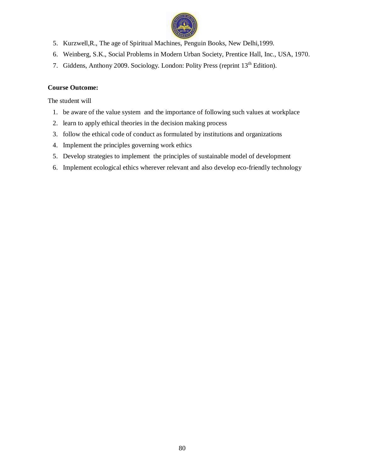

- 5. Kurzwell,R., The age of Spiritual Machines, Penguin Books, New Delhi,1999.
- 6. Weinberg, S.K., Social Problems in Modern Urban Society, Prentice Hall, Inc., USA, 1970.
- 7. Giddens, Anthony 2009. Sociology. London: Polity Press (reprint 13<sup>th</sup> Edition).

## **Course Outcome:**

The student will

- 1. be aware of the value system and the importance of following such values at workplace
- 2. learn to apply ethical theories in the decision making process
- 3. follow the ethical code of conduct as formulated by institutions and organizations
- 4. Implement the principles governing work ethics
- 5. Develop strategies to implement the principles of sustainable model of development
- 6. Implement ecological ethics wherever relevant and also develop eco-friendly technology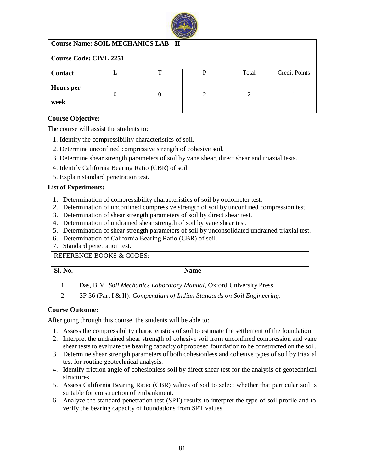

## **Course Name: SOIL MECHANICS LAB - II**

| <b>Course Code: CIVL 2251</b> |  |   |   |       |                      |  |
|-------------------------------|--|---|---|-------|----------------------|--|
| <b>Contact</b>                |  | ᅲ |   | Total | <b>Credit Points</b> |  |
| <b>Hours</b> per<br>week      |  |   | ◠ | 2     |                      |  |

#### **Course Objective:**

The course will assist the students to:

- 1. Identify the compressibility characteristics of soil.
- 2. Determine unconfined compressive strength of cohesive soil.
- 3. Determine shear strength parameters of soil by vane shear, direct shear and triaxial tests.
- 4. Identify California Bearing Ratio (CBR) of soil.
- 5. Explain standard penetration test.

#### **List of Experiments:**

- 1. Determination of compressibility characteristics of soil by oedometer test.
- 2. Determination of unconfined compressive strength of soil by unconfined compression test.
- 3. Determination of shear strength parameters of soil by direct shear test.
- 4. Determination of undrained shear strength of soil by vane shear test.
- 5. Determination of shear strength parameters of soil by unconsolidated undrained triaxial test.
- 6. Determination of California Bearing Ratio (CBR) of soil.
- 7. Standard penetration test.

# REFERENCE BOOKS & CODES:

| <b>Sl. No.</b> | <b>Name</b>                                                              |
|----------------|--------------------------------------------------------------------------|
|                | Das, B.M. Soil Mechanics Laboratory Manual, Oxford University Press.     |
|                | SP 36 (Part I & II): Compendium of Indian Standards on Soil Engineering. |

#### **Course Outcome:**

- 1. Assess the compressibility characteristics of soil to estimate the settlement of the foundation.
- 2. Interpret the undrained shear strength of cohesive soil from unconfined compression and vane shear tests to evaluate the bearing capacity of proposed foundation to be constructed on the soil.
- 3. Determine shear strength parameters of both cohesionless and cohesive types of soil by triaxial test for routine geotechnical analysis.
- 4. Identify friction angle of cohesionless soil by direct shear test for the analysis of geotechnical structures.
- 5. Assess California Bearing Ratio (CBR) values of soil to select whether that particular soil is suitable for construction of embankment.
- 6. Analyze the standard penetration test (SPT) results to interpret the type of soil profile and to verify the bearing capacity of foundations from SPT values.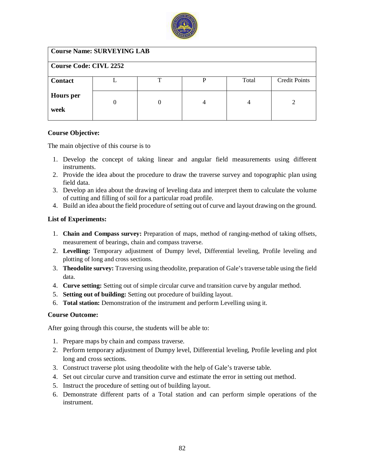

| <b>Course Name: SURVEYING LAB</b> |   |   |       |                      |  |  |  |
|-----------------------------------|---|---|-------|----------------------|--|--|--|
| <b>Course Code: CIVL 2252</b>     |   |   |       |                      |  |  |  |
|                                   | ᠇ | P | Total | <b>Credit Points</b> |  |  |  |
|                                   | 0 | 4 |       |                      |  |  |  |
|                                   |   |   |       |                      |  |  |  |

#### **Course Objective:**

The main objective of this course is to

- 1. Develop the concept of taking linear and angular field measurements using different instruments.
- 2. Provide the idea about the procedure to draw the traverse survey and topographic plan using field data.
- 3. Develop an idea about the drawing of leveling data and interpret them to calculate the volume of cutting and filling of soil for a particular road profile.
- 4. Build an idea about the field procedure of setting out of curve and layout drawing on the ground.

#### **List of Experiments:**

- 1. **Chain and Compass survey:** Preparation of maps, method of ranging-method of taking offsets, measurement of bearings, chain and compass traverse.
- 2. **Levelling:** Temporary adjustment of Dumpy level, Differential leveling, Profile leveling and plotting of long and cross sections.
- 3. **Theodolite survey:** Traversing using theodolite, preparation of Gale's traverse table using the field data.
- 4. **Curve setting:** Setting out of simple circular curve and transition curve by angular method.
- 5. **Setting out of building:** Setting out procedure of building layout.
- 6. **Total station:** Demonstration of the instrument and perform Levelling using it.

#### **Course Outcome:**

- 1. Prepare maps by chain and compass traverse.
- 2. Perform temporary adjustment of Dumpy level, Differential leveling, Profile leveling and plot long and cross sections.
- 3. Construct traverse plot using theodolite with the help of Gale's traverse table.
- 4. Set out circular curve and transition curve and estimate the error in setting out method.
- 5. Instruct the procedure of setting out of building layout.
- 6. Demonstrate different parts of a Total station and can perform simple operations of the instrument.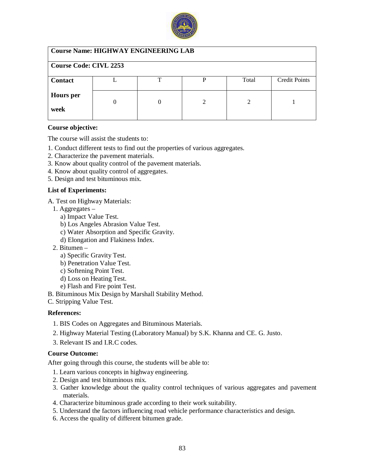

| <b>Course Name: HIGHWAY ENGINEERING LAB</b> |  |
|---------------------------------------------|--|
| Course Code: CIVL 2253                      |  |

| <b>Contact</b>   |  | Total | <b>Credit Points</b> |
|------------------|--|-------|----------------------|
|                  |  |       |                      |
| <b>Hours</b> per |  |       |                      |
|                  |  |       |                      |
| week             |  |       |                      |
|                  |  |       |                      |

#### **Course objective:**

The course will assist the students to:

- 1. Conduct different tests to find out the properties of various aggregates.
- 2. Characterize the pavement materials.
- 3. Know about quality control of the pavement materials.
- 4. Know about quality control of aggregates.
- 5. Design and test bituminous mix.

#### **List of Experiments:**

- A. Test on Highway Materials:
	- 1. Aggregates
		- a) Impact Value Test.
		- b) Los Angeles Abrasion Value Test.
		- c) Water Absorption and Specific Gravity.
		- d) Elongation and Flakiness Index.
	- 2. Bitumen
		- a) Specific Gravity Test.
		- b) Penetration Value Test.
		- c) Softening Point Test.
		- d) Loss on Heating Test.
		- e) Flash and Fire point Test.
- B. Bituminous Mix Design by Marshall Stability Method.
- C. Stripping Value Test.

## **References:**

- 1. BIS Codes on Aggregates and Bituminous Materials.
- 2. Highway Material Testing (Laboratory Manual) by S.K. Khanna and CE. G. Justo.
- 3. Relevant IS and I.R.C codes.

#### **Course Outcome:**

- 1. Learn various concepts in highway engineering.
- 2. Design and test bituminous mix.
- 3. Gather knowledge about the quality control techniques of various aggregates and pavement materials.
- 4. Characterize bituminous grade according to their work suitability.
- 5. Understand the factors influencing road vehicle performance characteristics and design.
- 6. Access the quality of different bitumen grade.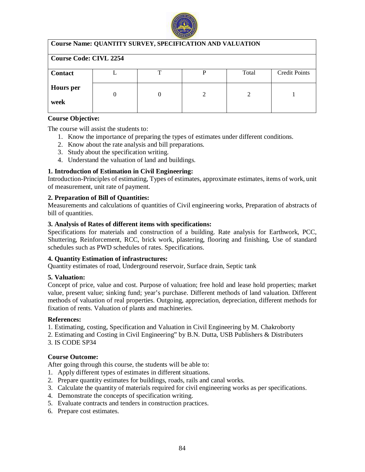

| <b>Course Name: QUANTITY SURVEY, SPECIFICATION AND VALUATION</b> |  |   |   |       |               |  |  |
|------------------------------------------------------------------|--|---|---|-------|---------------|--|--|
| <b>Course Code: CIVL 2254</b>                                    |  |   |   |       |               |  |  |
| <b>Contact</b>                                                   |  | т | P | Total | Credit Points |  |  |
| <b>Hours</b> per<br>week                                         |  |   |   |       |               |  |  |
|                                                                  |  |   |   |       |               |  |  |

#### **Course Objective:**

The course will assist the students to:

- 1. Know the importance of preparing the types of estimates under different conditions.
- 2. Know about the rate analysis and bill preparations.
- 3. Study about the specification writing.
- 4. Understand the valuation of land and buildings.

## **1. Introduction of Estimation in Civil Engineering:**

Introduction-Principles of estimating, Types of estimates, approximate estimates, items of work, unit of measurement, unit rate of payment.

## **2. Preparation of Bill of Quantities:**

Measurements and calculations of quantities of Civil engineering works, Preparation of abstracts of bill of quantities.

## **3. Analysis of Rates of different items with specifications:**

Specifications for materials and construction of a building. Rate analysis for Earthwork, PCC, Shuttering, Reinforcement, RCC, brick work, plastering, flooring and finishing, Use of standard schedules such as PWD schedules of rates. Specifications.

## **4. Quantity Estimation of infrastructures:**

Quantity estimates of road, Underground reservoir, Surface drain, Septic tank

## **5. Valuation:**

Concept of price, value and cost. Purpose of valuation; free hold and lease hold properties; market value, present value; sinking fund; year's purchase. Different methods of land valuation. Different methods of valuation of real properties. Outgoing, appreciation, depreciation, different methods for fixation of rents. Valuation of plants and machineries.

## **References:**

1. Estimating, costing, Specification and Valuation in Civil Engineering by M. Chakroborty

- 2. Estimating and Costing in Civil Engineering" by B.N. Dutta, USB Publishers & Distributers
- 3. IS CODE SP34

## **Course Outcome:**

- 1. Apply different types of estimates in different situations.
- 2. Prepare quantity estimates for buildings, roads, rails and canal works.
- 3. Calculate the quantity of materials required for civil engineering works as per specifications.
- 4. Demonstrate the concepts of specification writing.
- 5. Evaluate contracts and tenders in construction practices.
- 6. Prepare cost estimates.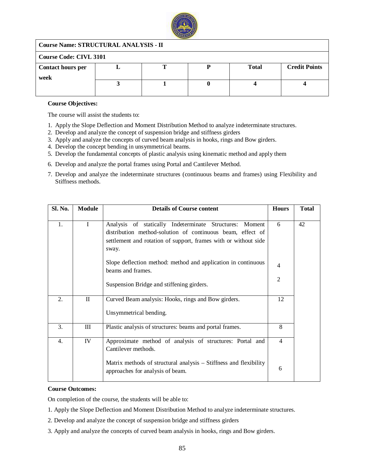

#### **Course Name: STRUCTURAL ANALYSIS - II**

| Course Code: CIVL 3101           |  |  |  |              |                      |  |
|----------------------------------|--|--|--|--------------|----------------------|--|
| <b>Contact hours per</b><br>week |  |  |  | <b>Total</b> | <b>Credit Points</b> |  |
|                                  |  |  |  |              |                      |  |

#### **Course Objectives:**

The course will assist the students to:

- 1. Apply the Slope Deflection and Moment Distribution Method to analyze indeterminate structures.
- 2. Develop and analyze the concept of suspension bridge and stiffness girders
- 3. Apply and analyze the concepts of curved beam analysis in hooks, rings and Bow girders.
- 4. Develop the concept bending in unsymmetrical beams.
- 5. Develop the fundamental concepts of plastic analysis using kinematic method and apply them
- 6. Develop and analyze the portal frames using Portal and Cantilever Method.
- 7. Develop and analyze the indeterminate structures (continuous beams and frames) using Flexibility and Stiffness methods.

| Sl. No. | <b>Module</b> | <b>Details of Course content</b>                                                                                                                                                                     | <b>Hours</b>   | <b>Total</b> |
|---------|---------------|------------------------------------------------------------------------------------------------------------------------------------------------------------------------------------------------------|----------------|--------------|
| 1.      |               | Analysis of statically Indeterminate Structures:<br>Moment<br>distribution method-solution of continuous beam, effect of<br>settlement and rotation of support, frames with or without side<br>sway. | 6              | 42           |
|         |               | Slope deflection method: method and application in continuous<br>beams and frames.                                                                                                                   | $\overline{4}$ |              |
|         |               | Suspension Bridge and stiffening girders.                                                                                                                                                            | 2              |              |
| 2.      | $\mathbf{I}$  | Curved Beam analysis: Hooks, rings and Bow girders.                                                                                                                                                  | 12             |              |
|         |               | Unsymmetrical bending.                                                                                                                                                                               |                |              |
| 3.      | $\rm III$     | Plastic analysis of structures: beams and portal frames.                                                                                                                                             | 8              |              |
| 4.      | IV            | Approximate method of analysis of structures: Portal and<br>Cantilever methods.                                                                                                                      | $\overline{4}$ |              |
|         |               | Matrix methods of structural analysis – Stiffness and flexibility<br>approaches for analysis of beam.                                                                                                | 6              |              |

#### **Course Outcomes:**

On completion of the course, the students will be able to:

- 1. Apply the Slope Deflection and Moment Distribution Method to analyze indeterminate structures.
- 2. Develop and analyze the concept of suspension bridge and stiffness girders
- 3. Apply and analyze the concepts of curved beam analysis in hooks, rings and Bow girders.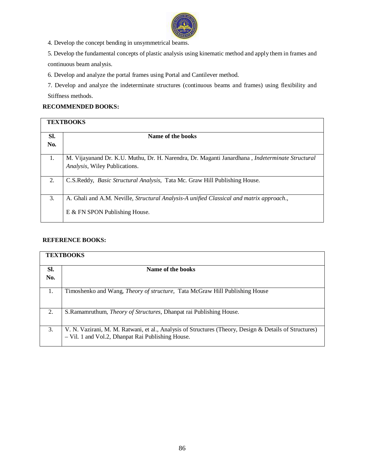

4. Develop the concept bending in unsymmetrical beams.

5. Develop the fundamental concepts of plastic analysis using kinematic method and apply them in frames and continuous beam analysis.

6. Develop and analyze the portal frames using Portal and Cantilever method.

7. Develop and analyze the indeterminate structures (continuous beams and frames) using flexibility and Stiffness methods.

## **RECOMMENDED BOOKS:**

|            | <b>TEXTBOOKS</b>                                                                                       |
|------------|--------------------------------------------------------------------------------------------------------|
| SI.<br>No. | Name of the books                                                                                      |
|            |                                                                                                        |
| -1.        | M. Vijayanand Dr. K.U. Muthu, Dr. H. Narendra, Dr. Maganti Janardhana, <i>Indeterminate Structural</i> |
|            | Analysis, Wiley Publications.                                                                          |
| 2.         | C.S.Reddy, Basic Structural Analysis, Tata Mc. Graw Hill Publishing House.                             |
| 3.         | A. Ghali and A.M. Neville, <i>Structural Analysis-A unified Classical and matrix approach.</i> ,       |
|            | E & FN SPON Publishing House.                                                                          |

## **REFERENCE BOOKS:**

|                  | <b>TEXTBOOKS</b>                                                                                                                                            |
|------------------|-------------------------------------------------------------------------------------------------------------------------------------------------------------|
| SI.              | Name of the books                                                                                                                                           |
| No.              |                                                                                                                                                             |
|                  | Timoshenko and Wang, <i>Theory of structure</i> , Tata McGraw Hill Publishing House                                                                         |
| $\overline{2}$ . | S. Ramamruthum, <i>Theory of Structures</i> , Dhanpat rai Publishing House.                                                                                 |
| 3.               | V. N. Vazirani, M. M. Ratwani, et al., Analysis of Structures (Theory, Design & Details of Structures)<br>- Vil. 1 and Vol.2, Dhanpat Rai Publishing House. |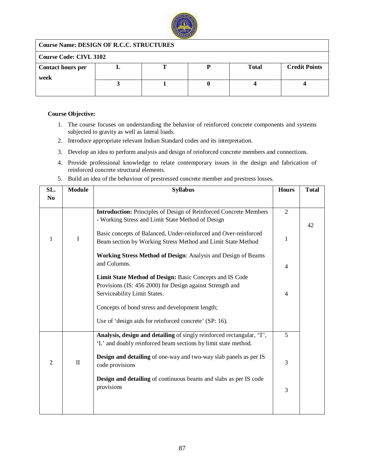

## **Course Name: DESIGN OF R.C.C. STRUCTURES**

| <b>Course Code: CIVL 3102</b> |  |  |  |              |                      |  |  |
|-------------------------------|--|--|--|--------------|----------------------|--|--|
| <b>Contact hours per</b>      |  |  |  | <b>Total</b> | <b>Credit Points</b> |  |  |
| week                          |  |  |  |              |                      |  |  |
|                               |  |  |  |              |                      |  |  |
|                               |  |  |  |              |                      |  |  |

#### **Course Objective:**

- 1. The course focuses on understanding the behavior of reinforced concrete components and systems subjected to gravity as well as lateral loads.
- 2. Introduce appropriate relevant Indian Standard codes and its interpretation.
- 3. Develop an idea to perform analysis and design of reinforced concrete members and connections.
- 4. Provide professional knowledge to relate contemporary issues in the design and fabrication of reinforced concrete structural elements.
- 5. Build an idea of the behaviour of prestressed concrete member and prestress losses.

| SL.            | <b>Module</b> | <b>Syllabus</b>                                                          | <b>Hours</b>   | <b>Total</b> |
|----------------|---------------|--------------------------------------------------------------------------|----------------|--------------|
| No             |               |                                                                          |                |              |
|                |               |                                                                          |                |              |
|                |               | <b>Introduction:</b> Principles of Design of Reinforced Concrete Members | $\overline{2}$ |              |
|                |               | - Working Stress and Limit State Method of Design                        |                | 42           |
|                |               | Basic concepts of Balanced, Under-reinforced and Over-reinforced         |                |              |
| 1              | $\mathbf I$   | Beam section by Working Stress Method and Limit State Method             | 1              |              |
|                |               |                                                                          |                |              |
|                |               | Working Stress Method of Design: Analysis and Design of Beams            |                |              |
|                |               | and Columns.                                                             | 4              |              |
|                |               |                                                                          |                |              |
|                |               | Limit State Method of Design: Basic Concepts and IS Code                 |                |              |
|                |               | Provisions (IS: 456 2000) for Design against Strength and                |                |              |
|                |               | Serviceability Limit States.                                             | 4              |              |
|                |               | Concepts of bond stress and development length;                          |                |              |
|                |               |                                                                          |                |              |
|                |               | Use of 'design aids for reinforced concrete' (SP: 16).                   |                |              |
|                |               |                                                                          |                |              |
|                |               | Analysis, design and detailing of singly reinforced rectangular, 'T',    | $\overline{5}$ |              |
|                |               | 'L' and doubly reinforced beam sections by limit state method.           |                |              |
|                |               |                                                                          |                |              |
| $\overline{2}$ | $\mathbf{I}$  | <b>Design and detailing</b> of one-way and two-way slab panels as per IS | 3              |              |
|                |               | code provisions                                                          |                |              |
|                |               | <b>Design and detailing</b> of continuous beams and slabs as per IS code |                |              |
|                |               | provisions                                                               |                |              |
|                |               |                                                                          | 3              |              |
|                |               |                                                                          |                |              |
|                |               |                                                                          |                |              |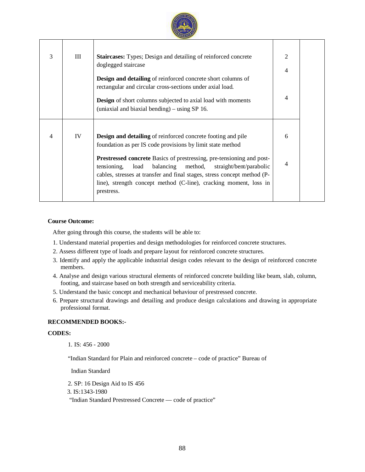

| 3              | Ш  | <b>Staircases:</b> Types; Design and detailing of reinforced concrete<br>doglegged staircase<br><b>Design and detailing</b> of reinforced concrete short columns of<br>rectangular and circular cross-sections under axial load.<br><b>Design</b> of short columns subjected to axial load with moments<br>(uniaxial and biaxial bending) – using SP 16.                                                                                                | $\mathfrak{2}$<br>4<br>4 |  |
|----------------|----|---------------------------------------------------------------------------------------------------------------------------------------------------------------------------------------------------------------------------------------------------------------------------------------------------------------------------------------------------------------------------------------------------------------------------------------------------------|--------------------------|--|
| $\overline{4}$ | IV | <b>Design and detailing</b> of reinforced concrete footing and pile<br>foundation as per IS code provisions by limit state method<br><b>Prestressed concrete</b> Basics of prestressing, pre-tensioning and post-<br>balancing method,<br>straight/bent/parabolic<br>tensioning,<br>load<br>cables, stresses at transfer and final stages, stress concept method (P-<br>line), strength concept method (C-line), cracking moment, loss in<br>prestress. | 6<br>4                   |  |

#### **Course Outcome:**

After going through this course, the students will be able to:

- 1. Understand material properties and design methodologies for reinforced concrete structures.
- 2. Assess different type of loads and prepare layout for reinforced concrete structures.
- 3. Identify and apply the applicable industrial design codes relevant to the design of reinforced concrete members.
- 4. Analyse and design various structural elements of reinforced concrete building like beam, slab, column, footing, and staircase based on both strength and serviceability criteria.
- 5. Understand the basic concept and mechanical behaviour of prestressed concrete.
- 6. Prepare structural drawings and detailing and produce design calculations and drawing in appropriate professional format.

#### **RECOMMENDED BOOKS:-**

#### **CODES:**

1. IS: 456 - 2000

"Indian Standard for Plain and reinforced concrete – code of practice" Bureau of

Indian Standard

2. SP: 16 Design Aid to IS 456

3. IS:1343-1980

"Indian Standard Prestressed Concrete — code of practice"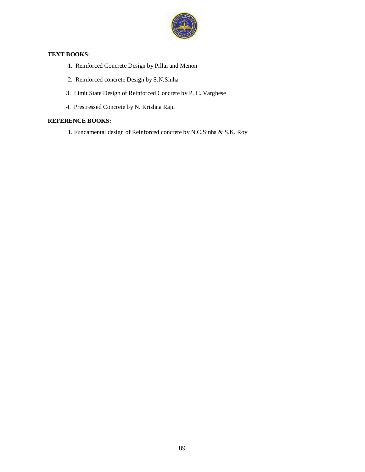

#### **TEXT BOOKS:**

- 1. Reinforced Concrete Design by Pillai and Menon
- 2. Reinforced concrete Design by S.N.Sinha
- 3. Limit State Design of Reinforced Concrete by P. C. Varghese
- 4. Prestressed Concrete by N. Krishna Raju

## **REFERENCE BOOKS:**

1. Fundamental design of Reinforced concrete by N.C.Sinha & S.K. Roy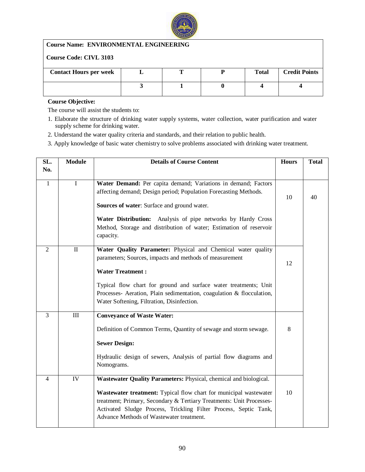

## **Course Name: ENVIRONMENTAL ENGINEERING**

## **Course Code: CIVL 3103**

| <b>Contact Hours per week</b> |  | <b>Total</b> | <b>Credit Points</b> |
|-------------------------------|--|--------------|----------------------|
|                               |  |              |                      |

## **Course Objective:**

The course will assist the students to:

- 1. Elaborate the structure of drinking water supply systems, water collection, water purification and water supply scheme for drinking water.
- 2. Understand the water quality criteria and standards, and their relation to public health.
- 3. Apply knowledge of basic water chemistry to solve problems associated with drinking water treatment.

| SL.                      | <b>Module</b>   | <b>Details of Course Content</b>                                                                                                                                                                                                                                                                                                              | <b>Hours</b> | <b>Total</b> |
|--------------------------|-----------------|-----------------------------------------------------------------------------------------------------------------------------------------------------------------------------------------------------------------------------------------------------------------------------------------------------------------------------------------------|--------------|--------------|
| No.                      |                 |                                                                                                                                                                                                                                                                                                                                               |              |              |
| $\mathbf{1}$             | $\mathbf I$     | Water Demand: Per capita demand; Variations in demand; Factors<br>affecting demand; Design period; Population Forecasting Methods.<br>Sources of water: Surface and ground water.<br>Water Distribution: Analysis of pipe networks by Hardy Cross<br>Method, Storage and distribution of water; Estimation of reservoir<br>capacity.          | 10           | 40           |
| $\overline{2}$           | $\mathbf{I}$    | Water Quality Parameter: Physical and Chemical water quality<br>parameters; Sources, impacts and methods of measurement<br><b>Water Treatment:</b><br>Typical flow chart for ground and surface water treatments; Unit<br>Processes- Aeration, Plain sedimentation, coagulation & flocculation,<br>Water Softening, Filtration, Disinfection. | 12           |              |
| $\overline{3}$           | $\rm III$       | <b>Conveyance of Waste Water:</b><br>Definition of Common Terms, Quantity of sewage and storm sewage.<br><b>Sewer Design:</b><br>Hydraulic design of sewers, Analysis of partial flow diagrams and<br>Nomograms.                                                                                                                              | 8            |              |
| $\overline{\mathcal{A}}$ | $\overline{IV}$ | Wastewater Quality Parameters: Physical, chemical and biological.<br>Wastewater treatment: Typical flow chart for municipal wastewater<br>treatment; Primary, Secondary & Tertiary Treatments: Unit Processes-<br>Activated Sludge Process, Trickling Filter Process, Septic Tank,<br>Advance Methods of Wastewater treatment.                | 10           |              |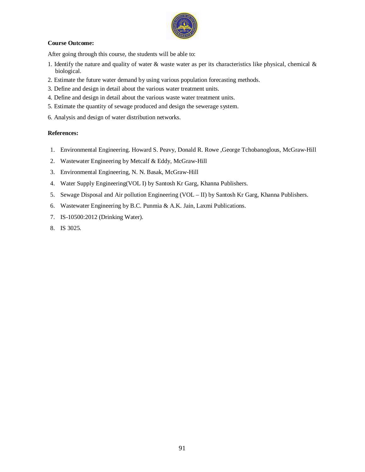

#### **Course Outcome:**

After going through this course, the students will be able to:

- 1. Identify the nature and quality of water  $\&$  waste water as per its characteristics like physical, chemical  $\&$ biological.
- 2. Estimate the future water demand by using various population forecasting methods.
- 3. Define and design in detail about the various water treatment units.
- 4. Define and design in detail about the various waste water treatment units.
- 5. Estimate the quantity of sewage produced and design the sewerage system.
- 6. Analysis and design of water distribution networks.

#### **References:**

- 1. Environmental Engineering. Howard S. Peavy, Donald R. Rowe ,George Tchobanoglous, McGraw-Hill
- 2. Wastewater Engineering by Metcalf & Eddy, McGraw-Hill
- 3. Environmental Engineering, N. N. Basak, McGraw-Hill
- 4. Water Supply Engineering(VOL I) by Santosh Kr Garg, Khanna Publishers.
- 5. Sewage Disposal and Air pollution Engineering (VOL II) by Santosh Kr Garg, Khanna Publishers.
- 6. Wastewater Engineering by B.C. Punmia & A.K. Jain, Laxmi Publications.
- 7. IS-10500:2012 (Drinking Water).
- 8. IS 3025.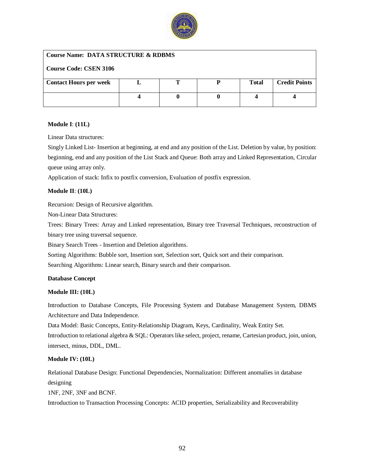

#### **Course Name: DATA STRUCTURE & RDBMS**

| <b>Course Code: CSEN 3106</b> |  |              |                      |
|-------------------------------|--|--------------|----------------------|
| <b>Contact Hours per week</b> |  | <b>Total</b> | <b>Credit Points</b> |
|                               |  |              |                      |
|                               |  |              |                      |

#### **Module I**: **(11L)**

Linear Data structures:

Singly Linked List- Insertion at beginning, at end and any position of the List. Deletion by value, by position: beginning, end and any position of the List Stack and Queue: Both array and Linked Representation, Circular queue using array only.

Application of stack: Infix to postfix conversion, Evaluation of postfix expression.

#### **Module II**: **(10L)**

Recursion: Design of Recursive algorithm.

Non-Linear Data Structures:

Trees: Binary Trees: Array and Linked representation, Binary tree Traversal Techniques, reconstruction of binary tree using traversal sequence.

Binary Search Trees - Insertion and Deletion algorithms.

Sorting Algorithms: Bubble sort, Insertion sort, Selection sort, Quick sort and their comparison.

Searching Algorithms: Linear search, Binary search and their comparison.

#### **Database Concept**

#### **Module III: (10L)**

Introduction to Database Concepts, File Processing System and Database Management System, DBMS Architecture and Data Independence.

Data Model: Basic Concepts, Entity-Relationship Diagram, Keys, Cardinality, Weak Entity Set. Introduction to relational algebra & SQL: Operators like select, project, rename, Cartesian product, join, union, intersect, minus, DDL, DML.

#### **Module IV: (10L)**

Relational Database Design: Functional Dependencies, Normalization: Different anomalies in database designing

1NF, 2NF, 3NF and BCNF.

Introduction to Transaction Processing Concepts: ACID properties, Serializability and Recoverability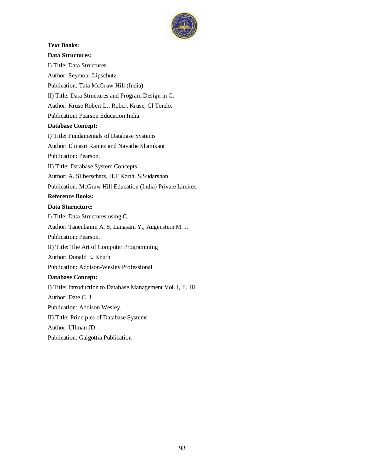

# **Text Books: Data Structures:** I) Title: Data Structures. Author: Seymour Lipschutz. Publication: Tata McGraw-Hill (India) II) Title: Data Structures and Program Design in C. Author: Kruse Robert L., Robert Kruse, Cl Tondo. Publication: Pearson Education India. **Database Concept:** I) Title: Fundamentals of Database Systems Author: Elmasri Ramez and Navathe Shamkant Publication: Pearson. II) Title: Database System Concepts Author: A. Silberschatz, H.F Korth, S.Sudarshan Publication: McGraw Hill Education (India) Private Limited **Reference Books: Data Sturucture:** I) Title: Data Structures using C. Author: Tanenbaum A. S, Langsam Y., Augenstein M. J. Publication: Pearson. II) Title: The Art of Computer Programming Author: Donald E. Knuth

Publication: Addison-Wesley Professional

II) Title: Principles of Database Systems

I) Title: Introduction to Database Management Vol. I, II, III,

**Database Concept:**

Author: Date C. J.

Author: Ullman JD.

Publication: Addison Wesley.

Publication: Galgottia Publication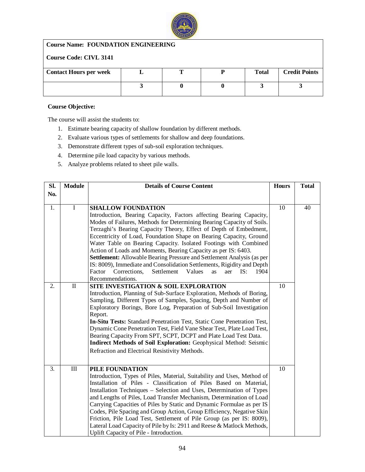

## **Course Name: FOUNDATION ENGINEERING**

## **Course Code: CIVL 3141**

| <b>Contact Hours per week</b> |  | <b>Total</b> | <b>Credit Points</b> |
|-------------------------------|--|--------------|----------------------|
|                               |  |              |                      |
|                               |  |              |                      |
|                               |  |              |                      |

#### **Course Objective:**

The course will assist the students to:

- 1. Estimate bearing capacity of shallow foundation by different methods.
- 2. Evaluate various types of settlements for shallow and deep foundations.
- 3. Demonstrate different types of sub-soil exploration techniques.
- 4. Determine pile load capacity by various methods.
- 5. Analyze problems related to sheet pile walls.

| Sl. | <b>Module</b> | <b>Details of Course Content</b>                                                                                                                 | <b>Hours</b> | <b>Total</b> |
|-----|---------------|--------------------------------------------------------------------------------------------------------------------------------------------------|--------------|--------------|
| No. |               |                                                                                                                                                  |              |              |
|     |               |                                                                                                                                                  |              |              |
| 1.  | $\mathbf I$   | <b>SHALLOW FOUNDATION</b>                                                                                                                        | 10           | 40           |
|     |               | Introduction, Bearing Capacity, Factors affecting Bearing Capacity,                                                                              |              |              |
|     |               | Modes of Failures, Methods for Determining Bearing Capacity of Soils.                                                                            |              |              |
|     |               | Terzaghi's Bearing Capacity Theory, Effect of Depth of Embedment,                                                                                |              |              |
|     |               | Eccentricity of Load, Foundation Shape on Bearing Capacity, Ground                                                                               |              |              |
|     |               | Water Table on Bearing Capacity. Isolated Footings with Combined                                                                                 |              |              |
|     |               | Action of Loads and Moments, Bearing Capacity as per IS: 6403.                                                                                   |              |              |
|     |               | Settlement: Allowable Bearing Pressure and Settlement Analysis (as per<br>IS: 8009), Immediate and Consolidation Settlements, Rigidity and Depth |              |              |
|     |               | Corrections,<br>Settlement<br>Values<br>Factor<br>IS:<br>1904<br>aer<br><b>as</b>                                                                |              |              |
|     |               | Recommendations.                                                                                                                                 |              |              |
| 2.  | $\rm II$      | SITE INVESTIGATION & SOIL EXPLORATION                                                                                                            | 10           |              |
|     |               | Introduction, Planning of Sub-Surface Exploration, Methods of Boring,                                                                            |              |              |
|     |               | Sampling, Different Types of Samples, Spacing, Depth and Number of                                                                               |              |              |
|     |               | Exploratory Borings, Bore Log, Preparation of Sub-Soil Investigation                                                                             |              |              |
|     |               | Report.                                                                                                                                          |              |              |
|     |               | In-Situ Tests: Standard Penetration Test, Static Cone Penetration Test,                                                                          |              |              |
|     |               | Dynamic Cone Penetration Test, Field Vane Shear Test, Plate Load Test,                                                                           |              |              |
|     |               | Bearing Capacity From SPT, SCPT, DCPT and Plate Load Test Data.                                                                                  |              |              |
|     |               | Indirect Methods of Soil Exploration: Geophysical Method: Seismic                                                                                |              |              |
|     |               | Refraction and Electrical Resistivity Methods.                                                                                                   |              |              |
|     |               |                                                                                                                                                  |              |              |
| 3.  | $\rm III$     | PILE FOUNDATION                                                                                                                                  | 10           |              |
|     |               | Introduction, Types of Piles, Material, Suitability and Uses, Method of                                                                          |              |              |
|     |               | Installation of Piles - Classification of Piles Based on Material,                                                                               |              |              |
|     |               | Installation Techniques - Selection and Uses, Determination of Types                                                                             |              |              |
|     |               | and Lengths of Piles, Load Transfer Mechanism, Determination of Load                                                                             |              |              |
|     |               | Carrying Capacities of Piles by Static and Dynamic Formulae as per IS                                                                            |              |              |
|     |               | Codes, Pile Spacing and Group Action, Group Efficiency, Negative Skin                                                                            |              |              |
|     |               | Friction, Pile Load Test, Settlement of Pile Group (as per IS: 8009),                                                                            |              |              |
|     |               | Lateral Load Capacity of Pile by Is: 2911 and Reese & Matlock Methods,<br>Uplift Capacity of Pile - Introduction.                                |              |              |
|     |               |                                                                                                                                                  |              |              |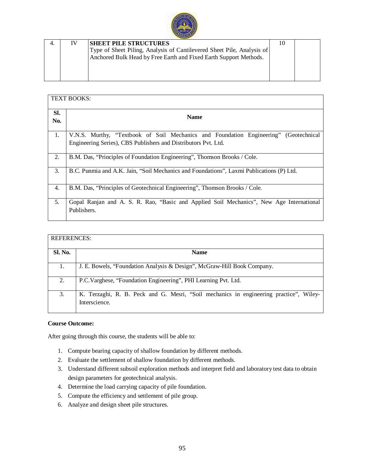

| IV | <b>SHEET PILE STRUCTURES</b>                                           | 10 |  |
|----|------------------------------------------------------------------------|----|--|
|    | Type of Sheet Piling, Analysis of Cantilevered Sheet Pile, Analysis of |    |  |
|    | Anchored Bulk Head by Free Earth and Fixed Earth Support Methods.      |    |  |
|    |                                                                        |    |  |
|    |                                                                        |    |  |
|    |                                                                        |    |  |

|            | <b>TEXT BOOKS:</b>                                                                                                                                     |
|------------|--------------------------------------------------------------------------------------------------------------------------------------------------------|
| Sl.<br>No. | <b>Name</b>                                                                                                                                            |
| 1.         | V.N.S. Murthy, "Textbook of Soil Mechanics and Foundation Engineering" (Geotechnical<br>Engineering Series), CBS Publishers and Distributors Pvt. Ltd. |
| 2.         | B.M. Das, "Principles of Foundation Engineering", Thomson Brooks / Cole.                                                                               |
| 3.         | B.C. Punmia and A.K. Jain, "Soil Mechanics and Foundations", Laxmi Publications (P) Ltd.                                                               |
| 4.         | B.M. Das, "Principles of Geotechnical Engineering", Thomson Brooks / Cole.                                                                             |
| 5.         | Gopal Ranjan and A. S. R. Rao, "Basic and Applied Soil Mechanics", New Age International<br>Publishers.                                                |

| <b>REFERENCES:</b> |                                                                                                         |
|--------------------|---------------------------------------------------------------------------------------------------------|
| Sl. No.            | <b>Name</b>                                                                                             |
|                    | J. E. Bowels, "Foundation Analysis & Design", McGraw-Hill Book Company.                                 |
| 2.                 | P.C. Varghese, "Foundation Engineering", PHI Learning Pvt. Ltd.                                         |
| 3.                 | K. Terzaghi, R. B. Peck and G. Mesri, "Soil mechanics in engineering practice", Wiley-<br>Interscience. |

#### **Course Outcome:**

- 1. Compute bearing capacity of shallow foundation by different methods.
- 2. Evaluate the settlement of shallow foundation by different methods.
- 3. Understand different subsoil exploration methods and interpret field and laboratory test data to obtain design parameters for geotechnical analysis.
- 4. Determine the load carrying capacity of pile foundation.
- 5. Compute the efficiency and settlement of pile group.
- 6. Analyze and design sheet pile structures.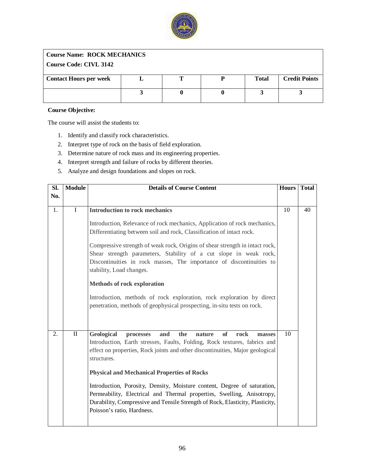

## **Course Name: ROCK MECHANICS**

## **Course Code: CIVL 3142**

| <b>Contact Hours per week</b> |  | <b>Total</b> | <b>Credit Points</b> |
|-------------------------------|--|--------------|----------------------|
|                               |  |              |                      |
|                               |  |              |                      |
|                               |  |              |                      |
|                               |  |              |                      |
|                               |  |              |                      |

#### **Course Objective:**

The course will assist the students to:

- 1. Identify and classify rock characteristics.
- 2. Interpret type of rock on the basis of field exploration.
- 3. Determine nature of rock mass and its engineering properties.
- 4. Interpret strength and failure of rocks by different theories.
- 5. Analyze and design foundations and slopes on rock.

| SI. | <b>Module</b> | <b>Details of Course Content</b>                                                                                                                                                                                                                                                                                                                                                                                                                                                                                                                                                                      | <b>Hours</b> | <b>Total</b> |
|-----|---------------|-------------------------------------------------------------------------------------------------------------------------------------------------------------------------------------------------------------------------------------------------------------------------------------------------------------------------------------------------------------------------------------------------------------------------------------------------------------------------------------------------------------------------------------------------------------------------------------------------------|--------------|--------------|
| No. |               |                                                                                                                                                                                                                                                                                                                                                                                                                                                                                                                                                                                                       |              |              |
|     |               |                                                                                                                                                                                                                                                                                                                                                                                                                                                                                                                                                                                                       |              |              |
| 1.  | $\mathbf I$   | <b>Introduction to rock mechanics</b>                                                                                                                                                                                                                                                                                                                                                                                                                                                                                                                                                                 | 10           | 40           |
|     |               | Introduction, Relevance of rock mechanics, Application of rock mechanics,<br>Differentiating between soil and rock, Classification of intact rock.<br>Compressive strength of weak rock, Origins of shear strength in intact rock,<br>Shear strength parameters, Stability of a cut slope in weak rock,<br>Discontinuities in rock masses, The importance of discontinuities to<br>stability, Load changes.<br><b>Methods of rock exploration</b><br>Introduction, methods of rock exploration, rock exploration by direct<br>penetration, methods of geophysical prospecting, in-situ tests on rock. |              |              |
| 2.  | $\rm II$      | <b>Geological</b><br>the<br><b>of</b><br>and<br>rock<br>processes<br>nature<br>masses<br>Introduction, Earth stresses, Faults, Folding, Rock textures, fabrics and<br>effect on properties, Rock joints and other discontinuities, Major geological<br>structures.<br><b>Physical and Mechanical Properties of Rocks</b><br>Introduction, Porosity, Density, Moisture content, Degree of saturation,<br>Permeability, Electrical and Thermal properties, Swelling, Anisotropy,<br>Durability, Compressive and Tensile Strength of Rock, Elasticity, Plasticity,<br>Poisson's ratio, Hardness.         | 10           |              |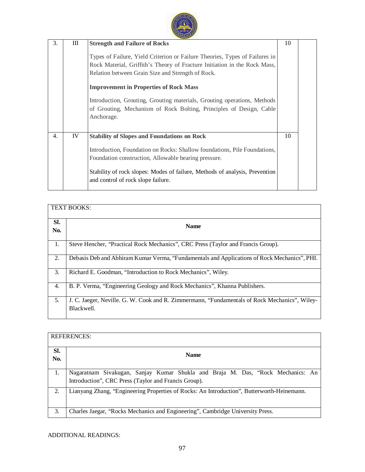| 3. | Ш  | <b>Strength and Failure of Rocks</b><br>Types of Failure, Yield Criterion or Failure Theories, Types of Failures in<br>Rock Material, Griffith's Theory of Fracture Initiation in the Rock Mass,<br>Relation between Grain Size and Strength of Rock.<br><b>Improvement in Properties of Rock Mass</b><br>Introduction, Grouting, Grouting materials, Grouting operations, Methods<br>of Grouting, Mechanism of Rock Bolting, Principles of Design, Cable<br>Anchorage. | 10 |  |
|----|----|-------------------------------------------------------------------------------------------------------------------------------------------------------------------------------------------------------------------------------------------------------------------------------------------------------------------------------------------------------------------------------------------------------------------------------------------------------------------------|----|--|
| 4. | IV | <b>Stability of Slopes and Foundations on Rock</b><br>Introduction, Foundation on Rocks: Shallow foundations, Pile Foundations,<br>Foundation construction, Allowable bearing pressure.<br>Stability of rock slopes: Modes of failure, Methods of analysis, Prevention<br>and control of rock slope failure.                                                                                                                                                            | 10 |  |

|            | <b>TEXT BOOKS:</b>                                                                                          |
|------------|-------------------------------------------------------------------------------------------------------------|
| Sl.<br>No. | <b>Name</b>                                                                                                 |
| 1.         | Steve Hencher, "Practical Rock Mechanics", CRC Press (Taylor and Francis Group).                            |
| 2.         | Debasis Deb and Abhiram Kumar Verma, "Fundamentals and Applications of Rock Mechanics", PHI.                |
| 3.         | Richard E. Goodman, "Introduction to Rock Mechanics", Wiley.                                                |
| 4.         | B. P. Verma, "Engineering Geology and Rock Mechanics", Khanna Publishers.                                   |
| 5.         | J. C. Jaeger, Neville. G. W. Cook and R. Zimmermann, "Fundamentals of Rock Mechanics", Wiley-<br>Blackwell. |

|            | <b>REFERENCES:</b>                                                                                                                      |
|------------|-----------------------------------------------------------------------------------------------------------------------------------------|
| Sl.<br>No. | <b>Name</b>                                                                                                                             |
| 1.         | Nagaratnam Sivakugan, Sanjay Kumar Shukla and Braja M. Das, "Rock Mechanics: An<br>Introduction", CRC Press (Taylor and Francis Group). |
| 2.         | Lianyang Zhang, "Engineering Properties of Rocks: An Introduction", Butterworth-Heinemann.                                              |
| 3.         | Charles Jaegar, "Rocks Mechanics and Engineering", Cambridge University Press.                                                          |

ADDITIONAL READINGS: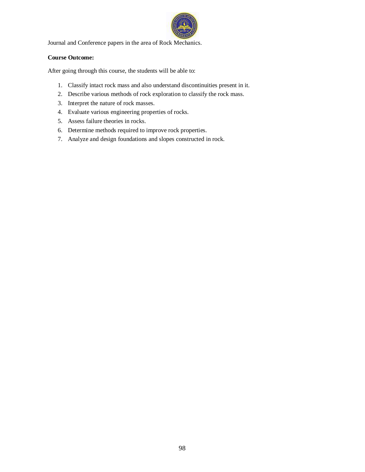

Journal and Conference papers in the area of Rock Mechanics.

#### **Course Outcome:**

- 1. Classify intact rock mass and also understand discontinuities present in it.
- 2. Describe various methods of rock exploration to classify the rock mass.
- 3. Interpret the nature of rock masses.
- 4. Evaluate various engineering properties of rocks.
- 5. Assess failure theories in rocks.
- 6. Determine methods required to improve rock properties.
- 7. Analyze and design foundations and slopes constructed in rock.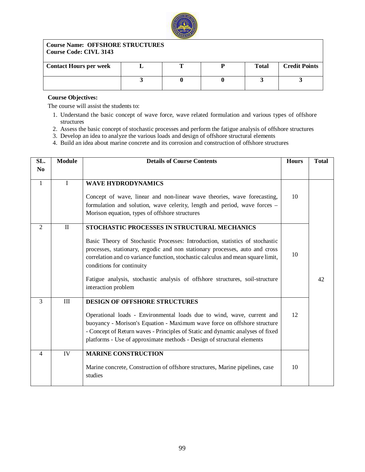

#### **Course Name: OFFSHORE STRUCTURES Course Code: CIVL 3143**

| <b>Contact Hours per week</b> |  | <b>Total</b> | <b>Credit Points</b> |
|-------------------------------|--|--------------|----------------------|
|                               |  |              |                      |
|                               |  |              |                      |
|                               |  |              |                      |

#### **Course Objectives:**

The course will assist the students to:

- 1. Understand the basic concept of wave force, wave related formulation and various types of offshore structures
- 2. Assess the basic concept of stochastic processes and perform the fatigue analysis of offshore structures
- 3. Develop an idea to analyze the various loads and design of offshore structural elements
- 4. Build an idea about marine concrete and its corrosion and construction of offshore structures

| SL.            | <b>Module</b> | <b>Details of Course Contents</b>                                                                                                                                                                                                                                                                                                                                                                                                   | <b>Hours</b> | <b>Total</b> |
|----------------|---------------|-------------------------------------------------------------------------------------------------------------------------------------------------------------------------------------------------------------------------------------------------------------------------------------------------------------------------------------------------------------------------------------------------------------------------------------|--------------|--------------|
| N <sub>0</sub> |               |                                                                                                                                                                                                                                                                                                                                                                                                                                     |              |              |
| $\mathbf{1}$   | $\mathbf{I}$  | <b>WAVE HYDRODYNAMICS</b><br>Concept of wave, linear and non-linear wave theories, wave forecasting,<br>formulation and solution, wave celerity, length and period, wave forces -<br>Morison equation, types of offshore structures                                                                                                                                                                                                 | 10           |              |
| 2              | $\mathbf{I}$  | STOCHASTIC PROCESSES IN STRUCTURAL MECHANICS<br>Basic Theory of Stochastic Processes: Introduction, statistics of stochastic<br>processes, stationary, ergodic and non stationary processes, auto and cross<br>correlation and co variance function, stochastic calculus and mean square limit,<br>conditions for continuity<br>Fatigue analysis, stochastic analysis of offshore structures, soil-structure<br>interaction problem | 10           | 42           |
| 3              | III           | <b>DESIGN OF OFFSHORE STRUCTURES</b><br>Operational loads - Environmental loads due to wind, wave, current and<br>buoyancy - Morison's Equation - Maximum wave force on offshore structure<br>- Concept of Return waves - Principles of Static and dynamic analyses of fixed<br>platforms - Use of approximate methods - Design of structural elements                                                                              | 12           |              |
| 4              | IV            | <b>MARINE CONSTRUCTION</b><br>Marine concrete, Construction of offshore structures, Marine pipelines, case<br>studies                                                                                                                                                                                                                                                                                                               | 10           |              |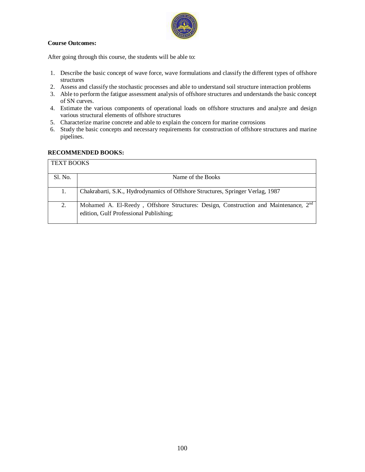

#### **Course Outcomes:**

After going through this course, the students will be able to:

- 1. Describe the basic concept of wave force, wave formulations and classify the different types of offshore structures
- 2. Assess and classify the stochastic processes and able to understand soil structure interaction problems
- 3. Able to perform the fatigue assessment analysis of offshore structures and understands the basic concept of SN curves.
- 4. Estimate the various components of operational loads on offshore structures and analyze and design various structural elements of offshore structures
- 5. Characterize marine concrete and able to explain the concern for marine corrosions
- 6. Study the basic concepts and necessary requirements for construction of offshore structures and marine pipelines.

#### **RECOMMENDED BOOKS:**

| <b>TEXT BOOKS</b> |                                                                                                                                           |
|-------------------|-------------------------------------------------------------------------------------------------------------------------------------------|
| Sl. No.           | Name of the Books                                                                                                                         |
| 1.                | Chakrabarti, S.K., Hydrodynamics of Offshore Structures, Springer Verlag, 1987                                                            |
| 2.                | Mohamed A. El-Reedy, Offshore Structures: Design, Construction and Maintenance, 2 <sup>nd</sup><br>edition, Gulf Professional Publishing; |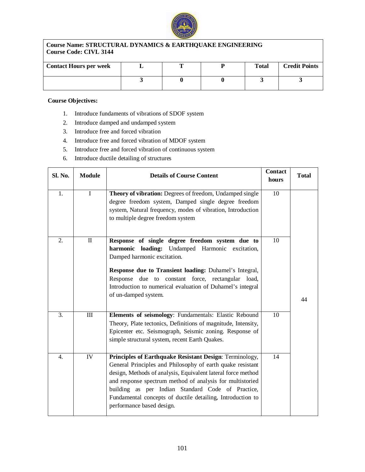

#### **Course Name: STRUCTURAL DYNAMICS & EARTHQUAKE ENGINEERING Course Code: CIVL 3144**

| <b>Contact Hours per week</b> | m | <b>Total</b> | <b>Credit Points</b> |
|-------------------------------|---|--------------|----------------------|
|                               |   |              |                      |

#### **Course Objectives:**

- 1. Introduce fundaments of vibrations of SDOF system
- 2. Introduce damped and undamped system
- 3. Introduce free and forced vibration
- 4. Introduce free and forced vibration of MDOF system
- 5. Introduce free and forced vibration of continuous system
- 6. Introduce ductile detailing of structures

| Sl. No.          | <b>Module</b> | <b>Details of Course Content</b>                                                                                                                                                                                                                                                                                                                                                                   | <b>Contact</b><br>hours | <b>Total</b> |
|------------------|---------------|----------------------------------------------------------------------------------------------------------------------------------------------------------------------------------------------------------------------------------------------------------------------------------------------------------------------------------------------------------------------------------------------------|-------------------------|--------------|
| 1.               | $\rm I$       | Theory of vibration: Degrees of freedom, Undamped single<br>degree freedom system, Damped single degree freedom<br>system, Natural frequency, modes of vibration, Introduction<br>to multiple degree freedom system                                                                                                                                                                                | 10                      |              |
| 2.               | $\rm II$      | Response of single degree freedom system due to<br>harmonic loading: Undamped Harmonic excitation,<br>Damped harmonic excitation.<br>Response due to Transient loading: Duhamel's Integral,<br>Response due to constant force, rectangular load,<br>Introduction to numerical evaluation of Duhamel's integral<br>of un-damped system.                                                             | 10                      | 44           |
| $\overline{3}$ . | III           | Elements of seismology: Fundamentals: Elastic Rebound<br>Theory, Plate tectonics, Definitions of magnitude, Intensity,<br>Epicenter etc. Seismograph, Seismic zoning. Response of<br>simple structural system, recent Earth Quakes.                                                                                                                                                                | 10                      |              |
| 4.               | IV            | Principles of Earthquake Resistant Design: Terminology,<br>General Principles and Philosophy of earth quake resistant<br>design, Methods of analysis, Equivalent lateral force method<br>and response spectrum method of analysis for multistoried<br>building as per Indian Standard Code of Practice,<br>Fundamental concepts of ductile detailing, Introduction to<br>performance based design. | 14                      |              |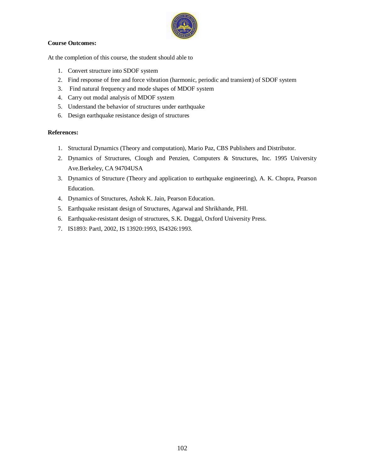

#### **Course Outcomes:**

At the completion of this course, the student should able to

- 1. Convert structure into SDOF system
- 2. Find response of free and force vibration (harmonic, periodic and transient) of SDOF system
- 3. Find natural frequency and mode shapes of MDOF system
- 4. Carry out modal analysis of MDOF system
- 5. Understand the behavior of structures under earthquake
- 6. Design earthquake resistance design of structures

#### **References:**

- 1. Structural Dynamics (Theory and computation), Mario Paz, CBS Publishers and Distributor.
- 2. Dynamics of Structures, Clough and Penzien, Computers & Structures, Inc. 1995 University Ave.Berkeley, CA 94704USA
- 3. Dynamics of Structure (Theory and application to earthquake engineering), A. K. Chopra, Pearson Education.
- 4. Dynamics of Structures, Ashok K. Jain, Pearson Education.
- 5. Earthquake resistant design of Structures, Agarwal and Shrikhande, PHI.
- 6. Earthquake-resistant design of structures, S.K. Duggal, Oxford University Press.
- 7. IS1893: PartI, 2002, IS 13920:1993, IS4326:1993.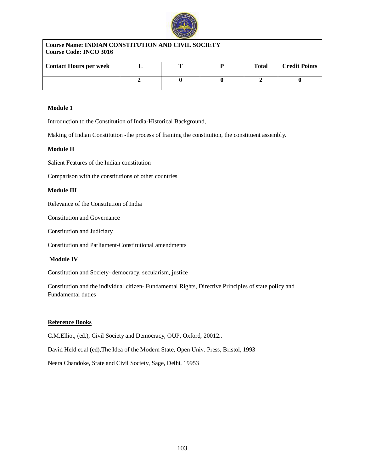

| <b>Course Name: INDIAN CONSTITUTION AND CIVIL SOCIETY</b><br>Course Code: INCO 3016 |  |  |  |       |                      |  |
|-------------------------------------------------------------------------------------|--|--|--|-------|----------------------|--|
| <b>Contact Hours per week</b>                                                       |  |  |  | Total | <b>Credit Points</b> |  |
|                                                                                     |  |  |  |       |                      |  |

#### **Module 1**

Introduction to the Constitution of India-Historical Background,

Making of Indian Constitution -the process of framing the constitution, the constituent assembly.

#### **Module II**

Salient Features of the Indian constitution

Comparison with the constitutions of other countries

#### **Module III**

Relevance of the Constitution of India

Constitution and Governance

Constitution and Judiciary

Constitution and Parliament-Constitutional amendments

#### **Module IV**

Constitution and Society- democracy, secularism, justice

Constitution and the individual citizen- Fundamental Rights, Directive Principles of state policy and Fundamental duties

#### **Reference Books**

C.M.Elliot, (ed.), Civil Society and Democracy, OUP, Oxford, 20012..

David Held et.al (ed),The Idea of the Modern State, Open Univ. Press, Bristol, 1993

Neera Chandoke, State and Civil Society, Sage, Delhi, 19953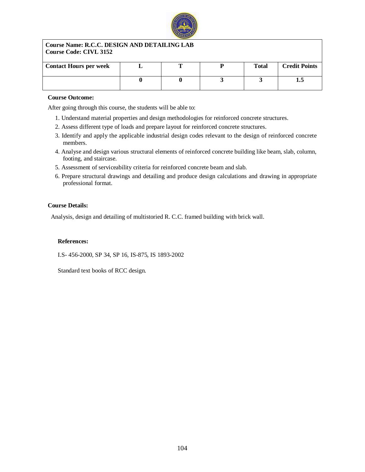

#### **Course Name: R.C.C. DESIGN AND DETAILING LAB Course Code: CIVL 3152**

| <b>Contact Hours per week</b> |  | <b>Total</b> | <b>Credit Points</b> |
|-------------------------------|--|--------------|----------------------|
|                               |  |              | ⊥∙⊷                  |

#### **Course Outcome:**

After going through this course, the students will be able to:

- 1. Understand material properties and design methodologies for reinforced concrete structures.
- 2. Assess different type of loads and prepare layout for reinforced concrete structures.
- 3. Identify and apply the applicable industrial design codes relevant to the design of reinforced concrete members.
- 4. Analyse and design various structural elements of reinforced concrete building like beam, slab, column, footing, and staircase.
- 5. Assessment of serviceability criteria for reinforced concrete beam and slab.
- 6. Prepare structural drawings and detailing and produce design calculations and drawing in appropriate professional format.

#### **Course Details:**

Analysis, design and detailing of multistoried R. C.C. framed building with brick wall.

#### **References:**

I.S- 456-2000, SP 34, SP 16, IS-875, IS 1893-2002

Standard text books of RCC design.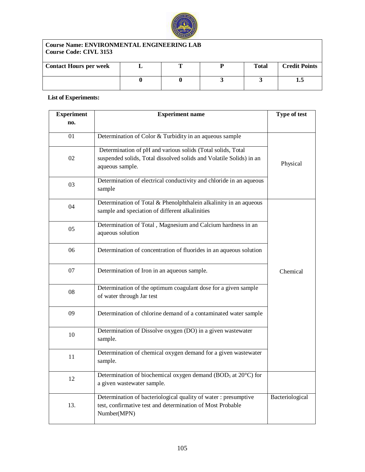

## **Course Name: ENVIRONMENTAL ENGINEERING LAB Course Code: CIVL 3153**

| <b>Contact Hours per week</b> |  | <b>Total</b> | <b>Credit Points</b> |
|-------------------------------|--|--------------|----------------------|
|                               |  |              | ⊥.J                  |

## **List of Experiments:**

| <b>Experiment</b> | <b>Experiment name</b>                                                                                                                                | Type of test    |
|-------------------|-------------------------------------------------------------------------------------------------------------------------------------------------------|-----------------|
| no.               |                                                                                                                                                       |                 |
| 01                | Determination of Color & Turbidity in an aqueous sample                                                                                               |                 |
| 02                | Determination of pH and various solids (Total solids, Total<br>suspended solids, Total dissolved solids and Volatile Solids) in an<br>aqueous sample. | Physical        |
| 03                | Determination of electrical conductivity and chloride in an aqueous<br>sample                                                                         |                 |
| 04                | Determination of Total & Phenolphthalein alkalinity in an aqueous<br>sample and speciation of different alkalinities                                  |                 |
| 05                | Determination of Total, Magnesium and Calcium hardness in an<br>aqueous solution                                                                      |                 |
| 06                | Determination of concentration of fluorides in an aqueous solution                                                                                    |                 |
| 07                | Determination of Iron in an aqueous sample.                                                                                                           | Chemical        |
| 08                | Determination of the optimum coagulant dose for a given sample<br>of water through Jar test                                                           |                 |
| 09                | Determination of chlorine demand of a contaminated water sample                                                                                       |                 |
| 10                | Determination of Dissolve oxygen (DO) in a given wastewater<br>sample.                                                                                |                 |
| 11                | Determination of chemical oxygen demand for a given wastewater<br>sample.                                                                             |                 |
| 12                | Determination of biochemical oxygen demand (BOD <sub>5</sub> at $20^{\circ}$ C) for<br>a given wastewater sample.                                     |                 |
| 13.               | Determination of bacteriological quality of water: presumptive<br>test, confirmative test and determination of Most Probable<br>Number(MPN)           | Bacteriological |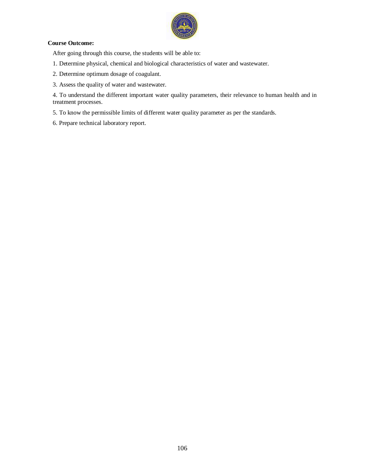

#### **Course Outcome:**

After going through this course, the students will be able to:

- 1. Determine physical, chemical and biological characteristics of water and wastewater.
- 2. Determine optimum dosage of coagulant.
- 3. Assess the quality of water and wastewater.

4. To understand the different important water quality parameters, their relevance to human health and in treatment processes.

5. To know the permissible limits of different water quality parameter as per the standards.

6. Prepare technical laboratory report.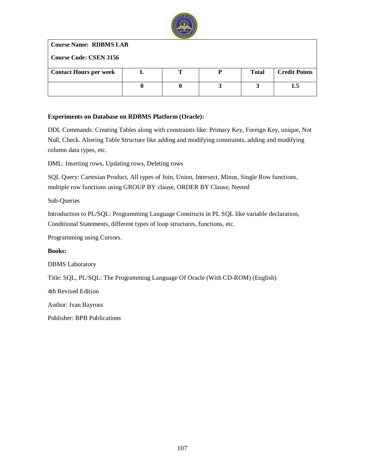

**Course Name: RDBMS LAB**

**Course Code: CSEN 3156**

| <b>Contact Hours per week</b> |  | <b>Total</b> | <b>Credit Points</b> |
|-------------------------------|--|--------------|----------------------|
|                               |  |              |                      |
|                               |  |              | ن.                   |
|                               |  |              |                      |

## **Experiments on Database on RDBMS Platform (Oracle):**

DDL Commands: Creating Tables along with constraints like: Primary Key, Foreign Key, unique, Not Null, Check. Altering Table Structure like adding and modifying constraints, adding and modifying column data types, etc.

DML: Inserting rows, Updating rows, Deleting rows

SQL Query: Cartesian Product, All types of Join, Union, Intersect, Minus, Single Row functions, multiple row functions using GROUP BY clause, ORDER BY Clause, Nested

Sub-Queries

Introduction to PL/SQL: Programming Language Constructs in PL SQL like variable declaration, Conditional Statements, different types of loop structures, functions, etc.

Programming using Cursors.

**Books:**

DBMS Laboratory

Title: SQL, PL/SQL: The Programming Language Of Oracle (With CD-ROM) (English)

4th Revised Edition

Author: Ivan Bayross

Publisher: BPB Publications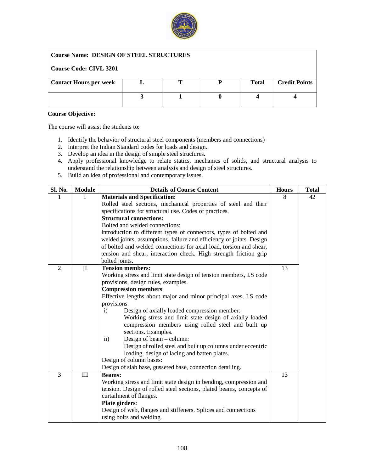

### **Course Name: DESIGN OF STEEL STRUCTURES**

## **Course Code: CIVL 3201**

| <b>Contact Hours per week</b> |  | <b>Total</b> | <b>Credit Points</b> |
|-------------------------------|--|--------------|----------------------|
|                               |  |              |                      |
|                               |  |              |                      |
|                               |  |              |                      |

#### **Course Objective:**

- 1. Identify the behavior of structural steel components (members and connections)
- 2. Interpret the Indian Standard codes for loads and design.
- 3. Develop an idea in the design of simple steel structures.
- 4. Apply professional knowledge to relate statics, mechanics of solids, and structural analysis to understand the relationship between analysis and design of steel structures.
- 5. Build an idea of professional and contemporary issues.

| Sl. No.        | <b>Module</b> | <b>Details of Course Content</b>                                                                                                         | <b>Hours</b> | <b>Total</b> |
|----------------|---------------|------------------------------------------------------------------------------------------------------------------------------------------|--------------|--------------|
|                |               | <b>Materials and Specification:</b>                                                                                                      | 8            | 42           |
|                |               | Rolled steel sections, mechanical properties of steel and their                                                                          |              |              |
|                |               | specifications for structural use. Codes of practices.                                                                                   |              |              |
|                |               | <b>Structural connections:</b>                                                                                                           |              |              |
|                |               | Bolted and welded connections:                                                                                                           |              |              |
|                |               | Introduction to different types of connectors, types of bolted and                                                                       |              |              |
|                |               | welded joints, assumptions, failure and efficiency of joints. Design                                                                     |              |              |
|                |               | of bolted and welded connections for axial load, torsion and shear,                                                                      |              |              |
|                |               | tension and shear, interaction check. High strength friction grip                                                                        |              |              |
|                |               | bolted joints.                                                                                                                           |              |              |
| $\overline{2}$ | $\rm II$      | <b>Tension members:</b>                                                                                                                  | 13           |              |
|                |               | Working stress and limit state design of tension members, I.S code                                                                       |              |              |
|                |               | provisions, design rules, examples.                                                                                                      |              |              |
|                |               | <b>Compression members:</b>                                                                                                              |              |              |
|                |               | Effective lengths about major and minor principal axes, I.S code                                                                         |              |              |
|                |               | provisions.                                                                                                                              |              |              |
|                |               | Design of axially loaded compression member:<br>$\mathbf{i}$                                                                             |              |              |
|                |               | Working stress and limit state design of axially loaded                                                                                  |              |              |
|                |               | compression members using rolled steel and built up                                                                                      |              |              |
|                |               | sections. Examples.                                                                                                                      |              |              |
|                |               | Design of beam $-$ column:<br>$\mathbf{ii}$                                                                                              |              |              |
|                |               | Design of rolled steel and built up columns under eccentric                                                                              |              |              |
|                |               | loading, design of lacing and batten plates.                                                                                             |              |              |
|                |               | Design of column bases:                                                                                                                  |              |              |
| 3              | $\rm III$     | Design of slab base, gusseted base, connection detailing.                                                                                | 13           |              |
|                |               | <b>Beams:</b>                                                                                                                            |              |              |
|                |               | Working stress and limit state design in bending, compression and<br>tension. Design of rolled steel sections, plated beams, concepts of |              |              |
|                |               | curtailment of flanges.                                                                                                                  |              |              |
|                |               | Plate girders:                                                                                                                           |              |              |
|                |               | Design of web, flanges and stiffeners. Splices and connections                                                                           |              |              |
|                |               | using bolts and welding.                                                                                                                 |              |              |
|                |               |                                                                                                                                          |              |              |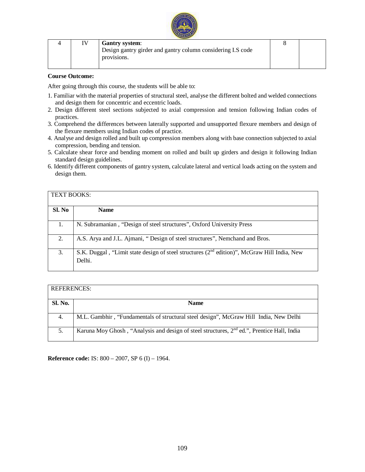|  | <b>Gantry system:</b>                                                      |  |  |  |  |  |
|--|----------------------------------------------------------------------------|--|--|--|--|--|
|  | Design gantry girder and gantry column considering I.S code<br>provisions. |  |  |  |  |  |
|  |                                                                            |  |  |  |  |  |

#### **Course Outcome:**

After going through this course, the students will be able to:

- 1. Familiar with the material properties of structural steel, analyse the different bolted and welded connections and design them for concentric and eccentric loads.
- 2. Design different steel sections subjected to axial compression and tension following Indian codes of practices.
- 3. Comprehend the differences between laterally supported and unsupported flexure members and design of the flexure members using Indian codes of practice.
- 4. Analyse and design rolled and built up compression members along with base connection subjected to axial compression, bending and tension.
- 5. Calculate shear force and bending moment on rolled and built up girders and design it following Indian standard design guidelines.
- 6. Identify different components of gantry system, calculate lateral and vertical loads acting on the system and design them.

| <b>TEXT BOOKS:</b> |                                                                                                         |
|--------------------|---------------------------------------------------------------------------------------------------------|
| Sl. No             | <b>Name</b>                                                                                             |
|                    | N. Subramanian, "Design of steel structures", Oxford University Press                                   |
| 2.                 | A.S. Arya and J.L. Ajmani, "Design of steel structures", Nemchand and Bros.                             |
| 3.                 | S.K. Duggal, "Limit state design of steel structures $(2nd$ edition)", McGraw Hill India, New<br>Delhi. |

| <b>REFERENCES:</b> |                                                                                              |
|--------------------|----------------------------------------------------------------------------------------------|
| <b>Sl. No.</b>     | <b>Name</b>                                                                                  |
| 4.                 | M.L. Gambhir, "Fundamentals of structural steel design", McGraw Hill India, New Delhi        |
| 5.                 | Karuna Moy Ghosh, "Analysis and design of steel structures, $2nd$ ed.", Prentice Hall, India |

**Reference code:** IS: 800 – 2007, SP 6 (I) – 1964.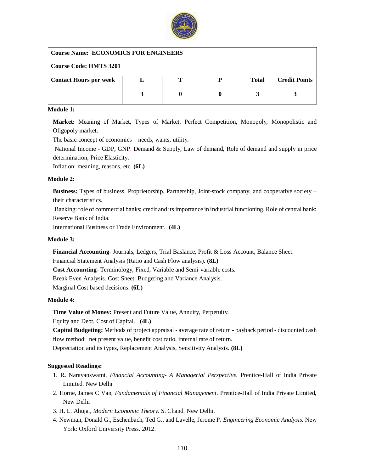

## **Course Name: ECONOMICS FOR ENGINEERS**

### **Course Code: HMTS 3201**

| <b>Contact Hours per week</b> |  | <b>Total</b> | <b>Credit Points</b> |
|-------------------------------|--|--------------|----------------------|
|                               |  |              |                      |
|                               |  |              |                      |
|                               |  |              |                      |

#### **Module 1:**

**Market:** Meaning of Market, Types of Market, Perfect Competition, Monopoly, Monopolistic and Oligopoly market.

The basic concept of economics – needs, wants, utility.

National Income - GDP, GNP. Demand & Supply, Law of demand, Role of demand and supply in price determination, Price Elasticity.

Inflation: meaning, reasons, etc. **(6L)**

## **Module 2:**

**Business:** Types of business, Proprietorship, Partnership, Joint-stock company, and cooperative society – their characteristics.

Banking: role of commercial banks; credit and its importance in industrial functioning. Role of central bank: Reserve Bank of India.

International Business or Trade Environment. **(4L)**

#### **Module 3:**

**Financial Accounting**- Journals, Ledgers, Trial Baslance, Profit & Loss Account, Balance Sheet.

Financial Statement Analysis (Ratio and Cash Flow analysis). **(8L)**

**Cost Accounting-** Terminology, Fixed, Variable and Semi-variable costs.

Break Even Analysis. Cost Sheet. Budgeting and Variance Analysis.

Marginal Cost based decisions. **(6L)**

## **Module 4:**

**Time Value of Money:** Present and Future Value, Annuity, Perpetuity. Equity and Debt, Cost of Capital. **(4L)**

**Capital Budgeting:** Methods of project appraisal - average rate of return - payback period - discounted cash flow method: net present value, benefit cost ratio, internal rate of return. Depreciation and its types, Replacement Analysis, Sensitivity Analysis. **(8L)**

## **Suggested Readings:**

- 1. R**.** Narayanswami, *Financial Accounting- A Managerial Perspective.* Prentice-Hall of India Private Limited. New Delhi
- 2. Horne, James C Van, *Fundamentals of Financial Management*. Prentice-Hall of India Private Limited, New Delhi
- 3. H. L. Ahuja., *Modern Economic Theory*. S. Chand. New Delhi.
- 4. Newman, Donald G., Eschenbach, Ted G., and Lavelle, Jerome P. *Engineering Economic Analysis.* New York: Oxford University Press. 2012.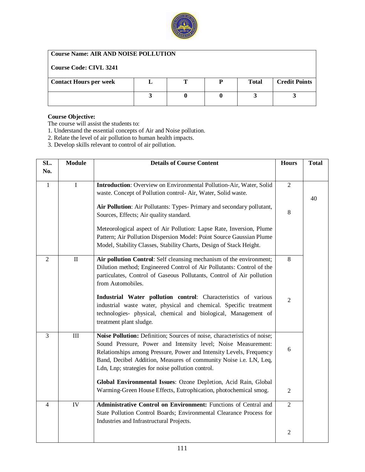

# **Course Name: AIR AND NOISE POLLUTION**

| <b>Course Code: CIVL 3241</b> |  |              |                      |
|-------------------------------|--|--------------|----------------------|
| <b>Contact Hours per week</b> |  | <b>Total</b> | <b>Credit Points</b> |
|                               |  |              |                      |

## **Course Objective:**

- 1. Understand the essential concepts of Air and Noise pollution.
- 2. Relate the level of air pollution to human health impacts.
- 3. Develop skills relevant to control of air pollution.

| SL.            | <b>Module</b> | <b>Details of Course Content</b>                                                                                                                                                                                                                                                                                                           | <b>Hours</b>        | <b>Total</b> |
|----------------|---------------|--------------------------------------------------------------------------------------------------------------------------------------------------------------------------------------------------------------------------------------------------------------------------------------------------------------------------------------------|---------------------|--------------|
| No.            |               |                                                                                                                                                                                                                                                                                                                                            |                     |              |
| $\mathbf{1}$   | $\bf I$       | Introduction: Overview on Environmental Pollution-Air, Water, Solid<br>waste. Concept of Pollution control- Air, Water, Solid waste.<br>Air Pollution: Air Pollutants: Types- Primary and secondary pollutant,<br>Sources, Effects; Air quality standard.                                                                                  | $\overline{2}$<br>8 | 40           |
|                |               | Meteorological aspect of Air Pollution: Lapse Rate, Inversion, Plume<br>Pattern; Air Pollution Dispersion Model: Point Source Gaussian Plume<br>Model, Stability Classes, Stability Charts, Design of Stack Height.                                                                                                                        |                     |              |
| $\overline{2}$ | $\mathbf{I}$  | Air pollution Control: Self cleansing mechanism of the environment;<br>Dilution method; Engineered Control of Air Pollutants: Control of the<br>particulates, Control of Gaseous Pollutants, Control of Air pollution<br>from Automobiles.                                                                                                 | 8                   |              |
|                |               | Industrial Water pollution control: Characteristics of various<br>industrial waste water, physical and chemical. Specific treatment<br>technologies- physical, chemical and biological, Management of<br>treatment plant sludge.                                                                                                           | $\overline{2}$      |              |
| $\overline{3}$ | $\rm III$     | Noise Pollution: Definition; Sources of noise, characteristics of noise;<br>Sound Pressure, Power and Intensity level; Noise Measurement:<br>Relationships among Pressure, Power and Intensity Levels, Frequency<br>Band, Decibel Addition, Measures of community Noise i.e. LN, Leq,<br>Ldn, Lnp; strategies for noise pollution control. | 6                   |              |
|                |               | Global Environmental Issues: Ozone Depletion, Acid Rain, Global<br>Warming-Green House Effects, Eutrophication, photochemical smog.                                                                                                                                                                                                        | $\overline{2}$      |              |
| $\overline{4}$ | IV            | Administrative Control on Environment: Functions of Central and<br>State Pollution Control Boards; Environmental Clearance Process for<br>Industries and Infrastructural Projects.                                                                                                                                                         | $\overline{2}$      |              |
|                |               |                                                                                                                                                                                                                                                                                                                                            | 2                   |              |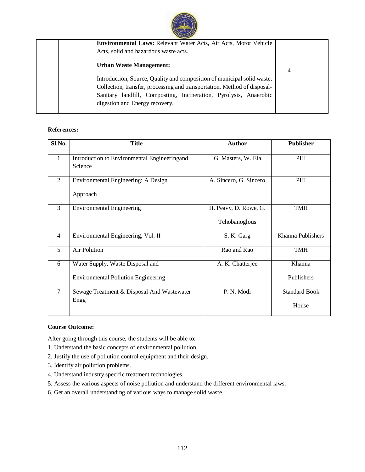

| <b>Environmental Laws: Relevant Water Acts, Air Acts, Motor Vehicle</b>  |   |  |
|--------------------------------------------------------------------------|---|--|
| Acts, solid and hazardous waste acts.                                    |   |  |
| <b>Urban Waste Management:</b>                                           | 4 |  |
| Introduction, Source, Quality and composition of municipal solid waste,  |   |  |
| Collection, transfer, processing and transportation, Method of disposal- |   |  |
| Sanitary landfill, Composting, Incineration, Pyrolysis, Anaerobic        |   |  |
| digestion and Energy recovery.                                           |   |  |
|                                                                          |   |  |

## **References:**

| Sl.No.         | <b>Title</b>                                                                   | <b>Author</b>                          | <b>Publisher</b>              |
|----------------|--------------------------------------------------------------------------------|----------------------------------------|-------------------------------|
| 1              | Introduction to Environmental Engineeringand<br>Science                        | G. Masters, W. Ela                     | PHI                           |
| $\overline{2}$ | Environmental Engineering: A Design<br>Approach                                | A. Sincero, G. Sincero                 | PHI                           |
| 3              | <b>Environmental Engineering</b>                                               | H. Peavy, D. Rowe, G.<br>Tchobanoglous | <b>TMH</b>                    |
| $\overline{4}$ | Environmental Engineering, Vol. II                                             | S. K. Garg                             | Khanna Publishers             |
| 5              | <b>Air Polution</b>                                                            | Rao and Rao                            | <b>TMH</b>                    |
| 6              | Water Supply, Waste Disposal and<br><b>Environmental Pollution Engineering</b> | A. K. Chatterjee                       | Khanna<br>Publishers          |
| $\tau$         | Sewage Treatment & Disposal And Wastewater<br>Engg                             | P. N. Modi                             | <b>Standard Book</b><br>House |

#### **Course Outcome:**

After going through this course, the students will be able to:

- 1. Understand the basic concepts of environmental pollution.
- 2. Justify the use of pollution control equipment and their design.
- 3. Identify air pollution problems.
- 4. Understand industry specific treatment technologies.
- 5. Assess the various aspects of noise pollution and understand the different environmental laws.
- 6. Get an overall understanding of various ways to manage solid waste.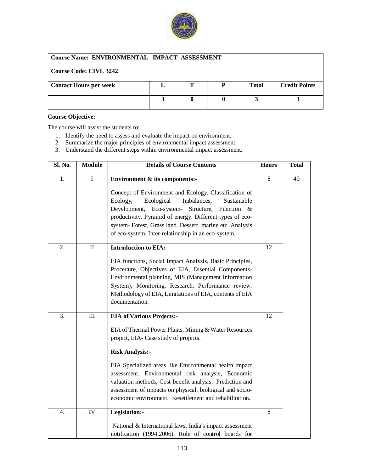

## **Course Name: ENVIRONMENTAL IMPACT ASSESSMENT**

## **Course Code: CIVL 3242**

| <b>Contact Hours per week</b> |  | <b>Total</b> | <b>Credit Points</b> |
|-------------------------------|--|--------------|----------------------|
|                               |  |              |                      |
|                               |  |              |                      |
|                               |  |              |                      |

#### **Course Objective:**

- 1. Identify the need to assess and evaluate the impact on environment.
- 2. Summarize the major principles of environmental impact assessment.
- 3. Understand the different steps within environmental impact assessment.

| Sl. No.          | <b>Module</b>   | <b>Details of Course Contents</b>                                                                                                                                                                                                                                                                                                                                                                                                                             | <b>Hours</b> | <b>Total</b> |
|------------------|-----------------|---------------------------------------------------------------------------------------------------------------------------------------------------------------------------------------------------------------------------------------------------------------------------------------------------------------------------------------------------------------------------------------------------------------------------------------------------------------|--------------|--------------|
| 1.               | $\mathbf I$     | Environment & its components:-<br>Concept of Environment and Ecology. Classification of<br>Ecological<br>Ecology,<br>Imbalances,<br>Sustainable<br>Development, Eco-system-<br>Structure,<br>Function &<br>productivity. Pyramid of energy. Different types of eco-<br>system- Forest, Grass land, Dessert, marine etc. Analysis<br>of eco-system. Inter-relationship in an eco-system.                                                                       | 8            | 40           |
| 2.               | $\mathbf{I}$    | <b>Introduction to EIA:-</b><br>EIA functions, Social Impact Analysis, Basic Principles,<br>Procedure, Objectives of EIA, Essential Components-<br>Environmental planning, MIS (Management Information<br>System), Monitoring, Research, Performance review.<br>Methodology of EIA, Limitations of EIA, contents of EIA<br>documentation.                                                                                                                     | 12           |              |
| $\overline{3}$ . | $\rm III$       | <b>EIA of Various Projects:-</b><br>EIA of Thermal Power Plants, Mining & Water Resources<br>project, EIA- Case study of projects.<br><b>Risk Analysis:-</b><br>EIA Specialized areas like Environmental health impact<br>assessment, Environmental risk analysis, Economic<br>valuation methods, Cost-benefit analysis. Prediction and<br>assessment of impacts on physical, biological and socio-<br>economic environment. Resettlement and rehabilitation. | 12           |              |
| $\overline{4}$ . | $\overline{IV}$ | Legislation:-<br>National & International laws, India's impact assessment<br>notification (1994,2006). Role of control boards for                                                                                                                                                                                                                                                                                                                             | 8            |              |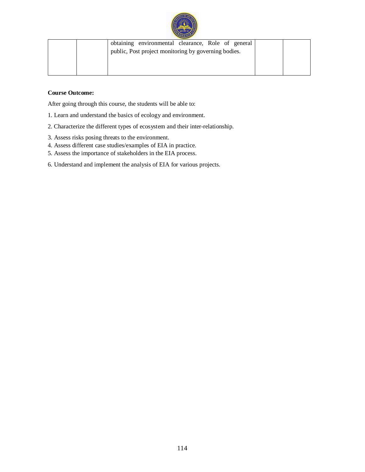

| obtaining environmental clearance, Role of general   |
|------------------------------------------------------|
| public, Post project monitoring by governing bodies. |
|                                                      |
|                                                      |
|                                                      |

## **Course Outcome:**

After going through this course, the students will be able to:

- 1. Learn and understand the basics of ecology and environment.
- 2. Characterize the different types of ecosystem and their inter-relationship.
- 3. Assess risks posing threats to the environment.
- 4. Assess different case studies/examples of EIA in practice.
- 5. Assess the importance of stakeholders in the EIA process.
- 6. Understand and implement the analysis of EIA for various projects.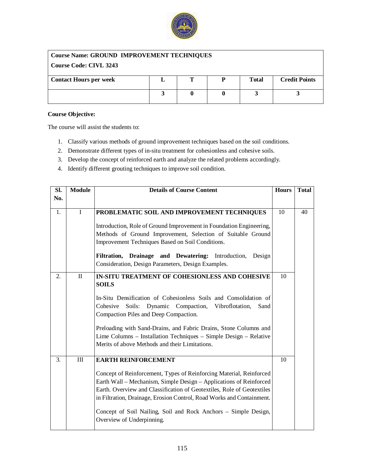

| <b>Course Name: GROUND IMPROVEMENT TECHNIQUES</b> |  |  |  |              |                      |  |
|---------------------------------------------------|--|--|--|--------------|----------------------|--|
| Course Code: CIVL 3243                            |  |  |  |              |                      |  |
| <b>Contact Hours per week</b>                     |  |  |  | <b>Total</b> | <b>Credit Points</b> |  |
|                                                   |  |  |  |              |                      |  |

## **Course Objective:**

- 1. Classify various methods of ground improvement techniques based on the soil conditions.
- 2. Demonstrate different types of in-situ treatment for cohesionless and cohesive soils.
- 3. Develop the concept of reinforced earth and analyze the related problems accordingly.
- 4. Identify different grouting techniques to improve soil condition.

| Sl. | <b>Module</b> | <b>Details of Course Content</b>                                                                                                                                                                                                                                                             | <b>Hours</b> | <b>Total</b> |
|-----|---------------|----------------------------------------------------------------------------------------------------------------------------------------------------------------------------------------------------------------------------------------------------------------------------------------------|--------------|--------------|
| No. |               |                                                                                                                                                                                                                                                                                              |              |              |
| 1.  | $\mathbf I$   | PROBLEMATIC SOIL AND IMPROVEMENT TECHNIQUES                                                                                                                                                                                                                                                  | 10           | 40           |
|     |               | Introduction, Role of Ground Improvement in Foundation Engineering,<br>Methods of Ground Improvement, Selection of Suitable Ground<br>Improvement Techniques Based on Soil Conditions.                                                                                                       |              |              |
|     |               | Filtration, Drainage and Dewatering: Introduction,<br>Design<br>Consideration, Design Parameters, Design Examples.                                                                                                                                                                           |              |              |
| 2.  | $\mathbf{I}$  | IN-SITU TREATMENT OF COHESIONLESS AND COHESIVE                                                                                                                                                                                                                                               | 10           |              |
|     |               | <b>SOILS</b>                                                                                                                                                                                                                                                                                 |              |              |
|     |               | In-Situ Densification of Cohesionless Soils and Consolidation of                                                                                                                                                                                                                             |              |              |
|     |               | Cohesive<br>Soils: Dynamic Compaction, Vibroflotation,<br>Sand                                                                                                                                                                                                                               |              |              |
|     |               | Compaction Piles and Deep Compaction.                                                                                                                                                                                                                                                        |              |              |
|     |               | Preloading with Sand-Drains, and Fabric Drains, Stone Columns and                                                                                                                                                                                                                            |              |              |
|     |               | Lime Columns – Installation Techniques – Simple Design – Relative                                                                                                                                                                                                                            |              |              |
|     |               | Merits of above Methods and their Limitations.                                                                                                                                                                                                                                               |              |              |
| 3.  | $\rm III$     | <b>EARTH REINFORCEMENT</b>                                                                                                                                                                                                                                                                   | 10           |              |
|     |               | Concept of Reinforcement, Types of Reinforcing Material, Reinforced<br>Earth Wall – Mechanism, Simple Design – Applications of Reinforced<br>Earth. Overview and Classification of Geotextiles, Role of Geotextiles<br>in Filtration, Drainage, Erosion Control, Road Works and Containment. |              |              |
|     |               | Concept of Soil Nailing, Soil and Rock Anchors - Simple Design,<br>Overview of Underpinning.                                                                                                                                                                                                 |              |              |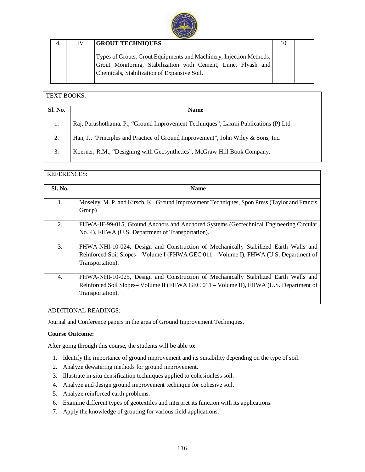

| 4. | IV | <b>GROUT TECHNIQUES</b>                                                                                                                                                             | 10 |  |
|----|----|-------------------------------------------------------------------------------------------------------------------------------------------------------------------------------------|----|--|
|    |    | Types of Grouts, Grout Equipments and Machinery, Injection Methods,<br>Grout Monitoring, Stabilization with Cement, Lime, Flyash and<br>Chemicals, Stabilization of Expansive Soil. |    |  |

| <b>TEXT BOOKS:</b> |                                                                                     |
|--------------------|-------------------------------------------------------------------------------------|
| Sl. No.            | <b>Name</b>                                                                         |
| 1.                 | Raj, Purushothama. P., "Ground Improvement Techniques", Laxmi Publications (P) Ltd. |
| 2.                 | Han, J., "Principles and Practice of Ground Improvement", John Wiley & Sons, Inc.   |
| 3.                 | Koerner, R.M., "Designing with Geosynthetics", McGraw-Hill Book Company.            |

| <b>REFERENCES:</b> |                                                                                                                                                                                                   |
|--------------------|---------------------------------------------------------------------------------------------------------------------------------------------------------------------------------------------------|
| <b>Sl. No.</b>     | <b>Name</b>                                                                                                                                                                                       |
| 1.                 | Moseley, M. P. and Kirsch, K., Ground Improvement Techniques, Spon Press (Taylor and Francis<br>Group)                                                                                            |
| 2.                 | FHWA-IF-99-015, Ground Anchors and Anchored Systems (Geotechnical Engineering Circular<br>No. 4), FHWA (U.S. Department of Transportation).                                                       |
| 3.                 | FHWA-NHI-10-024, Design and Construction of Mechanically Stabilized Earth Walls and<br>Reinforced Soil Slopes – Volume I (FHWA GEC 011 – Volume I), FHWA (U.S. Department of<br>Transportation).  |
| 4.                 | FHWA-NHI-10-025, Design and Construction of Mechanically Stabilized Earth Walls and<br>Reinforced Soil Slopes– Volume II (FHWA GEC 011 – Volume II), FHWA (U.S. Department of<br>Transportation). |

## ADDITIONAL READINGS:

Journal and Conference papers in the area of Ground Improvement Techniques.

## **Course Outcome:**

After going through this course, the students will be able to:

- 1. Identify the importance of ground improvement and its suitability depending on the type of soil.
- 2. Analyze dewatering methods for ground improvement.
- 3. Illustrate in-situ densification techniques applied to cohesionless soil.
- 4. Analyze and design ground improvement technique for cohesive soil.
- 5. Analyze reinforced earth problems.
- 6. Examine different types of geotextiles and interpret its function with its applications.
- 7. Apply the knowledge of grouting for various field applications.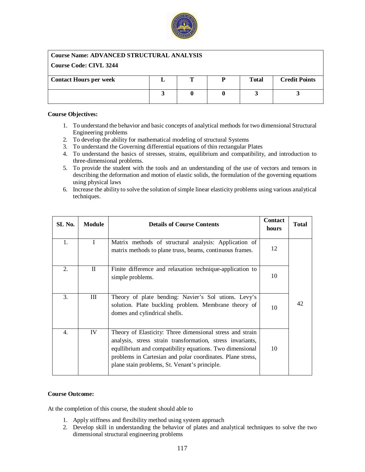

## **Course Name: ADVANCED STRUCTURAL ANALYSIS**

### **Course Code: CIVL 3244**

| <b>Contact Hours per week</b> |  | <b>Total</b> | <b>Credit Points</b> |
|-------------------------------|--|--------------|----------------------|
|                               |  |              |                      |
|                               |  |              |                      |
|                               |  |              |                      |

#### **Course Objectives:**

- 1. To understand the behavior and basic concepts of analytical methods for two dimensional Structural Engineering problems
- 2. To develop the ability for mathematical modeling of structural Systems
- 3. To understand the Governing differential equations of thin rectangular Plates
- 4. To understand the basics of stresses, strains, equilibrium and compatibility, and introduction to three-dimensional problems.
- 5. To provide the student with the tools and an understanding of the use of vectors and tensors in describing the deformation and motion of elastic solids, the formulation of the governing equations using physical laws
- 6. Increase the ability to solve the solution of simple linear elasticity problems using various analytical techniques.

| SL No. | <b>Module</b> | <b>Details of Course Contents</b>                                                                                                                                                                                                                                                                  | <b>Contact</b><br>hours | <b>Total</b> |
|--------|---------------|----------------------------------------------------------------------------------------------------------------------------------------------------------------------------------------------------------------------------------------------------------------------------------------------------|-------------------------|--------------|
| 1.     | $\mathbf I$   | Matrix methods of structural analysis: Application of<br>matrix methods to plane truss, beams, continuous frames.                                                                                                                                                                                  | 12                      |              |
| 2.     | П             | Finite difference and relaxation technique-application to<br>simple problems.                                                                                                                                                                                                                      | 10                      |              |
| 3.     | Ш             | Theory of plate bending: Navier's Sol utions. Levy's<br>solution. Plate buckling problem. Membrane theory of<br>domes and cylindrical shells.                                                                                                                                                      | 10                      | 42           |
| 4.     | IV            | Theory of Elasticity: Three dimensional stress and strain<br>analysis, stress strain transformation, stress invariants,<br>equilibrium and compatibility equations. Two dimensional<br>problems in Cartesian and polar coordinates. Plane stress,<br>plane stain problems, St. Venant's principle. | 10                      |              |

## **Course Outcome:**

At the completion of this course, the student should able to

- 1. Apply stiffness and flexibility method using system approach
- 2. Develop skill in understanding the behavior of plates and analytical techniques to solve the two dimensional structural engineering problems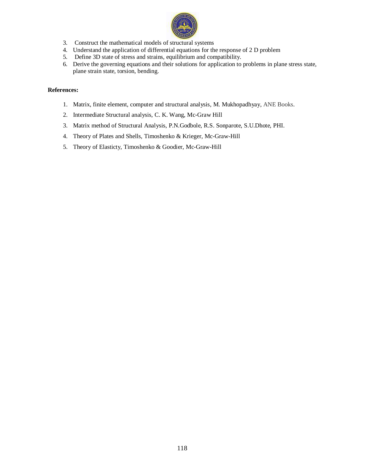

- 3. Construct the mathematical models of structural systems
- 4. Understand the application of differential equations for the response of 2 D problem
- 5. Define 3D state of stress and strains, equilibrium and compatibility.
- 6. Derive the governing equations and their solutions for application to problems in plane stress state, plane strain state, torsion, bending.

#### **References:**

- 1. Matrix, finite element, computer and structural analysis, M. Mukhopadhyay, ANE Books.
- 2. Intermediate Structural analysis, C. K. Wang, Mc-Graw Hill
- 3. Matrix method of Structural Analysis, P.N.Godbole, R.S. Sonparote, S.U.Dhote, PHI.
- 4. Theory of Plates and Shells, Timoshenko & Krieger, Mc-Graw-Hill
- 5. Theory of Elasticty, Timoshenko & Goodier, Mc-Graw-Hill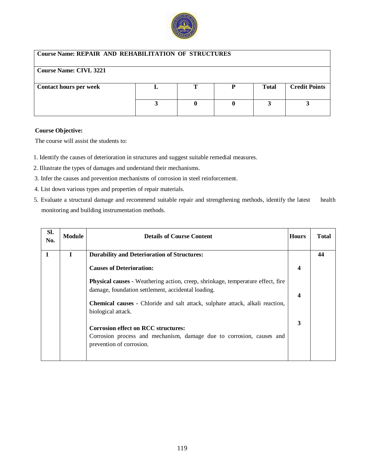

## **Course Name: REPAIR AND REHABILITATION OF STRUCTURES**

## **Course Name: CIVL 3221**

| <b>Contact hours per week</b> |  | <b>Total</b> | <b>Credit Points</b> |
|-------------------------------|--|--------------|----------------------|
|                               |  |              |                      |

#### **Course Objective:**

- 1. Identify the causes of deterioration in structures and suggest suitable remedial measures.
- 2. Illustrate the types of damages and understand their mechanisms.
- 3. Infer the causes and prevention mechanisms of corrosion in steel reinforcement.
- 4. List down various types and properties of repair materials.
- 5. Evaluate a structural damage and recommend suitable repair and strengthening methods, identify the latest health monitoring and building instrumentation methods.

| SI.<br>No. | <b>Module</b> | <b>Details of Course Content</b>                                                                                                             | <b>Hours</b>     | <b>T</b> otal |
|------------|---------------|----------------------------------------------------------------------------------------------------------------------------------------------|------------------|---------------|
| 1          | L             | <b>Durability and Deterioration of Structures:</b>                                                                                           |                  | 44            |
|            |               | <b>Causes of Deterioration:</b>                                                                                                              | $\boldsymbol{4}$ |               |
|            |               | <b>Physical causes - Weathering action, creep, shrinkage, temperature effect, fire</b><br>damage, foundation settlement, accidental loading. | $\boldsymbol{4}$ |               |
|            |               | <b>Chemical causes - Chloride and salt attack, sulphate attack, alkali reaction,</b><br>biological attack.                                   |                  |               |
|            |               | <b>Corrosion effect on RCC structures:</b><br>Corrosion process and mechanism, damage due to corrosion, causes and                           | 3                |               |
|            |               | prevention of corrosion.                                                                                                                     |                  |               |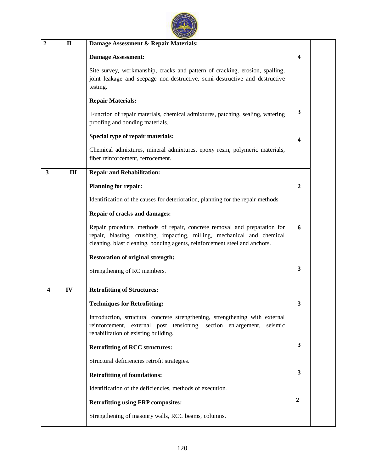|   | $\mathbf{I}$ | Damage Assessment & Repair Materials:                                                                                                                                                                                              |                  |
|---|--------------|------------------------------------------------------------------------------------------------------------------------------------------------------------------------------------------------------------------------------------|------------------|
|   |              | <b>Damage Assessment:</b>                                                                                                                                                                                                          | 4                |
|   |              | Site survey, workmanship, cracks and pattern of cracking, erosion, spalling,<br>joint leakage and seepage non-destructive, semi-destructive and destructive<br>testing.                                                            |                  |
|   |              | <b>Repair Materials:</b>                                                                                                                                                                                                           |                  |
|   |              | Function of repair materials, chemical admixtures, patching, sealing, watering<br>proofing and bonding materials.                                                                                                                  | 3                |
|   |              | Special type of repair materials:                                                                                                                                                                                                  | 4                |
|   |              | Chemical admixtures, mineral admixtures, epoxy resin, polymeric materials,<br>fiber reinforcement, ferrocement.                                                                                                                    |                  |
| 3 | III          | <b>Repair and Rehabilitation:</b>                                                                                                                                                                                                  |                  |
|   |              | <b>Planning for repair:</b>                                                                                                                                                                                                        | 2                |
|   |              | Identification of the causes for deterioration, planning for the repair methods                                                                                                                                                    |                  |
|   |              | Repair of cracks and damages:                                                                                                                                                                                                      |                  |
|   |              | Repair procedure, methods of repair, concrete removal and preparation for<br>repair, blasting, crushing, impacting, milling, mechanical and chemical<br>cleaning, blast cleaning, bonding agents, reinforcement steel and anchors. | 6                |
|   |              | <b>Restoration of original strength:</b>                                                                                                                                                                                           |                  |
|   |              | Strengthening of RC members.                                                                                                                                                                                                       | 3                |
| 4 | IV           | <b>Retrofitting of Structures:</b>                                                                                                                                                                                                 |                  |
|   |              | <b>Techniques for Retrofitting:</b>                                                                                                                                                                                                | 3                |
|   |              | Introduction, structural concrete strengthening, strengthening with external<br>reinforcement, external post tensioning, section enlargement,<br>seismic                                                                           |                  |
|   |              | rehabilitation of existing building.                                                                                                                                                                                               |                  |
|   |              | <b>Retrofitting of RCC structures:</b>                                                                                                                                                                                             | 3                |
|   |              | Structural deficiencies retrofit strategies.                                                                                                                                                                                       |                  |
|   |              | <b>Retrofitting of foundations:</b>                                                                                                                                                                                                | 3                |
|   |              | Identification of the deficiencies, methods of execution.                                                                                                                                                                          |                  |
|   |              | <b>Retrofitting using FRP composites:</b>                                                                                                                                                                                          | $\boldsymbol{2}$ |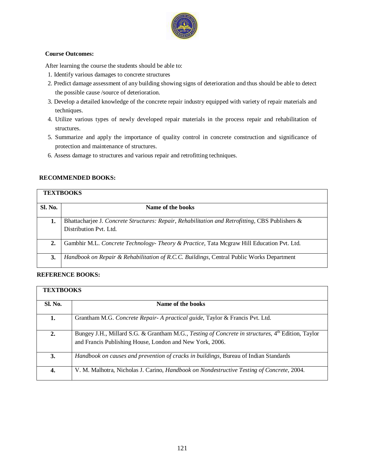

#### **Course Outcomes:**

After learning the course the students should be able to:

- 1. Identify various damages to concrete structures
- 2. Predict damage assessment of any building showing signs of deterioration and thus should be able to detect the possible cause /source of deterioration.
- 3. Develop a detailed knowledge of the concrete repair industry equipped with variety of repair materials and techniques.
- 4. Utilize various types of newly developed repair materials in the process repair and rehabilitation of structures.
- 5. Summarize and apply the importance of quality control in concrete construction and significance of protection and maintenance of structures.
- 6. Assess damage to structures and various repair and retrofitting techniques.

## **RECOMMENDED BOOKS:**

|         | <b>TEXTBOOKS</b>                                                                                                          |
|---------|---------------------------------------------------------------------------------------------------------------------------|
| Sl. No. | Name of the books                                                                                                         |
| 1.      | Bhattacharjee J. Concrete Structures: Repair, Rehabilitation and Retrofitting, CBS Publishers &<br>Distribution Pvt. Ltd. |
| 2.      | Gambhir M.L. Concrete Technology- Theory & Practice, Tata Mcgraw Hill Education Pvt. Ltd.                                 |
| 3.      | Handbook on Repair & Rehabilitation of R.C.C. Buildings, Central Public Works Department                                  |

## **REFERENCE BOOKS:**

| <b>TEXTBOOKS</b> |                                                                                                                                                               |
|------------------|---------------------------------------------------------------------------------------------------------------------------------------------------------------|
| Sl. No.          | Name of the books                                                                                                                                             |
| 1.               | Grantham M.G. Concrete Repair- A practical guide, Taylor & Francis Pvt. Ltd.                                                                                  |
| 2.               | Bungey J.H., Millard S.G. & Grantham M.G., Testing of Concrete in structures, 4th Edition, Taylor<br>and Francis Publishing House, London and New York, 2006. |
| 3.               | Handbook on causes and prevention of cracks in buildings, Bureau of Indian Standards                                                                          |
| 4.               | V. M. Malhotra, Nicholas J. Carino, <i>Handbook on Nondestructive Testing of Concrete</i> , 2004.                                                             |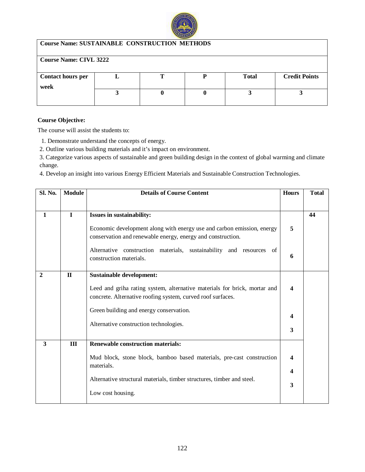

## **Course Name: SUSTAINABLE CONSTRUCTION METHODS**

| <b>Course Name: CIVL 3222</b> |  |  |  |              |                      |  |
|-------------------------------|--|--|--|--------------|----------------------|--|
|                               |  |  |  |              |                      |  |
| <b>Contact hours per</b>      |  |  |  | <b>Total</b> | <b>Credit Points</b> |  |
| week                          |  |  |  |              |                      |  |
|                               |  |  |  |              |                      |  |
|                               |  |  |  |              |                      |  |

### **Course Objective:**

The course will assist the students to:

1. Demonstrate understand the concepts of energy.

2. Outline various building materials and it's impact on environment.

3. Categorize various aspects of sustainable and green building design in the context of global warming and climate change.

4. Develop an insight into various Energy Efficient Materials and Sustainable Construction Technologies.

| Sl. No.                 | <b>Module</b> | <b>Details of Course Content</b>                                                                                                         | <b>Hours</b>            | <b>Total</b> |
|-------------------------|---------------|------------------------------------------------------------------------------------------------------------------------------------------|-------------------------|--------------|
|                         |               |                                                                                                                                          |                         |              |
| 1                       | $\mathbf{I}$  | <b>Issues in sustainability:</b>                                                                                                         |                         | 44           |
|                         |               | Economic development along with energy use and carbon emission, energy<br>conservation and renewable energy, energy and construction.    | 5                       |              |
|                         |               | Alternative construction materials, sustainability and resources of<br>construction materials.                                           | 6                       |              |
| $\overline{2}$          | $\mathbf{I}$  | <b>Sustainable development:</b>                                                                                                          |                         |              |
|                         |               | Leed and griha rating system, alternative materials for brick, mortar and<br>concrete. Alternative roofing system, curved roof surfaces. | $\boldsymbol{4}$        |              |
|                         |               | Green building and energy conservation.                                                                                                  | $\overline{\mathbf{4}}$ |              |
|                         |               | Alternative construction technologies.                                                                                                   | 3                       |              |
| $\overline{\mathbf{3}}$ | III           | <b>Renewable construction materials:</b>                                                                                                 |                         |              |
|                         |               | Mud block, stone block, bamboo based materials, pre-cast construction<br>materials.                                                      | $\boldsymbol{4}$        |              |
|                         |               |                                                                                                                                          | $\boldsymbol{4}$        |              |
|                         |               | Alternative structural materials, timber structures, timber and steel.                                                                   | 3                       |              |
|                         |               | Low cost housing.                                                                                                                        |                         |              |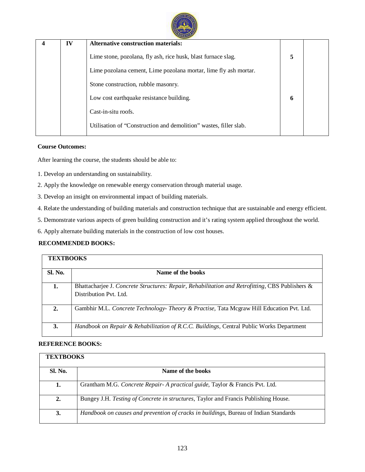

| IV | <b>Alternative construction materials:</b>                        |   |  |
|----|-------------------------------------------------------------------|---|--|
|    | Lime stone, pozolana, fly ash, rice husk, blast furnace slag.     | 5 |  |
|    | Lime pozolana cement, Lime pozolana mortar, lime fly ash mortar.  |   |  |
|    | Stone construction, rubble masonry.                               |   |  |
|    | Low cost earthquake resistance building.                          | 6 |  |
|    | Cast-in-situ roofs.                                               |   |  |
|    | Utilisation of "Construction and demolition" wastes, filler slab. |   |  |

#### **Course Outcomes:**

After learning the course, the students should be able to:

- 1. Develop an understanding on sustainability.
- 2. Apply the knowledge on renewable energy conservation through material usage.
- 3. Develop an insight on environmental impact of building materials.
- 4. Relate the understanding of building materials and construction technique that are sustainable and energy efficient.
- 5. Demonstrate various aspects of green building construction and it's rating system applied throughout the world.
- 6. Apply alternate building materials in the construction of low cost houses.

## **RECOMMENDED BOOKS:**

| <b>TEXTBOOKS</b> |                                                                                                                           |
|------------------|---------------------------------------------------------------------------------------------------------------------------|
| <b>Sl. No.</b>   | Name of the books                                                                                                         |
| 1.               | Bhattacharjee J. Concrete Structures: Repair, Rehabilitation and Retrofitting, CBS Publishers &<br>Distribution Pvt. Ltd. |
| $\overline{2}$ . | Gambhir M.L. Concrete Technology- Theory & Practise, Tata Mcgraw Hill Education Pvt. Ltd.                                 |
| 3.               | Handbook on Repair & Rehabilitation of R.C.C. Buildings, Central Public Works Department                                  |

#### **REFERENCE BOOKS:**

| <b>TEXTBOOKS</b> |                                                                                      |  |  |  |
|------------------|--------------------------------------------------------------------------------------|--|--|--|
| Sl. No.          | Name of the books                                                                    |  |  |  |
| 1.               | Grantham M.G. Concrete Repair- A practical guide, Taylor & Francis Pvt. Ltd.         |  |  |  |
| 2.               | Bungey J.H. Testing of Concrete in structures, Taylor and Francis Publishing House.  |  |  |  |
| 3.               | Handbook on causes and prevention of cracks in buildings, Bureau of Indian Standards |  |  |  |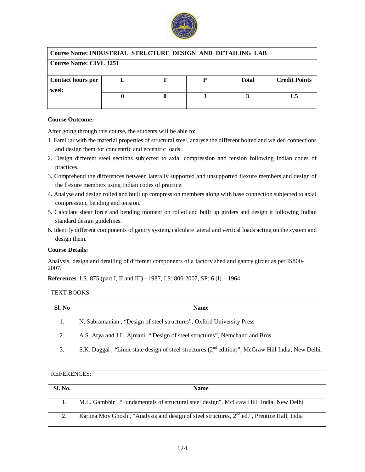

| <b>Course Name: INDUSTRIAL STRUCTURE DESIGN AND DETAILING LAB</b> |  |  |  |              |                      |  |
|-------------------------------------------------------------------|--|--|--|--------------|----------------------|--|
| <b>Course Name: CIVL 3251</b>                                     |  |  |  |              |                      |  |
|                                                                   |  |  |  |              |                      |  |
| <b>Contact hours per</b>                                          |  |  |  | <b>Total</b> | <b>Credit Points</b> |  |
| week                                                              |  |  |  |              |                      |  |
|                                                                   |  |  |  |              | 1.5                  |  |
|                                                                   |  |  |  |              |                      |  |

#### **Course Outcome:**

After going through this course, the students will be able to:

- 1. Familiar with the material properties of structural steel, analyse the different bolted and welded connections and design them for concentric and eccentric loads.
- 2. Design different steel sections subjected to axial compression and tension following Indian codes of practices.
- 3. Comprehend the differences between laterally supported and unsupported flexure members and design of the flexure members using Indian codes of practice.
- 4. Analyse and design rolled and built up compression members along with base connection subjected to axial compression, bending and tension.
- 5. Calculate shear force and bending moment on rolled and built up girders and design it following Indian standard design guidelines.
- 6. Identify different components of gantry system, calculate lateral and vertical loads acting on the system and design them.

#### **Course Details:**

Analysis, design and detailing of different components of a factory shed and gantry girder as per IS800- 2007.

#### **References**: I.S. 875 (part I, II and III) - 1987, I.S: 800-2007, SP: 6 (I) – 1964.

| <b>TEXT BOOKS:</b> |                                                                                                                |
|--------------------|----------------------------------------------------------------------------------------------------------------|
| Sl. No             | <b>Name</b>                                                                                                    |
| 1.                 | N. Subramanian, "Design of steel structures", Oxford University Press                                          |
| 2.                 | A.S. Arya and J.L. Ajmani, "Design of steel structures", Nemchand and Bros.                                    |
| 3.                 | S.K. Duggal, "Limit state design of steel structures (2 <sup>nd</sup> edition)", McGraw Hill India, New Delhi. |

| <b>REFERENCES:</b> |                                                                                              |
|--------------------|----------------------------------------------------------------------------------------------|
| <b>Sl. No.</b>     | <b>Name</b>                                                                                  |
| 1.                 | M.L. Gambhir, "Fundamentals of structural steel design", McGraw Hill India, New Delhi        |
| 2.                 | Karuna Moy Ghosh, "Analysis and design of steel structures, $2nd$ ed.", Prentice Hall, India |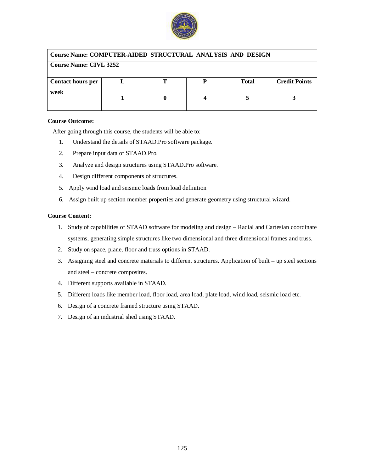

### **Course Name: COMPUTER-AIDED STRUCTURAL ANALYSIS AND DESIGN**

| <b>Course Name: CIVL 3252</b> |  |  |  |              |                      |
|-------------------------------|--|--|--|--------------|----------------------|
| <b>Contact hours per</b>      |  |  |  | <b>Total</b> | <b>Credit Points</b> |
| week                          |  |  |  |              |                      |
|                               |  |  |  |              |                      |
|                               |  |  |  |              |                      |

#### **Course Outcome:**

After going through this course, the students will be able to:

- 1. Understand the details of STAAD.Pro software package.
- 2. Prepare input data of STAAD.Pro.
- 3. Analyze and design structures using STAAD.Pro software.
- 4. Design different components of structures.
- 5. Apply wind load and seismic loads from load definition
- 6. Assign built up section member properties and generate geometry using structural wizard.

#### **Course Content:**

- 1. Study of capabilities of STAAD software for modeling and design Radial and Cartesian coordinate systems, generating simple structures like two dimensional and three dimensional frames and truss.
- 2. Study on space, plane, floor and truss options in STAAD.
- 3. Assigning steel and concrete materials to different structures. Application of built up steel sections and steel – concrete composites.
- 4. Different supports available in STAAD.
- 5. Different loads like member load, floor load, area load, plate load, wind load, seismic load etc.
- 6. Design of a concrete framed structure using STAAD.
- 7. Design of an industrial shed using STAAD.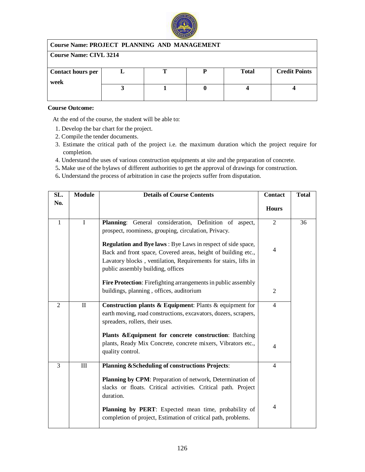

| <b>Course Name: PROJECT PLANNING AND MANAGEMENT</b> |                               |  |  |              |                      |  |
|-----------------------------------------------------|-------------------------------|--|--|--------------|----------------------|--|
|                                                     | <b>Course Name: CIVL 3214</b> |  |  |              |                      |  |
|                                                     |                               |  |  |              |                      |  |
| <b>Contact hours per</b>                            |                               |  |  | <b>Total</b> | <b>Credit Points</b> |  |
| week                                                |                               |  |  |              |                      |  |
|                                                     |                               |  |  |              |                      |  |
|                                                     |                               |  |  |              |                      |  |

### **Course Outcome:**

At the end of the course, the student will be able to:

- 1. Develop the bar chart for the project.
- 2. Compile the tender documents.
- 3. Estimate the critical path of the project i.e. the maximum duration which the project require for completion.
- 4. Understand the uses of various construction equipments at site and the preparation of concrete.
- 5**.** Make use of the bylaws of different authorities to get the approval of drawings for construction.
- 6**.** Understand the process of arbitration in case the projects suffer from disputation.

| SL.            | <b>Module</b> | <b>Details of Course Contents</b>                                                                                                                                                                                                           | <b>Contact</b> | <b>Total</b> |
|----------------|---------------|---------------------------------------------------------------------------------------------------------------------------------------------------------------------------------------------------------------------------------------------|----------------|--------------|
| No.            |               |                                                                                                                                                                                                                                             | <b>Hours</b>   |              |
| $\mathbf{1}$   | $\mathbf I$   | General consideration, Definition of aspect,<br><b>Planning:</b><br>prospect, roominess, grouping, circulation, Privacy.                                                                                                                    | $\overline{2}$ | 36           |
|                |               | <b>Regulation and Bye laws:</b> Bye Laws in respect of side space,<br>Back and front space, Covered areas, height of building etc.,<br>Lavatory blocks, ventilation, Requirements for stairs, lifts in<br>public assembly building, offices | 4              |              |
|                |               | Fire Protection: Firefighting arrangements in public assembly<br>buildings, planning, offices, auditorium                                                                                                                                   | $\overline{2}$ |              |
| $\overline{2}$ | $\rm II$      | Construction plants $\&$ Equipment: Plants $\&$ equipment for<br>earth moving, road constructions, excavators, dozers, scrapers,<br>spreaders, rollers, their uses.                                                                         | $\overline{4}$ |              |
|                |               | Plants & Equipment for concrete construction: Batching<br>plants, Ready Mix Concrete, concrete mixers, Vibrators etc.,<br>quality control.                                                                                                  | $\overline{4}$ |              |
| 3              | $\rm III$     | Planning & Scheduling of constructions Projects:<br>Planning by CPM: Preparation of network, Determination of<br>slacks or floats. Critical activities. Critical path. Project<br>duration.                                                 | 4              |              |
|                |               | Planning by PERT: Expected mean time, probability of<br>completion of project, Estimation of critical path, problems.                                                                                                                       | 4              |              |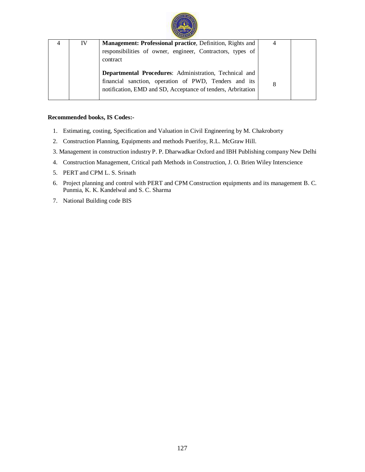

| IV | Management: Professional practice, Definition, Rights and    | 4 |  |
|----|--------------------------------------------------------------|---|--|
|    | responsibilities of owner, engineer, Contractors, types of   |   |  |
|    | contract                                                     |   |  |
|    |                                                              |   |  |
|    | Departmental Procedures: Administration, Technical and       |   |  |
|    | financial sanction, operation of PWD, Tenders and its        |   |  |
|    | notification, EMD and SD, Acceptance of tenders, Arbritation |   |  |
|    |                                                              |   |  |

#### **Recommended books, IS Codes:-**

- 1. Estimating, costing, Specification and Valuation in Civil Engineering by M. Chakroborty
- 2. Construction Planning, Equipments and methods Puerifoy, R.L. McGraw Hill.
- 3. Management in construction industry P. P. Dharwadkar Oxford and IBH Publishing company New Delhi
- 4. Construction Management, Critical path Methods in Construction, J. O. Brien Wiley Interscience
- 5. PERT and CPM L. S. Srinath
- 6. Project planning and control with PERT and CPM Construction equipments and its management B. C. Punmia, K. K. Kandelwal and S. C. Sharma
- 7. National Building code BIS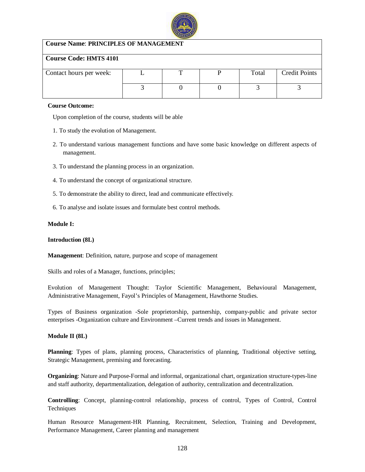

## **Course Name**: **PRINCIPLES OF MANAGEMENT**

### **Course Code: HMTS 4101**

| Contact hours per week: |  | Total | <b>Credit Points</b> |
|-------------------------|--|-------|----------------------|
|                         |  |       |                      |
|                         |  |       |                      |
|                         |  |       |                      |

#### **Course Outcome:**

Upon completion of the course, students will be able

- 1. To study the evolution of Management.
- 2. To understand various management functions and have some basic knowledge on different aspects of management.
- 3. To understand the planning process in an organization.
- 4. To understand the concept of organizational structure.
- 5. To demonstrate the ability to direct, lead and communicate effectively.
- 6. To analyse and isolate issues and formulate best control methods.

#### **Module I:**

#### **Introduction (8L)**

**Management**: Definition, nature, purpose and scope of management

Skills and roles of a Manager, functions, principles;

Evolution of Management Thought: Taylor Scientific Management, Behavioural Management, Administrative Management, Fayol's Principles of Management, Hawthorne Studies.

Types of Business organization -Sole proprietorship, partnership, company-public and private sector enterprises -Organization culture and Environment –Current trends and issues in Management.

#### **Module II (8L)**

**Planning**: Types of plans, planning process, Characteristics of planning, Traditional objective setting, Strategic Management, premising and forecasting.

**Organizing**: Nature and Purpose-Formal and informal, organizational chart, organization structure-types-line and staff authority, departmentalization, delegation of authority, centralization and decentralization.

**Controlling**: Concept, planning-control relationship, process of control, Types of Control, Control **Techniques** 

Human Resource Management-HR Planning, Recruitment, Selection, Training and Development, Performance Management, Career planning and management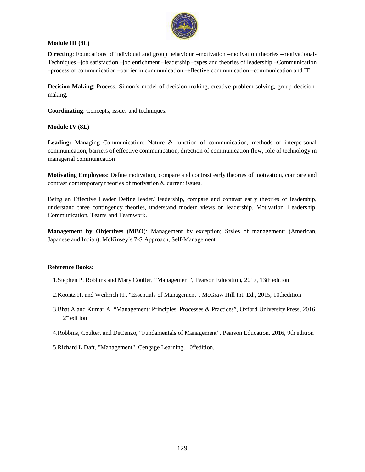

## **Module III (8L)**

**Directing**: Foundations of individual and group behaviour –motivation –motivation theories –motivational-Techniques –job satisfaction –job enrichment –leadership –types and theories of leadership –Communication –process of communication –barrier in communication –effective communication –communication and IT

**Decision-Making**: Process, Simon's model of decision making, creative problem solving, group decisionmaking.

**Coordinating**: Concepts, issues and techniques.

#### **Module IV (8L)**

**Leading:** Managing Communication: Nature & function of communication, methods of interpersonal communication, barriers of effective communication, direction of communication flow, role of technology in managerial communication

**Motivating Employees**: Define motivation, compare and contrast early theories of motivation, compare and contrast contemporary theories of motivation & current issues.

Being an Effective Leader Define leader/ leadership, compare and contrast early theories of leadership, understand three contingency theories, understand modern views on leadership. Motivation, Leadership, Communication, Teams and Teamwork.

**Management by Objectives (MBO**): Management by exception; Styles of management: (American, Japanese and Indian), McKinsey's 7-S Approach, Self-Management

#### **Reference Books:**

- 1.Stephen P. Robbins and Mary Coulter, "Management", Pearson Education, 2017, 13th edition
- 2.Koontz H. and Weihrich H., "Essentials of Management", McGraw Hill Int. Ed., 2015, 10thedition
- 3.Bhat A and Kumar A. "Management: Principles, Processes & Practices", Oxford University Press, 2016, 2<sup>nd</sup>edition

<sup>4.</sup>Robbins, Coulter, and DeCenzo, "Fundamentals of Management", Pearson Education, 2016, 9th edition

<sup>5.</sup>Richard L.Daft, "Management", Cengage Learning, 10<sup>th</sup>edition.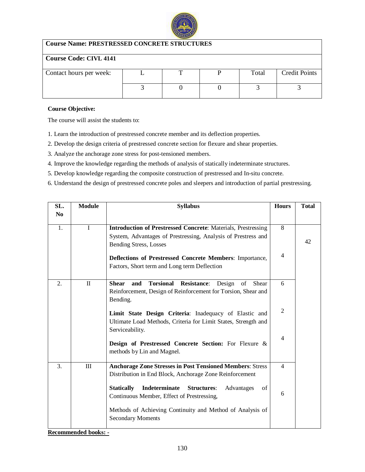

## **Course Name: PRESTRESSED CONCRETE STRUCTURES**

## **Course Code: CIVL 4141**

| Contact hours per week: |  | Total | <b>Credit Points</b> |
|-------------------------|--|-------|----------------------|
|                         |  |       |                      |
|                         |  |       |                      |
|                         |  |       |                      |

#### **Course Objective:**

The course will assist the students to:

1. Learn the introduction of prestressed concrete member and its deflection properties.

2. Develop the design criteria of prestressed concrete section for flexure and shear properties.

3. Analyze the anchorage zone stress for post-tensioned members.

4. Improve the knowledge regarding the methods of analysis of statically indeterminate structures.

5. Develop knowledge regarding the composite construction of prestressed and In-situ concrete.

6. Understand the design of prestressed concrete poles and sleepers and introduction of partial prestressing.

| SL.            | <b>Module</b> | <b>Syllabus</b>                                                                                                                                                                                                                                                                    | <b>Hours</b>        | <b>Total</b> |
|----------------|---------------|------------------------------------------------------------------------------------------------------------------------------------------------------------------------------------------------------------------------------------------------------------------------------------|---------------------|--------------|
| N <sub>0</sub> |               |                                                                                                                                                                                                                                                                                    |                     |              |
| 1.             | $\mathbf I$   | <b>Introduction of Prestressed Concrete: Materials, Prestressing</b><br>System, Advantages of Prestressing, Analysis of Prestress and<br><b>Bending Stress, Losses</b><br>Deflections of Prestressed Concrete Members: Importance,<br>Factors, Short term and Long term Deflection | 8<br>$\overline{4}$ | 42           |
| 2.             | $\mathbf{I}$  | <b>Torsional</b><br><b>Shear</b><br><b>Resistance:</b><br>and<br>Design<br>of<br>Shear<br>Reinforcement, Design of Reinforcement for Torsion, Shear and<br>Bending.                                                                                                                | 6                   |              |
|                |               | Limit State Design Criteria: Inadequacy of Elastic and<br>Ultimate Load Methods, Criteria for Limit States, Strength and<br>Serviceability.                                                                                                                                        | $\overline{2}$      |              |
|                |               | Design of Prestressed Concrete Section: For Flexure &<br>methods by Lin and Magnel.                                                                                                                                                                                                | $\overline{4}$      |              |
| 3.             | $\rm III$     | <b>Anchorage Zone Stresses in Post Tensioned Members: Stress</b><br>Distribution in End Block, Anchorage Zone Reinforcement                                                                                                                                                        | $\overline{4}$      |              |
|                |               | <b>Statically</b><br>Indeterminate<br><b>Structures:</b><br>of<br>Advantages<br>Continuous Member, Effect of Prestressing,                                                                                                                                                         | 6                   |              |
|                |               | Methods of Achieving Continuity and Method of Analysis of<br><b>Secondary Moments</b>                                                                                                                                                                                              |                     |              |

**Recommended books: -**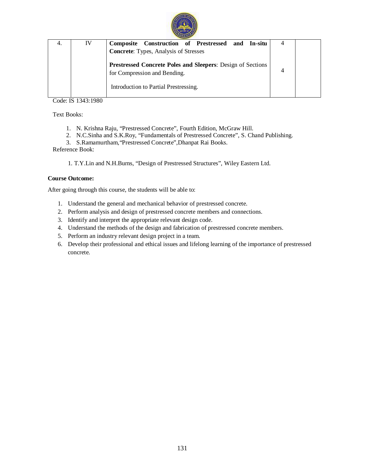

| IV | Construction of Prestressed and In-situ<br>Composite        |  |
|----|-------------------------------------------------------------|--|
|    | <b>Concrete:</b> Types, Analysis of Stresses                |  |
|    |                                                             |  |
|    | Prestressed Concrete Poles and Sleepers: Design of Sections |  |
|    | for Compression and Bending.                                |  |
|    | Introduction to Partial Prestressing.                       |  |
|    |                                                             |  |

Code: IS 1343:1980

Text Books:

- 1. N. Krishna Raju, "Prestressed Concrete", Fourth Edition, McGraw Hill.
- 2. N.C.Sinha and S.K.Roy, "Fundamentals of Prestressed Concrete", S. Chand Publishing.
- 3. S.Ramamurtham,"Prestressed Concrete",Dhanpat Rai Books.

Reference Book:

1. T.Y.Lin and N.H.Burns, "Design of Prestressed Structures", Wiley Eastern Ltd.

### **Course Outcome:**

After going through this course, the students will be able to:

- 1. Understand the general and mechanical behavior of prestressed concrete.
- 2. Perform analysis and design of prestressed concrete members and connections.
- 3. Identify and interpret the appropriate relevant design code.
- 4. Understand the methods of the design and fabrication of prestressed concrete members.
- 5. Perform an industry relevant design project in a team.
- 6. Develop their professional and ethical issues and lifelong learning of the importance of prestressed concrete.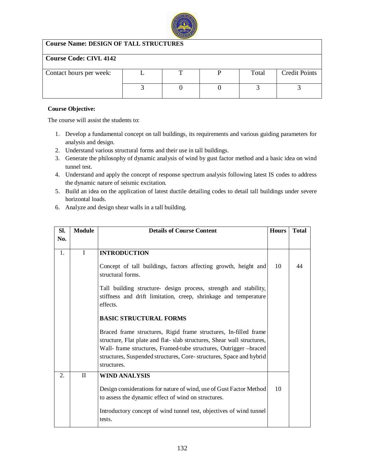

## **Course Name: DESIGN OF TALL STRUCTURES**

## **Course Code: CIVL 4142**

| Contact hours per week: |  | Total | <b>Credit Points</b> |
|-------------------------|--|-------|----------------------|
|                         |  |       |                      |
|                         |  |       |                      |
|                         |  |       |                      |

## **Course Objective:**

- 1. Develop a fundamental concept on tall buildings, its requirements and various guiding parameters for analysis and design.
- 2. Understand various structural forms and their use in tall buildings.
- 3. Generate the philosophy of dynamic analysis of wind by gust factor method and a basic idea on wind tunnel test.
- 4. Understand and apply the concept of response spectrum analysis following latest IS codes to address the dynamic nature of seismic excitation.
- 5. Build an idea on the application of latest ductile detailing codes to detail tall buildings under severe horizontal loads.
- 6. Analyze and design shear walls in a tall building.

| SI. | <b>Module</b> | <b>Details of Course Content</b>                                                                                                                                                                                                                                                                      | <b>Hours</b> | <b>Total</b> |
|-----|---------------|-------------------------------------------------------------------------------------------------------------------------------------------------------------------------------------------------------------------------------------------------------------------------------------------------------|--------------|--------------|
| No. |               |                                                                                                                                                                                                                                                                                                       |              |              |
| 1.  | I             | <b>INTRODUCTION</b>                                                                                                                                                                                                                                                                                   |              |              |
|     |               | Concept of tall buildings, factors affecting growth, height and<br>structural forms.                                                                                                                                                                                                                  | 10           | 44           |
|     |               | Tall building structure- design process, strength and stability,<br>stiffness and drift limitation, creep, shrinkage and temperature<br>effects.                                                                                                                                                      |              |              |
|     |               | <b>BASIC STRUCTURAL FORMS</b>                                                                                                                                                                                                                                                                         |              |              |
|     |               | Braced frame structures, Rigid frame structures, In-filled frame<br>structure, Flat plate and flat-slab structures, Shear wall structures,<br>Wall- frame structures, Framed-tube structures, Outrigger -braced<br>structures, Suspended structures, Core-structures, Space and hybrid<br>structures. |              |              |
| 2.  | $\mathbf{I}$  | <b>WIND ANALYSIS</b>                                                                                                                                                                                                                                                                                  |              |              |
|     |               | Design considerations for nature of wind, use of Gust Factor Method<br>to assess the dynamic effect of wind on structures.                                                                                                                                                                            | 10           |              |
|     |               | Introductory concept of wind tunnel test, objectives of wind tunnel<br>tests.                                                                                                                                                                                                                         |              |              |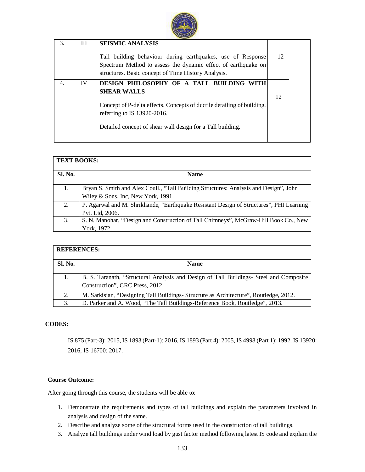

| Ш<br>3.<br><b>SEISMIC ANALYSIS</b><br>12<br>Tall building behaviour during earthquakes, use of Response<br>Spectrum Method to assess the dynamic effect of earthquake on<br>structures. Basic concept of Time History Analysis.<br>IV<br>4.<br>DESIGN PHILOSOPHY OF A TALL BUILDING WITH<br><b>SHEAR WALLS</b><br>12<br>Concept of P-delta effects. Concepts of ductile detailing of building,<br>referring to IS 13920-2016.<br>Detailed concept of shear wall design for a Tall building. |  |  |  |
|---------------------------------------------------------------------------------------------------------------------------------------------------------------------------------------------------------------------------------------------------------------------------------------------------------------------------------------------------------------------------------------------------------------------------------------------------------------------------------------------|--|--|--|
|                                                                                                                                                                                                                                                                                                                                                                                                                                                                                             |  |  |  |
|                                                                                                                                                                                                                                                                                                                                                                                                                                                                                             |  |  |  |

| <b>TEXT BOOKS:</b> |                                                                                         |  |  |  |  |
|--------------------|-----------------------------------------------------------------------------------------|--|--|--|--|
| <b>Sl. No.</b>     | <b>Name</b>                                                                             |  |  |  |  |
| 1.                 | Bryan S. Smith and Alex Coull., "Tall Building Structures: Analysis and Design", John   |  |  |  |  |
|                    | Wiley & Sons, Inc, New York, 1991.                                                      |  |  |  |  |
| 2.                 | P. Agarwal and M. Shrikhande, "Earthquake Resistant Design of Structures", PHI Learning |  |  |  |  |
|                    | Pvt. Ltd, 2006.                                                                         |  |  |  |  |
| 3.                 | S. N. Manohar, "Design and Construction of Tall Chimneys", McGraw-Hill Book Co., New    |  |  |  |  |
|                    | York, 1972.                                                                             |  |  |  |  |

| <b>REFERENCES:</b> |                                                                                                                           |  |  |  |  |
|--------------------|---------------------------------------------------------------------------------------------------------------------------|--|--|--|--|
| <b>Sl. No.</b>     | <b>Name</b>                                                                                                               |  |  |  |  |
|                    | B. S. Taranath, "Structural Analysis and Design of Tall Buildings- Steel and Composite<br>Construction", CRC Press, 2012. |  |  |  |  |
| 2.                 | M. Sarkisian, "Designing Tall Buildings-Structure as Architecture", Routledge, 2012.                                      |  |  |  |  |
| 3.                 | D. Parker and A. Wood, "The Tall Buildings-Reference Book, Routledge", 2013.                                              |  |  |  |  |

## **CODES:**

IS 875 (Part-3): 2015, IS 1893 (Part-1): 2016, IS 1893 (Part 4): 2005, IS 4998 (Part 1): 1992, IS 13920: 2016, IS 16700: 2017.

#### **Course Outcome:**

After going through this course, the students will be able to:

- 1. Demonstrate the requirements and types of tall buildings and explain the parameters involved in analysis and design of the same.
- 2. Describe and analyze some of the structural forms used in the construction of tall buildings.
- 3. Analyze tall buildings under wind load by gust factor method following latest IS code and explain the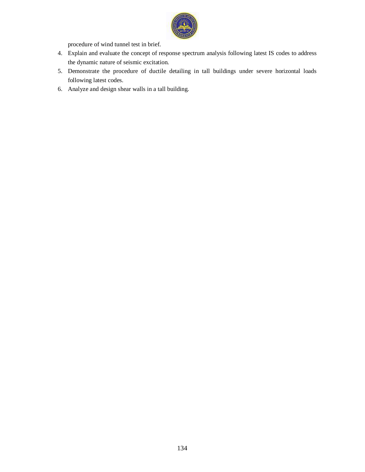

procedure of wind tunnel test in brief.

- 4. Explain and evaluate the concept of response spectrum analysis following latest IS codes to address the dynamic nature of seismic excitation.
- 5. Demonstrate the procedure of ductile detailing in tall buildings under severe horizontal loads following latest codes.
- 6. Analyze and design shear walls in a tall building.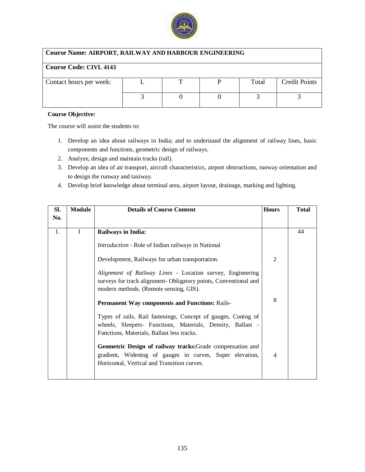

## **Course Name: AIRPORT, RAILWAY AND HARBOUR ENGINEERING**

# **Course Code: CIVL 4143**

| Contact hours per week: |  | Total | <b>Credit Points</b> |
|-------------------------|--|-------|----------------------|
|                         |  |       |                      |
|                         |  |       |                      |
|                         |  |       |                      |

### **Course Objective:**

- 1. Develop an idea about railways in India; and to understand the alignment of railway lines, basic components and functions, geometric design of railways.
- 2. Analyze, design and maintain tracks (rail).
- 3. Develop an idea of air transport, aircraft characteristics, airport obstructions, runway orientation and to design the runway and taxiway.
- 4. Develop brief knowledge about terminal area, airport layout, drainage, marking and lighting.

| SI. | Module       | <b>Details of Course Content</b>                                                                                                                                                                                                                                                                                                                                                                                                                      | <b>Hours</b>   | <b>Total</b> |
|-----|--------------|-------------------------------------------------------------------------------------------------------------------------------------------------------------------------------------------------------------------------------------------------------------------------------------------------------------------------------------------------------------------------------------------------------------------------------------------------------|----------------|--------------|
| No. |              |                                                                                                                                                                                                                                                                                                                                                                                                                                                       |                |              |
| 1.  | $\mathbf{I}$ | <b>Railways in India:</b><br><i>Introduction</i> - Role of Indian railways in National<br>Development, Railways for urban transportation.<br>Alignment of Railway Lines - Location survey, Engineering<br>surveys for track alignment- Obligatory points, Conventional and                                                                                                                                                                            | $\overline{2}$ | 44           |
|     |              | modern methods. (Remote sensing, GIS).<br><b>Permanent Way components and Functions: Rails-</b><br>Types of rails, Rail fastenings, Concept of gauges, Coning of<br>wheels, Sleepers- Functions, Materials, Density, Ballast -<br>Functions, Materials, Ballast less tracks.<br>Geometric Design of railway tracks: Grade compensation and<br>gradient, Widening of gauges in curves, Super elevation,<br>Horizontal, Vertical and Transition curves. | 8<br>4         |              |
|     |              |                                                                                                                                                                                                                                                                                                                                                                                                                                                       |                |              |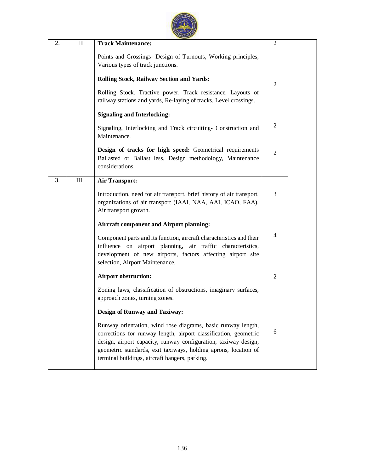| 2. | $\mathbf{I}$                                                                                                                     | <b>Track Maintenance:</b>                                                                                                                                                                                                                                                                                                | $\overline{2}$ |  |
|----|----------------------------------------------------------------------------------------------------------------------------------|--------------------------------------------------------------------------------------------------------------------------------------------------------------------------------------------------------------------------------------------------------------------------------------------------------------------------|----------------|--|
|    |                                                                                                                                  | Points and Crossings- Design of Turnouts, Working principles,<br>Various types of track junctions.                                                                                                                                                                                                                       |                |  |
|    |                                                                                                                                  | <b>Rolling Stock, Railway Section and Yards:</b>                                                                                                                                                                                                                                                                         | $\overline{2}$ |  |
|    | Rolling Stock. Tractive power, Track resistance, Layouts of<br>railway stations and yards, Re-laying of tracks, Level crossings. |                                                                                                                                                                                                                                                                                                                          |                |  |
|    |                                                                                                                                  | <b>Signaling and Interlocking:</b>                                                                                                                                                                                                                                                                                       |                |  |
|    |                                                                                                                                  | Signaling, Interlocking and Track circuiting- Construction and<br>Maintenance.                                                                                                                                                                                                                                           | 2              |  |
|    |                                                                                                                                  | Design of tracks for high speed: Geometrical requirements<br>Ballasted or Ballast less, Design methodology, Maintenance<br>considerations.                                                                                                                                                                               | $\overline{c}$ |  |
| 3. | $\rm III$                                                                                                                        | <b>Air Transport:</b>                                                                                                                                                                                                                                                                                                    |                |  |
|    |                                                                                                                                  | Introduction, need for air transport, brief history of air transport,<br>organizations of air transport (IAAI, NAA, AAI, ICAO, FAA),<br>Air transport growth.                                                                                                                                                            | 3              |  |
|    |                                                                                                                                  | <b>Aircraft component and Airport planning:</b>                                                                                                                                                                                                                                                                          |                |  |
|    |                                                                                                                                  | Component parts and its function, aircraft characteristics and their<br>influence on airport planning, air traffic characteristics,<br>development of new airports, factors affecting airport site<br>selection, Airport Maintenance.                                                                                    | $\overline{4}$ |  |
|    |                                                                                                                                  | <b>Airport obstruction:</b>                                                                                                                                                                                                                                                                                              | $\overline{2}$ |  |
|    |                                                                                                                                  | Zoning laws, classification of obstructions, imaginary surfaces,<br>approach zones, turning zones.                                                                                                                                                                                                                       |                |  |
|    |                                                                                                                                  | <b>Design of Runway and Taxiway:</b>                                                                                                                                                                                                                                                                                     |                |  |
|    |                                                                                                                                  | Runway orientation, wind rose diagrams, basic runway length,<br>corrections for runway length, airport classification, geometric<br>design, airport capacity, runway configuration, taxiway design,<br>geometric standards, exit taxiways, holding aprons, location of<br>terminal buildings, aircraft hangers, parking. | 6              |  |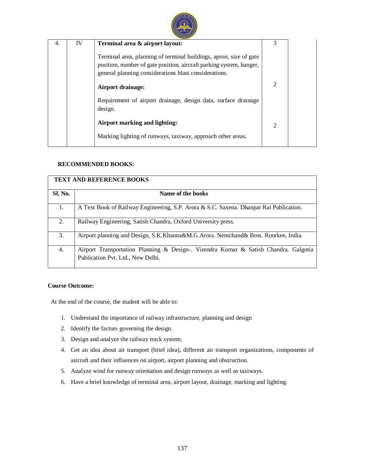

| 4. | IV | Terminal area & airport layout:                                                                                                                                                                    | 3              |  |
|----|----|----------------------------------------------------------------------------------------------------------------------------------------------------------------------------------------------------|----------------|--|
|    |    | Terminal area, planning of terminal buildings, apron, size of gate<br>position, number of gate position, aircraft parking system, hanger,<br>general planning considerations blast considerations. |                |  |
|    |    | <b>Airport drainage:</b>                                                                                                                                                                           | $\mathfrak{D}$ |  |
|    |    | Requirement of airport drainage, design data, surface drainage<br>design.                                                                                                                          |                |  |
|    |    | Airport marking and lighting:                                                                                                                                                                      | $\overline{2}$ |  |
|    |    | Marking lighting of runways, taxiway, approach other areas.                                                                                                                                        |                |  |

## **RECOMMENDED BOOKS:**

|                | <b>TEXT AND REFERENCE BOOKS</b>                                                                                           |
|----------------|---------------------------------------------------------------------------------------------------------------------------|
| <b>Sl. No.</b> | Name of the books                                                                                                         |
| 1.             | A Text Book of Railway Engineering, S.P. Arora & S.C. Saxena. Dhanpat Rai Publication.                                    |
| 2.             | Railway Engineering, Satish Chandra, Oxford University press.                                                             |
| 3.             | Airport planning and Design, S.K.Khanna&M.G.Arora. Nemchand& Bros. Roorkee, India.                                        |
| 4.             | Airport Transportation Planning & Design-. Virendra Kumar & Satish Chandra. Galgotia<br>Publication Pvt. Ltd., New Delhi. |

## **Course Outcome:**

At the end of the course, the student will be able to:

- 1. Understand the importance of railway infrastructure, planning and design
- 2. Identify the factors governing the design.
- 3. Design and analyze the railway track system.
- 4. Get an idea about air transport (brief idea), different air transport organizations, components of aircraft and their influences on airport, airport planning and obstruction.
- 5. Analyze wind for runway orientation and design runways as well as taxiways.
- 6. Have a brief knowledge of terminal area, airport layout, drainage, marking and lighting.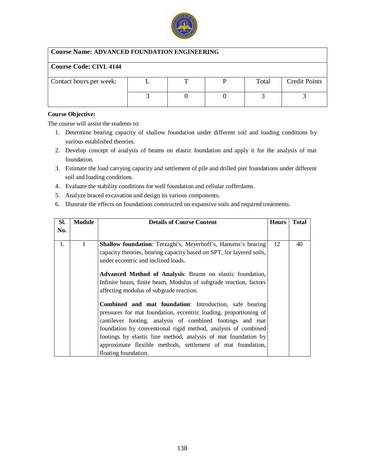

## **Course Name: ADVANCED FOUNDATION ENGINEERING**

## **Course Code: CIVL 4144**

| Contact hours per week: |  | Total | <b>Credit Points</b> |
|-------------------------|--|-------|----------------------|
|                         |  |       |                      |
|                         |  |       |                      |
|                         |  |       |                      |
|                         |  |       |                      |
|                         |  |       |                      |

#### **Course Objective:**

- 1. Determine bearing capacity of shallow foundation under different soil and loading conditions by various established theories.
- 2. Develop concept of analysis of beams on elastic foundation and apply it for the analysis of mat foundation.
- 3. Estimate the load carrying capacity and settlement of pile and drilled pier foundations under different soil and loading conditions.
- 4. Evaluate the stability conditions for well foundation and cellular cofferdams.
- 5. Analyze braced excavation and design its various components.
- 6. Illustrate the effects on foundations constructed on expansive soils and required treatments.

| Sl. | Module | <b>Details of Course Content</b>                                      | <b>Hours</b> | <b>Total</b> |
|-----|--------|-----------------------------------------------------------------------|--------------|--------------|
| No. |        |                                                                       |              |              |
|     |        |                                                                       |              |              |
| 1.  | I      | <b>Shallow foundation:</b> Terzaghi's, Meyerhoff's, Hansens's bearing | 12           | 40           |
|     |        | capacity theories, bearing capacity based on SPT, for layered soils,  |              |              |
|     |        | under eccentric and inclined loads.                                   |              |              |
|     |        | Advanced Method of Analysis: Beams on elastic foundation,             |              |              |
|     |        |                                                                       |              |              |
|     |        | Infinite beam, finite beam, Modulus of subgrade reaction, factors     |              |              |
|     |        | affecting modulus of subgrade reaction.                               |              |              |
|     |        | Combined and mat foundation: Introduction, safe bearing               |              |              |
|     |        | pressures for mat foundation, eccentric loading, proportioning of     |              |              |
|     |        | cantilever footing, analysis of combined footings and mat             |              |              |
|     |        | foundation by conventional rigid method, analysis of combined         |              |              |
|     |        | footings by elastic line method, analysis of mat foundation by        |              |              |
|     |        | approximate flexible methods, settlement of mat foundation,           |              |              |
|     |        | floating foundation.                                                  |              |              |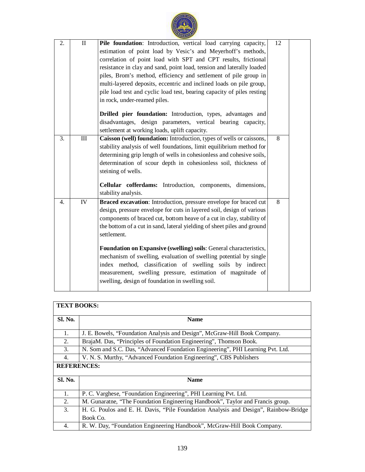

| 2.               | $\mathbf{I}$ | Pile foundation: Introduction, vertical load carrying capacity,         | 12             |  |
|------------------|--------------|-------------------------------------------------------------------------|----------------|--|
|                  |              | estimation of point load by Vesic's and Meyerhoff's methods,            |                |  |
|                  |              | correlation of point load with SPT and CPT results, frictional          |                |  |
|                  |              | resistance in clay and sand, point load, tension and laterally loaded   |                |  |
|                  |              | piles, Brom's method, efficiency and settlement of pile group in        |                |  |
|                  |              | multi-layered deposits, eccentric and inclined loads on pile group,     |                |  |
|                  |              | pile load test and cyclic load test, bearing capacity of piles resting  |                |  |
|                  |              | in rock, under-reamed piles.                                            |                |  |
|                  |              |                                                                         |                |  |
|                  |              | Drilled pier foundation: Introduction, types, advantages and            |                |  |
|                  |              | disadvantages, design parameters, vertical bearing capacity,            |                |  |
|                  |              | settlement at working loads, uplift capacity.                           |                |  |
| $\overline{3}$ . | III          | Caisson (well) foundation: Introduction, types of wells or caissons,    | $\overline{8}$ |  |
|                  |              | stability analysis of well foundations, limit equilibrium method for    |                |  |
|                  |              | determining grip length of wells in cohesionless and cohesive soils,    |                |  |
|                  |              | determination of scour depth in cohesionless soil, thickness of         |                |  |
|                  |              | steining of wells.                                                      |                |  |
|                  |              |                                                                         |                |  |
|                  |              | Cellular cofferdams: Introduction, components, dimensions,              |                |  |
|                  |              | stability analysis.                                                     |                |  |
| 4.               | IV           | Braced excavation: Introduction, pressure envelope for braced cut       | 8              |  |
|                  |              | design, pressure envelope for cuts in layered soil, design of various   |                |  |
|                  |              | components of braced cut, bottom heave of a cut in clay, stability of   |                |  |
|                  |              | the bottom of a cut in sand, lateral yielding of sheet piles and ground |                |  |
|                  |              | settlement.                                                             |                |  |
|                  |              | Foundation on Expansive (swelling) soils: General characteristics,      |                |  |
|                  |              | mechanism of swelling, evaluation of swelling potential by single       |                |  |
|                  |              | index method, classification of swelling soils by indirect              |                |  |
|                  |              |                                                                         |                |  |
|                  |              | measurement, swelling pressure, estimation of magnitude of              |                |  |
|                  |              | swelling, design of foundation in swelling soil.                        |                |  |
|                  |              |                                                                         |                |  |

| <b>TEXT BOOKS:</b> |                                                                                     |
|--------------------|-------------------------------------------------------------------------------------|
| <b>Sl. No.</b>     | <b>Name</b>                                                                         |
| $\mathbf{1}$ .     | J. E. Bowels, "Foundation Analysis and Design", McGraw-Hill Book Company.           |
| 2.                 | BrajaM. Das, "Principles of Foundation Engineering", Thomson Book.                  |
| 3.                 | N. Som and S.C. Das, "Advanced Foundation Engineering", PHI Learning Pvt. Ltd.      |
| 4.                 | V. N. S. Murthy, "Advanced Foundation Engineering", CBS Publishers                  |
| <b>REFERENCES:</b> |                                                                                     |
| <b>Sl. No.</b>     | <b>Name</b>                                                                         |
| 1.                 | P. C. Varghese, "Foundation Engineering", PHI Learning Pvt. Ltd.                    |
| 2.                 | M. Gunaratne, 'The Foundation Engineering Handbook'', Taylor and Francis group.     |
| 3.                 | H. G. Poulos and E. H. Davis, "Pile Foundation Analysis and Design", Rainbow-Bridge |
|                    | Book Co.                                                                            |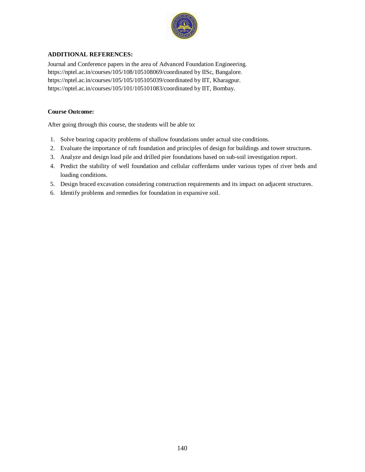

## **ADDITIONAL REFERENCES:**

Journal and Conference papers in the area of Advanced Foundation Engineering. <https://nptel.ac.in/courses/105/108/105108069/coordinated>by IISc, Bangalore. <https://nptel.ac.in/courses/105/105/105105039/coordinated>by IIT, Kharagpur. <https://nptel.ac.in/courses/105/101/105101083/coordinated>by IIT, Bombay.

### **Course Outcome:**

After going through this course, the students will be able to:

- 1. Solve bearing capacity problems of shallow foundations under actual site conditions.
- 2. Evaluate the importance of raft foundation and principles of design for buildings and tower structures.
- 3. Analyze and design load pile and drilled pier foundations based on sub-soil investigation report.
- 4. Predict the stability of well foundation and cellular cofferdams under various types of river beds and loading conditions.
- 5. Design braced excavation considering construction requirements and its impact on adjacent structures.
- 6. Identify problems and remedies for foundation in expansive soil.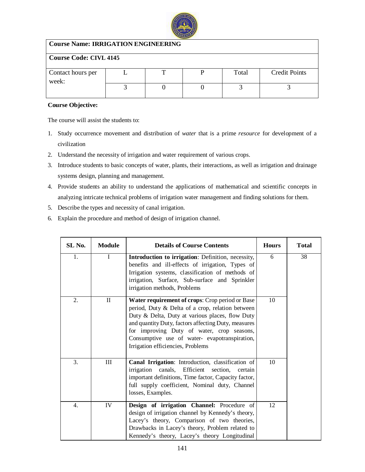

## **Course Name: IRRIGATION ENGINEERING**

| <b>Course Code: CIVL 4145</b> |  |  |  |       |                      |  |  |  |  |
|-------------------------------|--|--|--|-------|----------------------|--|--|--|--|
|                               |  |  |  |       |                      |  |  |  |  |
| Contact hours per<br>week:    |  |  |  | Total | <b>Credit Points</b> |  |  |  |  |
|                               |  |  |  |       |                      |  |  |  |  |

## **Course Objective:**

- 1. Study occurrence movement and distribution of *water* that is a prime *resource* for development of a civilization
- 2. Understand the necessity of irrigation and water requirement of various crops.
- 3. Introduce students to basic concepts of water, plants, their interactions, as well as irrigation and drainage systems design, planning and management.
- 4. Provide students an ability to understand the applications of mathematical and scientific concepts in analyzing intricate technical problems of irrigation water management and finding solutions for them.
- 5. Describe the types and necessity of canal irrigation.
- 6. Explain the procedure and method of design of irrigation channel.

| SL No. | <b>Module</b> | <b>Details of Course Contents</b>                                                                                                                                                                                                                                                                                                                | <b>Hours</b> | <b>Total</b>    |
|--------|---------------|--------------------------------------------------------------------------------------------------------------------------------------------------------------------------------------------------------------------------------------------------------------------------------------------------------------------------------------------------|--------------|-----------------|
| 1.     | $\mathbf{I}$  | Introduction to irrigation: Definition, necessity,<br>benefits and ill-effects of irrigation, Types of<br>Irrigation systems, classification of methods of<br>irrigation, Surface, Sub-surface and Sprinkler<br>irrigation methods, Problems                                                                                                     | 6            | $\overline{38}$ |
| 2.     | $\mathbf{I}$  | Water requirement of crops: Crop period or Base<br>period, Duty & Delta of a crop, relation between<br>Duty & Delta, Duty at various places, flow Duty<br>and quantity Duty, factors affecting Duty, measures<br>for improving Duty of water, crop seasons,<br>Consumptive use of water-evapotranspiration,<br>Irrigation efficiencies, Problems | 10           |                 |
| 3.     | III           | Canal Irrigation: Introduction, classification of<br>irrigation canals, Efficient section, certain<br>important definitions, Time factor, Capacity factor,<br>full supply coefficient, Nominal duty, Channel<br>losses, Examples.                                                                                                                | 10           |                 |
| 4.     | IV            | Design of irrigation Channel: Procedure of<br>design of irrigation channel by Kennedy's theory,<br>Lacey's theory, Comparison of two theories,<br>Drawbacks in Lacey's theory, Problem related to<br>Kennedy's theory, Lacey's theory Longitudinal                                                                                               | 12           |                 |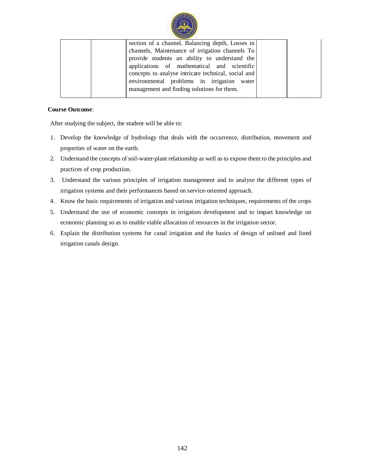

| section of a channel, Balancing depth, Losses in    |  |
|-----------------------------------------------------|--|
| channels, Maintenance of irrigation channels To     |  |
| provide students an ability to understand the       |  |
| applications of mathematical and scientific         |  |
| concepts to analyse intricate technical, social and |  |
| environmental problems in irrigation water          |  |
| management and finding solutions for them.          |  |
|                                                     |  |

## **Course Outcome**:

After studying the subject, the student will be able to:

- 1. Develop the knowledge of hydrology that deals with the occurrence, distribution, movement and properties of water on the earth.
- 2. Understand the concepts of soil-water-plant relationship as well as to expose them to the principles and practices of crop production.
- 3. Understand the various principles of irrigation management and to analyse the different types of irrigation systems and their performances based on service-oriented approach.
- 4. Know the basic requirements of irrigation and various irrigation techniques, requirements of the crops
- 5. Understand the use of economic concepts in irrigation development and to impart knowledge on economic planning so as to enable viable allocation of resources in the irrigation sector.
- 6. Explain the distribution systems for canal irrigation and the basics of design of unlined and lined irrigation canals design.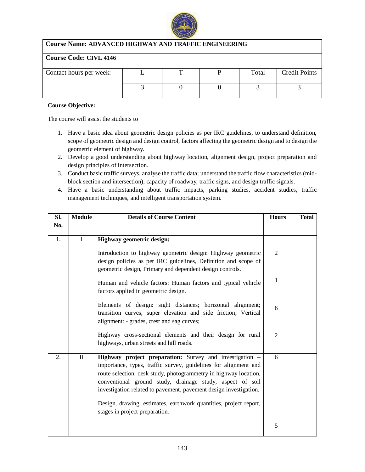

## **Course Name: ADVANCED HIGHWAY AND TRAFFIC ENGINEERING**

## **Course Code: CIVL 4146**

| Contact hours per week: |  | Total | <b>Credit Points</b> |
|-------------------------|--|-------|----------------------|
|                         |  |       |                      |
|                         |  |       |                      |
|                         |  |       |                      |

### **Course Objective:**

- 1. Have a basic idea about geometric design policies as per IRC guidelines, to understand definition, scope of geometric design and design control, factors affecting the geometric design and to design the geometric element of highway.
- 2. Develop a good understanding about highway location, alignment design, project preparation and design principles of intersection.
- 3. Conduct basic traffic surveys, analyse the traffic data; understand the traffic flow characteristics (midblock section and intersection), capacity of roadway, traffic signs, and design traffic signals.
- 4. Have a basic understanding about traffic impacts, parking studies, accident studies, traffic management techniques, and intelligent transportation system.

| Sl. | <b>Module</b> | <b>Details of Course Content</b>                                                                                                                                                                                                                                                                                                                                                                      | <b>Hours</b>   | <b>Total</b> |
|-----|---------------|-------------------------------------------------------------------------------------------------------------------------------------------------------------------------------------------------------------------------------------------------------------------------------------------------------------------------------------------------------------------------------------------------------|----------------|--------------|
| No. |               |                                                                                                                                                                                                                                                                                                                                                                                                       |                |              |
| 1.  | I             | Highway geometric design:<br>Introduction to highway geometric design: Highway geometric<br>design policies as per IRC guidelines, Definition and scope of                                                                                                                                                                                                                                            | $\overline{2}$ |              |
|     |               | geometric design, Primary and dependent design controls.<br>Human and vehicle factors: Human factors and typical vehicle<br>factors applied in geometric design.                                                                                                                                                                                                                                      | $\mathbf{1}$   |              |
|     |               | Elements of design: sight distances; horizontal alignment;<br>transition curves, super elevation and side friction; Vertical<br>alignment: - grades, crest and sag curves;                                                                                                                                                                                                                            | 6              |              |
|     |               | Highway cross-sectional elements and their design for rural<br>highways, urban streets and hill roads.                                                                                                                                                                                                                                                                                                | $\overline{2}$ |              |
| 2.  | $\mathbf{I}$  | Highway project preparation: Survey and investigation -<br>importance, types, traffic survey, guidelines for alignment and<br>route selection, desk study, photogrammetry in highway location,<br>conventional ground study, drainage study, aspect of soil<br>investigation related to pavement, pavement design investigation.<br>Design, drawing, estimates, earthwork quantities, project report, | 6              |              |
|     |               | stages in project preparation.                                                                                                                                                                                                                                                                                                                                                                        | 5              |              |
|     |               |                                                                                                                                                                                                                                                                                                                                                                                                       |                |              |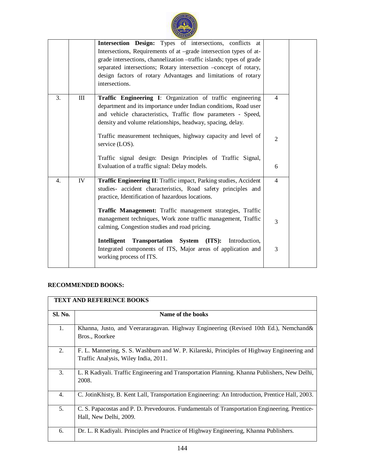|    |     | Intersection Design: Types of intersections, conflicts at<br>Intersections, Requirements of at -grade intersection types of at-<br>grade intersections, channelization -traffic islands; types of grade<br>separated intersections; Rotary intersection -concept of rotary,<br>design factors of rotary Advantages and limitations of rotary<br>intersections.        |                                  |  |
|----|-----|-----------------------------------------------------------------------------------------------------------------------------------------------------------------------------------------------------------------------------------------------------------------------------------------------------------------------------------------------------------------------|----------------------------------|--|
| 3. | III | Traffic Engineering I: Organization of traffic engineering<br>department and its importance under Indian conditions, Road user<br>and vehicle characteristics, Traffic flow parameters - Speed,<br>density and volume relationships, headway, spacing, delay.<br>Traffic measurement techniques, highway capacity and level of<br>service (LOS).                      | $\overline{4}$<br>$\overline{2}$ |  |
|    |     | Traffic signal design: Design Principles of Traffic Signal,<br>Evaluation of a traffic signal: Delay models.                                                                                                                                                                                                                                                          | 6                                |  |
| 4. | IV  | Traffic Engineering II: Traffic impact, Parking studies, Accident<br>studies- accident characteristics, Road safety principles and<br>practice, Identification of hazardous locations.<br>Traffic Management: Traffic management strategies, Traffic<br>management techniques, Work zone traffic management, Traffic<br>calming, Congestion studies and road pricing. | $\overline{4}$<br>3              |  |
|    |     | Intelligent Transportation System<br>(TTS):<br>Introduction,<br>Integrated components of ITS, Major areas of application and<br>working process of ITS.                                                                                                                                                                                                               | 3                                |  |

# **RECOMMENDED BOOKS:**

|                | <b>TEXT AND REFERENCE BOOKS</b>                                                                                                    |  |  |  |  |  |  |
|----------------|------------------------------------------------------------------------------------------------------------------------------------|--|--|--|--|--|--|
| <b>Sl. No.</b> | Name of the books                                                                                                                  |  |  |  |  |  |  |
| 1.             | Khanna, Justo, and Veerararagavan. Highway Engineering (Revised 10th Ed.), Nemchand &<br>Bros., Roorkee                            |  |  |  |  |  |  |
| 2.             | F. L. Mannering, S. S. Washburn and W. P. Kilareski, Principles of Highway Engineering and<br>Traffic Analysis, Wiley India, 2011. |  |  |  |  |  |  |
| 3.             | L. R Kadiyali. Traffic Engineering and Transportation Planning. Khanna Publishers, New Delhi,<br>2008.                             |  |  |  |  |  |  |
| 4.             | C. JotinKhisty, B. Kent Lall, Transportation Engineering: An Introduction, Prentice Hall, 2003.                                    |  |  |  |  |  |  |
| 5.             | C. S. Papacostas and P. D. Prevedouros. Fundamentals of Transportation Engineering. Prentice-<br>Hall, New Delhi, 2009.            |  |  |  |  |  |  |
| 6.             | Dr. L. R Kadiyali. Principles and Practice of Highway Engineering, Khanna Publishers.                                              |  |  |  |  |  |  |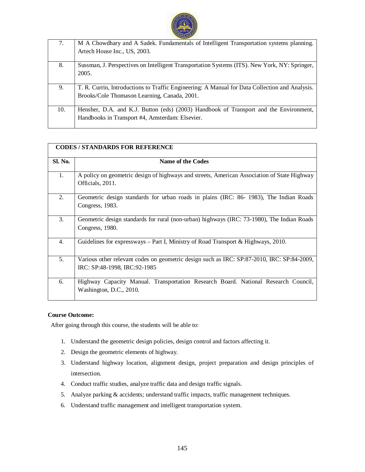

| 7.  | M A Chowdhary and A Sadek. Fundamentals of Intelligent Transportation systems planning.        |
|-----|------------------------------------------------------------------------------------------------|
|     | Artech House Inc., US, 2003.                                                                   |
|     |                                                                                                |
| 8.  | Sussman, J. Perspectives on Intelligent Transportation Systems (ITS). New York, NY: Springer,  |
|     | 2005.                                                                                          |
|     |                                                                                                |
| 9.  | T. R. Currin, Introductions to Traffic Engineering: A Manual for Data Collection and Analysis. |
|     | Brooks/Cole Thomason Learning, Canada, 2001.                                                   |
|     |                                                                                                |
| 10. | Hensher, D.A. and K.J. Button (eds) (2003) Handbook of Transport and the Environment,          |
|     | Handbooks in Transport #4, Amsterdam: Elsevier.                                                |
|     |                                                                                                |

|                | <b>CODES/STANDARDS FOR REFERENCE</b>                                                                                       |  |  |  |  |  |  |
|----------------|----------------------------------------------------------------------------------------------------------------------------|--|--|--|--|--|--|
| <b>Sl. No.</b> | <b>Name of the Codes</b>                                                                                                   |  |  |  |  |  |  |
| 1.             | A policy on geometric design of highways and streets, American Association of State Highway<br>Officials, 2011.            |  |  |  |  |  |  |
| 2.             | Geometric design standards for urban roads in plains (IRC: 86-1983), The Indian Roads<br>Congress, 1983.                   |  |  |  |  |  |  |
| 3.             | Geometric design standards for rural (non-urban) highways (IRC: 73-1980), The Indian Roads<br>Congress, 1980.              |  |  |  |  |  |  |
| 4.             | Guidelines for expressways $-$ Part I, Ministry of Road Transport & Highways, 2010.                                        |  |  |  |  |  |  |
| 5.             | Various other relevant codes on geometric design such as IRC: SP:87-2010, IRC: SP:84-2009,<br>IRC: SP:48-1998, IRC:92-1985 |  |  |  |  |  |  |
| 6.             | Highway Capacity Manual. Transportation Research Board. National Research Council,<br>Washington, D.C., 2010.              |  |  |  |  |  |  |

### **Course Outcome:**

- 1. Understand the geometric design policies, design control and factors affecting it.
- 2. Design the geometric elements of highway.
- 3. Understand highway location, alignment design, project preparation and design principles of intersection.
- 4. Conduct traffic studies, analyze traffic data and design traffic signals.
- 5. Analyze parking & accidents; understand traffic impacts, traffic management techniques.
- 6. Understand traffic management and intelligent transportation system.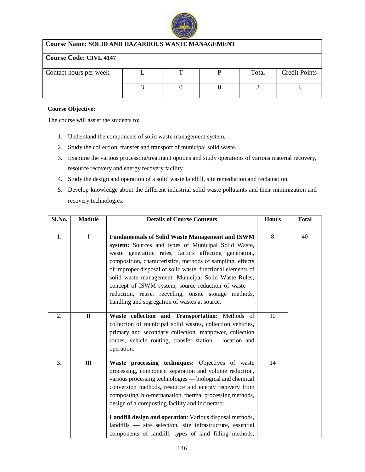

| <b>Course Name: SOLID AND HAZARDOUS WASTE MANAGEMENT</b> |  |  |  |       |                      |  |  |  |
|----------------------------------------------------------|--|--|--|-------|----------------------|--|--|--|
| <b>Course Code: CIVL 4147</b>                            |  |  |  |       |                      |  |  |  |
| Contact hours per week:                                  |  |  |  | Total | <b>Credit Points</b> |  |  |  |
|                                                          |  |  |  |       |                      |  |  |  |

### **Course Objective:**

- 1. Understand the components of solid waste management system.
- 2. Study the collection, transfer and transport of municipal solid waste.
- 3. Examine the various processing/treatment options and study operations of various material recovery, resource recovery and energy recovery facility.
- 4. Study the design and operation of a solid waste landfill, site remediation and reclamation.
- 5. Develop knowledge about the different industrial solid waste pollutants and their minimization and recovery technologies.

| Sl.No.           | <b>Module</b> | <b>Details of Course Contents</b>                                                                                                                                                                                                                                                                                                                                                                                                                                                                                                    | <b>Hours</b>   | <b>Total</b> |
|------------------|---------------|--------------------------------------------------------------------------------------------------------------------------------------------------------------------------------------------------------------------------------------------------------------------------------------------------------------------------------------------------------------------------------------------------------------------------------------------------------------------------------------------------------------------------------------|----------------|--------------|
| 1.               | $\mathbf I$   | <b>Fundamentals of Solid Waste Management and ISWM</b><br>system: Sources and types of Municipal Solid Waste,<br>waste generation rates, factors affecting generation,<br>composition, characteristics, methods of sampling, effects<br>of improper disposal of solid waste, functional elements of<br>solid waste management, Municipal Solid Waste Rules;<br>concept of ISWM system, source reduction of waste -<br>reduction, reuse, recycling, onsite storage methods,<br>handling and segregation of wastes at source.          | $\overline{8}$ | 40           |
| $\overline{2}$ . | $\mathbf{I}$  | Waste collection and Transportation: Methods of<br>collection of municipal solid wastes, collection vehicles,<br>primary and secondary collection, manpower, collection<br>routes, vehicle routing, transfer station - location and<br>operation.                                                                                                                                                                                                                                                                                    | 10             |              |
| 3.               | Ш             | Waste processing techniques: Objectives of waste<br>processing, component separation and volume reduction,<br>various processing technologies — biological and chemical<br>conversion methods, resource and energy recovery from<br>composting, bio-methanation, thermal processing methods,<br>design of a composting facility and incinerator.<br>Landfill design and operation: Various disposal methods,<br>landfills - site selection, site infrastructure, essential<br>components of landfill; types of land filling methods, | 14             |              |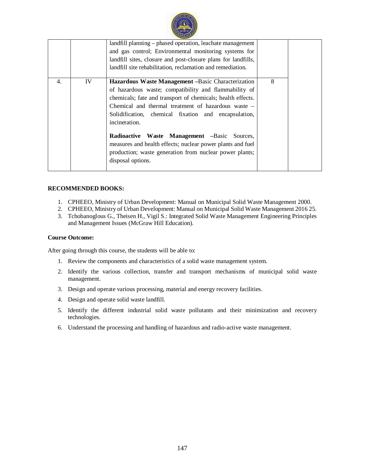

|    |    | landfill planning – phased operation, leachate management     |              |  |
|----|----|---------------------------------------------------------------|--------------|--|
|    |    | and gas control; Environmental monitoring systems for         |              |  |
|    |    | landfill sites, closure and post-closure plans for landfills, |              |  |
|    |    | landfill site rehabilitation, reclamation and remediation.    |              |  |
| 4. | IV | Hazardous Waste Management -Basic Characterization            | $\mathbf{8}$ |  |
|    |    | of hazardous waste; compatibility and flammability of         |              |  |
|    |    | chemicals; fate and transport of chemicals; health effects.   |              |  |
|    |    | Chemical and thermal treatment of hazardous waste –           |              |  |
|    |    | Solidification, chemical fixation and encapsulation,          |              |  |
|    |    | incineration.                                                 |              |  |
|    |    | Radioactive Waste Management -Basic Sources,                  |              |  |
|    |    | measures and health effects; nuclear power plants and fuel    |              |  |
|    |    | production; waste generation from nuclear power plants;       |              |  |
|    |    | disposal options.                                             |              |  |
|    |    |                                                               |              |  |

### **RECOMMENDED BOOKS:**

- 1. CPHEEO, Ministry of Urban Development: Manual on Municipal Solid Waste Management 2000.
- 2. CPHEEO, Ministry of Urban Development: Manual on Municipal Solid Waste Management 2016 25.
- 3. Tchobanoglous G., Theisen H., Vigil S.: Integrated Solid Waste Management Engineering Principles and Management Issues (McGraw Hill Education).

#### **Course Outcome:**

- 1. Review the components and characteristics of a solid waste management system.
- 2. Identify the various collection, transfer and transport mechanisms of municipal solid waste management.
- 3. Design and operate various processing, material and energy recovery facilities.
- 4. Design and operate solid waste landfill.
- 5. Identify the different industrial solid waste pollutants and their minimization and recovery technologies.
- 6. Understand the processing and handling of hazardous and radio-active waste management.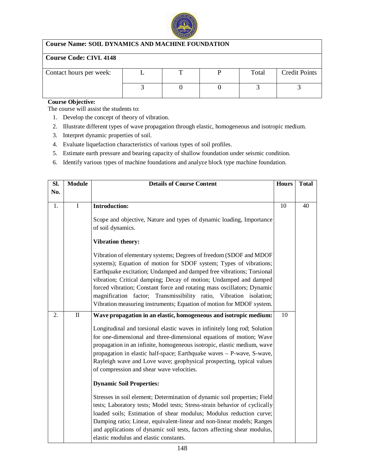

### **Course Name: SOIL DYNAMICS AND MACHINE FOUNDATION**

# **Course Code: CIVL 4148**

| Contact hours per week: |  | Total | <b>Credit Points</b> |
|-------------------------|--|-------|----------------------|
|                         |  |       |                      |

# **Course Objective:**

- 1. Develop the concept of theory of vibration.
- 2. Illustrate different types of wave propagation through elastic, homogeneous and isotropic medium.
- 3. Interpret dynamic properties of soil.
- 4. Evaluate liquefaction characteristics of various types of soil profiles.
- 5. Estimate earth pressure and bearing capacity of shallow foundation under seismic condition.
- 6. Identify various types of machine foundations and analyze block type machine foundation.

| SI. | <b>Module</b> | <b>Details of Course Content</b>                                                                                                                                                                                                                                                                                                                                                                                                                                                                                |    | <b>Total</b> |
|-----|---------------|-----------------------------------------------------------------------------------------------------------------------------------------------------------------------------------------------------------------------------------------------------------------------------------------------------------------------------------------------------------------------------------------------------------------------------------------------------------------------------------------------------------------|----|--------------|
| No. |               |                                                                                                                                                                                                                                                                                                                                                                                                                                                                                                                 |    |              |
|     |               |                                                                                                                                                                                                                                                                                                                                                                                                                                                                                                                 |    |              |
| 1.  | $\rm I$       | <b>Introduction:</b>                                                                                                                                                                                                                                                                                                                                                                                                                                                                                            | 10 | 40           |
|     |               | Scope and objective, Nature and types of dynamic loading, Importance<br>of soil dynamics.                                                                                                                                                                                                                                                                                                                                                                                                                       |    |              |
|     |               | <b>Vibration theory:</b>                                                                                                                                                                                                                                                                                                                                                                                                                                                                                        |    |              |
|     |               | Vibration of elementary systems; Degrees of freedom (SDOF and MDOF<br>systems); Equation of motion for SDOF system; Types of vibrations;<br>Earthquake excitation; Undamped and damped free vibrations; Torsional<br>vibration; Critical damping; Decay of motion; Undamped and damped<br>forced vibration; Constant force and rotating mass oscillators; Dynamic<br>magnification factor; Transmissibility ratio, Vibration isolation;<br>Vibration measuring instruments; Equation of motion for MDOF system. |    |              |
| 2.  | $\rm II$      | Wave propagation in an elastic, homogeneous and isotropic medium:                                                                                                                                                                                                                                                                                                                                                                                                                                               | 10 |              |
|     |               | Longitudinal and torsional elastic waves in infinitely long rod; Solution<br>for one-dimensional and three-dimensional equations of motion; Wave<br>propagation in an infinite, homogeneous isotropic, elastic medium, wave<br>propagation in elastic half-space; Earthquake waves - P-wave, S-wave,<br>Rayleigh wave and Love wave; geophysical prospecting, typical values<br>of compression and shear wave velocities.                                                                                       |    |              |
|     |               | <b>Dynamic Soil Properties:</b>                                                                                                                                                                                                                                                                                                                                                                                                                                                                                 |    |              |
|     |               | Stresses in soil element; Determination of dynamic soil properties; Field<br>tests; Laboratory tests; Model tests; Stress-strain behavior of cyclically<br>loaded soils; Estimation of shear modulus; Modulus reduction curve;<br>Damping ratio; Linear, equivalent-linear and non-linear models; Ranges<br>and applications of dynamic soil tests, factors affecting shear modulus,<br>elastic modulus and elastic constants.                                                                                  |    |              |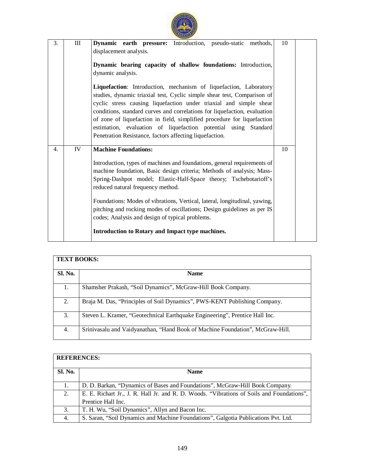| 3. | Ш  | Dynamic earth pressure: Introduction, pseudo-static methods,<br>displacement analysis.<br>Dynamic bearing capacity of shallow foundations: Introduction,<br>dynamic analysis.<br>Liquefaction: Introduction, mechanism of liquefaction, Laboratory<br>studies, dynamic triaxial test, Cyclic simple shear test, Comparison of<br>cyclic stress causing liquefaction under triaxial and simple shear<br>conditions, standard curves and correlations for liquefaction, evaluation<br>of zone of liquefaction in field, simplified procedure for liquefaction<br>estimation, evaluation of liquefaction potential using Standard<br>Penetration Resistance, factors affecting liquefaction. | 10 |  |
|----|----|-------------------------------------------------------------------------------------------------------------------------------------------------------------------------------------------------------------------------------------------------------------------------------------------------------------------------------------------------------------------------------------------------------------------------------------------------------------------------------------------------------------------------------------------------------------------------------------------------------------------------------------------------------------------------------------------|----|--|
| 4. | IV | <b>Machine Foundations:</b><br>Introduction, types of machines and foundations, general requirements of<br>machine foundation, Basic design criteria; Methods of analysis; Mass-<br>Spring-Dashpot model; Elastic-Half-Space theory; Tschebotarioff's<br>reduced natural frequency method.<br>Foundations: Modes of vibrations, Vertical, lateral, longitudinal, yawing,<br>pitching and rocking modes of oscillations; Design guidelines as per IS<br>codes; Analysis and design of typical problems.<br>Introduction to Rotary and Impact type machines.                                                                                                                                | 10 |  |

# **TEXT BOOKS: Sl. No. Name**  1. Shamsher Prakash, "Soil Dynamics", McGraw-Hill Book Company. 2. Braja M. Das, "Principles of Soil Dynamics", PWS-KENT Publishing Company. 3. Steven L. Kramer, "Geotechnical Earthquake Engineering", Prentice Hall Inc. 4. Srinivasalu and Vaidyanathan, "Hand Book of Machine Foundation", McGraw-Hill.

# **REFERENCES:**

| <b>Sl. No.</b> | <b>Name</b>                                                                               |  |  |  |  |  |  |
|----------------|-------------------------------------------------------------------------------------------|--|--|--|--|--|--|
|                |                                                                                           |  |  |  |  |  |  |
| 1.             | D. D. Barkan, "Dynamics of Bases and Foundations", McGraw-Hill Book Company.              |  |  |  |  |  |  |
| 2.             | E. E. Richart Jr., J. R. Hall Jr. and R. D. Woods. "Vibrations of Soils and Foundations", |  |  |  |  |  |  |
|                | Prentice Hall Inc.                                                                        |  |  |  |  |  |  |
| 3.             | T. H. Wu, "Soil Dynamics", Allyn and Bacon Inc.                                           |  |  |  |  |  |  |
| 4.             | S. Saran, "Soil Dynamics and Machine Foundations", Galgotia Publications Pvt. Ltd.        |  |  |  |  |  |  |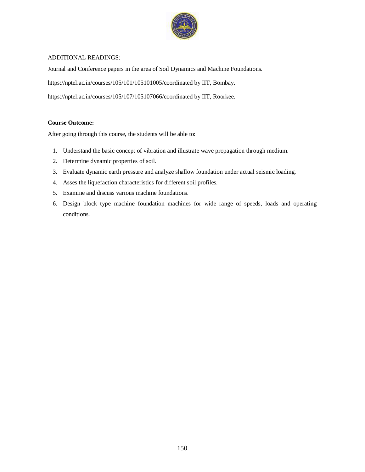

### ADDITIONAL READINGS:

Journal and Conference papers in the area of Soil Dynamics and Machine Foundations.

<https://nptel.ac.in/courses/105/101/105101005/coordinated>by IIT, Bombay.

<https://nptel.ac.in/courses/105/107/105107066/coordinated>by IIT, Roorkee.

### **Course Outcome:**

- 1. Understand the basic concept of vibration and illustrate wave propagation through medium.
- 2. Determine dynamic properties of soil.
- 3. Evaluate dynamic earth pressure and analyze shallow foundation under actual seismic loading.
- 4. Asses the liquefaction characteristics for different soil profiles.
- 5. Examine and discuss various machine foundations.
- 6. Design block type machine foundation machines for wide range of speeds, loads and operating conditions.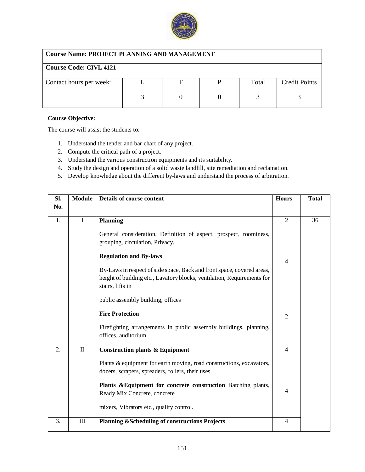

# **Course Name: PROJECT PLANNING AND MANAGEMENT**

| <b>Course Code: CIVL 4121</b> |  |  |  |       |                      |  |  |  |  |
|-------------------------------|--|--|--|-------|----------------------|--|--|--|--|
| Contact hours per week:       |  |  |  | Total | <b>Credit Points</b> |  |  |  |  |
|                               |  |  |  |       |                      |  |  |  |  |

### **Course Objective:**

- 1. Understand the tender and bar chart of any project.
- 2. Compute the critical path of a project.
- 3. Understand the various construction equipments and its suitability.
- 4. Study the design and operation of a solid waste landfill, site remediation and reclamation.
- 5. Develop knowledge about the different by-laws and understand the process of arbitration.

| Sl.<br>No. | <b>Module</b>  | Details of course content                                                                                                                                                                                                                | <b>Hours</b>        | <b>Total</b> |
|------------|----------------|------------------------------------------------------------------------------------------------------------------------------------------------------------------------------------------------------------------------------------------|---------------------|--------------|
| 1.         | I              | <b>Planning</b><br>General consideration, Definition of aspect, prospect, roominess,<br>grouping, circulation, Privacy.                                                                                                                  | $\overline{2}$      | 36           |
|            |                | <b>Regulation and By-laws</b><br>By-Laws in respect of side space, Back and front space, covered areas,<br>height of building etc., Lavatory blocks, ventilation, Requirements for<br>stairs, lifts in                                   | $\overline{4}$      |              |
|            |                | public assembly building, offices<br><b>Fire Protection</b><br>Firefighting arrangements in public assembly buildings, planning,<br>offices, auditorium                                                                                  | $\overline{2}$      |              |
| 2.         | $\rm II$       | <b>Construction plants &amp; Equipment</b><br>Plants & equipment for earth moving, road constructions, excavators,<br>dozers, scrapers, spreaders, rollers, their uses.<br>Plants & Equipment for concrete construction Batching plants, | $\overline{4}$      |              |
| 3.         | $\mathbf{III}$ | Ready Mix Concrete, concrete<br>mixers, Vibrators etc., quality control.<br><b>Planning &amp;Scheduling of constructions Projects</b>                                                                                                    | 4<br>$\overline{4}$ |              |
|            |                |                                                                                                                                                                                                                                          |                     |              |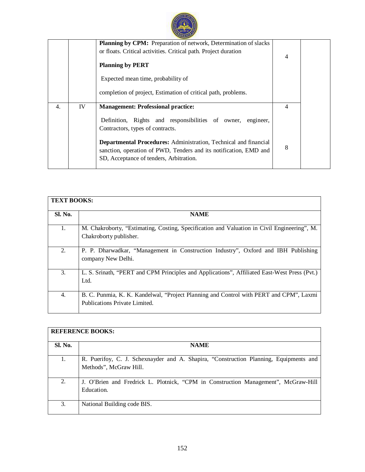|    |    | Planning by CPM: Preparation of network, Determination of slacks                                                                                                                        |   |  |
|----|----|-----------------------------------------------------------------------------------------------------------------------------------------------------------------------------------------|---|--|
|    |    | or floats. Critical activities. Critical path. Project duration                                                                                                                         | 4 |  |
|    |    | <b>Planning by PERT</b>                                                                                                                                                                 |   |  |
|    |    | Expected mean time, probability of                                                                                                                                                      |   |  |
|    |    | completion of project, Estimation of critical path, problems.                                                                                                                           |   |  |
| 4. | IV | <b>Management: Professional practice:</b>                                                                                                                                               | 4 |  |
|    |    | Definition, Rights and responsibilities of owner,<br>engineer,                                                                                                                          |   |  |
|    |    | Contractors, types of contracts.                                                                                                                                                        |   |  |
|    |    | <b>Departmental Procedures:</b> Administration, Technical and financial<br>sanction, operation of PWD, Tenders and its notification, EMD and<br>SD, Acceptance of tenders, Arbitration. | 8 |  |

| <b>TEXT BOOKS:</b> |                                                                                              |
|--------------------|----------------------------------------------------------------------------------------------|
|                    |                                                                                              |
| <b>Sl. No.</b>     | <b>NAME</b>                                                                                  |
|                    |                                                                                              |
| 1.                 | M. Chakroborty, "Estimating, Costing, Specification and Valuation in Civil Engineering", M.  |
|                    | Chakroborty publisher.                                                                       |
|                    |                                                                                              |
|                    |                                                                                              |
| 2.                 | P. P. Dharwadkar, "Management in Construction Industry", Oxford and IBH Publishing           |
|                    | company New Delhi.                                                                           |
|                    |                                                                                              |
| 3.                 | L. S. Srinath, "PERT and CPM Principles and Applications", Affiliated East-West Press (Pvt.) |
|                    | Ltd.                                                                                         |
|                    |                                                                                              |
|                    |                                                                                              |
| 4.                 | B. C. Punmia, K. K. Kandelwal, "Project Planning and Control with PERT and CPM", Laxmi       |
|                    | Publications Private Limited.                                                                |
|                    |                                                                                              |

| <b>REFERENCE BOOKS:</b> |                                                                                                                 |  |  |  |
|-------------------------|-----------------------------------------------------------------------------------------------------------------|--|--|--|
| Sl. No.                 | <b>NAME</b>                                                                                                     |  |  |  |
| 1.                      | R. Puerifoy, C. J. Schexnayder and A. Shapira, "Construction Planning, Equipments and<br>Methods", McGraw Hill. |  |  |  |
| 2.                      | J. O'Brien and Fredrick L. Plotnick, "CPM in Construction Management", McGraw-Hill<br>Education.                |  |  |  |
| 3.                      | National Building code BIS.                                                                                     |  |  |  |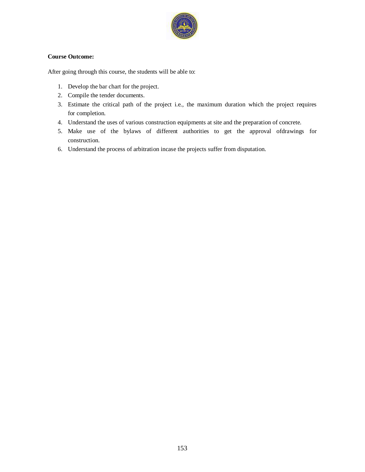

### **Course Outcome:**

- 1. Develop the bar chart for the project.
- 2. Compile the tender documents.
- 3. Estimate the critical path of the project i.e., the maximum duration which the project requires for completion.
- 4. Understand the uses of various construction equipments at site and the preparation of concrete.
- 5. Make use of the bylaws of different authorities to get the approval ofdrawings for construction.
- 6. Understand the process of arbitration incase the projects suffer from disputation.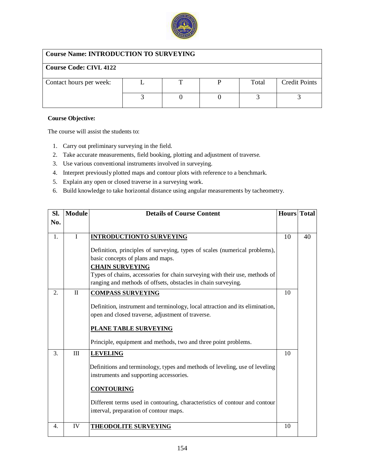

# **Course Name: INTRODUCTION TO SURVEYING**

| Course Name, INTINODUCTION TO BUNY DITING |  |  |  |       |                      |  |  |  |
|-------------------------------------------|--|--|--|-------|----------------------|--|--|--|
| <b>Course Code: CIVL 4122</b>             |  |  |  |       |                      |  |  |  |
| Contact hours per week:                   |  |  |  | Total | <b>Credit Points</b> |  |  |  |
|                                           |  |  |  |       |                      |  |  |  |

### **Course Objective:**

- 1. Carry out preliminary surveying in the field.
- 2. Take accurate measurements, field booking, plotting and adjustment of traverse.
- 3. Use various conventional instruments involved in surveying.
- 4. Interpret previously plotted maps and contour plots with reference to a benchmark.
- 5. Explain any open or closed traverse in a surveying work.
- 6. Build knowledge to take horizontal distance using angular measurements by tacheometry.

| SI.              | <b>Module</b> | <b>Details of Course Content</b>                                              |    | Hours Total |
|------------------|---------------|-------------------------------------------------------------------------------|----|-------------|
| No.              |               |                                                                               |    |             |
|                  |               |                                                                               |    |             |
| 1.               | I             | <b>INTRODUCTIONTO SURVEYING</b>                                               | 10 | 40          |
|                  |               | Definition, principles of surveying, types of scales (numerical problems),    |    |             |
|                  |               | basic concepts of plans and maps.                                             |    |             |
|                  |               | <b>CHAIN SURVEYING</b>                                                        |    |             |
|                  |               | Types of chains, accessories for chain surveying with their use, methods of   |    |             |
|                  |               | ranging and methods of offsets, obstacles in chain surveying.                 |    |             |
| 2.               | $\mathbf{I}$  | <b>COMPASS SURVEYING</b>                                                      | 10 |             |
|                  |               | Definition, instrument and terminology, local attraction and its elimination, |    |             |
|                  |               | open and closed traverse, adjustment of traverse.                             |    |             |
|                  |               |                                                                               |    |             |
|                  |               | PLANE TABLE SURVEYING                                                         |    |             |
|                  |               | Principle, equipment and methods, two and three point problems.               |    |             |
| 3.               | III           | <b>LEVELING</b>                                                               | 10 |             |
|                  |               | Definitions and terminology, types and methods of leveling, use of leveling   |    |             |
|                  |               | instruments and supporting accessories.                                       |    |             |
|                  |               |                                                                               |    |             |
|                  |               | <b>CONTOURING</b>                                                             |    |             |
|                  |               | Different terms used in contouring, characteristics of contour and contour    |    |             |
|                  |               | interval, preparation of contour maps.                                        |    |             |
|                  |               |                                                                               |    |             |
| $\overline{4}$ . | IV            | <b>THEODOLITE SURVEYING</b>                                                   | 10 |             |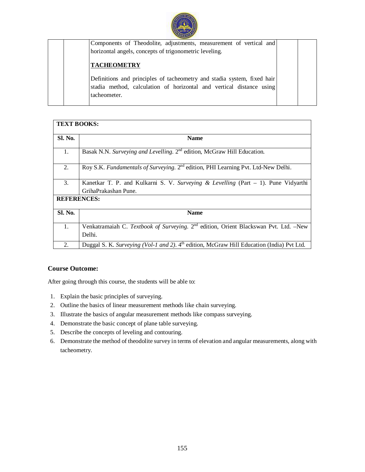

| Components of Theodolite, adjustments, measurement of vertical and                                                                              |  |
|-------------------------------------------------------------------------------------------------------------------------------------------------|--|
| horizontal angels, concepts of trigonometric leveling.                                                                                          |  |
| <b>TACHEOMETRY</b>                                                                                                                              |  |
| Definitions and principles of tacheometry and stadia system, fixed hair<br>stadia method, calculation of horizontal and vertical distance using |  |
| tacheometer.                                                                                                                                    |  |

|                    | <b>TEXT BOOKS:</b>                                                                                           |  |  |  |  |
|--------------------|--------------------------------------------------------------------------------------------------------------|--|--|--|--|
| <b>Sl. No.</b>     | <b>Name</b>                                                                                                  |  |  |  |  |
| 1.                 | Basak N.N. Surveying and Levelling. 2 <sup>nd</sup> edition, McGraw Hill Education.                          |  |  |  |  |
| 2.                 | Roy S.K. Fundamentals of Surveying. 2 <sup>nd</sup> edition, PHI Learning Pvt. Ltd-New Delhi.                |  |  |  |  |
| $\mathfrak{Z}$ .   | Kanetkar T. P. and Kulkarni S. V. Surveying & Levelling (Part $-1$ ). Pune Vidyarthi<br>GrihaPrakashan Pune. |  |  |  |  |
| <b>REFERENCES:</b> |                                                                                                              |  |  |  |  |
| <b>Sl. No.</b>     | <b>Name</b>                                                                                                  |  |  |  |  |
| 1.                 | Venkatramaiah C. Textbook of Surveying. 2 <sup>nd</sup> edition, Orient Blackswan Pvt. Ltd. -New<br>Delhi.   |  |  |  |  |
| 2.                 | Duggal S. K. Surveying (Vol-1 and 2). 4 <sup>th</sup> edition, McGraw Hill Education (India) Pvt Ltd.        |  |  |  |  |

# **Course Outcome:**

- 1. Explain the basic principles of surveying.
- 2. Outline the basics of linear measurement methods like chain surveying.
- 3. Illustrate the basics of angular measurement methods like compass surveying.
- 4. Demonstrate the basic concept of plane table surveying.
- 5. Describe the concepts of leveling and contouring.
- 6. Demonstrate the method of theodolite survey in terms of elevation and angular measurements, along with tacheometry.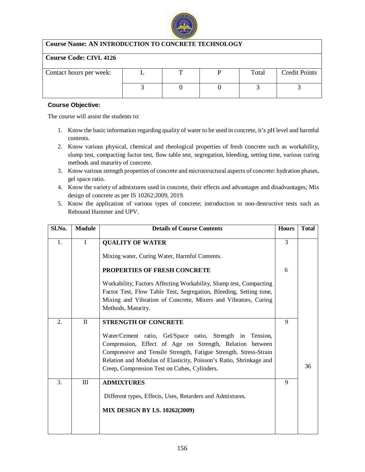

# **Course Name: AN INTRODUCTION TO CONCRETE TECHNOLOGY**

### **Course Code: CIVL 4126**

| Contact hours per week: |  | Total | <b>Credit Points</b> |
|-------------------------|--|-------|----------------------|
|                         |  |       |                      |
|                         |  |       |                      |
|                         |  |       |                      |

### **Course Objective:**

- 1. Know the basic information regarding quality of water to be used in concrete, it's pH level and harmful contents.
- 2. Know various physical, chemical and rheological properties of fresh concrete such as workability, slump test, compacting factor test, flow table test, segregation, bleeding, setting time, various curing methods and maturity of concrete.
- 3. Know various strength properties of concrete and microstructural aspects of concrete: hydration phases, gel space ratio.
- 4. Know the variety of admixtures used in concrete, their effects and advantages and disadvantages; Mix design of concrete as per IS 10262:2009, 2019.
- 5. Know the application of various types of concrete; introduction to non-destructive tests such as Rebound Hammer and UPV.

| Sl.No. | <b>Module</b> | <b>Details of Course Contents</b>                                                                                                                                                                                                                                                                                | <b>Hours</b> | <b>Total</b> |
|--------|---------------|------------------------------------------------------------------------------------------------------------------------------------------------------------------------------------------------------------------------------------------------------------------------------------------------------------------|--------------|--------------|
| 1.     | $\mathbf I$   | <b>QUALITY OF WATER</b>                                                                                                                                                                                                                                                                                          | 3            |              |
|        |               | Mixing water, Curing Water, Harmful Contents.                                                                                                                                                                                                                                                                    |              |              |
|        |               | PROPERTIES OF FRESH CONCRETE                                                                                                                                                                                                                                                                                     |              |              |
|        |               | Workability, Factors Affecting Workability, Slump test, Compacting<br>Factor Test, Flow Table Test, Segregation, Bleeding, Setting time,<br>Mixing and Vibration of Concrete, Mixers and Vibrators, Curing<br>Methods, Maturity.                                                                                 |              |              |
| 2.     | $\mathbf{I}$  | <b>STRENGTH OF CONCRETE</b>                                                                                                                                                                                                                                                                                      | 9            |              |
|        |               | Water/Cement ratio, Gel/Space ratio, Strength in Tension,<br>Compression, Effect of Age on Strength, Relation between<br>Compressive and Tensile Strength, Fatigue Strength, Stress-Strain<br>Relation and Modulus of Elasticity, Poisson's Ratio, Shrinkage and<br>Creep, Compression Test on Cubes, Cylinders. |              | 36           |
| 3.     | III           | <b>ADMIXTURES</b>                                                                                                                                                                                                                                                                                                | 9            |              |
|        |               | Different types, Effects, Uses, Retarders and Admixtures.                                                                                                                                                                                                                                                        |              |              |
|        |               | <b>MIX DESIGN BY I.S. 10262(2009)</b>                                                                                                                                                                                                                                                                            |              |              |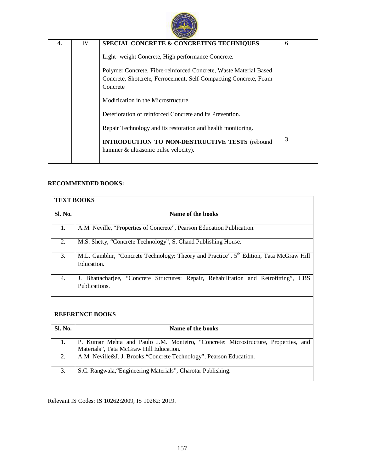

| 4. | IV | SPECIAL CONCRETE & CONCRETING TECHNIQUES                                                                                                          | 6 |  |  |  |  |
|----|----|---------------------------------------------------------------------------------------------------------------------------------------------------|---|--|--|--|--|
|    |    | Light- weight Concrete, High performance Concrete.                                                                                                |   |  |  |  |  |
|    |    | Polymer Concrete, Fibre-reinforced Concrete, Waste Material Based<br>Concrete, Shotcrete, Ferrocement, Self-Compacting Concrete, Foam<br>Concrete |   |  |  |  |  |
|    |    | Modification in the Microstructure.                                                                                                               |   |  |  |  |  |
|    |    | Deterioration of reinforced Concrete and its Prevention.                                                                                          |   |  |  |  |  |
|    |    | Repair Technology and its restoration and health monitoring.                                                                                      |   |  |  |  |  |
|    |    | <b>INTRODUCTION TO NON-DESTRUCTIVE TESTS (rebound</b><br>hammer & ultrasonic pulse velocity).                                                     | 3 |  |  |  |  |

# **RECOMMENDED BOOKS:**

| <b>TEXT BOOKS</b> |                                                                                                                   |  |  |  |  |  |
|-------------------|-------------------------------------------------------------------------------------------------------------------|--|--|--|--|--|
| Sl. No.           | Name of the books                                                                                                 |  |  |  |  |  |
| 1.                | A.M. Neville, "Properties of Concrete", Pearson Education Publication.                                            |  |  |  |  |  |
| 2.                | M.S. Shetty, "Concrete Technology", S. Chand Publishing House.                                                    |  |  |  |  |  |
| 3.                | M.L. Gambhir, "Concrete Technology: Theory and Practice", 5 <sup>th</sup> Edition, Tata McGraw Hill<br>Education. |  |  |  |  |  |
| 4.                | J. Bhattacharjee, "Concrete Structures: Repair, Rehabilitation and Retrofitting", CBS<br>Publications.            |  |  |  |  |  |

### **REFERENCE BOOKS**

| <b>Sl. No.</b> | Name of the books                                                                  |
|----------------|------------------------------------------------------------------------------------|
|                | P. Kumar Mehta and Paulo J.M. Monteiro, "Concrete: Microstructure, Properties, and |
|                | Materials", Tata McGraw Hill Education.                                            |
| 2.             | A.M. Neville&J. J. Brooks, Concrete Technology", Pearson Education.                |
| 3.             | S.C. Rangwala, "Engineering Materials", Charotar Publishing.                       |

Relevant IS Codes: IS 10262:2009, IS 10262: 2019.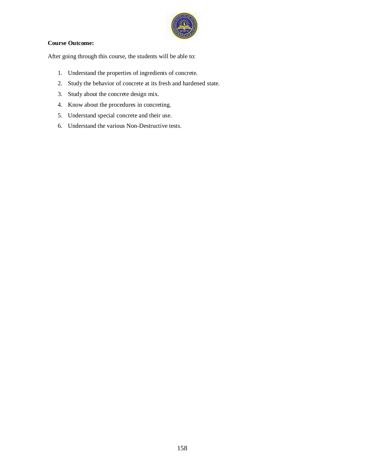

### **Course Outcome:**

- 1. Understand the properties of ingredients of concrete.
- 2. Study the behavior of concrete at its fresh and hardened state.
- 3. Study about the concrete design mix.
- 4. Know about the procedures in concreting.
- 5. Understand special concrete and their use.
- 6. Understand the various Non-Destructive tests.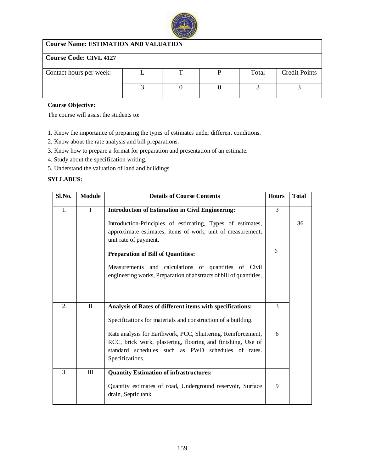

# **Course Name: ESTIMATION AND VALUATION**

# **Course Code: CIVL 4127**

| Contact hours per week: |  | Total | <b>Credit Points</b> |
|-------------------------|--|-------|----------------------|
|                         |  |       |                      |

### **Course Objective:**

The course will assist the students to:

- 1. Know the importance of preparing the types of estimates under different conditions.
- 2. Know about the rate analysis and bill preparations.
- 3. Know how to prepare a format for preparation and presentation of an estimate.
- 4. Study about the specification writing.
- 5. Understand the valuation of land and buildings

### **SYLLABUS:**

| Sl.No. | <b>Module</b> | <b>Details of Course Contents</b>                                                                                                                                                                    | <b>Hours</b> | <b>T</b> otal |
|--------|---------------|------------------------------------------------------------------------------------------------------------------------------------------------------------------------------------------------------|--------------|---------------|
| 1.     | I             | <b>Introduction of Estimation in Civil Engineering:</b>                                                                                                                                              | 3            |               |
|        |               | Introduction-Principles of estimating, Types of estimates,<br>approximate estimates, items of work, unit of measurement,<br>unit rate of payment.                                                    |              | 36            |
|        |               | <b>Preparation of Bill of Quantities:</b>                                                                                                                                                            | 6            |               |
|        |               | Measurements and calculations of quantities of Civil<br>engineering works, Preparation of abstracts of bill of quantities.                                                                           |              |               |
|        |               |                                                                                                                                                                                                      |              |               |
| 2.     | $\mathbf{I}$  | Analysis of Rates of different items with specifications:                                                                                                                                            | 3            |               |
|        |               | Specifications for materials and construction of a building.                                                                                                                                         |              |               |
|        |               | Rate analysis for Earthwork, PCC, Shuttering, Reinforcement,<br>RCC, brick work, plastering, flooring and finishing, Use of<br>standard schedules such as PWD schedules of rates.<br>Specifications. | 6            |               |
| 3.     | Ш             | <b>Quantity Estimation of infrastructures:</b>                                                                                                                                                       |              |               |
|        |               | Quantity estimates of road, Underground reservoir, Surface<br>drain, Septic tank                                                                                                                     | 9            |               |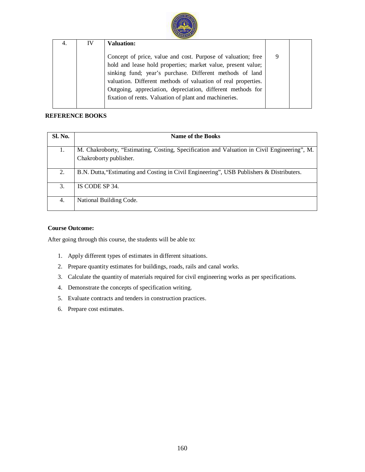

| 4. | IV | <b>Valuation:</b>                                             |  |
|----|----|---------------------------------------------------------------|--|
|    |    | Concept of price, value and cost. Purpose of valuation; free  |  |
|    |    | hold and lease hold properties; market value, present value;  |  |
|    |    | sinking fund; year's purchase. Different methods of land      |  |
|    |    | valuation. Different methods of valuation of real properties. |  |
|    |    | Outgoing, appreciation, depreciation, different methods for   |  |
|    |    | fixation of rents. Valuation of plant and machineries.        |  |
|    |    |                                                               |  |

### **REFERENCE BOOKS**

| <b>Sl. No.</b> | Name of the Books                                                                                                     |
|----------------|-----------------------------------------------------------------------------------------------------------------------|
| 1.             | M. Chakroborty, "Estimating, Costing, Specification and Valuation in Civil Engineering", M.<br>Chakroborty publisher. |
| 2.             | B.N. Dutta, "Estimating and Costing in Civil Engineering", USB Publishers & Distributers.                             |
| 3.             | IS CODE SP 34.                                                                                                        |
| 4.             | National Building Code.                                                                                               |

### **Course Outcome:**

- 1. Apply different types of estimates in different situations.
- 2. Prepare quantity estimates for buildings, roads, rails and canal works.
- 3. Calculate the quantity of materials required for civil engineering works as per specifications.
- 4. Demonstrate the concepts of specification writing.
- 5. Evaluate contracts and tenders in construction practices.
- 6. Prepare cost estimates.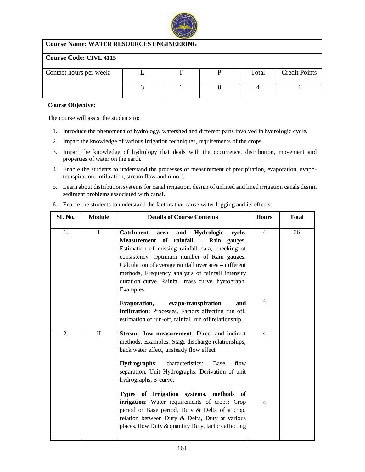

# **Course Name: WATER RESOURCES ENGINEERING**

# **Course Code: CIVL 4115**

| Contact hours per week: |  | Total | <b>Credit Points</b> |
|-------------------------|--|-------|----------------------|
|                         |  |       |                      |
|                         |  |       |                      |
|                         |  |       |                      |

### **Course Objective:**

The course will assist the students to:

- 1. Introduce the phenomena of hydrology, watershed and different parts involved in hydrologic cycle.
- 2. Impart the knowledge of various irrigation techniques, requirements of the crops.
- 3. Impart the knowledge of hydrology that deals with the occurrence, distribution, movement and properties of water on the earth.
- 4. Enable the students to understand the processes of measurement of precipitation, evaporation, evapotranspiration, infiltration, stream flow and runoff.
- 5. Learn about distribution systems for canal irrigation, design of unlined and lined irrigation canals design sediment problems associated with canal.

| SL No. | <b>Module</b> | <b>Details of Course Contents</b>                                                                                                                                                                                                                                                                                                                                                             | <b>Hours</b>   | <b>Total</b> |
|--------|---------------|-----------------------------------------------------------------------------------------------------------------------------------------------------------------------------------------------------------------------------------------------------------------------------------------------------------------------------------------------------------------------------------------------|----------------|--------------|
| 1.     | I             | <b>Catchment</b><br>Hydrologic<br>and<br>cycle,<br>area<br><b>Measurement</b> of rainfall – Rain<br>gauges,<br>Estimation of missing rainfall data, checking of<br>consistency, Optimum number of Rain gauges.<br>Calculation of average rainfall over area – different<br>methods, Frequency analysis of rainfall intensity<br>duration curve. Rainfall mass curve, hyetograph,<br>Examples. | $\overline{4}$ | 36           |
|        |               | Evaporation,<br>evapo-transpiration<br>and<br>infiltration: Processes, Factors affecting run off,<br>estimation of run-off, rainfall run off relationship.                                                                                                                                                                                                                                    | $\overline{4}$ |              |
| 2.     | $\mathbf{I}$  | <b>Stream flow measurement:</b> Direct and indirect<br>methods, Examples. Stage discharge relationships,<br>back water effect, unsteady flow effect.<br>Hydrographs;<br>characteristics:<br>Base<br>flow<br>separation. Unit Hydrographs. Derivation of unit<br>hydrographs, S-curve.                                                                                                         | $\overline{4}$ |              |
|        |               | Types of Irrigation systems, methods of<br>irrigation: Water requirements of crops: Crop<br>period or Base period, Duty & Delta of a crop,<br>relation between Duty & Delta, Duty at various<br>places, flow Duty & quantity Duty, factors affecting                                                                                                                                          | $\overline{4}$ |              |

6. Enable the students to understand the factors that cause water logging and its effects.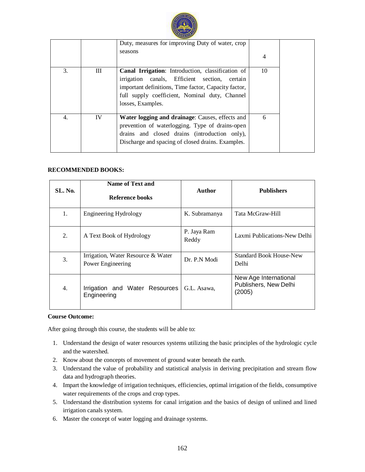

|    |    | Duty, measures for improving Duty of water, crop<br>seasons                                                                                                                                                                                 | $\overline{4}$ |  |
|----|----|---------------------------------------------------------------------------------------------------------------------------------------------------------------------------------------------------------------------------------------------|----------------|--|
| 3. | Ш  | <b>Canal Irrigation:</b> Introduction, classification of<br>irrigation canals, Efficient section,<br>certain<br>important definitions, Time factor, Capacity factor,<br>full supply coefficient, Nominal duty, Channel<br>losses, Examples. | 10             |  |
| 4. | IV | Water logging and drainage: Causes, effects and<br>prevention of waterlogging. Type of drains-open<br>drains and closed drains (introduction only),<br>Discharge and spacing of closed drains. Examples.                                    | 6              |  |

### **RECOMMENDED BOOKS:**

| SL. No. | Name of Text and<br>Reference books                     | Author               | <b>Publishers</b>                                        |
|---------|---------------------------------------------------------|----------------------|----------------------------------------------------------|
| 1.      | <b>Engineering Hydrology</b>                            | K. Subramanya        | Tata McGraw-Hill                                         |
| 2.      | A Text Book of Hydrology                                | P. Jaya Ram<br>Reddy | Laxmi Publications-New Delhi                             |
| 3.      | Irrigation, Water Resource & Water<br>Power Engineering | Dr. P.N Modi         | <b>Standard Book House-New</b><br>Delhi                  |
| 4.      | Irrigation and Water Resources<br>Engineering           | G.L. Asawa,          | New Age International<br>Publishers, New Delhi<br>(2005) |

#### **Course Outcome:**

- 1. Understand the design of water resources systems utilizing the basic principles of the hydrologic cycle and the watershed.
- 2. Know about the concepts of movement of ground water beneath the earth.
- 3. Understand the value of probability and statistical analysis in deriving precipitation and stream flow data and hydrograph theories.
- 4. Impart the knowledge of irrigation techniques, efficiencies, optimal irrigation of the fields, consumptive water requirements of the crops and crop types.
- 5. Understand the distribution systems for canal irrigation and the basics of design of unlined and lined irrigation canals system.
- 6. Master the concept of water logging and drainage systems.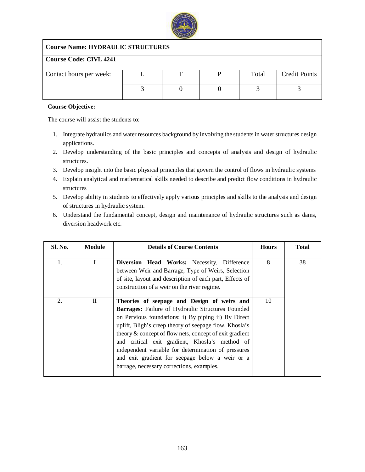

# **Course Name: HYDRAULIC STRUCTURES**

# **Course Code: CIVL 4241**

| Contact hours per week: |  | Total | <b>Credit Points</b> |
|-------------------------|--|-------|----------------------|
|                         |  |       |                      |
|                         |  |       |                      |
|                         |  |       |                      |

### **Course Objective:**

- 1. Integrate hydraulics and water resources background by involving the students in water structures design applications.
- 2. Develop understanding of the basic principles and concepts of analysis and design of hydraulic structures.
- 3. Develop insight into the basic physical principles that govern the control of flows in hydraulic systems
- 4. Explain analytical and mathematical skills needed to describe and predict flow conditions in hydraulic structures
- 5. Develop ability in students to effectively apply various principles and skills to the analysis and design of structures in hydraulic system.
- 6. Understand the fundamental concept, design and maintenance of hydraulic structures such as dams, diversion headwork etc.

| <b>Sl. No.</b> | <b>Module</b> | <b>Details of Course Contents</b>                                                                                                                                                                                                                                                                                                                                                                                                                                                            | <b>Hours</b> | <b>Total</b> |
|----------------|---------------|----------------------------------------------------------------------------------------------------------------------------------------------------------------------------------------------------------------------------------------------------------------------------------------------------------------------------------------------------------------------------------------------------------------------------------------------------------------------------------------------|--------------|--------------|
| 1.             | I.            | Diversion Head Works: Necessity, Difference<br>between Weir and Barrage, Type of Weirs, Selection<br>of site, layout and description of each part, Effects of<br>construction of a weir on the river regime.                                                                                                                                                                                                                                                                                 | 8            | 38           |
| 2.             | $\Pi$         | Theories of seepage and Design of weirs and<br><b>Barrages:</b> Failure of Hydraulic Structures Founded<br>on Pervious foundations: i) By piping ii) By Direct<br>uplift, Bligh's creep theory of seepage flow, Khosla's<br>theory & concept of flow nets, concept of exit gradient<br>and critical exit gradient, Khosla's method of<br>independent variable for determination of pressures<br>and exit gradient for seepage below a weir or a<br>barrage, necessary corrections, examples. | 10           |              |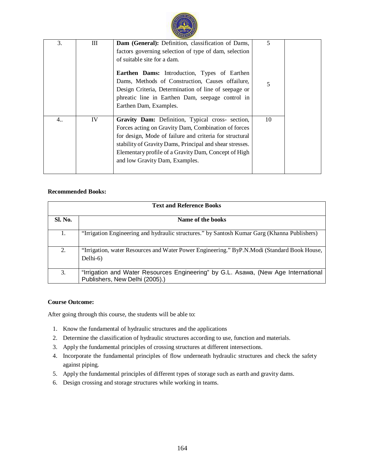

| 3. | Ш  | Dam (General): Definition, classification of Dams,                                                                                                                                                                                                                                                                       | 5  |
|----|----|--------------------------------------------------------------------------------------------------------------------------------------------------------------------------------------------------------------------------------------------------------------------------------------------------------------------------|----|
|    |    | factors governing selection of type of dam, selection                                                                                                                                                                                                                                                                    |    |
|    |    | of suitable site for a dam.                                                                                                                                                                                                                                                                                              |    |
|    |    | Earthen Dams: Introduction, Types of Earthen<br>Dams, Methods of Construction, Causes offailure,<br>Design Criteria, Determination of line of seepage or<br>phreatic line in Earthen Dam, seepage control in<br>Earthen Dam, Examples.                                                                                   | 5  |
| 4  | IV | Gravity Dam: Definition, Typical cross- section,<br>Forces acting on Gravity Dam, Combination of forces<br>for design, Mode of failure and criteria for structural<br>stability of Gravity Dams, Principal and shear stresses.<br>Elementary profile of a Gravity Dam, Concept of High<br>and low Gravity Dam, Examples. | 10 |
|    |    |                                                                                                                                                                                                                                                                                                                          |    |

### **Recommended Books:**

| <b>Text and Reference Books</b> |                                                                                                                      |  |  |  |
|---------------------------------|----------------------------------------------------------------------------------------------------------------------|--|--|--|
| <b>Sl. No.</b>                  | Name of the books                                                                                                    |  |  |  |
| 1.                              | "Irrigation Engineering and hydraulic structures." by Santosh Kumar Garg (Khanna Publishers)                         |  |  |  |
| 2.                              | "Irrigation, water Resources and Water Power Engineering." ByP.N.Modi (Standard Book House,<br>Delhi-6)              |  |  |  |
| 3.                              | "Irrigation and Water Resources Engineering" by G.L. Asawa, (New Age International<br>Publishers, New Delhi (2005).) |  |  |  |

### **Course Outcome:**

- 1. Know the fundamental of hydraulic structures and the applications
- 2. Determine the classification of hydraulic structures according to use, function and materials.
- 3. Apply the fundamental principles of crossing structures at different intersections.
- 4. Incorporate the fundamental principles of flow underneath hydraulic structures and check the safety against piping.
- 5. Apply the fundamental principles of different types of storage such as earth and gravity dams.
- 6. Design crossing and storage structures while working in teams.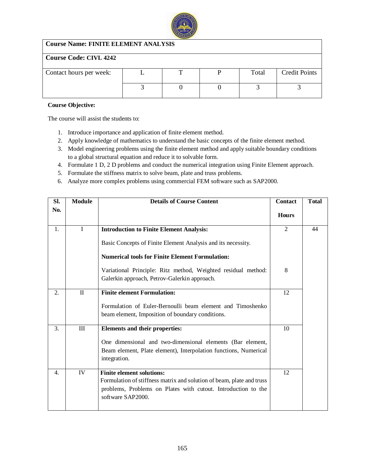

# **Course Name: FINITE ELEMENT ANALYSIS**

# **Course Code: CIVL 4242**

| Contact hours per week: | <b></b> | Total | <b>Credit Points</b> |
|-------------------------|---------|-------|----------------------|
|                         |         |       |                      |

### **Course Objective:**

- 1. Introduce importance and application of finite element method.
- 2. Apply knowledge of mathematics to understand the basic concepts of the finite element method.
- 3. Model engineering problems using the finite element method and apply suitable boundary conditions to a global structural equation and reduce it to solvable form.
- 4. Formulate 1 D, 2 D problems and conduct the numerical integration using Finite Element approach.
- 5. Formulate the stiffness matrix to solve beam, plate and truss problems.
- 6. Analyze more complex problems using commercial FEM software such as SAP2000.

| Sl. | <b>Module</b> | <b>Details of Course Content</b>                                                                                                                                                                                                           |                     | <b>Total</b> |
|-----|---------------|--------------------------------------------------------------------------------------------------------------------------------------------------------------------------------------------------------------------------------------------|---------------------|--------------|
| No. |               |                                                                                                                                                                                                                                            | <b>Hours</b>        |              |
| 1.  | L             | <b>Introduction to Finite Element Analysis:</b><br>Basic Concepts of Finite Element Analysis and its necessity.<br><b>Numerical tools for Finite Element Formulation:</b><br>Variational Principle: Ritz method, Weighted residual method: | $\overline{2}$<br>8 | 44           |
|     |               | Galerkin approach, Petrov-Galerkin approach.                                                                                                                                                                                               |                     |              |
| 2.  | $\mathbf{I}$  | <b>Finite element Formulation:</b><br>Formulation of Euler-Bernoulli beam element and Timoshenko<br>beam element, Imposition of boundary conditions.                                                                                       | 12                  |              |
| 3.  | $\rm III$     | Elements and their properties:<br>One dimensional and two-dimensional elements (Bar element,<br>Beam element, Plate element), Interpolation functions, Numerical<br>integration.                                                           | 10                  |              |
| 4.  | IV            | <b>Finite element solutions:</b><br>Formulation of stiffness matrix and solution of beam, plate and truss<br>problems, Problems on Plates with cutout. Introduction to the<br>software SAP2000.                                            | 12                  |              |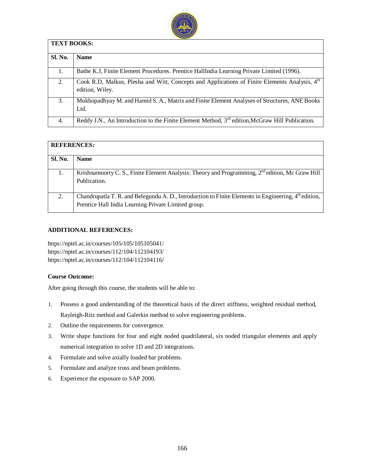

|                | <b>TEXT BOOKS:</b>                                                                                                           |  |  |  |  |  |
|----------------|------------------------------------------------------------------------------------------------------------------------------|--|--|--|--|--|
| <b>Sl. No.</b> | <b>Name</b>                                                                                                                  |  |  |  |  |  |
| 1.             | Bathe K.J., Finite Element Procedures. Prentice HallIndia Learning Private Limited (1996).                                   |  |  |  |  |  |
| 2.             | Cook R.D, Malkus, Plesha and Witt, Concepts and Applications of Finite Elements Analysis, 4 <sup>th</sup><br>edition, Wiley. |  |  |  |  |  |
| 3.             | Mukhopadhyay M. and Hamid S. A., Matrix and Finite Element Analyses of Structures, ANE Books<br>Ltd.                         |  |  |  |  |  |
| 4.             | Reddy J.N., An Introduction to the Finite Element Method, $3rd$ edition, McGraw Hill Publication.                            |  |  |  |  |  |

|                | <b>REFERENCES:</b>                                                                                                                                          |  |  |  |  |
|----------------|-------------------------------------------------------------------------------------------------------------------------------------------------------------|--|--|--|--|
| <b>Sl. No.</b> | <b>Name</b>                                                                                                                                                 |  |  |  |  |
|                | Krishnamoorty C. S., Finite Element Analysis: Theory and Programming, 2 <sup>nd</sup> edition, Mc Graw Hill<br>Publication.                                 |  |  |  |  |
| 2.             | Chandrupatla T. R. and Belegundu A. D., Introduction to Finite Elements in Engineering, 4th edition,<br>Prentice Hall India Learning Private Limited group. |  |  |  |  |

### **ADDITIONAL REFERENCES:**

<https://nptel.ac.in/courses/105/105/105105041/> <https://nptel.ac.in/courses/112/104/112104193/> <https://nptel.ac.in/courses/112/104/112104116/>

### **Course Outcome:**

- 1. Possess a good understanding of the theoretical basis of the direct stiffness, weighted residual method, Rayleigh-Ritz method and Galerkin method to solve engineering problems.
- 2. Outline the requirements for convergence.
- 3. Write shape functions for four and eight noded quadrilateral, six noded triangular elements and apply numerical integration to solve 1D and 2D integrations.
- 4. Formulate and solve axially loaded bar problems.
- 5. Formulate and analyze truss and beam problems.
- 6. Experience the exposure to SAP 2000.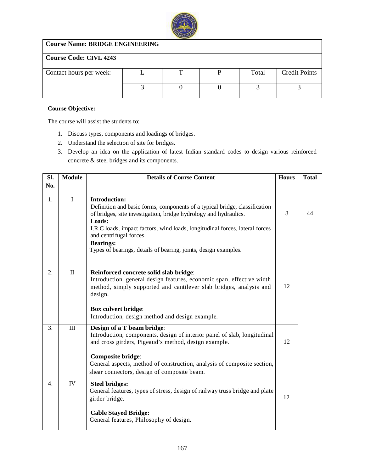

# **Course Name: BRIDGE ENGINEERING**

# **Course Code: CIVL 4243**

| Contact hours per week: |  | Total | <b>Credit Points</b> |
|-------------------------|--|-------|----------------------|
|                         |  |       |                      |
|                         |  |       |                      |
|                         |  |       |                      |

### **Course Objective:**

- 1. Discuss types, components and loadings of bridges.
- 2. Understand the selection of site for bridges.
- 3. Develop an idea on the application of latest Indian standard codes to design various reinforced concrete & steel bridges and its components.

| SI. | <b>Module</b> | <b>Details of Course Content</b>                                                                                                                                                                                                                                                                                                                                                   | <b>Hours</b> | <b>Total</b> |
|-----|---------------|------------------------------------------------------------------------------------------------------------------------------------------------------------------------------------------------------------------------------------------------------------------------------------------------------------------------------------------------------------------------------------|--------------|--------------|
| No. |               |                                                                                                                                                                                                                                                                                                                                                                                    |              |              |
| 1.  | $\mathbf I$   | <b>Introduction:</b><br>Definition and basic forms, components of a typical bridge, classification<br>of bridges, site investigation, bridge hydrology and hydraulics.<br>Loads:<br>I.R.C loads, impact factors, wind loads, longitudinal forces, lateral forces<br>and centrifugal forces.<br><b>Bearings:</b><br>Types of bearings, details of bearing, joints, design examples. | 8            | 44           |
| 2.  | $\mathbf{I}$  | Reinforced concrete solid slab bridge:<br>Introduction, general design features, economic span, effective width<br>method, simply supported and cantilever slab bridges, analysis and<br>design.<br><b>Box culvert bridge:</b><br>Introduction, design method and design example.                                                                                                  | 12           |              |
| 3.  | III           | Design of a T beam bridge:<br>Introduction, components, design of interior panel of slab, longitudinal<br>and cross girders, Pigeaud's method, design example.<br><b>Composite bridge:</b><br>General aspects, method of construction, analysis of composite section,<br>shear connectors, design of composite beam.                                                               | 12           |              |
| 4.  | IV            | <b>Steel bridges:</b><br>General features, types of stress, design of railway truss bridge and plate<br>girder bridge.<br><b>Cable Stayed Bridge:</b><br>General features, Philosophy of design.                                                                                                                                                                                   | 12           |              |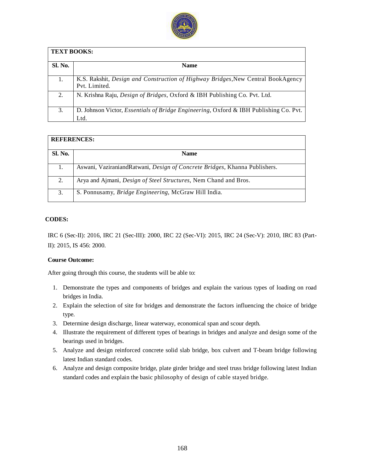

| <b>TEXT BOOKS:</b> |                                                                                                           |  |  |  |  |
|--------------------|-----------------------------------------------------------------------------------------------------------|--|--|--|--|
| Sl. No.            | <b>Name</b>                                                                                               |  |  |  |  |
|                    | K.S. Rakshit, <i>Design and Construction of Highway Bridges</i> , New Central BookAgency<br>Pyt. Limited. |  |  |  |  |
| 2.                 | N. Krishna Raju, <i>Design of Bridges</i> , Oxford & IBH Publishing Co. Pvt. Ltd.                         |  |  |  |  |
| 3.                 | D. Johnson Victor, <i>Essentials of Bridge Engineering</i> , Oxford & IBH Publishing Co. Pvt.<br>Ltd.     |  |  |  |  |

| <b>REFERENCES:</b> |                                                                            |  |  |  |
|--------------------|----------------------------------------------------------------------------|--|--|--|
| <b>Sl. No.</b>     | <b>Name</b>                                                                |  |  |  |
| 1.                 | Aswani, VaziraniandRatwani, Design of Concrete Bridges, Khanna Publishers. |  |  |  |
| 2.                 | Arya and Ajmani, Design of Steel Structures, Nem Chand and Bros.           |  |  |  |
| 3.                 | S. Ponnusamy, Bridge Engineering, McGraw Hill India.                       |  |  |  |

### **CODES:**

IRC 6 (Sec-II): 2016, IRC 21 (Sec-III): 2000, IRC 22 (Sec-VI): 2015, IRC 24 (Sec-V): 2010, IRC 83 (Part-II): 2015, IS 456: 2000.

#### **Course Outcome:**

- 1. Demonstrate the types and components of bridges and explain the various types of loading on road bridges in India.
- 2. Explain the selection of site for bridges and demonstrate the factors influencing the choice of bridge type.
- 3. Determine design discharge, linear waterway, economical span and scour depth.
- 4. Illustrate the requirement of different types of bearings in bridges and analyze and design some of the bearings used in bridges.
- 5. Analyze and design reinforced concrete solid slab bridge, box culvert and T-beam bridge following latest Indian standard codes.
- 6. Analyze and design composite bridge, plate girder bridge and steel truss bridge following latest Indian standard codes and explain the basic philosophy of design of cable stayed bridge.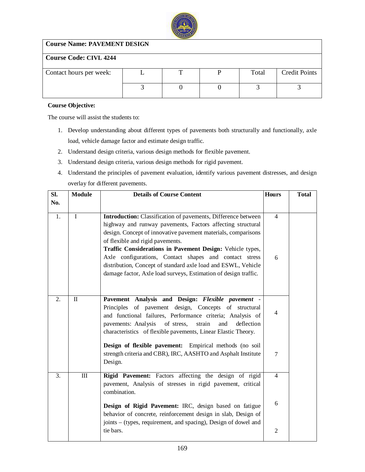

# **Course Name: PAVEMENT DESIGN**

# **Course Code: CIVL 4244**

| Contact hours per week: |  | Total | <b>Credit Points</b> |
|-------------------------|--|-------|----------------------|
|                         |  |       |                      |
|                         |  |       |                      |
|                         |  |       |                      |

### **Course Objective:**

- 1. Develop understanding about different types of pavements both structurally and functionally, axle load, vehicle damage factor and estimate design traffic.
- 2. Understand design criteria, various design methods for flexible pavement.
- 3. Understand design criteria, various design methods for rigid pavement.
- 4. Understand the principles of pavement evaluation, identify various pavement distresses, and design overlay for different pavements.

| Sl. | <b>Module</b> | <b>Details of Course Content</b>                                 | <b>Hours</b>   | <b>Total</b> |
|-----|---------------|------------------------------------------------------------------|----------------|--------------|
| No. |               |                                                                  |                |              |
|     |               |                                                                  |                |              |
| 1.  | $\mathbf{I}$  | Introduction: Classification of pavements, Difference between    | $\overline{4}$ |              |
|     |               | highway and runway pavements, Factors affecting structural       |                |              |
|     |               | design. Concept of innovative pavement materials, comparisons    |                |              |
|     |               | of flexible and rigid pavements.                                 |                |              |
|     |               | Traffic Considerations in Pavement Design: Vehicle types,        |                |              |
|     |               | Axle configurations, Contact shapes and contact stress           | 6              |              |
|     |               | distribution, Concept of standard axle load and ESWL, Vehicle    |                |              |
|     |               | damage factor, Axle load surveys, Estimation of design traffic.  |                |              |
|     |               |                                                                  |                |              |
|     |               |                                                                  |                |              |
| 2.  | $\mathbf{I}$  | Pavement Analysis and Design: Flexible pavement -                |                |              |
|     |               | Principles of pavement design, Concepts of structural            |                |              |
|     |               | and functional failures, Performance criteria; Analysis of       | $\overline{4}$ |              |
|     |               | pavements: Analysis<br>of stress,<br>strain<br>and<br>deflection |                |              |
|     |               | characteristics of flexible pavements, Linear Elastic Theory.    |                |              |
|     |               | Design of flexible pavement: Empirical methods (no soil          |                |              |
|     |               |                                                                  |                |              |
|     |               | strength criteria and CBR), IRC, AASHTO and Asphalt Institute    | $\overline{7}$ |              |
|     |               | Design.                                                          |                |              |
| 3.  | III           | Rigid Pavement: Factors affecting the design of rigid            | $\overline{4}$ |              |
|     |               | pavement, Analysis of stresses in rigid pavement, critical       |                |              |
|     |               | combination.                                                     |                |              |
|     |               |                                                                  | 6              |              |
|     |               | Design of Rigid Pavement: IRC, design based on fatigue           |                |              |
|     |               | behavior of concrete, reinforcement design in slab, Design of    |                |              |
|     |               | joints – (types, requirement, and spacing), Design of dowel and  |                |              |
|     |               | tie bars.                                                        | $\overline{2}$ |              |
|     |               |                                                                  |                |              |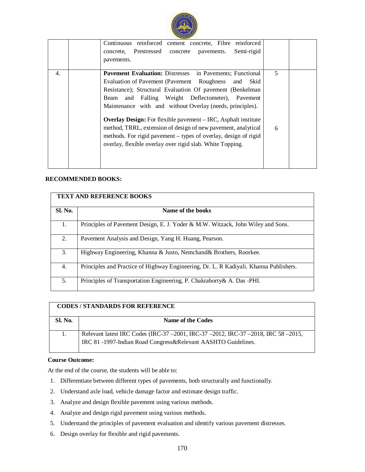

|    | Continuous reinforced cement concrete, Fibre reinforced<br>Prestressed<br>concrete<br>Semi-rigid<br>concrete.<br>pavements.<br>pavements.                                                                                                                                                                                                                                                                                                                                                                                                                                                |        |  |
|----|------------------------------------------------------------------------------------------------------------------------------------------------------------------------------------------------------------------------------------------------------------------------------------------------------------------------------------------------------------------------------------------------------------------------------------------------------------------------------------------------------------------------------------------------------------------------------------------|--------|--|
| 4. | <b>Pavement Evaluation:</b> Distresses in Pavements; Functional<br>Evaluation of Pavement (Pavement Roughness<br>Skid<br>and<br>Resistance); Structural Evaluation Of pavement (Benkelman)<br>and Falling Weight Deflectometer), Pavement<br>Beam<br>Maintenance with and without Overlay (needs, principles).<br><b>Overlay Design:</b> For flexible pavement – IRC, Asphalt institute<br>method, TRRL, extension of design of new pavement, analytical<br>methods. For rigid pavement – types of overlay, design of rigid<br>overlay, flexible overlay over rigid slab. White Topping. | 5<br>6 |  |

### **RECOMMENDED BOOKS:**

|         | <b>TEXT AND REFERENCE BOOKS</b>                                                       |
|---------|---------------------------------------------------------------------------------------|
| Sl. No. | Name of the books                                                                     |
| 1.      | Principles of Pavement Design, E. J. Yoder & M.W. Witzack, John Wiley and Sons.       |
| 2.      | Pavement Analysis and Design, Yang H. Huang, Pearson.                                 |
| 3.      | Highway Engineering, Khanna & Justo, Nemchand& Brothers, Roorkee.                     |
| 4.      | Principles and Practice of Highway Engineering, Dr. L. R Kadiyali. Khanna Publishers. |
| 5.      | Principles of Transportation Engineering, P. Chakraborty & A. Das -PHI.               |

|                | <b>CODES/STANDARDS FOR REFERENCE</b>                                                                                                                |
|----------------|-----------------------------------------------------------------------------------------------------------------------------------------------------|
| <b>Sl. No.</b> | Name of the Codes                                                                                                                                   |
|                | Relevant latest IRC Codes (IRC-37 -2001, IRC-37 -2012, IRC-37 -2018, IRC 58 -2015,<br>IRC 81 -1997-Indian Road Congress&Relevant AASHTO Guidelines. |

#### **Course Outcome:**

At the end of the course, the students will be able to:

- 1. Differentiate between different types of pavements, both structurally and functionally.
- 2. Understand axle load, vehicle damage factor and estimate design traffic.
- 3. Analyze and design flexible pavement using various methods.
- 4. Analyze and design rigid pavement using various methods.
- 5. Understand the principles of pavement evaluation and identify various pavement distresses.
- 6. Design overlay for flexible and rigid pavements.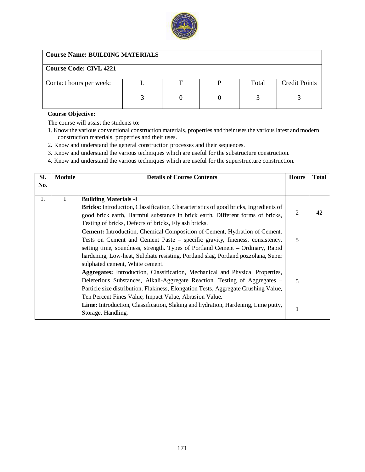

# **Course Name: BUILDING MATERIALS**

# **Course Code: CIVL 4221**

| _______________________ |  |       |                      |
|-------------------------|--|-------|----------------------|
| Contact hours per week: |  | Total | <b>Credit Points</b> |
|                         |  |       |                      |

### **Course Objective:**

- 1. Know the various conventional construction materials, properties and their uses the various latest and modern construction materials, properties and their uses.
- 2. Know and understand the general construction processes and their sequences.
- 3. Know and understand the various techniques which are useful for the substructure construction.
- 4. Know and understand the various techniques which are useful for the superstructure construction.

| SI. | <b>Module</b> | <b>Details of Course Contents</b>                                                                                                                                                                                                                                                                                                                                         | <b>Hours</b> | <b>Total</b> |
|-----|---------------|---------------------------------------------------------------------------------------------------------------------------------------------------------------------------------------------------------------------------------------------------------------------------------------------------------------------------------------------------------------------------|--------------|--------------|
| No. |               |                                                                                                                                                                                                                                                                                                                                                                           |              |              |
| 1.  |               | <b>Building Materials -I</b>                                                                                                                                                                                                                                                                                                                                              |              |              |
|     |               | Bricks: Introduction, Classification, Characteristics of good bricks, Ingredients of<br>good brick earth, Harmful substance in brick earth, Different forms of bricks,<br>Testing of bricks, Defects of bricks, Fly ash bricks.                                                                                                                                           | 2            | 42           |
|     |               | <b>Cement:</b> Introduction, Chemical Composition of Cement, Hydration of Cement.<br>Tests on Cement and Cement Paste – specific gravity, fineness, consistency,<br>setting time, soundness, strength. Types of Portland Cement – Ordinary, Rapid<br>hardening, Low-heat, Sulphate resisting, Portland slag, Portland pozzolana, Super<br>sulphated cement, White cement. | 5            |              |
|     |               | Aggregates: Introduction, Classification, Mechanical and Physical Properties,<br>Deleterious Substances, Alkali-Aggregate Reaction. Testing of Aggregates -<br>Particle size distribution, Flakiness, Elongation Tests, Aggregate Crushing Value,<br>Ten Percent Fines Value, Impact Value, Abrasion Value.                                                               | 5            |              |
|     |               | Lime: Introduction, Classification, Slaking and hydration, Hardening, Lime putty,<br>Storage, Handling.                                                                                                                                                                                                                                                                   | $\mathbf{1}$ |              |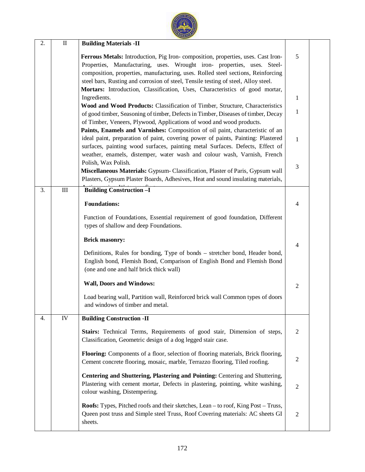| 2. | $\mathbf{I}$ | <b>Building Materials -II</b>                                                                                                                                                                                                                                                                                                                                                                                         |                |  |
|----|--------------|-----------------------------------------------------------------------------------------------------------------------------------------------------------------------------------------------------------------------------------------------------------------------------------------------------------------------------------------------------------------------------------------------------------------------|----------------|--|
|    |              | Ferrous Metals: Introduction, Pig Iron-composition, properties, uses. Cast Iron-<br>Properties, Manufacturing, uses. Wrought iron- properties, uses. Steel-<br>composition, properties, manufacturing, uses. Rolled steel sections, Reinforcing<br>steel bars, Rusting and corrosion of steel, Tensile testing of steel, Alloy steel.<br>Mortars: Introduction, Classification, Uses, Characteristics of good mortar, | 5              |  |
|    |              | Ingredients.                                                                                                                                                                                                                                                                                                                                                                                                          | 1              |  |
|    |              | Wood and Wood Products: Classification of Timber, Structure, Characteristics<br>of good timber, Seasoning of timber, Defects in Timber, Diseases of timber, Decay<br>of Timber, Veneers, Plywood, Applications of wood and wood products.                                                                                                                                                                             | $\mathbf{1}$   |  |
|    |              | Paints, Enamels and Varnishes: Composition of oil paint, characteristic of an<br>ideal paint, preparation of paint, covering power of paints, Painting: Plastered<br>surfaces, painting wood surfaces, painting metal Surfaces. Defects, Effect of<br>weather, enamels, distemper, water wash and colour wash, Varnish, French                                                                                        | 1              |  |
|    |              | Polish, Wax Polish.<br>Miscellaneous Materials: Gypsum- Classification, Plaster of Paris, Gypsum wall<br>Plasters, Gypsum Plaster Boards, Adhesives, Heat and sound insulating materials,                                                                                                                                                                                                                             | 3              |  |
| 3. | $\rm III$    | <b>Building Construction -I</b>                                                                                                                                                                                                                                                                                                                                                                                       |                |  |
|    |              | <b>Foundations:</b>                                                                                                                                                                                                                                                                                                                                                                                                   | 4              |  |
|    |              | Function of Foundations, Essential requirement of good foundation, Different<br>types of shallow and deep Foundations.                                                                                                                                                                                                                                                                                                |                |  |
|    |              | <b>Brick masonry:</b>                                                                                                                                                                                                                                                                                                                                                                                                 | 4              |  |
|    |              | Definitions, Rules for bonding, Type of bonds - stretcher bond, Header bond,<br>English bond, Flemish Bond, Comparison of English Bond and Flemish Bond<br>(one and one and half brick thick wall)                                                                                                                                                                                                                    |                |  |
|    |              | <b>Wall, Doors and Windows:</b>                                                                                                                                                                                                                                                                                                                                                                                       | $\overline{2}$ |  |
|    |              | Load bearing wall, Partition wall, Reinforced brick wall Common types of doors<br>and windows of timber and metal.                                                                                                                                                                                                                                                                                                    |                |  |
| 4. | ${\rm IV}$   | <b>Building Construction -II</b>                                                                                                                                                                                                                                                                                                                                                                                      |                |  |
|    |              | Stairs: Technical Terms, Requirements of good stair, Dimension of steps,<br>Classification, Geometric design of a dog legged stair case.                                                                                                                                                                                                                                                                              | 2              |  |
|    |              | Flooring: Components of a floor, selection of flooring materials, Brick flooring,<br>Cement concrete flooring, mosaic, marble, Terrazzo flooring, Tiled roofing.                                                                                                                                                                                                                                                      | $\overline{2}$ |  |
|    |              | Centering and Shuttering, Plastering and Pointing: Centering and Shuttering,<br>Plastering with cement mortar, Defects in plastering, pointing, white washing,<br>colour washing, Distempering.                                                                                                                                                                                                                       | $\overline{2}$ |  |
|    |              | <b>Roofs:</b> Types, Pitched roofs and their sketches, Lean – to roof, King Post – Truss,<br>Queen post truss and Simple steel Truss, Roof Covering materials: AC sheets GI<br>sheets.                                                                                                                                                                                                                                | $\overline{2}$ |  |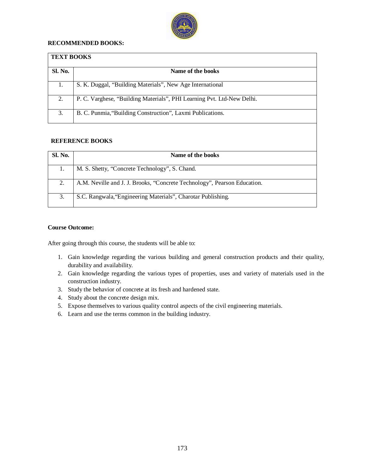

### **RECOMMENDED BOOKS:**

| <b>TEXT BOOKS</b> |                                                                        |
|-------------------|------------------------------------------------------------------------|
| <b>Sl. No.</b>    | Name of the books                                                      |
| 1.                | S. K. Duggal, "Building Materials", New Age International              |
| 2.                | P. C. Varghese, "Building Materials", PHI Learning Pvt. Ltd-New Delhi. |
| 3.                | B. C. Punmia, "Building Construction", Laxmi Publications.             |

### **REFERENCE BOOKS**

| <b>Sl. No.</b> | Name of the books                                                        |
|----------------|--------------------------------------------------------------------------|
|                | M. S. Shetty, "Concrete Technology", S. Chand.                           |
| 2.             | A.M. Neville and J. J. Brooks, "Concrete Technology", Pearson Education. |
| 3.             | S.C. Rangwala, 'Engineering Materials'', Charotar Publishing.            |

### **Course Outcome:**

- 1. Gain knowledge regarding the various building and general construction products and their quality, durability and availability.
- 2. Gain knowledge regarding the various types of properties, uses and variety of materials used in the construction industry.
- 3. Study the behavior of concrete at its fresh and hardened state.
- 4. Study about the concrete design mix.
- 5. Expose themselves to various quality control aspects of the civil engineering materials.
- 6. Learn and use the terms common in the building industry.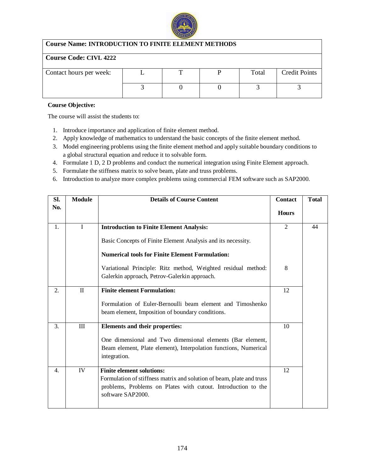

# **Course Name: INTRODUCTION TO FINITE ELEMENT METHODS**

# **Course Code: CIVL 4222**

| Contact hours per week: |  | Total | <b>Credit Points</b> |
|-------------------------|--|-------|----------------------|
|                         |  |       |                      |

### **Course Objective:**

- 1. Introduce importance and application of finite element method.
- 2. Apply knowledge of mathematics to understand the basic concepts of the finite element method.
- 3. Model engineering problems using the finite element method and apply suitable boundary conditions to a global structural equation and reduce it to solvable form.
- 4. Formulate 1 D, 2 D problems and conduct the numerical integration using Finite Element approach.
- 5. Formulate the stiffness matrix to solve beam, plate and truss problems.
- 6. Introduction to analyze more complex problems using commercial FEM software such as SAP2000.

| SI. | <b>Module</b> | <b>Details of Course Content</b>                                                                                                                                                                | <b>Contact</b> | <b>Total</b> |
|-----|---------------|-------------------------------------------------------------------------------------------------------------------------------------------------------------------------------------------------|----------------|--------------|
| No. |               |                                                                                                                                                                                                 | <b>Hours</b>   |              |
| 1.  | $\mathbf{I}$  | <b>Introduction to Finite Element Analysis:</b>                                                                                                                                                 | $\overline{2}$ | 44           |
|     |               | Basic Concepts of Finite Element Analysis and its necessity.                                                                                                                                    |                |              |
|     |               | <b>Numerical tools for Finite Element Formulation:</b>                                                                                                                                          |                |              |
|     |               | Variational Principle: Ritz method, Weighted residual method:<br>Galerkin approach, Petrov-Galerkin approach.                                                                                   | 8              |              |
| 2.  | $\Pi$         | <b>Finite element Formulation:</b>                                                                                                                                                              | 12             |              |
|     |               | Formulation of Euler-Bernoulli beam element and Timoshenko<br>beam element, Imposition of boundary conditions.                                                                                  |                |              |
| 3.  | III           | Elements and their properties:                                                                                                                                                                  | 10             |              |
|     |               | One dimensional and Two dimensional elements (Bar element,<br>Beam element, Plate element), Interpolation functions, Numerical<br>integration.                                                  |                |              |
| 4.  | IV            | <b>Finite element solutions:</b><br>Formulation of stiffness matrix and solution of beam, plate and truss<br>problems, Problems on Plates with cutout. Introduction to the<br>software SAP2000. | 12             |              |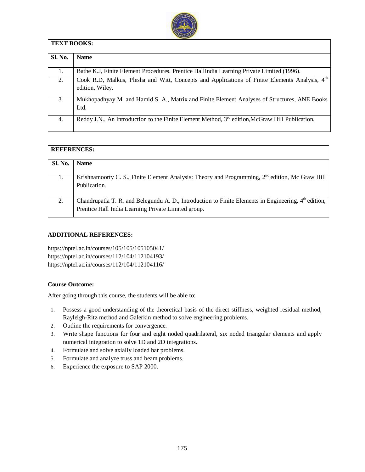

| <b>TEXT BOOKS:</b> |                                                                                                                  |
|--------------------|------------------------------------------------------------------------------------------------------------------|
| <b>Sl. No.</b>     | <b>Name</b>                                                                                                      |
| 1.                 | Bathe K.J, Finite Element Procedures. Prentice HallIndia Learning Private Limited (1996).                        |
| 2.                 | Cook R.D, Malkus, Plesha and Witt, Concepts and Applications of Finite Elements Analysis, 4th<br>edition, Wiley. |
| 3.                 | Mukhopadhyay M. and Hamid S. A., Matrix and Finite Element Analyses of Structures, ANE Books<br>Ltd.             |
| 4.                 | Reddy J.N., An Introduction to the Finite Element Method, $3^{rd}$ edition, McGraw Hill Publication.             |

| <b>REFERENCES:</b> |                                                                                                      |
|--------------------|------------------------------------------------------------------------------------------------------|
| <b>Sl. No.</b>     | <b>Name</b>                                                                                          |
|                    |                                                                                                      |
|                    | Krishnamoorty C. S., Finite Element Analysis: Theory and Programming, $2nd$ edition, Mc Graw Hill    |
|                    | Publication.                                                                                         |
|                    |                                                                                                      |
| 2.                 | Chandrupatla T. R. and Belegundu A. D., Introduction to Finite Elements in Engineering, 4th edition, |
|                    | Prentice Hall India Learning Private Limited group.                                                  |

### **ADDITIONAL REFERENCES:**

<https://nptel.ac.in/courses/105/105/105105041/> <https://nptel.ac.in/courses/112/104/112104193/> <https://nptel.ac.in/courses/112/104/112104116/>

### **Course Outcome:**

- 1. Possess a good understanding of the theoretical basis of the direct stiffness, weighted residual method, Rayleigh-Ritz method and Galerkin method to solve engineering problems.
- 2. Outline the requirements for convergence.
- 3. Write shape functions for four and eight noded quadrilateral, six noded triangular elements and apply numerical integration to solve 1D and 2D integrations.
- 4. Formulate and solve axially loaded bar problems.
- 5. Formulate and analyze truss and beam problems.
- 6. Experience the exposure to SAP 2000.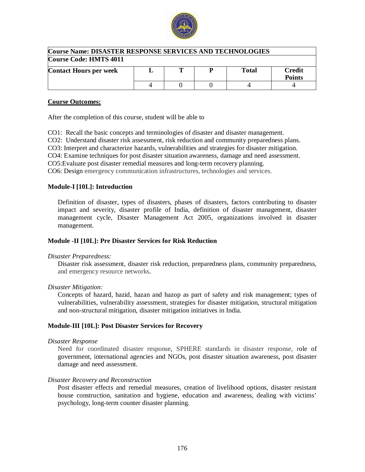

| <b>Course Name: DISASTER RESPONSE SERVICES AND TECHNOLOGIES</b> |  |  |  |       |                                |
|-----------------------------------------------------------------|--|--|--|-------|--------------------------------|
| <b>Course Code: HMTS 4011</b>                                   |  |  |  |       |                                |
| <b>Contact Hours per week</b>                                   |  |  |  | Total | <b>Credit</b><br><b>Points</b> |
|                                                                 |  |  |  |       |                                |

### **Course Outcomes:**

After the completion of this course, student will be able to

CO1: Recall the basic concepts and terminologies of disaster and disaster management.

CO2: Understand disaster risk assessment, risk reduction and community preparedness plans.

CO3: Interpret and characterize hazards, vulnerabilities and strategies for disaster mitigation.

CO4: Examine techniques for post disaster situation awareness, damage and need assessment.

CO5:Evaluate post disaster remedial measures and long-term recovery planning.

CO6: Design emergency communication infrastructures, technologies and services.

### **Module-I [10L]: Introduction**

Definition of disaster, types of disasters, phases of disasters, factors contributing to disaster impact and severity, disaster profile of India, definition of disaster management, disaster management cycle, Disaster Management Act 2005, organizations involved in disaster management.

### **Module -II [10L]: Pre Disaster Services for Risk Reduction**

#### *Disaster Preparedness:*

Disaster risk assessment, disaster risk reduction, preparedness plans, community preparedness, and emergency resource networks.

#### *Disaster Mitigation:*

Concepts of hazard, hazid, hazan and hazop as part of safety and risk management; types of vulnerabilities, vulnerability assessment, strategies for disaster mitigation, structural mitigation and non-structural mitigation, disaster mitigation initiatives in India.

### **Module-III [10L]: Post Disaster Services for Recovery**

#### *Disaster Response*

Need for coordinated disaster response, SPHERE standards in disaster response, role of government, international agencies and NGOs, post disaster situation awareness, post disaster damage and need assessment.

### *Disaster Recovery and Reconstruction*

Post disaster effects and remedial measures, creation of livelihood options, disaster resistant house construction, sanitation and hygiene, education and awareness, dealing with victims' psychology, long-term counter disaster planning.